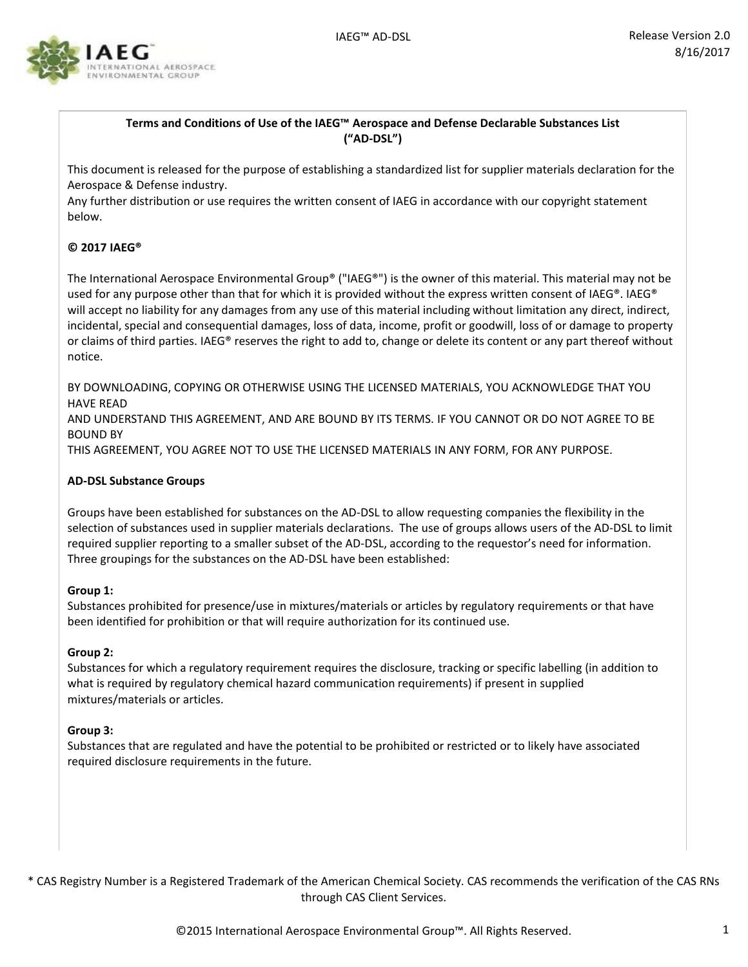

## **Terms and Conditions of Use of the IAEG™ Aerospace and Defense Declarable Substances List ("AD-DSL")**

This document is released for the purpose of establishing a standardized list for supplier materials declaration for the Aerospace & Defense industry.

Any further distribution or use requires the written consent of IAEG in accordance with our copyright statement below.

# **© 2017 IAEG®**

The International Aerospace Environmental Group® ("IAEG®") is the owner of this material. This material may not be used for any purpose other than that for which it is provided without the express written consent of IAEG®. IAEG® will accept no liability for any damages from any use of this material including without limitation any direct, indirect, incidental, special and consequential damages, loss of data, income, profit or goodwill, loss of or damage to property or claims of third parties. IAEG® reserves the right to add to, change or delete its content or any part thereof without notice.

BY DOWNLOADING, COPYING OR OTHERWISE USING THE LICENSED MATERIALS, YOU ACKNOWLEDGE THAT YOU HAVE READ

AND UNDERSTAND THIS AGREEMENT, AND ARE BOUND BY ITS TERMS. IF YOU CANNOT OR DO NOT AGREE TO BE BOUND BY

THIS AGREEMENT, YOU AGREE NOT TO USE THE LICENSED MATERIALS IN ANY FORM, FOR ANY PURPOSE.

## **AD-DSL Substance Groups**

Groups have been established for substances on the AD-DSL to allow requesting companies the flexibility in the selection of substances used in supplier materials declarations. The use of groups allows users of the AD-DSL to limit required supplier reporting to a smaller subset of the AD-DSL, according to the requestor's need for information. Three groupings for the substances on the AD-DSL have been established:

#### **Group 1:**

Substances prohibited for presence/use in mixtures/materials or articles by regulatory requirements or that have been identified for prohibition or that will require authorization for its continued use.

## **Group 2:**

Substances for which a regulatory requirement requires the disclosure, tracking or specific labelling (in addition to what is required by regulatory chemical hazard communication requirements) if present in supplied mixtures/materials or articles.

#### **Group 3:**

Substances that are regulated and have the potential to be prohibited or restricted or to likely have associated required disclosure requirements in the future.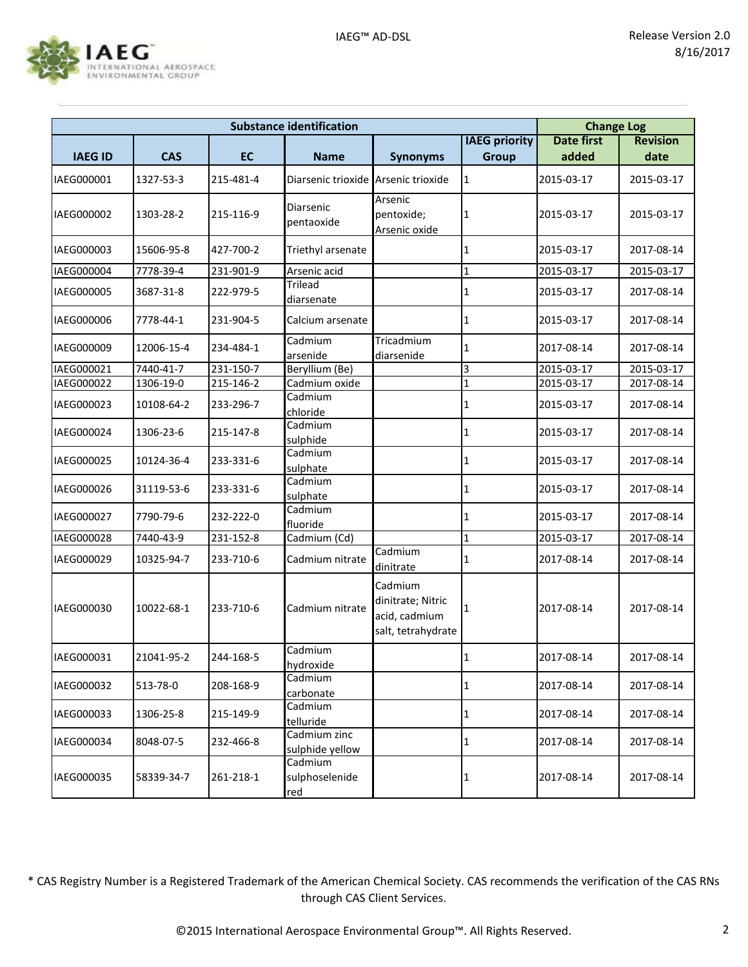

|                |            | <b>Substance identification</b> |                                     | <b>Change Log</b>                                                   |                      |                   |                 |
|----------------|------------|---------------------------------|-------------------------------------|---------------------------------------------------------------------|----------------------|-------------------|-----------------|
|                |            |                                 |                                     |                                                                     | <b>IAEG priority</b> | <b>Date first</b> | <b>Revision</b> |
| <b>IAEG ID</b> | <b>CAS</b> | EC                              | <b>Name</b>                         | <b>Synonyms</b>                                                     | <b>Group</b>         | added             | date            |
| IAEG000001     | 1327-53-3  | 215-481-4                       | Diarsenic trioxide Arsenic trioxide |                                                                     | 1                    | 2015-03-17        | 2015-03-17      |
| IAEG000002     | 1303-28-2  | 215-116-9                       | Diarsenic<br>pentaoxide             | Arsenic<br>pentoxide;<br>Arsenic oxide                              | 1                    | 2015-03-17        | 2015-03-17      |
| IAEG000003     | 15606-95-8 | 427-700-2                       | Triethyl arsenate                   |                                                                     | 1                    | 2015-03-17        | 2017-08-14      |
| IAEG000004     | 7778-39-4  | 231-901-9                       | Arsenic acid                        |                                                                     | $\mathbf{1}$         | 2015-03-17        | 2015-03-17      |
| IAEG000005     | 3687-31-8  | 222-979-5                       | <b>Trilead</b><br>diarsenate        |                                                                     | 1                    | 2015-03-17        | 2017-08-14      |
| IAEG000006     | 7778-44-1  | 231-904-5                       | Calcium arsenate                    |                                                                     | 1                    | 2015-03-17        | 2017-08-14      |
| IAEG000009     | 12006-15-4 | 234-484-1                       | Cadmium<br>arsenide                 | Tricadmium<br>diarsenide                                            | 1                    | 2017-08-14        | 2017-08-14      |
| IAEG000021     | 7440-41-7  | 231-150-7                       | Beryllium (Be)                      |                                                                     | 3                    | 2015-03-17        | 2015-03-17      |
| IAEG000022     | 1306-19-0  | 215-146-2                       | Cadmium oxide                       |                                                                     | $\overline{1}$       | 2015-03-17        | 2017-08-14      |
| IAEG000023     | 10108-64-2 | 233-296-7                       | Cadmium<br>chloride                 |                                                                     | 1                    | 2015-03-17        | 2017-08-14      |
| IAEG000024     | 1306-23-6  | 215-147-8                       | Cadmium<br>sulphide                 |                                                                     | 1                    | 2015-03-17        | 2017-08-14      |
| IAEG000025     | 10124-36-4 | 233-331-6                       | Cadmium<br>sulphate                 |                                                                     | 1                    | 2015-03-17        | 2017-08-14      |
| IAEG000026     | 31119-53-6 | 233-331-6                       | Cadmium<br>sulphate                 |                                                                     | 1                    | 2015-03-17        | 2017-08-14      |
| IAEG000027     | 7790-79-6  | 232-222-0                       | Cadmium<br>fluoride                 |                                                                     | 1                    | 2015-03-17        | 2017-08-14      |
| IAEG000028     | 7440-43-9  | 231-152-8                       | Cadmium (Cd)                        |                                                                     | $\mathbf 1$          | 2015-03-17        | 2017-08-14      |
| IAEG000029     | 10325-94-7 | 233-710-6                       | Cadmium nitrate                     | Cadmium<br>dinitrate                                                | 1                    | 2017-08-14        | 2017-08-14      |
| IAEG000030     | 10022-68-1 | 233-710-6                       | Cadmium nitrate                     | Cadmium<br>dinitrate; Nitric<br>acid, cadmium<br>salt, tetrahydrate | 1                    | 2017-08-14        | 2017-08-14      |
| IAEG000031     | 21041-95-2 | 244-168-5                       | Cadmium<br>hydroxide                |                                                                     | 1                    | 2017-08-14        | 2017-08-14      |
| IAEG000032     | 513-78-0   | 208-168-9                       | Cadmium<br>carbonate                |                                                                     | 1                    | 2017-08-14        | 2017-08-14      |
| IAEG000033     | 1306-25-8  | 215-149-9                       | Cadmium<br>telluride                |                                                                     | 1                    | 2017-08-14        | 2017-08-14      |
| IAEG000034     | 8048-07-5  | 232-466-8                       | Cadmium zinc<br>sulphide yellow     |                                                                     | 1                    | 2017-08-14        | 2017-08-14      |
| IAEG000035     | 58339-34-7 | 261-218-1                       | Cadmium<br>sulphoselenide<br>red    |                                                                     | 1                    | 2017-08-14        | 2017-08-14      |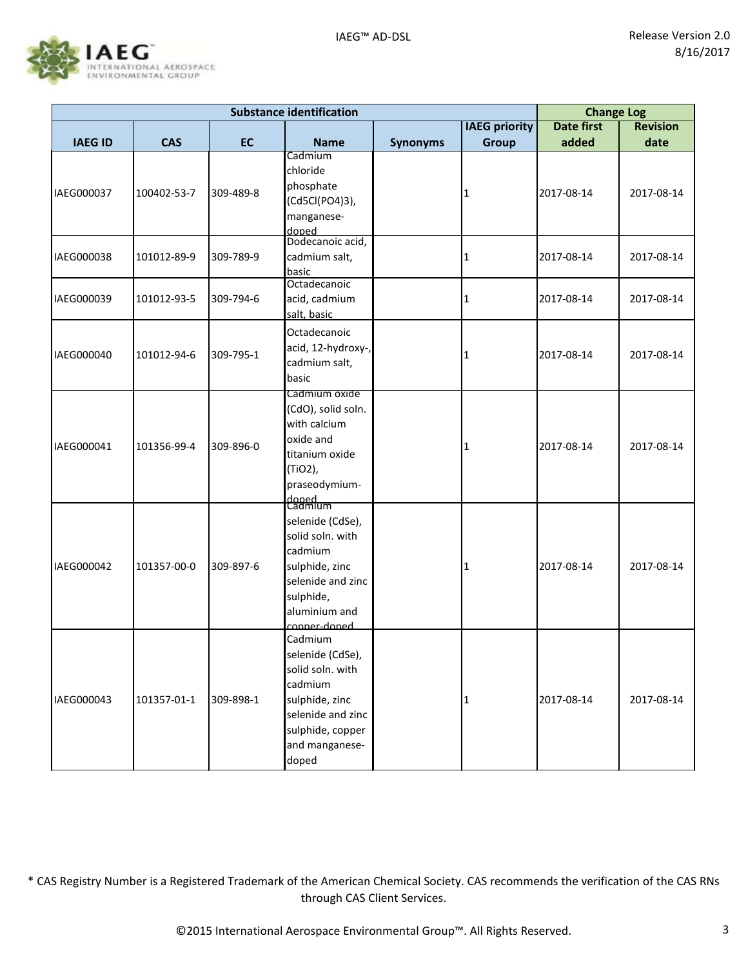

| <b>Substance identification</b> |             |           |                                                                                                                                                          |                 |                      | <b>Change Log</b> |                 |
|---------------------------------|-------------|-----------|----------------------------------------------------------------------------------------------------------------------------------------------------------|-----------------|----------------------|-------------------|-----------------|
|                                 |             |           |                                                                                                                                                          |                 | <b>IAEG priority</b> | <b>Date first</b> | <b>Revision</b> |
| <b>IAEG ID</b>                  | <b>CAS</b>  | <b>EC</b> | <b>Name</b>                                                                                                                                              | <b>Synonyms</b> | Group                | added             | date            |
| IAEG000037                      | 100402-53-7 | 309-489-8 | Cadmium<br>chloride<br>phosphate<br>(Cd5Cl(PO4)3),<br>manganese-<br>doped                                                                                |                 | 1                    | 2017-08-14        | 2017-08-14      |
| IAEG000038                      | 101012-89-9 | 309-789-9 | Dodecanoic acid,<br>cadmium salt,<br>basic                                                                                                               |                 | 1                    | 2017-08-14        | 2017-08-14      |
| IAEG000039                      | 101012-93-5 | 309-794-6 | Octadecanoic<br>acid, cadmium<br>salt, basic                                                                                                             |                 | 1                    | 2017-08-14        | 2017-08-14      |
| IAEG000040                      | 101012-94-6 | 309-795-1 | Octadecanoic<br>acid, 12-hydroxy-,<br>cadmium salt,<br>basic                                                                                             |                 | 1                    | 2017-08-14        | 2017-08-14      |
| IAEG000041                      | 101356-99-4 | 309-896-0 | Cadmium oxide<br>(CdO), solid soln.<br>with calcium<br>oxide and<br>titanium oxide<br>(TiO2),<br>praseodymium-                                           |                 | 1                    | 2017-08-14        | 2017-08-14      |
| IAEG000042                      | 101357-00-0 | 309-897-6 | doped<br>Cadmium<br>selenide (CdSe),<br>solid soln. with<br>cadmium<br>sulphide, zinc<br>selenide and zinc<br>sulphide,<br>aluminium and<br>conner-doned |                 | 1                    | 2017-08-14        | 2017-08-14      |
| IAEG000043                      | 101357-01-1 | 309-898-1 | Cadmium<br>selenide (CdSe),<br>solid soln. with<br>cadmium<br>sulphide, zinc<br>selenide and zinc<br>sulphide, copper<br>and manganese-<br>doped         |                 | 1                    | 2017-08-14        | 2017-08-14      |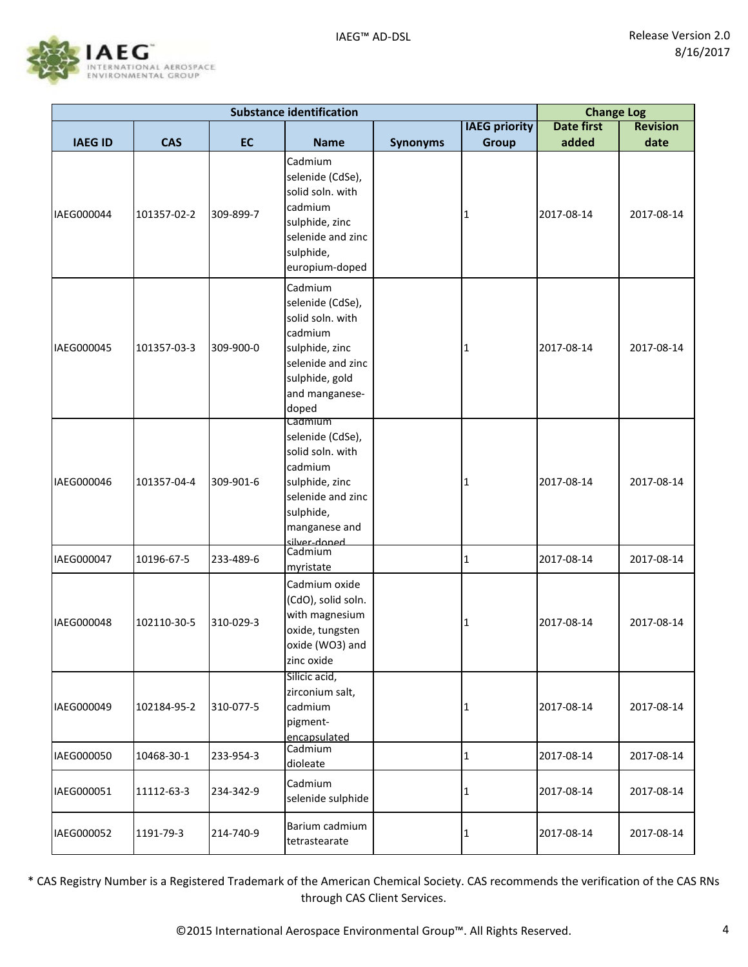

|                |             |           | <b>Substance identification</b>                                                                                                                            |                 |                      | <b>Change Log</b> |                 |
|----------------|-------------|-----------|------------------------------------------------------------------------------------------------------------------------------------------------------------|-----------------|----------------------|-------------------|-----------------|
|                |             |           |                                                                                                                                                            |                 | <b>IAEG</b> priority | <b>Date first</b> | <b>Revision</b> |
| <b>IAEG ID</b> | <b>CAS</b>  | <b>EC</b> | <b>Name</b>                                                                                                                                                | <b>Synonyms</b> | <b>Group</b>         | added             | date            |
| IAEG000044     | 101357-02-2 | 309-899-7 | Cadmium<br>selenide (CdSe),<br>solid soln. with<br>cadmium<br>sulphide, zinc<br>selenide and zinc<br>sulphide,<br>europium-doped                           |                 | 1                    | 2017-08-14        | 2017-08-14      |
| IAEG000045     | 101357-03-3 | 309-900-0 | Cadmium<br>selenide (CdSe),<br>solid soln. with<br>cadmium<br>sulphide, zinc<br>selenide and zinc<br>sulphide, gold<br>and manganese-<br>doped             |                 | 1                    | 2017-08-14        | 2017-08-14      |
| IAEG000046     | 101357-04-4 | 309-901-6 | Cadmium<br>selenide (CdSe),<br>solid soln. with<br>cadmium<br>sulphide, zinc<br>selenide and zinc<br>sulphide,<br>manganese and<br>silver-doned<br>Cadmium |                 | 1                    | 2017-08-14        | 2017-08-14      |
| IAEG000047     | 10196-67-5  | 233-489-6 | myristate                                                                                                                                                  |                 | 1                    | 2017-08-14        | 2017-08-14      |
| IAEG000048     | 102110-30-5 | 310-029-3 | Cadmium oxide<br>(CdO), solid soln.<br>with magnesium<br>oxide, tungsten<br>oxide (WO3) and<br>zinc oxide                                                  |                 | 1                    | 2017-08-14        | 2017-08-14      |
| IAEG000049     | 102184-95-2 | 310-077-5 | Silicic acid,<br>zirconium salt,<br>cadmium<br>pigment-<br>encapsulated                                                                                    |                 | 1                    | 2017-08-14        | 2017-08-14      |
| IAEG000050     | 10468-30-1  | 233-954-3 | Cadmium<br>dioleate                                                                                                                                        |                 | $\mathbf 1$          | 2017-08-14        | 2017-08-14      |
| IAEG000051     | 11112-63-3  | 234-342-9 | Cadmium<br>selenide sulphide                                                                                                                               |                 | 1                    | 2017-08-14        | 2017-08-14      |
| IAEG000052     | 1191-79-3   | 214-740-9 | Barium cadmium<br>tetrastearate                                                                                                                            |                 | 1                    | 2017-08-14        | 2017-08-14      |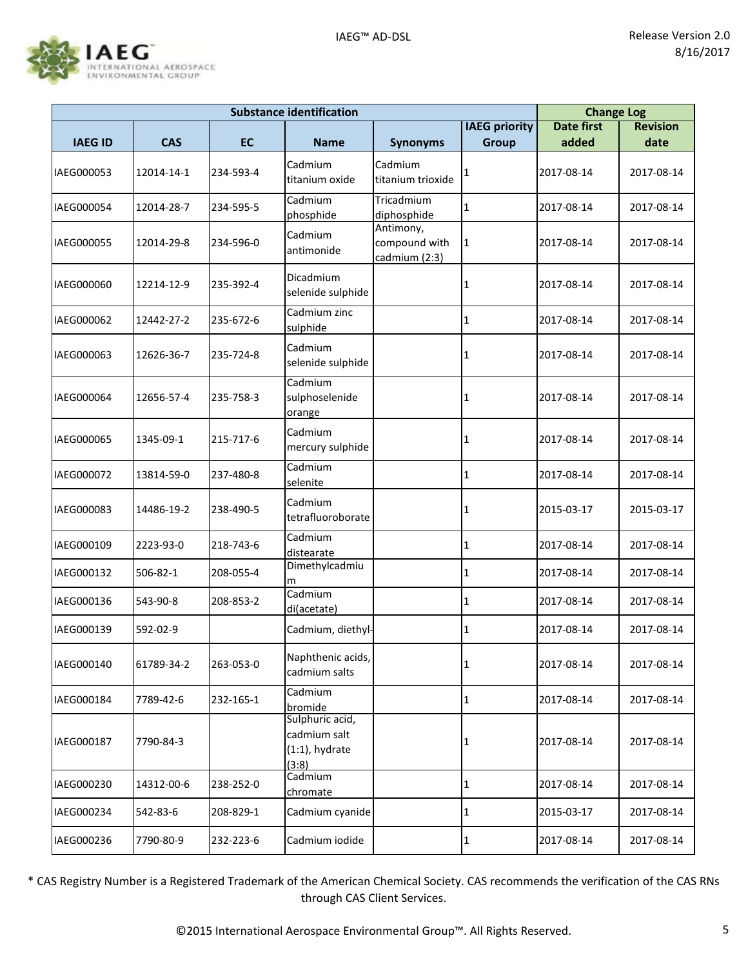

| <b>Substance identification</b> |            |           |                                                               |                                             |                      | <b>Change Log</b> |                 |
|---------------------------------|------------|-----------|---------------------------------------------------------------|---------------------------------------------|----------------------|-------------------|-----------------|
|                                 |            |           |                                                               |                                             | <b>IAEG priority</b> | <b>Date first</b> | <b>Revision</b> |
| <b>IAEG ID</b>                  | <b>CAS</b> | <b>EC</b> | <b>Name</b>                                                   | <b>Synonyms</b>                             | <b>Group</b>         | added             | date            |
| IAEG000053                      | 12014-14-1 | 234-593-4 | Cadmium<br>titanium oxide                                     | Cadmium<br>titanium trioxide                | 1                    | 2017-08-14        | 2017-08-14      |
| IAEG000054                      | 12014-28-7 | 234-595-5 | Cadmium<br>phosphide                                          | Tricadmium<br>diphosphide                   | 1                    | 2017-08-14        | 2017-08-14      |
| IAEG000055                      | 12014-29-8 | 234-596-0 | Cadmium<br>antimonide                                         | Antimony,<br>compound with<br>cadmium (2:3) | 1                    | 2017-08-14        | 2017-08-14      |
| IAEG000060                      | 12214-12-9 | 235-392-4 | Dicadmium<br>selenide sulphide                                |                                             | 1                    | 2017-08-14        | 2017-08-14      |
| IAEG000062                      | 12442-27-2 | 235-672-6 | Cadmium zinc<br>sulphide                                      |                                             | 1                    | 2017-08-14        | 2017-08-14      |
| IAEG000063                      | 12626-36-7 | 235-724-8 | Cadmium<br>selenide sulphide                                  |                                             | 1                    | 2017-08-14        | 2017-08-14      |
| IAEG000064                      | 12656-57-4 | 235-758-3 | Cadmium<br>sulphoselenide<br>orange                           |                                             | 1                    | 2017-08-14        | 2017-08-14      |
| IAEG000065                      | 1345-09-1  | 215-717-6 | Cadmium<br>mercury sulphide                                   |                                             | 1                    | 2017-08-14        | 2017-08-14      |
| IAEG000072                      | 13814-59-0 | 237-480-8 | Cadmium<br>selenite                                           |                                             | 1                    | 2017-08-14        | 2017-08-14      |
| IAEG000083                      | 14486-19-2 | 238-490-5 | Cadmium<br>tetrafluoroborate                                  |                                             | 1                    | 2015-03-17        | 2015-03-17      |
| IAEG000109                      | 2223-93-0  | 218-743-6 | Cadmium<br>distearate                                         |                                             | 1                    | 2017-08-14        | 2017-08-14      |
| IAEG000132                      | 506-82-1   | 208-055-4 | Dimethylcadmiu<br>m                                           |                                             | 1                    | 2017-08-14        | 2017-08-14      |
| IAEG000136                      | 543-90-8   | 208-853-2 | Cadmium<br>di(acetate)                                        |                                             | 1                    | 2017-08-14        | 2017-08-14      |
| IAEG000139                      | 592-02-9   |           | Cadmium, diethyl-                                             |                                             | $\mathbf 1$          | 2017-08-14        | 2017-08-14      |
| IAEG000140                      | 61789-34-2 | 263-053-0 | Naphthenic acids,<br>cadmium salts                            |                                             | 1                    | 2017-08-14        | 2017-08-14      |
| IAEG000184                      | 7789-42-6  | 232-165-1 | Cadmium<br>bromide                                            |                                             | 1                    | 2017-08-14        | 2017-08-14      |
| IAEG000187                      | 7790-84-3  |           | Sulphuric acid,<br>cadmium salt<br>$(1:1)$ , hydrate<br>(3:8) |                                             | 1                    | 2017-08-14        | 2017-08-14      |
| IAEG000230                      | 14312-00-6 | 238-252-0 | Cadmium<br>chromate                                           |                                             | 1                    | 2017-08-14        | 2017-08-14      |
| IAEG000234                      | 542-83-6   | 208-829-1 | Cadmium cyanide                                               |                                             | 1                    | 2015-03-17        | 2017-08-14      |
| IAEG000236                      | 7790-80-9  | 232-223-6 | Cadmium iodide                                                |                                             | 1                    | 2017-08-14        | 2017-08-14      |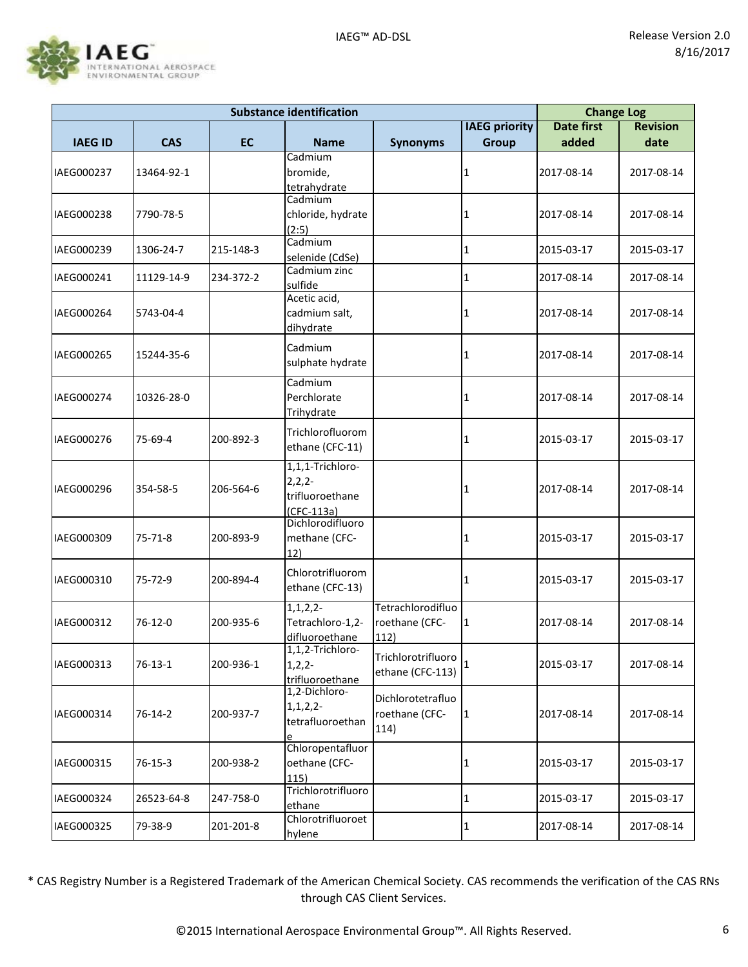

| <b>Substance identification</b> |               |           |                                                              |                                             |                      | <b>Change Log</b> |                 |
|---------------------------------|---------------|-----------|--------------------------------------------------------------|---------------------------------------------|----------------------|-------------------|-----------------|
|                                 |               |           |                                                              |                                             | <b>IAEG priority</b> | <b>Date first</b> | <b>Revision</b> |
| <b>IAEG ID</b>                  | <b>CAS</b>    | <b>EC</b> | <b>Name</b>                                                  | <b>Synonyms</b>                             | <b>Group</b>         | added             | date            |
| IAEG000237                      | 13464-92-1    |           | Cadmium<br>bromide,<br>tetrahydrate                          |                                             | 1                    | 2017-08-14        | 2017-08-14      |
| IAEG000238                      | 7790-78-5     |           | Cadmium<br>chloride, hydrate<br>(2:5)                        |                                             | 1                    | 2017-08-14        | 2017-08-14      |
| IAEG000239                      | 1306-24-7     | 215-148-3 | Cadmium<br>selenide (CdSe)                                   |                                             | 1                    | 2015-03-17        | 2015-03-17      |
| IAEG000241                      | 11129-14-9    | 234-372-2 | Cadmium zinc<br>sulfide                                      |                                             | 1                    | 2017-08-14        | 2017-08-14      |
| IAEG000264                      | 5743-04-4     |           | Acetic acid,<br>cadmium salt,<br>dihydrate                   |                                             | 1                    | 2017-08-14        | 2017-08-14      |
| IAEG000265                      | 15244-35-6    |           | Cadmium<br>sulphate hydrate                                  |                                             | 1                    | 2017-08-14        | 2017-08-14      |
| IAEG000274                      | 10326-28-0    |           | Cadmium<br>Perchlorate<br>Trihydrate                         |                                             | 1                    | 2017-08-14        | 2017-08-14      |
| IAEG000276                      | 75-69-4       | 200-892-3 | Trichlorofluorom<br>ethane (CFC-11)                          |                                             | 1                    | 2015-03-17        | 2015-03-17      |
| IAEG000296                      | 354-58-5      | 206-564-6 | 1,1,1-Trichloro-<br>2, 2, 2<br>trifluoroethane<br>(CFC-113a) |                                             | 1                    | 2017-08-14        | 2017-08-14      |
| IAEG000309                      | $75 - 71 - 8$ | 200-893-9 | Dichlorodifluoro<br>methane (CFC-<br>12)                     |                                             | 1                    | 2015-03-17        | 2015-03-17      |
| IAEG000310                      | 75-72-9       | 200-894-4 | Chlorotrifluorom<br>ethane (CFC-13)                          |                                             | 1                    | 2015-03-17        | 2015-03-17      |
| IAEG000312                      | 76-12-0       | 200-935-6 | 1, 1, 2, 2<br>Tetrachloro-1,2-<br>difluoroethane             | Tetrachlorodifluo<br>roethane (CFC-<br>112) | $\vert$ 1            | 2017-08-14        | 2017-08-14      |
| IAEG000313                      | $76-13-1$     | 200-936-1 | 1,1,2-Trichloro-<br>$1, 2, 2-$<br>trifluoroethane            | Trichlorotrifluoro<br>ethane (CFC-113)      |                      | 2015-03-17        | 2017-08-14      |
| IAEG000314                      | $76-14-2$     | 200-937-7 | 1,2-Dichloro-<br>1, 1, 2, 2<br>tetrafluoroethan              | Dichlorotetrafluo<br>roethane (CFC-<br>114) | $\mathbf{1}$         | 2017-08-14        | 2017-08-14      |
| IAEG000315                      | $76 - 15 - 3$ | 200-938-2 | Chloropentafluor<br>oethane (CFC-<br>115)                    |                                             | 1                    | 2015-03-17        | 2015-03-17      |
| IAEG000324                      | 26523-64-8    | 247-758-0 | Trichlorotrifluoro<br>ethane                                 |                                             | 1                    | 2015-03-17        | 2015-03-17      |
| IAEG000325                      | 79-38-9       | 201-201-8 | Chlorotrifluoroet<br>hylene                                  |                                             | 1                    | 2017-08-14        | 2017-08-14      |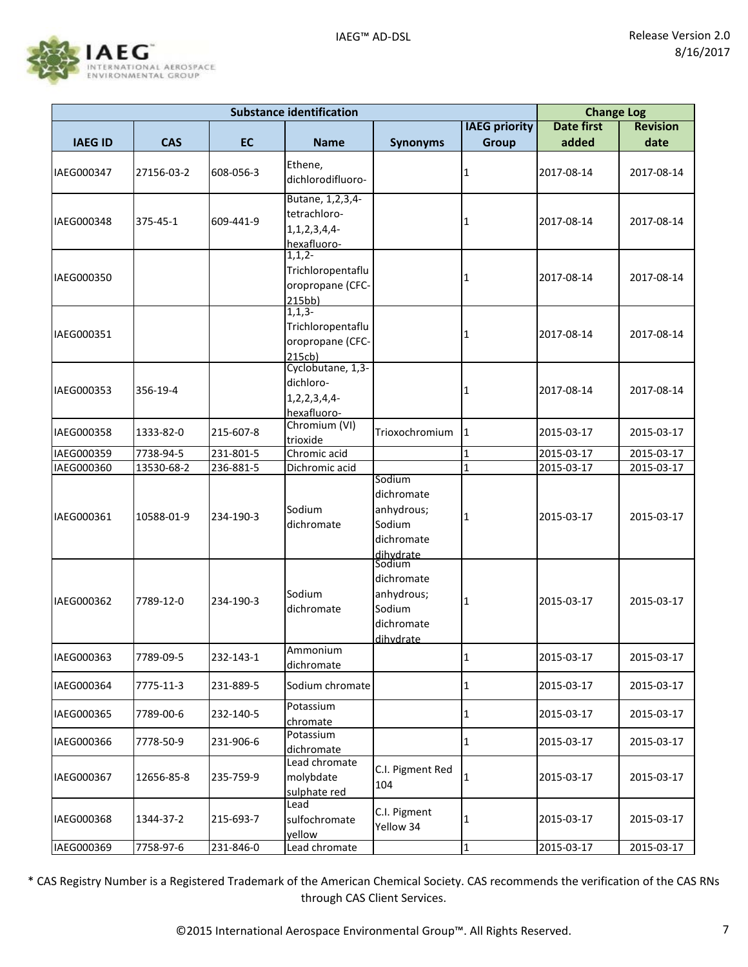

|                |            |           | <b>Substance identification</b>                                     |                                                                                      |                      | <b>Change Log</b> |                 |
|----------------|------------|-----------|---------------------------------------------------------------------|--------------------------------------------------------------------------------------|----------------------|-------------------|-----------------|
|                |            |           |                                                                     |                                                                                      | <b>IAEG priority</b> | <b>Date first</b> | <b>Revision</b> |
| <b>IAEG ID</b> | <b>CAS</b> | <b>EC</b> | <b>Name</b>                                                         | <b>Synonyms</b>                                                                      | <b>Group</b>         | added             | date            |
| IAEG000347     | 27156-03-2 | 608-056-3 | Ethene,<br>dichlorodifluoro-                                        |                                                                                      | 1                    | 2017-08-14        | 2017-08-14      |
| IAEG000348     | 375-45-1   | 609-441-9 | Butane, 1,2,3,4-<br>tetrachloro-<br>1, 1, 2, 3, 4, 4<br>hexafluoro- |                                                                                      | 1                    | 2017-08-14        | 2017-08-14      |
| IAEG000350     |            |           | $1,1,2-$<br>Trichloropentaflu<br>oropropane (CFC-<br>215bb)         |                                                                                      | 1                    | 2017-08-14        | 2017-08-14      |
| IAEG000351     |            |           | $1, 1, 3-$<br>Trichloropentaflu<br>oropropane (CFC-<br>215cb)       |                                                                                      | 1                    | 2017-08-14        | 2017-08-14      |
| IAEG000353     | 356-19-4   |           | Cyclobutane, 1,3-<br>dichloro-<br>1, 2, 2, 3, 4, 4<br>hexafluoro-   |                                                                                      | 1                    | 2017-08-14        | 2017-08-14      |
| IAEG000358     | 1333-82-0  | 215-607-8 | Chromium (VI)<br>trioxide                                           | Trioxochromium                                                                       | $\mathbf 1$          | 2015-03-17        | 2015-03-17      |
| IAEG000359     | 7738-94-5  | 231-801-5 | Chromic acid                                                        |                                                                                      | $\mathbf{1}$         | 2015-03-17        | 2015-03-17      |
| IAEG000360     | 13530-68-2 | 236-881-5 | Dichromic acid                                                      |                                                                                      | $\mathbf{1}$         | 2015-03-17        | 2015-03-17      |
| IAEG000361     | 10588-01-9 | 234-190-3 | Sodium<br>dichromate                                                | Sodium<br>dichromate<br>anhydrous;<br>Sodium<br>dichromate                           | 1                    | 2015-03-17        | 2015-03-17      |
| IAEG000362     | 7789-12-0  | 234-190-3 | Sodium<br>dichromate                                                | dihydrate<br>Sodium<br>dichromate<br>anhydrous;<br>Sodium<br>dichromate<br>dihvdrate | 1                    | 2015-03-17        | 2015-03-17      |
| IAEG000363     | 7789-09-5  | 232-143-1 | Ammonium<br>dichromate                                              |                                                                                      | 1                    | 2015-03-17        | 2015-03-17      |
| IAEG000364     | 7775-11-3  | 231-889-5 | Sodium chromate                                                     |                                                                                      | $\mathbf 1$          | 2015-03-17        | 2015-03-17      |
| IAEG000365     | 7789-00-6  | 232-140-5 | Potassium<br>chromate                                               |                                                                                      | 1                    | 2015-03-17        | 2015-03-17      |
| IAEG000366     | 7778-50-9  | 231-906-6 | Potassium<br>dichromate                                             |                                                                                      | 1                    | 2015-03-17        | 2015-03-17      |
| IAEG000367     | 12656-85-8 | 235-759-9 | Lead chromate<br>molybdate<br>sulphate red                          | C.I. Pigment Red<br>104                                                              | 1                    | 2015-03-17        | 2015-03-17      |
| IAEG000368     | 1344-37-2  | 215-693-7 | Lead<br>sulfochromate<br>yellow                                     | C.I. Pigment<br>Yellow 34                                                            | 1                    | 2015-03-17        | 2015-03-17      |
| IAEG000369     | 7758-97-6  | 231-846-0 | Lead chromate                                                       |                                                                                      | $\mathbf 1$          | 2015-03-17        | 2015-03-17      |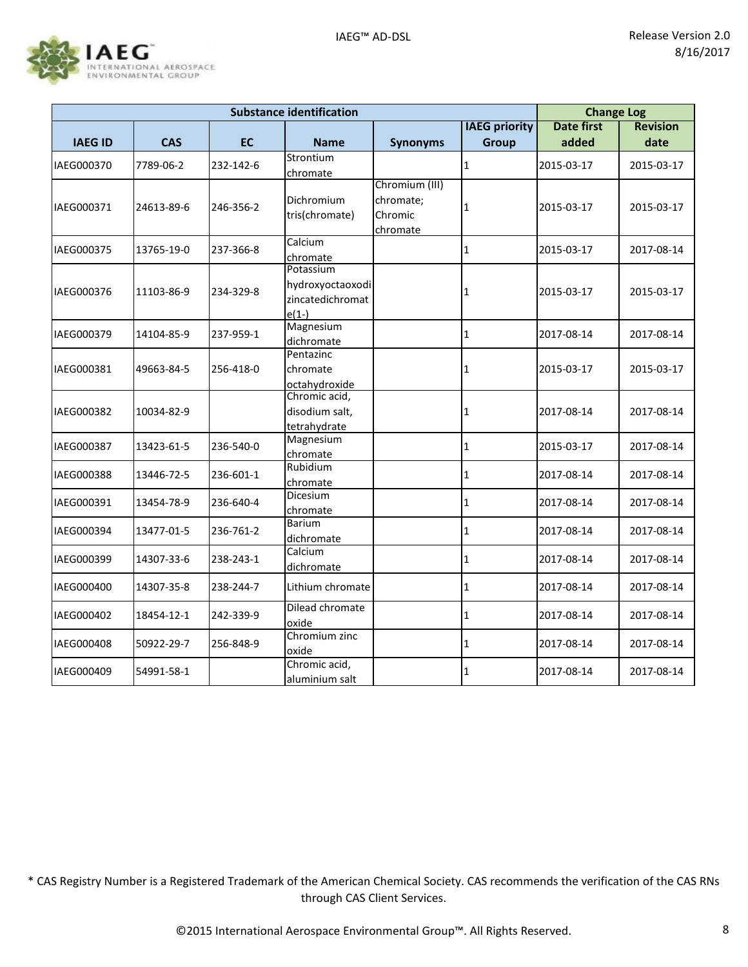

|                | <b>Substance identification</b> |           |                                                              |                                                    |                      |                   | <b>Change Log</b> |  |
|----------------|---------------------------------|-----------|--------------------------------------------------------------|----------------------------------------------------|----------------------|-------------------|-------------------|--|
|                |                                 |           |                                                              |                                                    | <b>IAEG priority</b> | <b>Date first</b> | <b>Revision</b>   |  |
| <b>IAEG ID</b> | <b>CAS</b>                      | <b>EC</b> | <b>Name</b>                                                  | <b>Synonyms</b>                                    | <b>Group</b>         | added             | date              |  |
| IAEG000370     | 7789-06-2                       | 232-142-6 | Strontium<br>chromate                                        |                                                    | $\mathbf{1}$         | 2015-03-17        | 2015-03-17        |  |
| IAEG000371     | 24613-89-6                      | 246-356-2 | Dichromium<br>tris(chromate)                                 | Chromium (III)<br>chromate;<br>Chromic<br>chromate | $\mathbf{1}$         | 2015-03-17        | 2015-03-17        |  |
| IAEG000375     | 13765-19-0                      | 237-366-8 | Calcium<br>chromate                                          |                                                    | 1                    | 2015-03-17        | 2017-08-14        |  |
| IAEG000376     | 11103-86-9                      | 234-329-8 | Potassium<br>hydroxyoctaoxodi<br>zincatedichromat<br>$e(1-)$ |                                                    | 1                    | 2015-03-17        | 2015-03-17        |  |
| IAEG000379     | 14104-85-9                      | 237-959-1 | Magnesium<br>dichromate                                      |                                                    | $\mathbf{1}$         | 2017-08-14        | 2017-08-14        |  |
| IAEG000381     | 49663-84-5                      | 256-418-0 | Pentazinc<br>chromate<br>octahydroxide                       |                                                    | $\mathbf{1}$         | 2015-03-17        | 2015-03-17        |  |
| IAEG000382     | 10034-82-9                      |           | Chromic acid,<br>disodium salt,<br>tetrahydrate              |                                                    | $\mathbf{1}$         | 2017-08-14        | 2017-08-14        |  |
| IAEG000387     | 13423-61-5                      | 236-540-0 | Magnesium<br>chromate                                        |                                                    | $\mathbf{1}$         | 2015-03-17        | 2017-08-14        |  |
| IAEG000388     | 13446-72-5                      | 236-601-1 | Rubidium<br>chromate                                         |                                                    | $\mathbf{1}$         | 2017-08-14        | 2017-08-14        |  |
| IAEG000391     | 13454-78-9                      | 236-640-4 | Dicesium<br>chromate                                         |                                                    | $\mathbf{1}$         | 2017-08-14        | 2017-08-14        |  |
| IAEG000394     | 13477-01-5                      | 236-761-2 | <b>Barium</b><br>dichromate                                  |                                                    | $\mathbf{1}$         | 2017-08-14        | 2017-08-14        |  |
| IAEG000399     | 14307-33-6                      | 238-243-1 | Calcium<br>dichromate                                        |                                                    | $\mathbf{1}$         | 2017-08-14        | 2017-08-14        |  |
| IAEG000400     | 14307-35-8                      | 238-244-7 | Lithium chromate                                             |                                                    | $\mathbf{1}$         | 2017-08-14        | 2017-08-14        |  |
| IAEG000402     | 18454-12-1                      | 242-339-9 | Dilead chromate<br>oxide                                     |                                                    | $\mathbf{1}$         | 2017-08-14        | 2017-08-14        |  |
| IAEG000408     | 50922-29-7                      | 256-848-9 | Chromium zinc<br>oxide                                       |                                                    | 1                    | 2017-08-14        | 2017-08-14        |  |
| IAEG000409     | 54991-58-1                      |           | Chromic acid,<br>aluminium salt                              |                                                    | 1                    | 2017-08-14        | 2017-08-14        |  |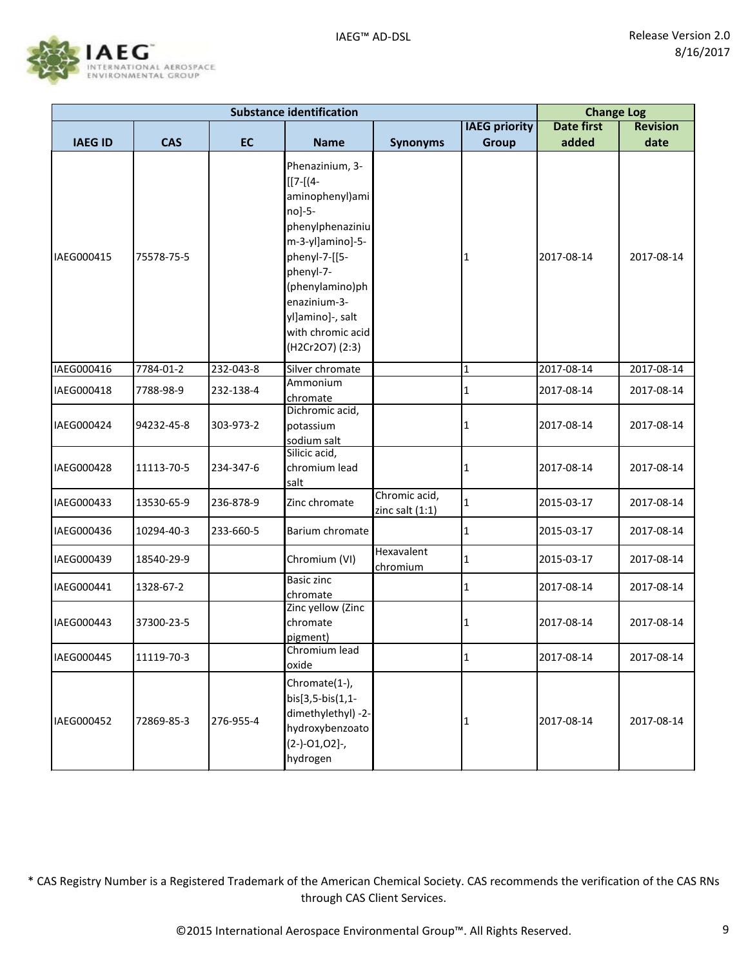

| <b>Substance identification</b> |            |           |                                                                                                                                                                                                                                 |                                    |                      | <b>Change Log</b> |                 |
|---------------------------------|------------|-----------|---------------------------------------------------------------------------------------------------------------------------------------------------------------------------------------------------------------------------------|------------------------------------|----------------------|-------------------|-----------------|
|                                 |            |           |                                                                                                                                                                                                                                 |                                    | <b>IAEG</b> priority | <b>Date first</b> | <b>Revision</b> |
| <b>IAEG ID</b>                  | <b>CAS</b> | <b>EC</b> | <b>Name</b>                                                                                                                                                                                                                     | <b>Synonyms</b>                    | <b>Group</b>         | added             | date            |
| IAEG000415                      | 75578-75-5 |           | Phenazinium, 3-<br>$[[7-[4-$<br>aminophenyl) ami<br>no]-5-<br>phenylphenaziniu<br>m-3-yl]amino]-5-<br>phenyl-7-[[5-<br>phenyl-7-<br>(phenylamino)ph<br>enazinium-3-<br>yl]amino]-, salt<br>with chromic acid<br>(H2Cr2O7) (2:3) |                                    | 1                    | 2017-08-14        | 2017-08-14      |
| IAEG000416                      | 7784-01-2  | 232-043-8 | Silver chromate                                                                                                                                                                                                                 |                                    | $\mathbf{1}$         | 2017-08-14        | 2017-08-14      |
| IAEG000418                      | 7788-98-9  | 232-138-4 | Ammonium<br>chromate                                                                                                                                                                                                            |                                    | 1                    | 2017-08-14        | 2017-08-14      |
| IAEG000424                      | 94232-45-8 | 303-973-2 | Dichromic acid,<br>potassium<br>sodium salt                                                                                                                                                                                     |                                    | 1                    | 2017-08-14        | 2017-08-14      |
| IAEG000428                      | 11113-70-5 | 234-347-6 | Silicic acid,<br>chromium lead<br>salt                                                                                                                                                                                          |                                    | 1                    | 2017-08-14        | 2017-08-14      |
| IAEG000433                      | 13530-65-9 | 236-878-9 | Zinc chromate                                                                                                                                                                                                                   | Chromic acid,<br>zinc salt $(1:1)$ | 1                    | 2015-03-17        | 2017-08-14      |
| IAEG000436                      | 10294-40-3 | 233-660-5 | Barium chromate                                                                                                                                                                                                                 |                                    | 1                    | 2015-03-17        | 2017-08-14      |
| IAEG000439                      | 18540-29-9 |           | Chromium (VI)                                                                                                                                                                                                                   | Hexavalent<br>chromium             | 1                    | 2015-03-17        | 2017-08-14      |
| IAEG000441                      | 1328-67-2  |           | <b>Basic zinc</b><br>chromate                                                                                                                                                                                                   |                                    | 1                    | 2017-08-14        | 2017-08-14      |
| IAEG000443                      | 37300-23-5 |           | Zinc yellow (Zinc<br>chromate<br>pigment)                                                                                                                                                                                       |                                    |                      | 2017-08-14        | 2017-08-14      |
| IAEG000445                      | 11119-70-3 |           | Chromium lead<br>oxide                                                                                                                                                                                                          |                                    | 1                    | 2017-08-14        | 2017-08-14      |
| IAEG000452                      | 72869-85-3 | 276-955-4 | Chromate(1-),<br>bis[3,5-bis(1,1-<br>dimethylethyl) -2-<br>hydroxybenzoato<br>$(2-)-01,02$ ]-,<br>hydrogen                                                                                                                      |                                    | 1                    | 2017-08-14        | 2017-08-14      |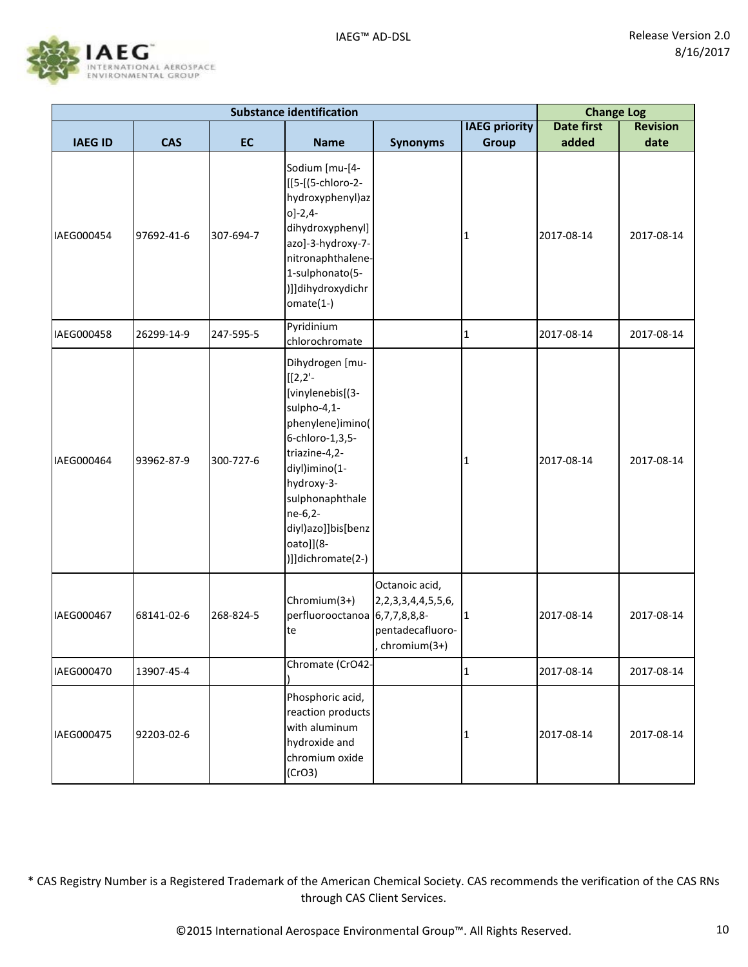

|                |            |           | <b>Substance identification</b>                                                                                                                                                                                                               |                                                                                  | <b>Change Log</b>    |                   |                 |
|----------------|------------|-----------|-----------------------------------------------------------------------------------------------------------------------------------------------------------------------------------------------------------------------------------------------|----------------------------------------------------------------------------------|----------------------|-------------------|-----------------|
|                |            |           |                                                                                                                                                                                                                                               |                                                                                  | <b>IAEG priority</b> | <b>Date first</b> | <b>Revision</b> |
| <b>IAEG ID</b> | <b>CAS</b> | <b>EC</b> | <b>Name</b>                                                                                                                                                                                                                                   | <b>Synonyms</b>                                                                  | <b>Group</b>         | added             | date            |
| IAEG000454     | 97692-41-6 | 307-694-7 | Sodium [mu-[4-<br>[[5-[(5-chloro-2-<br>hydroxyphenyl)az<br>$o$ ]-2,4-<br>dihydroxyphenyl]<br>azo]-3-hydroxy-7-<br>nitronaphthalene-<br>1-sulphonato(5-<br>)]]dihydroxydichr<br>$omate(1-)$                                                    |                                                                                  | 1                    | 2017-08-14        | 2017-08-14      |
| IAEG000458     | 26299-14-9 | 247-595-5 | Pyridinium<br>chlorochromate                                                                                                                                                                                                                  |                                                                                  | 1                    | 2017-08-14        | 2017-08-14      |
| IAEG000464     | 93962-87-9 | 300-727-6 | Dihydrogen [mu-<br>$[[2,2]$ -<br>[vinylenebis[(3-<br>sulpho-4,1-<br>phenylene)imino(<br>6-chloro-1,3,5-<br>triazine-4,2-<br>diyl)imino(1-<br>hydroxy-3-<br>sulphonaphthale<br>ne-6,2-<br>diyl)azo]]bis[benz<br>oato]](8-<br>)]]dichromate(2-) |                                                                                  | 1                    | 2017-08-14        | 2017-08-14      |
| IAEG000467     | 68141-02-6 | 268-824-5 | Chromium(3+)<br>perfluorooctanoa 6,7,7,8,8,8-<br>te                                                                                                                                                                                           | Octanoic acid,<br>2, 2, 3, 3, 4, 4, 5, 5, 6,<br>pentadecafluoro-<br>chromium(3+) | 1                    | 2017-08-14        | 2017-08-14      |
| IAEG000470     | 13907-45-4 |           | Chromate (CrO42-                                                                                                                                                                                                                              |                                                                                  | 1                    | 2017-08-14        | 2017-08-14      |
| IAEG000475     | 92203-02-6 |           | Phosphoric acid,<br>reaction products<br>with aluminum<br>hydroxide and<br>chromium oxide<br>(CrO3)                                                                                                                                           |                                                                                  | 1                    | 2017-08-14        | 2017-08-14      |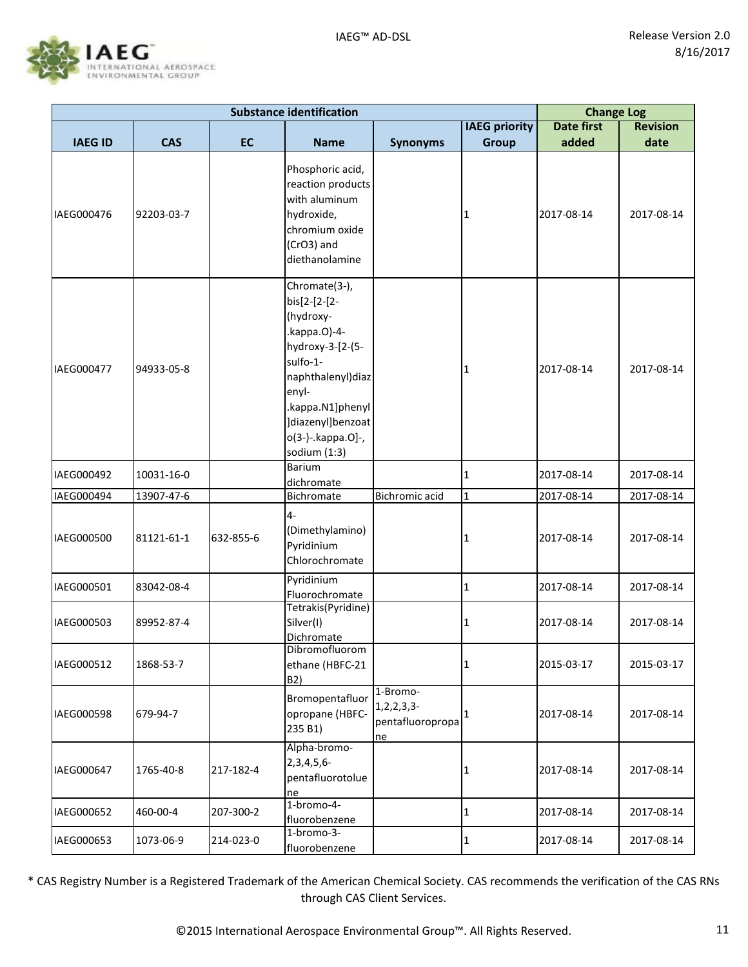

|                |            |           | <b>Substance identification</b>                                                                                                                                                                        |                                                         | <b>Change Log</b>    |                   |                 |
|----------------|------------|-----------|--------------------------------------------------------------------------------------------------------------------------------------------------------------------------------------------------------|---------------------------------------------------------|----------------------|-------------------|-----------------|
|                |            |           |                                                                                                                                                                                                        |                                                         | <b>IAEG priority</b> | <b>Date first</b> | <b>Revision</b> |
| <b>IAEG ID</b> | <b>CAS</b> | <b>EC</b> | <b>Name</b>                                                                                                                                                                                            | <b>Synonyms</b>                                         | <b>Group</b>         | added             | date            |
| IAEG000476     | 92203-03-7 |           | Phosphoric acid,<br>reaction products<br>with aluminum<br>hydroxide,<br>chromium oxide<br>(CrO3) and<br>diethanolamine                                                                                 |                                                         | 1                    | 2017-08-14        | 2017-08-14      |
| IAEG000477     | 94933-05-8 |           | Chromate(3-),<br>bis[2-[2-[2-<br>(hydroxy-<br>.kappa.O)-4-<br>hydroxy-3-[2-(5-<br>sulfo-1-<br>naphthalenyl)diaz<br>enyl-<br>.kappa.N1]phenyl<br>]diazenyl]benzoat<br>o(3-)-.kappa.O]-,<br>sodium (1:3) |                                                         | 1                    | 2017-08-14        | 2017-08-14      |
| IAEG000492     | 10031-16-0 |           | Barium<br>dichromate                                                                                                                                                                                   |                                                         | 1                    | 2017-08-14        | 2017-08-14      |
| IAEG000494     | 13907-47-6 |           | Bichromate                                                                                                                                                                                             | Bichromic acid                                          | $\mathbf{1}$         | 2017-08-14        | 2017-08-14      |
| IAEG000500     | 81121-61-1 | 632-855-6 | $4-$<br>(Dimethylamino)<br>Pyridinium<br>Chlorochromate                                                                                                                                                |                                                         | 1                    | 2017-08-14        | 2017-08-14      |
| IAEG000501     | 83042-08-4 |           | Pyridinium<br>Fluorochromate                                                                                                                                                                           |                                                         | 1                    | 2017-08-14        | 2017-08-14      |
| IAEG000503     | 89952-87-4 |           | Tetrakis(Pyridine)<br>Silver(I)<br>Dichromate                                                                                                                                                          |                                                         |                      | 2017-08-14        | 2017-08-14      |
| IAEG000512     | 1868-53-7  |           | Dibromofluorom<br>ethane (HBFC-21<br>B2)                                                                                                                                                               |                                                         | 1                    | 2015-03-17        | 2015-03-17      |
| IAEG000598     | 679-94-7   |           | Bromopentafluor<br>opropane (HBFC-<br>235 B1)                                                                                                                                                          | 1-Bromo-<br>$1, 2, 2, 3, 3$ -<br>pentafluoropropa<br>ne |                      | 2017-08-14        | 2017-08-14      |
| IAEG000647     | 1765-40-8  | 217-182-4 | Alpha-bromo-<br>$2,3,4,5,6-$<br>pentafluorotolue<br>ne                                                                                                                                                 |                                                         | 1                    | 2017-08-14        | 2017-08-14      |
| IAEG000652     | 460-00-4   | 207-300-2 | 1-bromo-4-<br>fluorobenzene                                                                                                                                                                            |                                                         | $\mathbf{1}$         | 2017-08-14        | 2017-08-14      |
| IAEG000653     | 1073-06-9  | 214-023-0 | 1-bromo-3-<br>fluorobenzene                                                                                                                                                                            |                                                         | 1                    | 2017-08-14        | 2017-08-14      |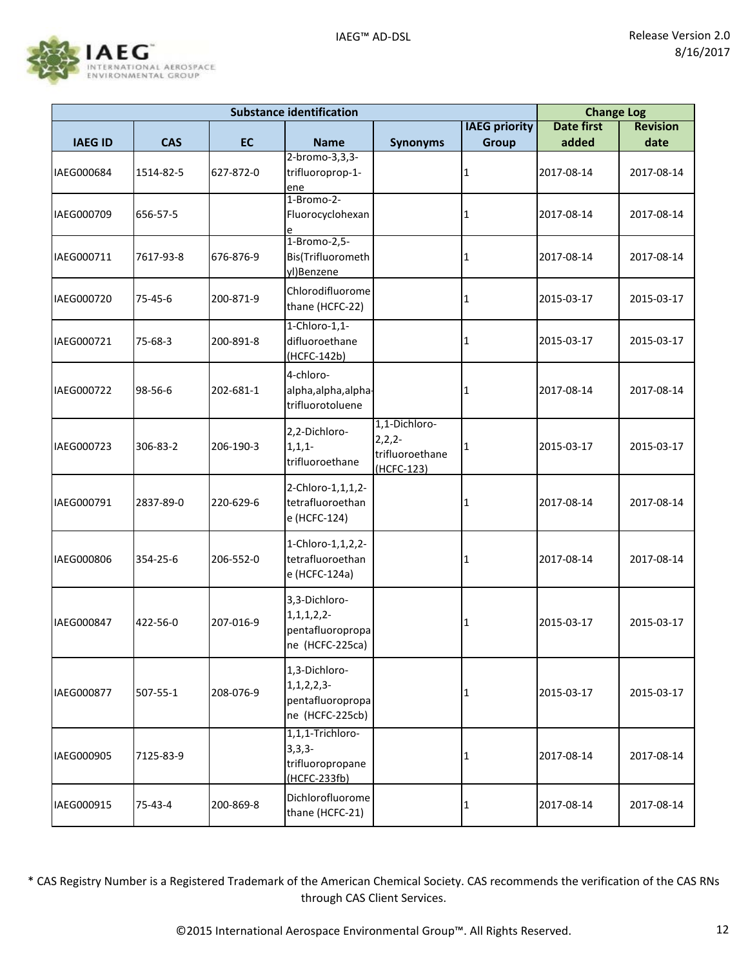

|                |            |           | <b>Substance identification</b>                                           |                                                              |                      | <b>Change Log</b> |                 |
|----------------|------------|-----------|---------------------------------------------------------------------------|--------------------------------------------------------------|----------------------|-------------------|-----------------|
|                |            |           |                                                                           |                                                              | <b>IAEG priority</b> | <b>Date first</b> | <b>Revision</b> |
| <b>IAEG ID</b> | <b>CAS</b> | <b>EC</b> | <b>Name</b>                                                               | <b>Synonyms</b>                                              | <b>Group</b>         | added             | date            |
| IAEG000684     | 1514-82-5  | 627-872-0 | 2-bromo-3,3,3-<br>trifluoroprop-1-<br>ene                                 |                                                              | 1                    | 2017-08-14        | 2017-08-14      |
| IAEG000709     | 656-57-5   |           | 1-Bromo-2-<br>Fluorocyclohexan<br>е                                       |                                                              | 1                    | 2017-08-14        | 2017-08-14      |
| IAEG000711     | 7617-93-8  | 676-876-9 | 1-Bromo-2,5-<br>Bis(Trifluorometh<br>yl)Benzene                           |                                                              | 1                    | 2017-08-14        | 2017-08-14      |
| IAEG000720     | 75-45-6    | 200-871-9 | Chlorodifluorome<br>thane (HCFC-22)                                       |                                                              | 1                    | 2015-03-17        | 2015-03-17      |
| IAEG000721     | 75-68-3    | 200-891-8 | $1$ -Chloro-1,1-<br>difluoroethane<br>(HCFC-142b)                         |                                                              | 1                    | 2015-03-17        | 2015-03-17      |
| IAEG000722     | 98-56-6    | 202-681-1 | 4-chloro-<br>alpha, alpha, alpha-<br>trifluorotoluene                     |                                                              | 1                    | 2017-08-14        | 2017-08-14      |
| IAEG000723     | 306-83-2   | 206-190-3 | 2,2-Dichloro-<br>1, 1, 1<br>trifluoroethane                               | 1,1-Dichloro-<br>$2, 2, 2-$<br>trifluoroethane<br>(HCFC-123) | 1                    | 2015-03-17        | 2015-03-17      |
| IAEG000791     | 2837-89-0  | 220-629-6 | 2-Chloro-1,1,1,2-<br>tetrafluoroethan<br>e (HCFC-124)                     |                                                              | 1                    | 2017-08-14        | 2017-08-14      |
| IAEG000806     | 354-25-6   | 206-552-0 | 1-Chloro-1,1,2,2-<br>tetrafluoroethan<br>e (HCFC-124a)                    |                                                              | 1                    | 2017-08-14        | 2017-08-14      |
| IAEG000847     | 422-56-0   | 207-016-9 | 3,3-Dichloro-<br>1, 1, 1, 2, 2<br>pentafluoropropa<br>ne (HCFC-225ca)     |                                                              | 1                    | 2015-03-17        | 2015-03-17      |
| IAEG000877     | 507-55-1   | 208-076-9 | 1,3-Dichloro-<br>$1, 1, 2, 2, 3$ -<br>pentafluoropropa<br>ne (HCFC-225cb) |                                                              | 1                    | 2015-03-17        | 2015-03-17      |
| IAEG000905     | 7125-83-9  |           | 1,1,1-Trichloro-<br>$3,3,3-$<br>trifluoropropane<br>(HCFC-233fb)          |                                                              | 1                    | 2017-08-14        | 2017-08-14      |
| IAEG000915     | 75-43-4    | 200-869-8 | Dichlorofluorome<br>thane (HCFC-21)                                       |                                                              | 1                    | 2017-08-14        | 2017-08-14      |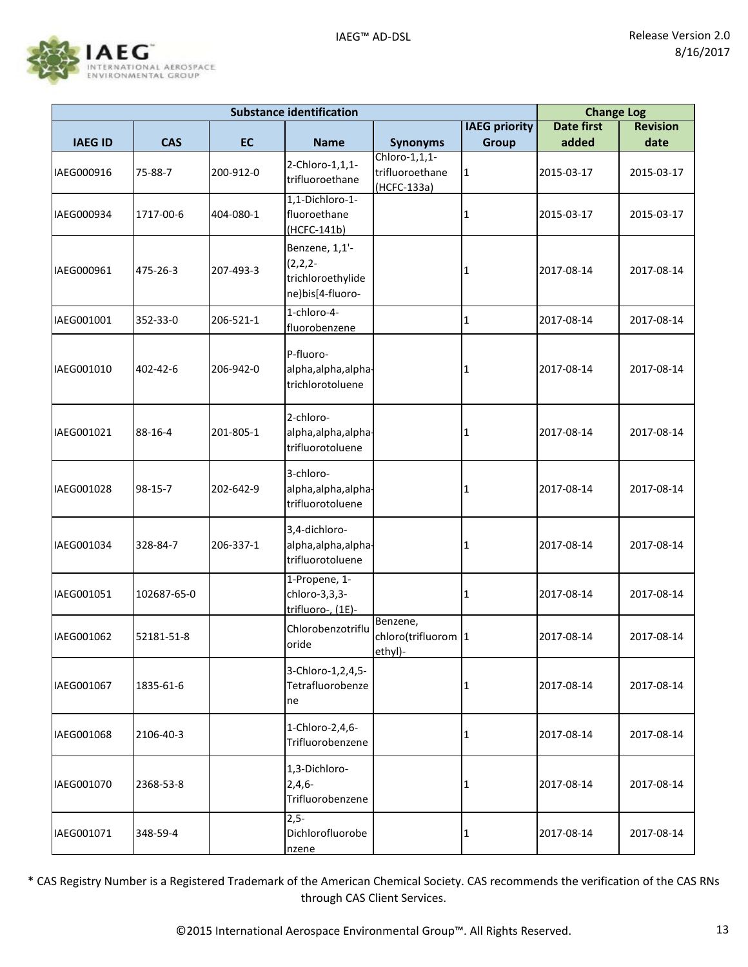![](_page_12_Picture_1.jpeg)

| <b>Substance identification</b> |             |           |                                                                        |                                                 |                      | <b>Change Log</b> |                 |
|---------------------------------|-------------|-----------|------------------------------------------------------------------------|-------------------------------------------------|----------------------|-------------------|-----------------|
|                                 |             |           |                                                                        |                                                 | <b>IAEG priority</b> | <b>Date first</b> | <b>Revision</b> |
| <b>IAEG ID</b>                  | <b>CAS</b>  | <b>EC</b> | <b>Name</b>                                                            | <b>Synonyms</b>                                 | <b>Group</b>         | added             | date            |
| IAEG000916                      | 75-88-7     | 200-912-0 | 2-Chloro-1,1,1-<br>trifluoroethane                                     | Chloro-1,1,1-<br>trifluoroethane<br>(HCFC-133a) | $\mathbf{1}$         | 2015-03-17        | 2015-03-17      |
| IAEG000934                      | 1717-00-6   | 404-080-1 | 1,1-Dichloro-1-<br>fluoroethane<br>(HCFC-141b)                         |                                                 | 1                    | 2015-03-17        | 2015-03-17      |
| IAEG000961                      | 475-26-3    | 207-493-3 | Benzene, 1,1'-<br>$(2, 2, 2-$<br>trichloroethylide<br>ne)bis[4-fluoro- |                                                 | 1                    | 2017-08-14        | 2017-08-14      |
| IAEG001001                      | 352-33-0    | 206-521-1 | 1-chloro-4-<br>fluorobenzene                                           |                                                 | 1                    | 2017-08-14        | 2017-08-14      |
| IAEG001010                      | 402-42-6    | 206-942-0 | P-fluoro-<br>alpha, alpha, alpha-<br>trichlorotoluene                  |                                                 | 1                    | 2017-08-14        | 2017-08-14      |
| IAEG001021                      | 88-16-4     | 201-805-1 | 2-chloro-<br>alpha, alpha, alpha-<br>trifluorotoluene                  |                                                 | 1                    | 2017-08-14        | 2017-08-14      |
| IAEG001028                      | 98-15-7     | 202-642-9 | 3-chloro-<br>alpha, alpha, alpha-<br>trifluorotoluene                  |                                                 | 1                    | 2017-08-14        | 2017-08-14      |
| IAEG001034                      | 328-84-7    | 206-337-1 | 3,4-dichloro-<br>alpha, alpha, alpha-<br>trifluorotoluene              |                                                 | 1                    | 2017-08-14        | 2017-08-14      |
| IAEG001051                      | 102687-65-0 |           | 1-Propene, 1-<br>chloro-3,3,3-<br>trifluoro-, (1E)-                    |                                                 | 1                    | 2017-08-14        | 2017-08-14      |
| IAEG001062                      | 52181-51-8  |           | Chlorobenzotriflu<br>oride                                             | Benzene,<br>chloro(trifluorom 1<br>ethyl)-      |                      | 2017-08-14        | 2017-08-14      |
| IAEG001067                      | 1835-61-6   |           | 3-Chloro-1,2,4,5-<br>Tetrafluorobenze<br>ne                            |                                                 | 1                    | 2017-08-14        | 2017-08-14      |
| IAEG001068                      | 2106-40-3   |           | 1-Chloro-2,4,6-<br>Trifluorobenzene                                    |                                                 | 1                    | 2017-08-14        | 2017-08-14      |
| IAEG001070                      | 2368-53-8   |           | 1,3-Dichloro-<br>$2,4,6-$<br>Trifluorobenzene                          |                                                 | 1                    | 2017-08-14        | 2017-08-14      |
| IAEG001071                      | 348-59-4    |           | $2,5-$<br>Dichlorofluorobe<br>nzene                                    |                                                 | 1                    | 2017-08-14        | 2017-08-14      |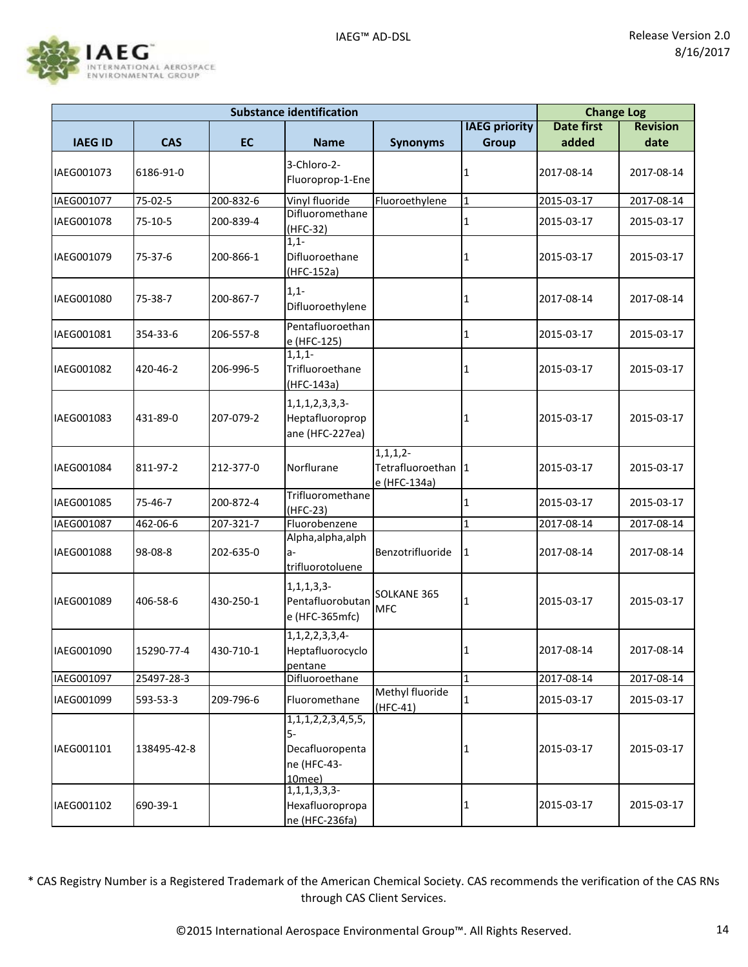![](_page_13_Picture_1.jpeg)

|                |             |           | <b>Change Log</b>                                                              |                                                   |                      |                   |                 |
|----------------|-------------|-----------|--------------------------------------------------------------------------------|---------------------------------------------------|----------------------|-------------------|-----------------|
|                |             |           |                                                                                |                                                   | <b>IAEG priority</b> | <b>Date first</b> | <b>Revision</b> |
| <b>IAEG ID</b> | <b>CAS</b>  | <b>EC</b> | <b>Name</b>                                                                    | <b>Synonyms</b>                                   | <b>Group</b>         | added             | date            |
| IAEG001073     | 6186-91-0   |           | 3-Chloro-2-<br>Fluoroprop-1-Ene                                                |                                                   | 1                    | 2017-08-14        | 2017-08-14      |
| IAEG001077     | 75-02-5     | 200-832-6 | Vinyl fluoride                                                                 | Fluoroethylene                                    | $\mathbf 1$          | 2015-03-17        | 2017-08-14      |
| IAEG001078     | 75-10-5     | 200-839-4 | Difluoromethane<br>(HFC-32)                                                    |                                                   | 1                    | 2015-03-17        | 2015-03-17      |
| IAEG001079     | 75-37-6     | 200-866-1 | $1,1-$<br>Difluoroethane<br>(HFC-152a)                                         |                                                   | 1                    | 2015-03-17        | 2015-03-17      |
| IAEG001080     | 75-38-7     | 200-867-7 | $1,1-$<br>Difluoroethylene                                                     |                                                   | 1                    | 2017-08-14        | 2017-08-14      |
| IAEG001081     | 354-33-6    | 206-557-8 | Pentafluoroethan<br>e (HFC-125)                                                |                                                   | 1                    | 2015-03-17        | 2015-03-17      |
| IAEG001082     | 420-46-2    | 206-996-5 | 1, 1, 1<br>Trifluoroethane<br>(HFC-143a)                                       |                                                   | 1                    | 2015-03-17        | 2015-03-17      |
| IAEG001083     | 431-89-0    | 207-079-2 | 1, 1, 1, 2, 3, 3, 3<br>Heptafluoroprop<br>ane (HFC-227ea)                      |                                                   | 1                    | 2015-03-17        | 2015-03-17      |
| IAEG001084     | 811-97-2    | 212-377-0 | Norflurane                                                                     | $1, 1, 1, 2-$<br>Tetrafluoroethan<br>e (HFC-134a) | 1                    | 2015-03-17        | 2015-03-17      |
| IAEG001085     | 75-46-7     | 200-872-4 | Trifluoromethane<br>(HFC-23)                                                   |                                                   | 1                    | 2015-03-17        | 2015-03-17      |
| IAEG001087     | 462-06-6    | 207-321-7 | Fluorobenzene                                                                  |                                                   | $\mathbf 1$          | 2017-08-14        | 2017-08-14      |
| IAEG001088     | 98-08-8     | 202-635-0 | Alpha, alpha, alph<br>la-<br>trifluorotoluene                                  | Benzotrifluoride                                  | 1                    | 2017-08-14        | 2017-08-14      |
| IAEG001089     | 406-58-6    | 430-250-1 | 1, 1, 1, 3, 3<br>Pentafluorobutan<br>e (HFC-365mfc)                            | <b>SOLKANE 365</b><br><b>MFC</b>                  | 1                    | 2015-03-17        | 2015-03-17      |
| IAEG001090     | 15290-77-4  | 430-710-1 | 1, 1, 2, 2, 3, 3, 4<br>Heptafluorocyclo<br>pentane                             |                                                   | 1                    | 2017-08-14        | 2017-08-14      |
| IAEG001097     | 25497-28-3  |           | Difluoroethane                                                                 |                                                   | $\mathbf{1}$         | 2017-08-14        | 2017-08-14      |
| IAEG001099     | 593-53-3    | 209-796-6 | Fluoromethane                                                                  | Methyl fluoride<br>$(HFC-41)$                     | $\mathbf{1}$         | 2015-03-17        | 2015-03-17      |
| IAEG001101     | 138495-42-8 |           | 1, 1, 1, 2, 2, 3, 4, 5, 5,<br>$5-$<br>Decafluoropenta<br>ne (HFC-43-<br>10mee) |                                                   | 1                    | 2015-03-17        | 2015-03-17      |
| IAEG001102     | 690-39-1    |           | 1, 1, 1, 3, 3, 3<br>Hexafluoropropa<br>ne (HFC-236fa)                          |                                                   | 1                    | 2015-03-17        | 2015-03-17      |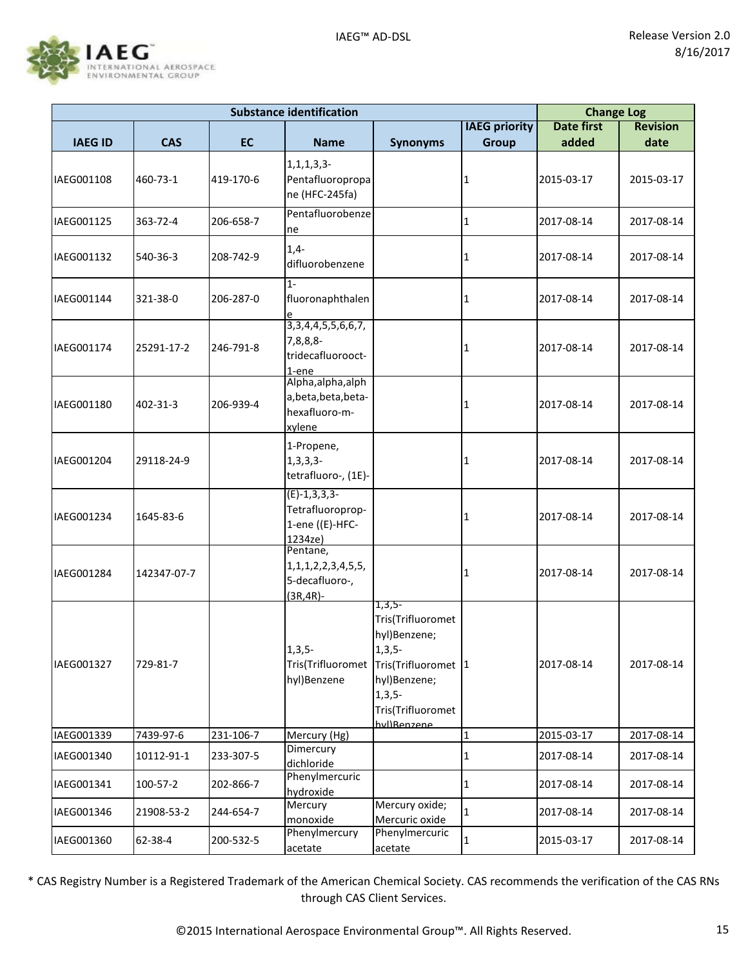![](_page_14_Picture_1.jpeg)

|                |             |           | <b>Substance identification</b>                                          |                                                                                                                                                                    |                      | <b>Change Log</b> |                 |
|----------------|-------------|-----------|--------------------------------------------------------------------------|--------------------------------------------------------------------------------------------------------------------------------------------------------------------|----------------------|-------------------|-----------------|
|                |             |           |                                                                          |                                                                                                                                                                    | <b>IAEG priority</b> | <b>Date first</b> | <b>Revision</b> |
| <b>IAEG ID</b> | <b>CAS</b>  | <b>EC</b> | <b>Name</b>                                                              | <b>Synonyms</b>                                                                                                                                                    | <b>Group</b>         | added             | date            |
| IAEG001108     | 460-73-1    | 419-170-6 | $1, 1, 1, 3, 3$ -<br>Pentafluoropropa<br>ne (HFC-245fa)                  |                                                                                                                                                                    | 1                    | 2015-03-17        | 2015-03-17      |
| IAEG001125     | 363-72-4    | 206-658-7 | Pentafluorobenze<br>ne                                                   |                                                                                                                                                                    | 1                    | 2017-08-14        | 2017-08-14      |
| IAEG001132     | 540-36-3    | 208-742-9 | $1,4-$<br>difluorobenzene                                                |                                                                                                                                                                    | 1                    | 2017-08-14        | 2017-08-14      |
| IAEG001144     | 321-38-0    | 206-287-0 | $\overline{1}$<br>fluoronaphthalen<br>e                                  |                                                                                                                                                                    | 1                    | 2017-08-14        | 2017-08-14      |
| IAEG001174     | 25291-17-2  | 246-791-8 | 3,3,4,4,5,5,6,6,7,<br>7,8,8,8-<br>tridecafluorooct-<br>1-ene             |                                                                                                                                                                    | 1                    | 2017-08-14        | 2017-08-14      |
| IAEG001180     | 402-31-3    | 206-939-4 | Alpha, alpha, alph<br>a, beta, beta, beta-<br>hexafluoro-m-<br>xylene    |                                                                                                                                                                    | 1                    | 2017-08-14        | 2017-08-14      |
| IAEG001204     | 29118-24-9  |           | 1-Propene,<br>$1, 3, 3, 3 -$<br>tetrafluoro-, (1E)-                      |                                                                                                                                                                    | 1                    | 2017-08-14        | 2017-08-14      |
| IAEG001234     | 1645-83-6   |           | $(E)-1,3,3,3-$<br>Tetrafluoroprop-<br>1-ene ((E)-HFC-<br>1234ze)         |                                                                                                                                                                    | 1                    | 2017-08-14        | 2017-08-14      |
| IAEG001284     | 142347-07-7 |           | Pentane,<br>1, 1, 1, 2, 2, 3, 4, 5, 5,<br>5-decafluoro-,<br>$(3R, 4R)$ - |                                                                                                                                                                    | 1                    | 2017-08-14        | 2017-08-14      |
| IAEG001327     | 729-81-7    |           | $1,3,5-$<br>hyl)Benzene                                                  | $1,3,5-$<br>Tris(Trifluoromet<br>hyl)Benzene;<br>$1,3,5-$<br>Tris(Trifluoromet Tris(Trifluoromet 1<br>hyl)Benzene;<br>$1,3,5-$<br>Tris(Trifluoromet<br>hyllBenzene |                      | 2017-08-14        | 2017-08-14      |
| IAEG001339     | 7439-97-6   | 231-106-7 | Mercury (Hg)                                                             |                                                                                                                                                                    | $\mathbf{1}$         | 2015-03-17        | 2017-08-14      |
| IAEG001340     | 10112-91-1  | 233-307-5 | Dimercury<br>dichloride                                                  |                                                                                                                                                                    | 1                    | 2017-08-14        | 2017-08-14      |
| IAEG001341     | 100-57-2    | 202-866-7 | Phenylmercuric<br>hydroxide                                              |                                                                                                                                                                    | 1                    | 2017-08-14        | 2017-08-14      |
| IAEG001346     | 21908-53-2  | 244-654-7 | Mercury<br>monoxide                                                      | Mercury oxide;<br>Mercuric oxide                                                                                                                                   | 1                    | 2017-08-14        | 2017-08-14      |
| IAEG001360     | 62-38-4     | 200-532-5 | Phenylmercury<br>acetate                                                 | Phenylmercuric<br>acetate                                                                                                                                          | 1                    | 2015-03-17        | 2017-08-14      |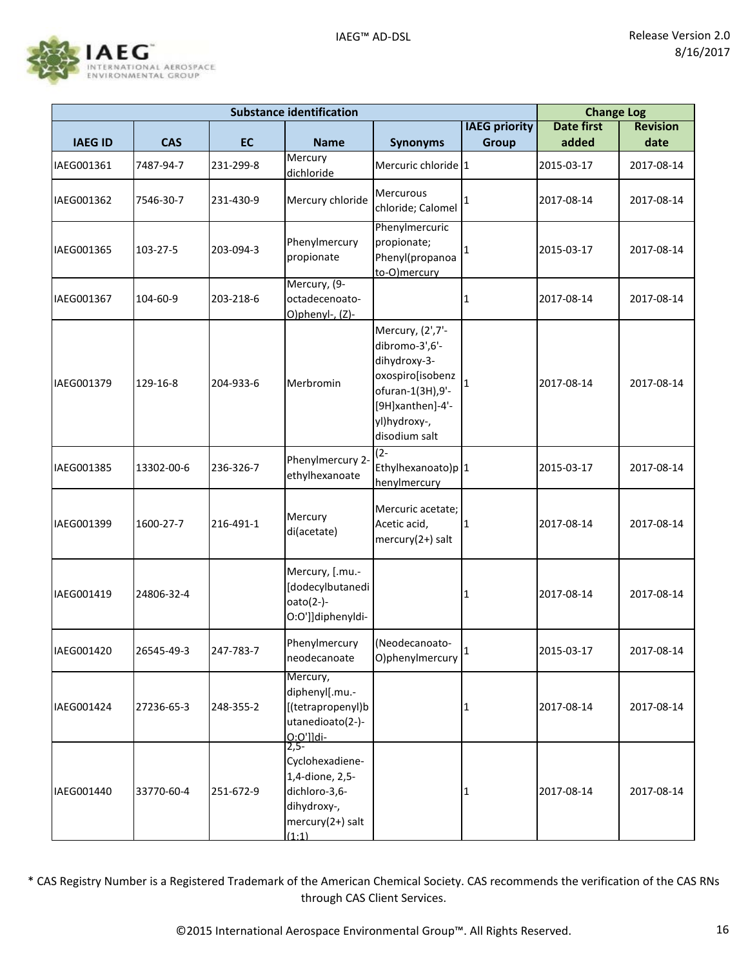![](_page_15_Picture_1.jpeg)

|                |            |           | <b>Substance identification</b>                                                                   |                                                                                                                                                  |                      | <b>Change Log</b> |                 |
|----------------|------------|-----------|---------------------------------------------------------------------------------------------------|--------------------------------------------------------------------------------------------------------------------------------------------------|----------------------|-------------------|-----------------|
|                |            |           |                                                                                                   |                                                                                                                                                  | <b>IAEG</b> priority | <b>Date first</b> | <b>Revision</b> |
| <b>IAEG ID</b> | <b>CAS</b> | <b>EC</b> | <b>Name</b>                                                                                       | <b>Synonyms</b>                                                                                                                                  | <b>Group</b>         | added             | date            |
| IAEG001361     | 7487-94-7  | 231-299-8 | Mercury<br>dichloride                                                                             | Mercuric chloride 1                                                                                                                              |                      | 2015-03-17        | 2017-08-14      |
| IAEG001362     | 7546-30-7  | 231-430-9 | Mercury chloride                                                                                  | Mercurous<br>chloride; Calomel                                                                                                                   |                      | 2017-08-14        | 2017-08-14      |
| IAEG001365     | 103-27-5   | 203-094-3 | Phenylmercury<br>propionate                                                                       | Phenylmercuric<br>propionate;<br>Phenyl(propanoa<br>to-O)mercury                                                                                 |                      | 2015-03-17        | 2017-08-14      |
| IAEG001367     | 104-60-9   | 203-218-6 | Mercury, (9-<br>octadecenoato-<br>O)phenyl-, (Z)-                                                 |                                                                                                                                                  | 1                    | 2017-08-14        | 2017-08-14      |
| IAEG001379     | 129-16-8   | 204-933-6 | Merbromin                                                                                         | Mercury, (2',7'-<br>dibromo-3',6'-<br>dihydroxy-3-<br>oxospiro[isobenz<br>ofuran-1(3H), 9'-<br>[9H]xanthen]-4'-<br>yl)hydroxy-,<br>disodium salt |                      | 2017-08-14        | 2017-08-14      |
| IAEG001385     | 13302-00-6 | 236-326-7 | Phenylmercury 2-<br>ethylhexanoate                                                                | $(2 -$<br>Ethylhexanoato)p 1<br>henylmercury                                                                                                     |                      | 2015-03-17        | 2017-08-14      |
| IAEG001399     | 1600-27-7  | 216-491-1 | Mercury<br>di(acetate)                                                                            | Mercuric acetate;<br>Acetic acid,<br>mercury(2+) salt                                                                                            | 1                    | 2017-08-14        | 2017-08-14      |
| IAEG001419     | 24806-32-4 |           | Mercury, [.mu.-<br>[dodecylbutanedi<br>$oato(2-)$ -<br>O:O']]diphenyldi-                          |                                                                                                                                                  |                      | 2017-08-14        | 2017-08-14      |
| IAEG001420     | 26545-49-3 | 247-783-7 | Phenylmercury<br>neodecanoate                                                                     | (Neodecanoato-<br>O)phenylmercury                                                                                                                |                      | 2015-03-17        | 2017-08-14      |
| IAEG001424     | 27236-65-3 | 248-355-2 | Mercury,<br>diphenyl[.mu.-<br>[(tetrapropenyl)b<br>utanedioato(2-)-<br>0:0'lldi-<br>2,5-          |                                                                                                                                                  |                      | 2017-08-14        | 2017-08-14      |
| IAEG001440     | 33770-60-4 | 251-672-9 | Cyclohexadiene-<br>1,4-dione, 2,5-<br>dichloro-3,6-<br>dihydroxy-,<br>$mercury(2+)$ salt<br>(1:1) |                                                                                                                                                  | 1                    | 2017-08-14        | 2017-08-14      |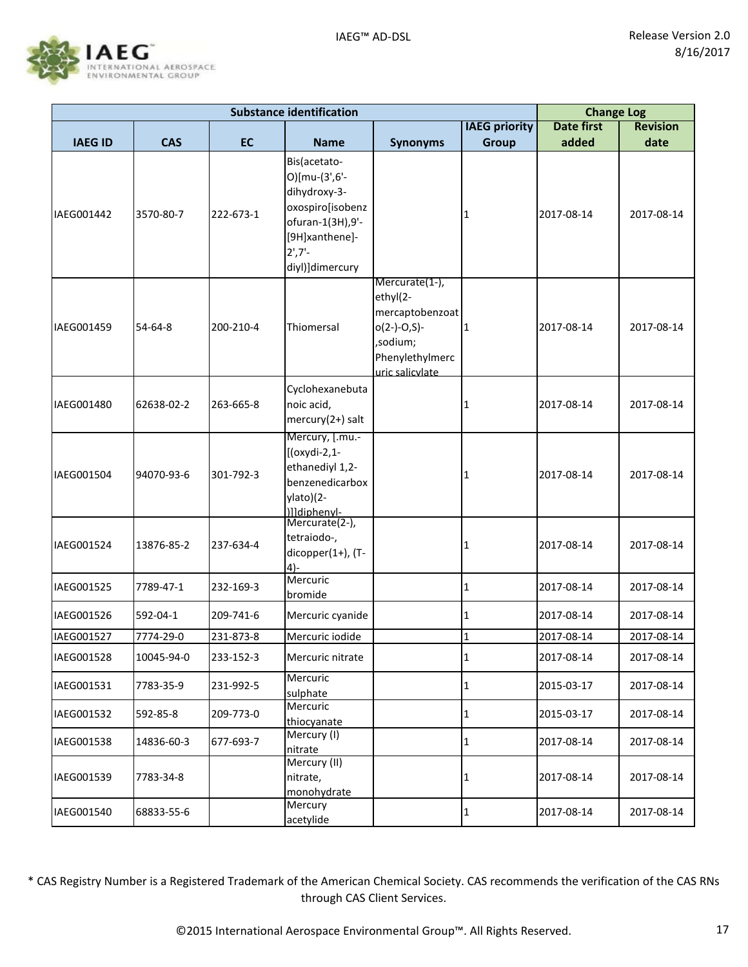![](_page_16_Picture_1.jpeg)

|                |               |           | <b>Substance identification</b>                                                                                                         |                                                                                                                       |                      | <b>Change Log</b> |                 |
|----------------|---------------|-----------|-----------------------------------------------------------------------------------------------------------------------------------------|-----------------------------------------------------------------------------------------------------------------------|----------------------|-------------------|-----------------|
|                |               |           |                                                                                                                                         |                                                                                                                       | <b>IAEG priority</b> | <b>Date first</b> | <b>Revision</b> |
| <b>IAEG ID</b> | <b>CAS</b>    | <b>EC</b> | <b>Name</b>                                                                                                                             | <b>Synonyms</b>                                                                                                       | <b>Group</b>         | added             | date            |
| IAEG001442     | 3570-80-7     | 222-673-1 | Bis(acetato-<br>O)[mu-(3',6'-<br>dihydroxy-3-<br>oxospiro[isobenz<br>ofuran-1(3H), 9'-<br>[9H]xanthene]-<br>$2',7'-$<br>diyl)]dimercury |                                                                                                                       | 1                    | 2017-08-14        | 2017-08-14      |
| IAEG001459     | $54 - 64 - 8$ | 200-210-4 | Thiomersal                                                                                                                              | Mercurate(1-),<br>ethyl(2-<br>mercaptobenzoat<br>$o(2-)$ -O,S $)$ -<br>,sodium;<br>Phenylethylmerc<br>uric salicvlate | 1                    | 2017-08-14        | 2017-08-14      |
| IAEG001480     | 62638-02-2    | 263-665-8 | Cyclohexanebuta<br>noic acid,<br>$mercury(2+)$ salt                                                                                     |                                                                                                                       | 1                    | 2017-08-14        | 2017-08-14      |
| IAEG001504     | 94070-93-6    | 301-792-3 | Mercury, [.mu.-<br>[(oxydi-2,1-<br>ethanediyl 1,2-<br>benzenedicarbox<br>ylato)(2-<br>)lldiphenyl-<br>Mercurate(2-),                    |                                                                                                                       | 1                    | 2017-08-14        | 2017-08-14      |
| IAEG001524     | 13876-85-2    | 237-634-4 | tetraiodo-,<br>dicopper(1+), (T-<br>$4$ )-                                                                                              |                                                                                                                       | 1                    | 2017-08-14        | 2017-08-14      |
| IAEG001525     | 7789-47-1     | 232-169-3 | Mercuric<br>bromide                                                                                                                     |                                                                                                                       | 1                    | 2017-08-14        | 2017-08-14      |
| IAEG001526     | 592-04-1      | 209-741-6 | Mercuric cyanide                                                                                                                        |                                                                                                                       | 1                    | 2017-08-14        | 2017-08-14      |
| IAEG001527     | 7774-29-0     | 231-873-8 | Mercuric iodide                                                                                                                         |                                                                                                                       | $\mathbf{1}$         | 2017-08-14        | 2017-08-14      |
| IAEG001528     | 10045-94-0    | 233-152-3 | Mercuric nitrate                                                                                                                        |                                                                                                                       | 1                    | 2017-08-14        | 2017-08-14      |
| IAEG001531     | 7783-35-9     | 231-992-5 | Mercuric<br>sulphate                                                                                                                    |                                                                                                                       | 1                    | 2015-03-17        | 2017-08-14      |
| IAEG001532     | 592-85-8      | 209-773-0 | Mercuric<br>thiocyanate                                                                                                                 |                                                                                                                       | 1                    | 2015-03-17        | 2017-08-14      |
| IAEG001538     | 14836-60-3    | 677-693-7 | Mercury (I)<br>nitrate                                                                                                                  |                                                                                                                       | 1                    | 2017-08-14        | 2017-08-14      |
| IAEG001539     | 7783-34-8     |           | Mercury (II)<br>nitrate,<br>monohydrate                                                                                                 |                                                                                                                       | 1                    | 2017-08-14        | 2017-08-14      |
| IAEG001540     | 68833-55-6    |           | Mercury<br>acetylide                                                                                                                    |                                                                                                                       | 1                    | 2017-08-14        | 2017-08-14      |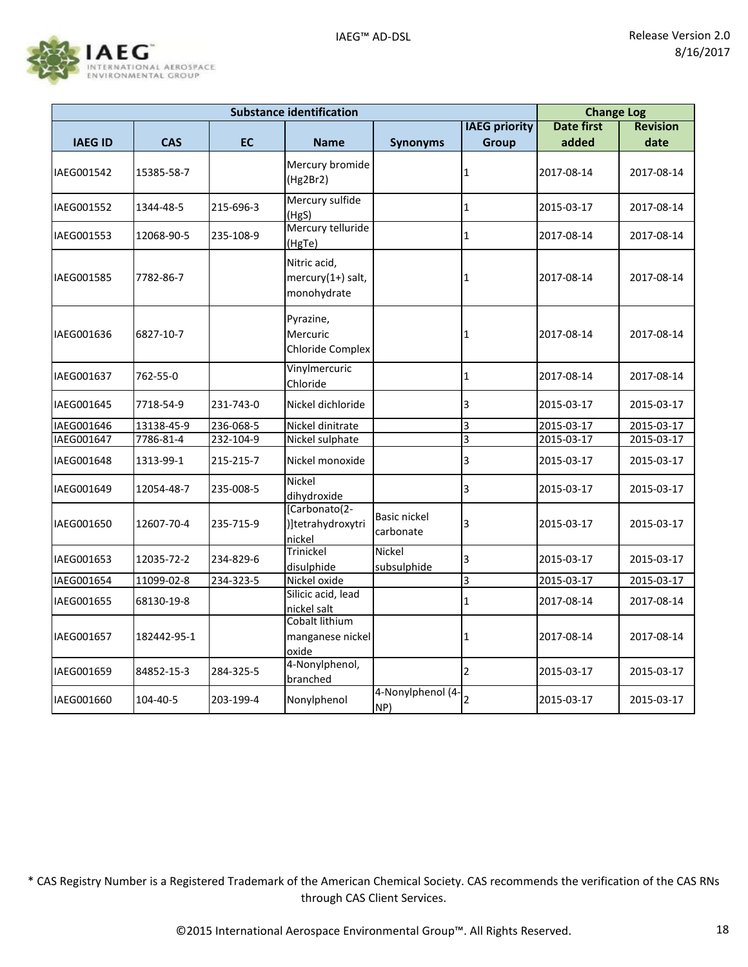![](_page_17_Picture_1.jpeg)

|                |             |           | <b>Substance identification</b>                  |                           |                         | <b>Change Log</b> |                 |
|----------------|-------------|-----------|--------------------------------------------------|---------------------------|-------------------------|-------------------|-----------------|
|                |             |           |                                                  |                           | <b>IAEG priority</b>    | <b>Date first</b> | <b>Revision</b> |
| <b>IAEG ID</b> | <b>CAS</b>  | <b>EC</b> | <b>Name</b>                                      | <b>Synonyms</b>           | <b>Group</b>            | added             | date            |
| IAEG001542     | 15385-58-7  |           | Mercury bromide<br>(Hg2Br2)                      |                           | 1                       | 2017-08-14        | 2017-08-14      |
| IAEG001552     | 1344-48-5   | 215-696-3 | Mercury sulfide<br>(HgS)                         |                           | 1                       | 2015-03-17        | 2017-08-14      |
| IAEG001553     | 12068-90-5  | 235-108-9 | Mercury telluride<br>(HgTe)                      |                           | 1                       | 2017-08-14        | 2017-08-14      |
| IAEG001585     | 7782-86-7   |           | Nitric acid,<br>mercury(1+) salt,<br>monohydrate |                           | 1                       | 2017-08-14        | 2017-08-14      |
| IAEG001636     | 6827-10-7   |           | Pyrazine,<br>Mercuric<br><b>Chloride Complex</b> |                           | 1                       | 2017-08-14        | 2017-08-14      |
| IAEG001637     | 762-55-0    |           | Vinylmercuric<br>Chloride                        |                           | 1                       | 2017-08-14        | 2017-08-14      |
| IAEG001645     | 7718-54-9   | 231-743-0 | Nickel dichloride                                |                           | 3                       | 2015-03-17        | 2015-03-17      |
| IAEG001646     | 13138-45-9  | 236-068-5 | Nickel dinitrate                                 |                           | 3                       | 2015-03-17        | 2015-03-17      |
| IAEG001647     | 7786-81-4   | 232-104-9 | Nickel sulphate                                  |                           | $\overline{\mathbf{3}}$ | 2015-03-17        | 2015-03-17      |
| IAEG001648     | 1313-99-1   | 215-215-7 | Nickel monoxide                                  |                           | 3                       | 2015-03-17        | 2015-03-17      |
| IAEG001649     | 12054-48-7  | 235-008-5 | Nickel<br>dihydroxide                            |                           | 3                       | 2015-03-17        | 2015-03-17      |
| IAEG001650     | 12607-70-4  | 235-715-9 | [Carbonato(2-<br>)]tetrahydroxytri<br>nickel     | Basic nickel<br>carbonate | 3                       | 2015-03-17        | 2015-03-17      |
| IAEG001653     | 12035-72-2  | 234-829-6 | Trinickel<br>disulphide                          | Nickel<br>subsulphide     | 3                       | 2015-03-17        | 2015-03-17      |
| IAEG001654     | 11099-02-8  | 234-323-5 | Nickel oxide                                     |                           | 3                       | 2015-03-17        | 2015-03-17      |
| IAEG001655     | 68130-19-8  |           | Silicic acid, lead<br>nickel salt                |                           | 1                       | 2017-08-14        | 2017-08-14      |
| IAEG001657     | 182442-95-1 |           | Cobalt lithium<br>manganese nickel<br>oxide      |                           | 1                       | 2017-08-14        | 2017-08-14      |
| IAEG001659     | 84852-15-3  | 284-325-5 | 4-Nonylphenol,<br>branched                       |                           | 2                       | 2015-03-17        | 2015-03-17      |
| IAEG001660     | 104-40-5    | 203-199-4 | Nonylphenol                                      | 4-Nonylphenol (4-<br>NP)  | $\overline{2}$          | 2015-03-17        | 2015-03-17      |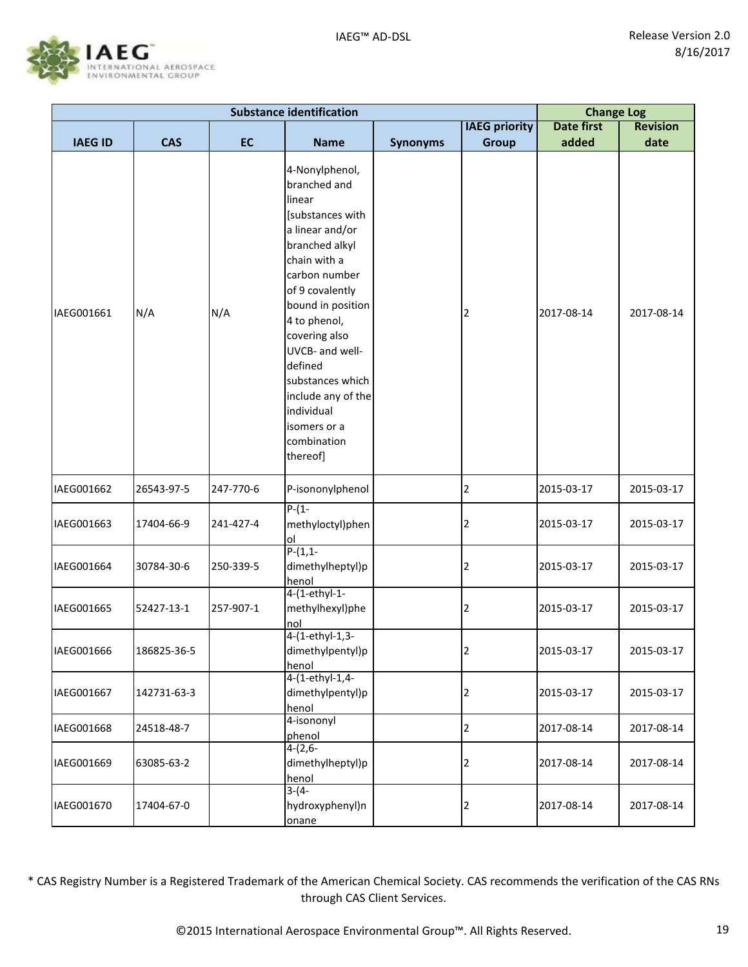![](_page_18_Picture_1.jpeg)

|                |             |           | <b>Substance identification</b>                                                                                                                                                                                                                                                                                                              |                 |                      |                   | <b>Change Log</b> |  |
|----------------|-------------|-----------|----------------------------------------------------------------------------------------------------------------------------------------------------------------------------------------------------------------------------------------------------------------------------------------------------------------------------------------------|-----------------|----------------------|-------------------|-------------------|--|
|                |             |           |                                                                                                                                                                                                                                                                                                                                              |                 | <b>IAEG priority</b> | <b>Date first</b> | <b>Revision</b>   |  |
| <b>IAEG ID</b> | <b>CAS</b>  | <b>EC</b> | <b>Name</b>                                                                                                                                                                                                                                                                                                                                  | <b>Synonyms</b> | <b>Group</b>         | added             | date              |  |
| IAEG001661     | N/A         | N/A       | 4-Nonylphenol,<br>branched and<br>linear<br>[substances with<br>a linear and/or<br>branched alkyl<br>chain with a<br>carbon number<br>of 9 covalently<br>bound in position<br>4 to phenol,<br>covering also<br>UVCB- and well-<br>defined<br>substances which<br>include any of the<br>individual<br>isomers or a<br>combination<br>thereof] |                 | 2                    | 2017-08-14        | 2017-08-14        |  |
| IAEG001662     | 26543-97-5  | 247-770-6 | P-isononylphenol                                                                                                                                                                                                                                                                                                                             |                 | 2                    | 2015-03-17        | 2015-03-17        |  |
| IAEG001663     | 17404-66-9  | 241-427-4 | $P-(1-$<br>methyloctyl)phen<br>ol                                                                                                                                                                                                                                                                                                            |                 | 2                    | 2015-03-17        | 2015-03-17        |  |
| IAEG001664     | 30784-30-6  | 250-339-5 | $P-(1,1-$<br>dimethylheptyl)p<br>henol                                                                                                                                                                                                                                                                                                       |                 | 2                    | 2015-03-17        | 2015-03-17        |  |
| IAEG001665     | 52427-13-1  | 257-907-1 | 4-(1-ethyl-1-<br>methylhexyl)phe<br>nol                                                                                                                                                                                                                                                                                                      |                 | 2                    | 2015-03-17        | 2015-03-17        |  |
| IAEG001666     | 186825-36-5 |           | 4-(1-ethyl-1,3-<br>dimethylpentyl)p<br>henol                                                                                                                                                                                                                                                                                                 |                 | 2                    | 2015-03-17        | 2015-03-17        |  |
| IAEG001667     | 142731-63-3 |           | 4-(1-ethyl-1,4-<br>dimethylpentyl)p<br>henol                                                                                                                                                                                                                                                                                                 |                 | 2                    | 2015-03-17        | 2015-03-17        |  |
| IAEG001668     | 24518-48-7  |           | 4-isononyl<br>phenol                                                                                                                                                                                                                                                                                                                         |                 | $\overline{2}$       | 2017-08-14        | 2017-08-14        |  |
| IAEG001669     | 63085-63-2  |           | $4-(2,6-$<br>dimethylheptyl)p<br>henol                                                                                                                                                                                                                                                                                                       |                 | 2                    | 2017-08-14        | 2017-08-14        |  |
| IAEG001670     | 17404-67-0  |           | $3-(4-$<br>hydroxyphenyl)n<br>onane                                                                                                                                                                                                                                                                                                          |                 | 2                    | 2017-08-14        | 2017-08-14        |  |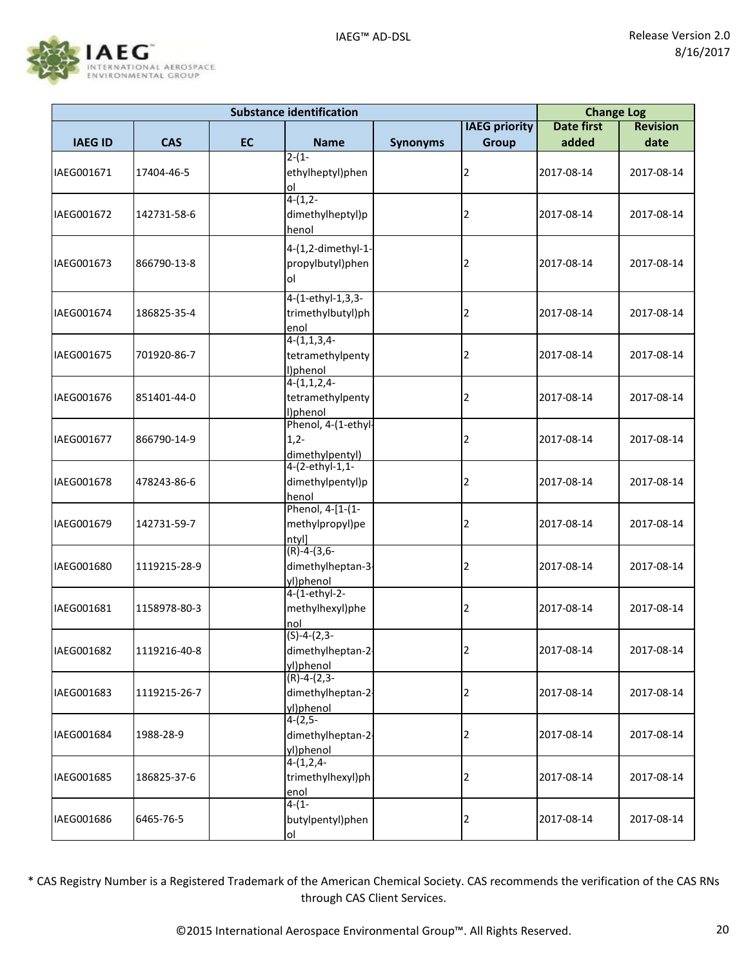![](_page_19_Picture_1.jpeg)

|                |              |           | <b>Substance identification</b>    |                 |                      | <b>Change Log</b> |                 |
|----------------|--------------|-----------|------------------------------------|-----------------|----------------------|-------------------|-----------------|
|                |              |           |                                    |                 | <b>IAEG priority</b> | <b>Date first</b> | <b>Revision</b> |
| <b>IAEG ID</b> | <b>CAS</b>   | <b>EC</b> | <b>Name</b>                        | <b>Synonyms</b> | <b>Group</b>         | added             | date            |
|                |              |           | $2-(1-$                            |                 |                      |                   |                 |
| IAEG001671     | 17404-46-5   |           | ethylheptyl)phen                   |                 | $\overline{2}$       | 2017-08-14        | 2017-08-14      |
|                |              |           | ol                                 |                 |                      |                   |                 |
|                |              |           | $4-(1,2-$                          |                 |                      |                   |                 |
| IAEG001672     | 142731-58-6  |           | dimethylheptyl)p                   |                 | 2                    | 2017-08-14        | 2017-08-14      |
|                |              |           | henol                              |                 |                      |                   |                 |
|                |              |           | 4-(1,2-dimethyl-1-                 |                 |                      |                   |                 |
| IAEG001673     | 866790-13-8  |           | propylbutyl)phen                   |                 | 2                    | 2017-08-14        | 2017-08-14      |
|                |              |           | οl                                 |                 |                      |                   |                 |
|                |              |           | 4-(1-ethyl-1,3,3-                  |                 |                      |                   |                 |
| IAEG001674     | 186825-35-4  |           | trimethylbutyl)ph                  |                 | 2                    | 2017-08-14        | 2017-08-14      |
|                |              |           | enol                               |                 |                      |                   |                 |
|                |              |           | $4-(1,1,3,4-$                      |                 |                      |                   |                 |
| IAEG001675     | 701920-86-7  |           | tetramethylpenty                   |                 | 2                    | 2017-08-14        | 2017-08-14      |
|                |              |           | l)phenol                           |                 |                      |                   |                 |
|                |              |           | $4-(1,1,2,4-$                      |                 |                      |                   |                 |
| IAEG001676     | 851401-44-0  |           | tetramethylpenty                   |                 | 2                    | 2017-08-14        | 2017-08-14      |
|                |              |           | l)phenol<br>Phenol, 4-(1-ethyl-    |                 |                      |                   |                 |
| IAEG001677     | 866790-14-9  |           | $1,2-$                             |                 | 2                    | 2017-08-14        | 2017-08-14      |
|                |              |           | dimethylpentyl)                    |                 |                      |                   |                 |
|                |              |           | 4-(2-ethyl-1,1-                    |                 |                      |                   |                 |
| IAEG001678     | 478243-86-6  |           | dimethylpentyl)p                   |                 | 2                    | 2017-08-14        | 2017-08-14      |
|                |              |           | henol                              |                 |                      |                   |                 |
|                |              |           | Phenol, 4-[1-(1-                   |                 |                      |                   |                 |
| IAEG001679     | 142731-59-7  |           | methylpropyl)pe                    |                 | 2                    | 2017-08-14        | 2017-08-14      |
|                |              |           | ntyl]                              |                 |                      |                   |                 |
|                | 1119215-28-9 |           | $(R)-4-(3,6-$<br>dimethylheptan-3- |                 |                      |                   |                 |
| IAEG001680     |              |           | yl)phenol                          |                 | 2                    | 2017-08-14        | 2017-08-14      |
|                |              |           | 4-(1-ethyl-2-                      |                 |                      |                   |                 |
| IAEG001681     | 1158978-80-3 |           | methylhexyl)phe                    |                 | 2                    | 2017-08-14        | 2017-08-14      |
|                |              |           | nol                                |                 |                      |                   |                 |
|                |              |           | $(S)-4-(2,3-$                      |                 |                      |                   |                 |
| IAEG001682     | 1119216-40-8 |           | dimethylheptan-2                   |                 | 2                    | 2017-08-14        | 2017-08-14      |
|                |              |           | yl)phenol                          |                 |                      |                   |                 |
|                |              |           | $(R)-4-(2,3-$                      |                 |                      |                   |                 |
| IAEG001683     | 1119215-26-7 |           | dimethylheptan-2                   |                 | 2                    | 2017-08-14        | 2017-08-14      |
|                |              |           | yl)phenol                          |                 |                      |                   |                 |
|                |              |           | $4-(2,5-$                          |                 |                      |                   |                 |
| IAEG001684     | 1988-28-9    |           | dimethylheptan-2<br>yl)phenol      |                 | 2                    | 2017-08-14        | 2017-08-14      |
|                |              |           | $4-(1,2,4-$                        |                 |                      |                   |                 |
| IAEG001685     | 186825-37-6  |           | trimethylhexyl)ph                  |                 | 2                    | 2017-08-14        | 2017-08-14      |
|                |              |           | enol                               |                 |                      |                   |                 |
|                |              |           | $4-(1-$                            |                 |                      |                   |                 |
| IAEG001686     | 6465-76-5    |           | butylpentyl)phen                   |                 | 2                    | 2017-08-14        | 2017-08-14      |
|                |              |           | $\overline{\mathsf{d}}$            |                 |                      |                   |                 |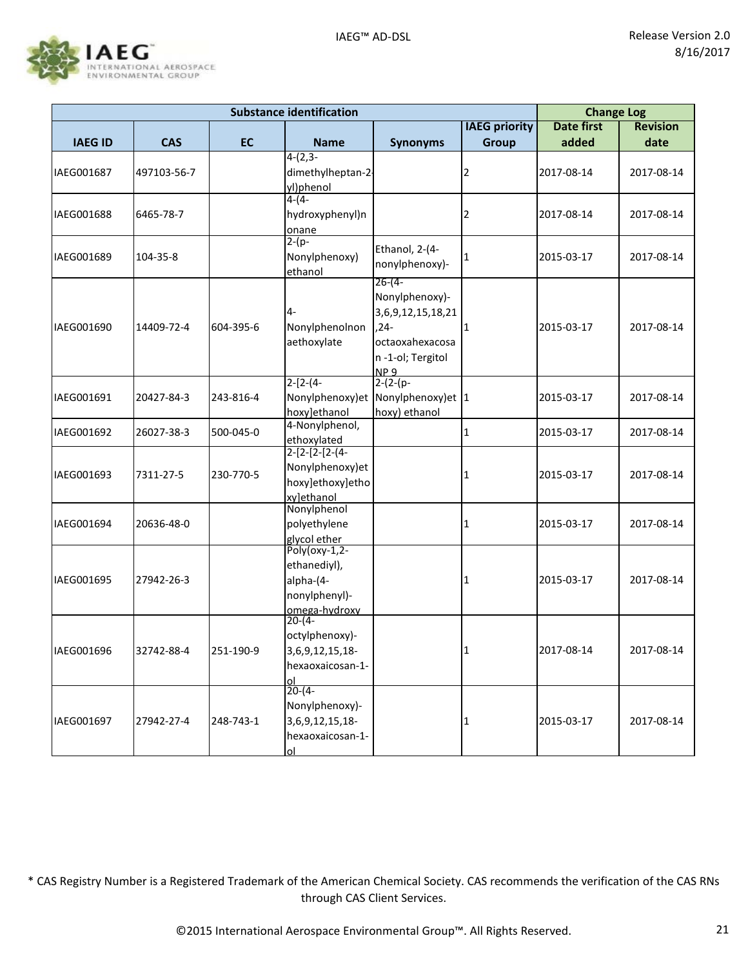![](_page_20_Picture_1.jpeg)

|                | <b>Substance identification</b> |           |                                     |                    |                      |                   |                 |
|----------------|---------------------------------|-----------|-------------------------------------|--------------------|----------------------|-------------------|-----------------|
|                |                                 |           |                                     |                    | <b>IAEG priority</b> | <b>Date first</b> | <b>Revision</b> |
| <b>IAEG ID</b> | <b>CAS</b>                      | <b>EC</b> | <b>Name</b>                         | <b>Synonyms</b>    | <b>Group</b>         | added             | date            |
|                |                                 |           | $4-(2,3-$                           |                    |                      |                   |                 |
| IAEG001687     | 497103-56-7                     |           | dimethylheptan-2-                   |                    | 2                    | 2017-08-14        | 2017-08-14      |
|                |                                 |           | yl)phenol                           |                    |                      |                   |                 |
|                |                                 |           | $4-(4-$                             |                    |                      |                   |                 |
| IAEG001688     | 6465-78-7                       |           | hydroxyphenyl)n                     |                    | 2                    | 2017-08-14        | 2017-08-14      |
|                |                                 |           | onane                               |                    |                      |                   |                 |
|                |                                 |           | $2-(p-$                             | Ethanol, 2-(4-     |                      |                   |                 |
| IAEG001689     | 104-35-8                        |           | Nonylphenoxy)                       | nonylphenoxy)-     | 1                    | 2015-03-17        | 2017-08-14      |
|                |                                 |           | ethanol                             | $26 - (4 -$        |                      |                   |                 |
|                |                                 |           |                                     | Nonylphenoxy)-     |                      |                   |                 |
|                |                                 |           | $4-$                                | 3,6,9,12,15,18,21  |                      |                   |                 |
| IAEG001690     | 14409-72-4                      | 604-395-6 | Nonylphenolnon                      | $, 24-$            | 1                    | 2015-03-17        | 2017-08-14      |
|                |                                 |           | aethoxylate                         | octaoxahexacosa    |                      |                   |                 |
|                |                                 |           |                                     | n-1-ol; Tergitol   |                      |                   |                 |
|                |                                 |           |                                     | NP <sub>9</sub>    |                      |                   |                 |
|                |                                 |           | $2-[2-(4-$                          | $2-(2-(p-$         |                      |                   |                 |
| IAEG001691     | 20427-84-3                      | 243-816-4 | Nonylphenoxy)et                     | Nonylphenoxy) et 1 |                      | 2015-03-17        | 2017-08-14      |
|                |                                 |           | hoxy]ethanol                        | hoxy) ethanol      |                      |                   |                 |
| IAEG001692     | 26027-38-3                      | 500-045-0 | 4-Nonylphenol,                      |                    | 1                    | 2015-03-17        | 2017-08-14      |
|                |                                 |           | ethoxylated                         |                    |                      |                   |                 |
|                |                                 |           | $2-[2-[2-(4-$                       |                    |                      |                   |                 |
| IAEG001693     | 7311-27-5                       | 230-770-5 | Nonylphenoxy)et<br>hoxy]ethoxy]etho |                    | 1                    | 2015-03-17        | 2017-08-14      |
|                |                                 |           |                                     |                    |                      |                   |                 |
|                |                                 |           | xy]ethanol<br>Nonylphenol           |                    |                      |                   |                 |
| IAEG001694     | 20636-48-0                      |           | polyethylene                        |                    | 1                    | 2015-03-17        | 2017-08-14      |
|                |                                 |           | glycol ether                        |                    |                      |                   |                 |
|                |                                 |           | Poly( $oxy-1,2-$                    |                    |                      |                   |                 |
|                |                                 |           | ethanediyl),                        |                    |                      |                   |                 |
| IAEG001695     | 27942-26-3                      |           | alpha-(4-                           |                    | 1                    | 2015-03-17        | 2017-08-14      |
|                |                                 |           | nonylphenyl)-                       |                    |                      |                   |                 |
|                |                                 |           | omega-hydroxy<br> 20-(4-            |                    |                      |                   |                 |
|                |                                 |           |                                     |                    |                      |                   |                 |
|                |                                 |           | octylphenoxy)-                      |                    |                      |                   |                 |
| IAEG001696     | 32742-88-4                      | 251-190-9 | 3,6,9,12,15,18-                     |                    | 1                    | 2017-08-14        | 2017-08-14      |
|                |                                 |           | hexaoxaicosan-1-                    |                    |                      |                   |                 |
|                |                                 |           | οl<br>$20-(4-$                      |                    |                      |                   |                 |
|                |                                 |           | Nonylphenoxy)-                      |                    |                      |                   |                 |
| IAEG001697     | 27942-27-4                      | 248-743-1 | 3,6,9,12,15,18-                     |                    | 1                    | 2015-03-17        | 2017-08-14      |
|                |                                 |           | hexaoxaicosan-1-                    |                    |                      |                   |                 |
|                |                                 |           | οl                                  |                    |                      |                   |                 |
|                |                                 |           |                                     |                    |                      |                   |                 |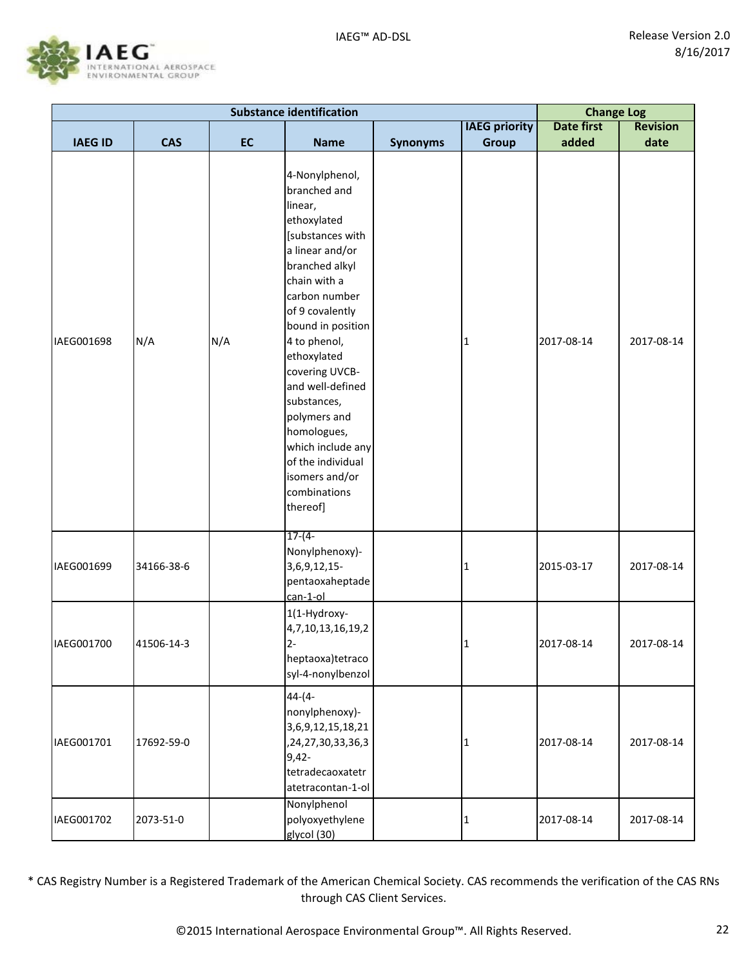![](_page_21_Picture_1.jpeg)

|                |            |           | <b>Substance identification</b>                                                                                                                                                                                                                                                                                                                                                                       |                 |                      |                   | <b>Change Log</b> |  |
|----------------|------------|-----------|-------------------------------------------------------------------------------------------------------------------------------------------------------------------------------------------------------------------------------------------------------------------------------------------------------------------------------------------------------------------------------------------------------|-----------------|----------------------|-------------------|-------------------|--|
|                |            |           |                                                                                                                                                                                                                                                                                                                                                                                                       |                 | <b>IAEG priority</b> | <b>Date first</b> | <b>Revision</b>   |  |
| <b>IAEG ID</b> | <b>CAS</b> | <b>EC</b> | <b>Name</b>                                                                                                                                                                                                                                                                                                                                                                                           | <b>Synonyms</b> | <b>Group</b>         | added             | date              |  |
| IAEG001698     | N/A        | N/A       | 4-Nonylphenol,<br>branched and<br>linear,<br>ethoxylated<br>[substances with<br>a linear and/or<br>branched alkyl<br>chain with a<br>carbon number<br>of 9 covalently<br>bound in position<br>4 to phenol,<br>ethoxylated<br>covering UVCB-<br>and well-defined<br>substances,<br>polymers and<br>homologues,<br>which include any<br>of the individual<br>isomers and/or<br>combinations<br>thereof] |                 | 1                    | 2017-08-14        | 2017-08-14        |  |
| IAEG001699     | 34166-38-6 |           | $17-(4-$<br>Nonylphenoxy)-<br>3,6,9,12,15-<br>pentaoxaheptade<br>can-1-ol                                                                                                                                                                                                                                                                                                                             |                 | 1                    | 2015-03-17        | 2017-08-14        |  |
| IAEG001700     | 41506-14-3 |           | 1(1-Hydroxy-<br>4,7,10,13,16,19,2<br>$2 -$<br>heptaoxa)tetraco<br>syl-4-nonylbenzol                                                                                                                                                                                                                                                                                                                   |                 | 1                    | 2017-08-14        | 2017-08-14        |  |
| IAEG001701     | 17692-59-0 |           | $44-(4-$<br>nonylphenoxy)-<br>3,6,9,12,15,18,21<br>,24,27,30,33,36,3<br>$9,42-$<br>tetradecaoxatetr<br>atetracontan-1-ol                                                                                                                                                                                                                                                                              |                 | 1                    | 2017-08-14        | 2017-08-14        |  |
| IAEG001702     | 2073-51-0  |           | Nonylphenol<br>polyoxyethylene<br>glycol (30)                                                                                                                                                                                                                                                                                                                                                         |                 | 1                    | 2017-08-14        | 2017-08-14        |  |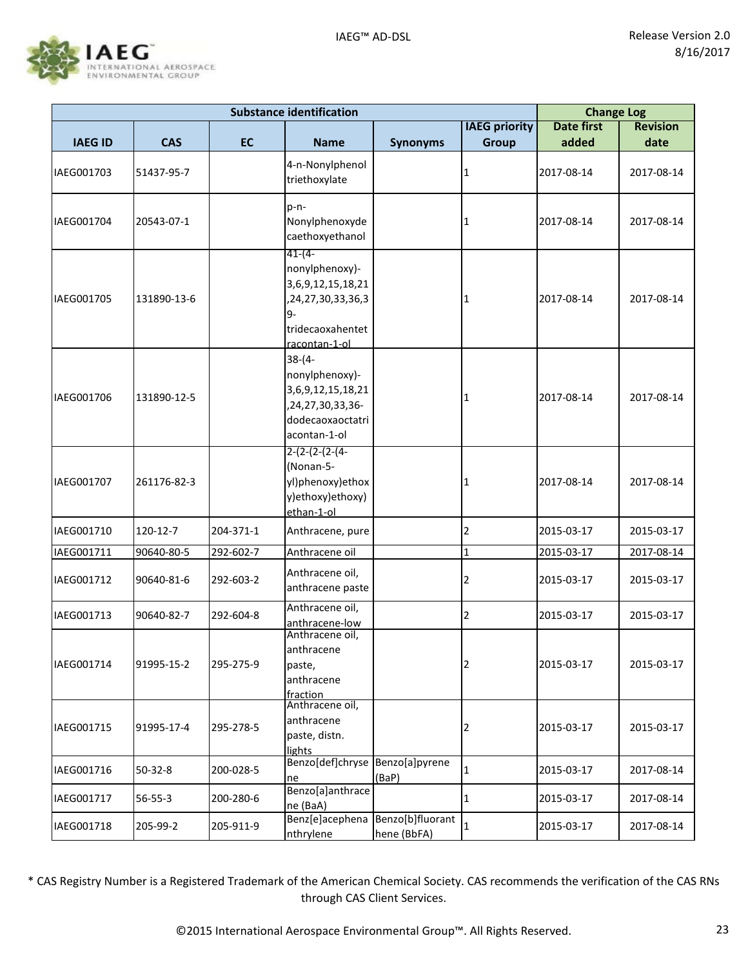![](_page_22_Picture_1.jpeg)

|                |               | <b>Substance identification</b> |                                                                                                                   | <b>Change Log</b>               |                      |                   |                 |
|----------------|---------------|---------------------------------|-------------------------------------------------------------------------------------------------------------------|---------------------------------|----------------------|-------------------|-----------------|
|                |               |                                 |                                                                                                                   |                                 | <b>IAEG priority</b> | <b>Date first</b> | <b>Revision</b> |
| <b>IAEG ID</b> | <b>CAS</b>    | <b>EC</b>                       | <b>Name</b>                                                                                                       | <b>Synonyms</b>                 | <b>Group</b>         | added             | date            |
| IAEG001703     | 51437-95-7    |                                 | 4-n-Nonylphenol<br>triethoxylate                                                                                  |                                 | 1                    | 2017-08-14        | 2017-08-14      |
| IAEG001704     | 20543-07-1    |                                 | $p-n-$<br>Nonylphenoxyde<br>caethoxyethanol                                                                       |                                 | $\vert$ 1            | 2017-08-14        | 2017-08-14      |
| IAEG001705     | 131890-13-6   |                                 | $41-(4-$<br>nonylphenoxy)-<br>3,6,9,12,15,18,21<br>,24,27,30,33,36,3<br>$9-$<br>tridecaoxahentet<br>racontan-1-ol |                                 | $\mathbf{1}$         | 2017-08-14        | 2017-08-14      |
| IAEG001706     | 131890-12-5   |                                 | $38-(4-$<br>nonylphenoxy)-<br>3,6,9,12,15,18,21<br>,24,27,30,33,36-<br>dodecaoxaoctatri<br>acontan-1-ol           |                                 | $\vert$ 1            | 2017-08-14        | 2017-08-14      |
| IAEG001707     | 261176-82-3   |                                 | $2-(2-(2-(4-$<br>(Nonan-5-<br>yl)phenoxy)ethox<br>y)ethoxy)ethoxy)<br>ethan-1-ol                                  |                                 | $\mathbf 1$          | 2017-08-14        | 2017-08-14      |
| IAEG001710     | 120-12-7      | 204-371-1                       | Anthracene, pure                                                                                                  |                                 | 2                    | 2015-03-17        | 2015-03-17      |
| IAEG001711     | 90640-80-5    | 292-602-7                       | Anthracene oil                                                                                                    |                                 | 1                    | 2015-03-17        | 2017-08-14      |
| IAEG001712     | 90640-81-6    | 292-603-2                       | Anthracene oil,<br>anthracene paste                                                                               |                                 | 2                    | 2015-03-17        | 2015-03-17      |
| IAEG001713     | 90640-82-7    | 292-604-8                       | Anthracene oil,<br>anthracene-low                                                                                 |                                 | 2                    | 2015-03-17        | 2015-03-17      |
| IAEG001714     | 91995-15-2    | 295-275-9                       | Anthracene oil,<br>anthracene<br>paste,<br>anthracene<br>fraction                                                 |                                 | $\overline{2}$       | 2015-03-17        | 2015-03-17      |
| IAEG001715     | 91995-17-4    | 295-278-5                       | Anthracene oil,<br>anthracene<br>paste, distn.<br>lights                                                          |                                 | $\overline{2}$       | 2015-03-17        | 2015-03-17      |
| IAEG001716     | $50 - 32 - 8$ | 200-028-5                       | Benzo[def]chryse Benzo[a]pyrene<br>ne                                                                             | (BaP)                           | $\mathbf{1}$         | 2015-03-17        | 2017-08-14      |
| IAEG001717     | 56-55-3       | 200-280-6                       | Benzo[a]anthrace<br>ne (BaA)                                                                                      |                                 | $\mathbf{1}$         | 2015-03-17        | 2017-08-14      |
| IAEG001718     | 205-99-2      | 205-911-9                       | Benz[e]acephena<br>nthrylene                                                                                      | Benzo[b]fluorant<br>hene (BbFA) | $\mathbf{1}$         | 2015-03-17        | 2017-08-14      |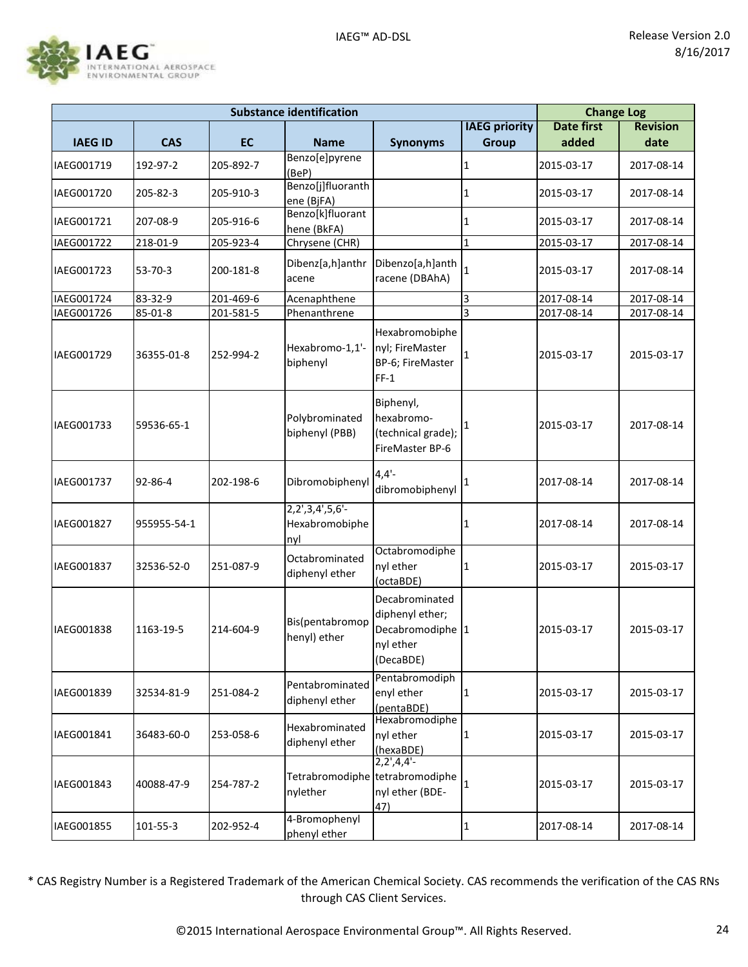![](_page_23_Picture_1.jpeg)

|                |             |           | <b>Substance identification</b>                  |                                                                                            |                      | <b>Change Log</b> |                 |
|----------------|-------------|-----------|--------------------------------------------------|--------------------------------------------------------------------------------------------|----------------------|-------------------|-----------------|
|                |             |           |                                                  |                                                                                            | <b>IAEG priority</b> | <b>Date first</b> | <b>Revision</b> |
| <b>IAEG ID</b> | <b>CAS</b>  | <b>EC</b> | <b>Name</b>                                      | <b>Synonyms</b>                                                                            | <b>Group</b>         | added             | date            |
| IAEG001719     | 192-97-2    | 205-892-7 | Benzo[e]pyrene<br>(BeP)                          |                                                                                            | 1                    | 2015-03-17        | 2017-08-14      |
| IAEG001720     | 205-82-3    | 205-910-3 | Benzo[j]fluoranth<br>ene (BjFA)                  |                                                                                            | 1                    | 2015-03-17        | 2017-08-14      |
| IAEG001721     | 207-08-9    | 205-916-6 | Benzo[k]fluorant<br>hene (BkFA)                  |                                                                                            | 1                    | 2015-03-17        | 2017-08-14      |
| IAEG001722     | 218-01-9    | 205-923-4 | Chrysene (CHR)                                   |                                                                                            | $\mathbf{1}$         | 2015-03-17        | 2017-08-14      |
| IAEG001723     | 53-70-3     | 200-181-8 | Dibenz[a,h]anthr<br>acene                        | Dibenzo[a,h]anth<br>racene (DBAhA)                                                         | 1                    | 2015-03-17        | 2017-08-14      |
| IAEG001724     | 83-32-9     | 201-469-6 | Acenaphthene                                     |                                                                                            | 3                    | 2017-08-14        | 2017-08-14      |
| IAEG001726     | 85-01-8     | 201-581-5 | Phenanthrene                                     |                                                                                            | 3                    | 2017-08-14        | 2017-08-14      |
| IAEG001729     | 36355-01-8  | 252-994-2 | Hexabromo-1,1'-<br>biphenyl                      | Hexabromobiphe<br>nyl; FireMaster<br>BP-6; FireMaster<br>$FF-1$                            | 1                    | 2015-03-17        | 2015-03-17      |
| IAEG001733     | 59536-65-1  |           | Polybrominated<br>biphenyl (PBB)                 | Biphenyl,<br>hexabromo-<br>(technical grade);<br>FireMaster BP-6                           |                      | 2015-03-17        | 2017-08-14      |
| IAEG001737     | 92-86-4     | 202-198-6 | Dibromobiphenyl                                  | $4,4'$ -<br>dibromobiphenyl                                                                | 1                    | 2017-08-14        | 2017-08-14      |
| IAEG001827     | 955955-54-1 |           | $2, 2', 3, 4', 5, 6'$ -<br>Hexabromobiphe<br>nyl |                                                                                            | 1                    | 2017-08-14        | 2017-08-14      |
| IAEG001837     | 32536-52-0  | 251-087-9 | Octabrominated<br>diphenyl ether                 | Octabromodiphe<br>nyl ether<br>(octaBDE)                                                   | 1                    | 2015-03-17        | 2015-03-17      |
| IAEG001838     | 1163-19-5   | 214-604-9 | Bis(pentabromop<br>henyl) ether                  | Decabrominated<br>diphenyl ether;<br>Decabromodiphe <sup>1</sup><br>nyl ether<br>(DecaBDE) |                      | 2015-03-17        | 2015-03-17      |
| IAEG001839     | 32534-81-9  | 251-084-2 | Pentabrominated<br>diphenyl ether                | Pentabromodiph<br>enyl ether<br>(pentaBDE)                                                 | 1                    | 2015-03-17        | 2015-03-17      |
| IAEG001841     | 36483-60-0  | 253-058-6 | Hexabrominated<br>diphenyl ether                 | Hexabromodiphe<br>nyl ether<br>(hexaBDE)                                                   | 1                    | 2015-03-17        | 2015-03-17      |
| IAEG001843     | 40088-47-9  | 254-787-2 | nylether                                         | $2,2',4,4'-$<br>Tetrabromodiphe tetrabromodiphe<br>nyl ether (BDE-<br>47)                  | 1                    | 2015-03-17        | 2015-03-17      |
| IAEG001855     | 101-55-3    | 202-952-4 | 4-Bromophenyl<br>phenyl ether                    |                                                                                            | 1                    | 2017-08-14        | 2017-08-14      |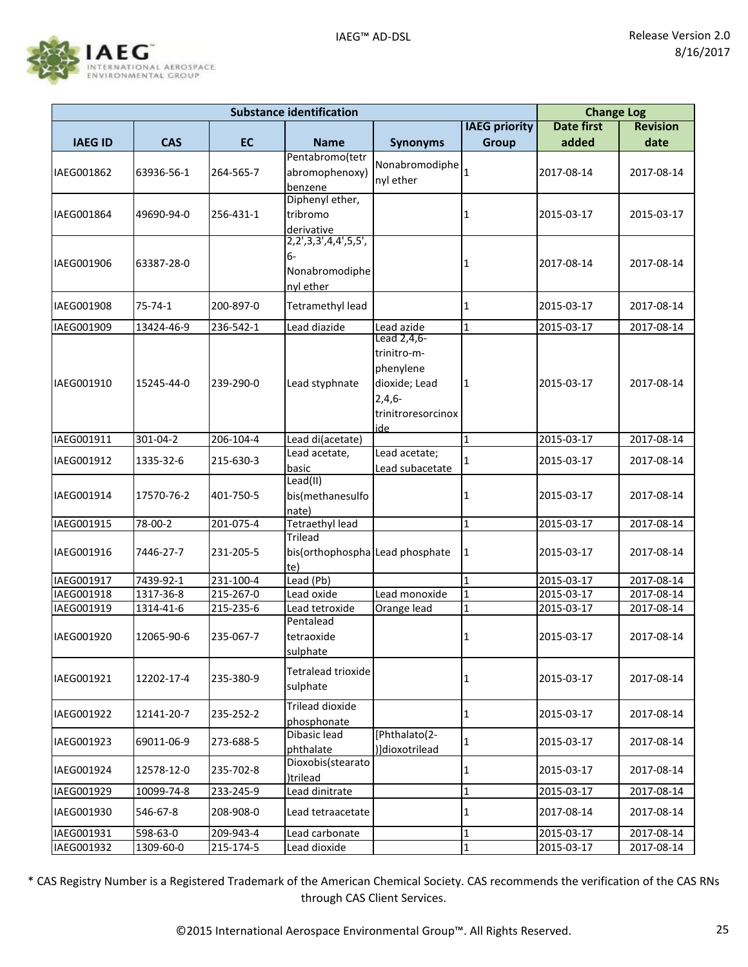![](_page_24_Picture_1.jpeg)

| <b>Substance identification</b> |               |           |                                                             |                                                                                                   |                      | <b>Change Log</b> |                 |
|---------------------------------|---------------|-----------|-------------------------------------------------------------|---------------------------------------------------------------------------------------------------|----------------------|-------------------|-----------------|
|                                 |               |           |                                                             |                                                                                                   | <b>IAEG priority</b> | <b>Date first</b> | <b>Revision</b> |
| <b>IAEG ID</b>                  | <b>CAS</b>    | <b>EC</b> | <b>Name</b>                                                 | <b>Synonyms</b>                                                                                   | <b>Group</b>         | added             | date            |
| IAEG001862                      | 63936-56-1    | 264-565-7 | Pentabromo(tetr<br>abromophenoxy)<br>benzene                | Nonabromodiphe $\big _1$<br>nyl ether                                                             |                      | 2017-08-14        | 2017-08-14      |
| IAEG001864                      | 49690-94-0    | 256-431-1 | Diphenyl ether,<br>tribromo<br>derivative                   |                                                                                                   | 1                    | 2015-03-17        | 2015-03-17      |
| IAEG001906                      | 63387-28-0    |           | 2,2',3,3',4,4',5,5',<br>$6-$<br>Nonabromodiphe<br>nyl ether |                                                                                                   | $\vert$ 1            | 2017-08-14        | 2017-08-14      |
| IAEG001908                      | $75 - 74 - 1$ | 200-897-0 | Tetramethyl lead                                            |                                                                                                   | 1                    | 2015-03-17        | 2017-08-14      |
| IAEG001909                      | 13424-46-9    | 236-542-1 | Lead diazide                                                | Lead azide                                                                                        | $\mathbf{1}$         | 2015-03-17        | 2017-08-14      |
| IAEG001910                      | 15245-44-0    | 239-290-0 | Lead styphnate                                              | Lead 2,4,6-<br>trinitro-m-<br>phenylene<br>dioxide; Lead<br>$2,4,6-$<br>trinitroresorcinox<br>ide | 1                    | 2015-03-17        | 2017-08-14      |
| IAEG001911                      | 301-04-2      | 206-104-4 | Lead di(acetate)                                            |                                                                                                   | $\mathbf{1}$         | 2015-03-17        | 2017-08-14      |
| IAEG001912                      | 1335-32-6     | 215-630-3 | Lead acetate,<br>basic                                      | Lead acetate;<br>Lead subacetate                                                                  |                      | 2015-03-17        | 2017-08-14      |
| IAEG001914                      | 17570-76-2    | 401-750-5 | Lead(II)<br>bis(methanesulfo<br>nate)                       |                                                                                                   | 1                    | 2015-03-17        | 2017-08-14      |
| IAEG001915                      | 78-00-2       | 201-075-4 | Tetraethyl lead                                             |                                                                                                   | $\mathbf{1}$         | 2015-03-17        | 2017-08-14      |
| IAEG001916                      | 7446-27-7     | 231-205-5 | <b>Trilead</b><br>bis(orthophospha Lead phosphate<br>te)    |                                                                                                   | 1                    | 2015-03-17        | 2017-08-14      |
| IAEG001917                      | 7439-92-1     | 231-100-4 | Lead (Pb)                                                   |                                                                                                   | $\mathbf{1}$         | 2015-03-17        | 2017-08-14      |
| IAEG001918                      | 1317-36-8     | 215-267-0 | Lead oxide                                                  | Lead monoxide                                                                                     | $\mathbf{1}$         | 2015-03-17        | 2017-08-14      |
| IAEG001919                      | 1314-41-6     | 215-235-6 | Lead tetroxide                                              | Orange lead                                                                                       | $\mathbf{1}$         | 2015-03-17        | 2017-08-14      |
| IAEG001920                      | 12065-90-6    | 235-067-7 | Pentalead<br>tetraoxide<br>sulphate                         |                                                                                                   | $\mathbf{1}$         | 2015-03-17        | 2017-08-14      |
| IAEG001921                      | 12202-17-4    | 235-380-9 | Tetralead trioxide<br>sulphate                              |                                                                                                   | 1                    | 2015-03-17        | 2017-08-14      |
| IAEG001922                      | 12141-20-7    | 235-252-2 | <b>Trilead dioxide</b><br>phosphonate                       |                                                                                                   | $\mathbf{1}$         | 2015-03-17        | 2017-08-14      |
| IAEG001923                      | 69011-06-9    | 273-688-5 | Dibasic lead<br>phthalate                                   | [Phthalato(2-<br>)]dioxotrilead                                                                   | 1                    | 2015-03-17        | 2017-08-14      |
| IAEG001924                      | 12578-12-0    | 235-702-8 | Dioxobis(stearato<br>)trilead                               |                                                                                                   | 1                    | 2015-03-17        | 2017-08-14      |
| IAEG001929                      | 10099-74-8    | 233-245-9 | Lead dinitrate                                              |                                                                                                   | 1                    | 2015-03-17        | 2017-08-14      |
| IAEG001930                      | 546-67-8      | 208-908-0 | Lead tetraacetate                                           |                                                                                                   | 1                    | 2017-08-14        | 2017-08-14      |
| IAEG001931                      | 598-63-0      | 209-943-4 | Lead carbonate                                              |                                                                                                   | 1                    | 2015-03-17        | 2017-08-14      |
| IAEG001932                      | 1309-60-0     | 215-174-5 | Lead dioxide                                                |                                                                                                   | 1                    | 2015-03-17        | 2017-08-14      |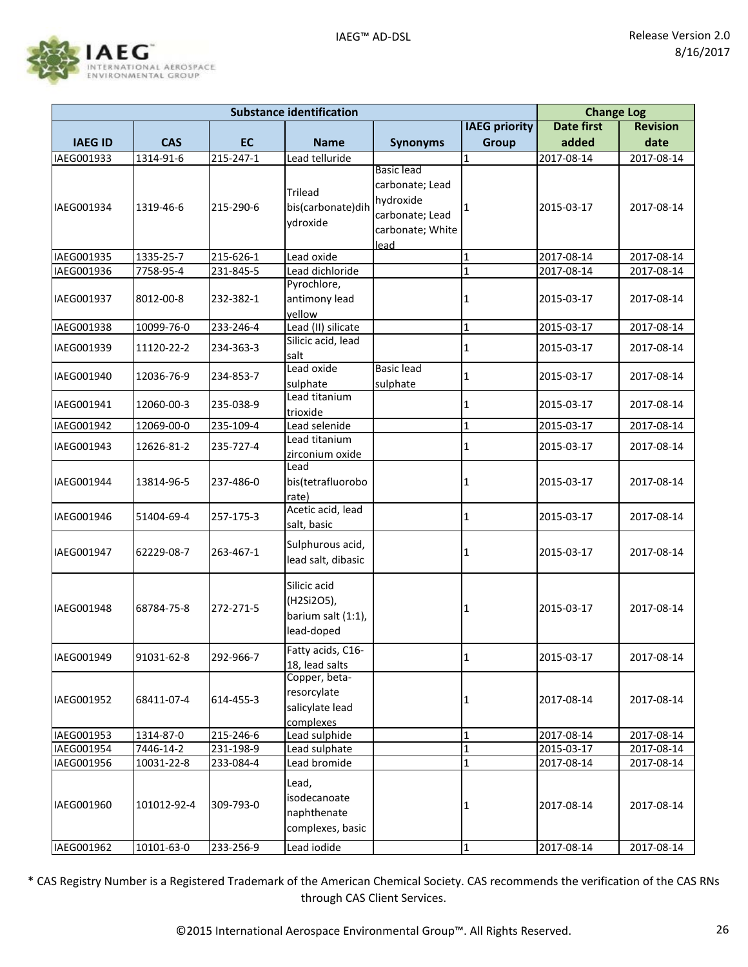![](_page_25_Picture_1.jpeg)

| <b>Substance identification</b> |             | <b>Change Log</b> |                                |                   |                      |                   |                 |
|---------------------------------|-------------|-------------------|--------------------------------|-------------------|----------------------|-------------------|-----------------|
|                                 |             |                   |                                |                   | <b>IAEG priority</b> | <b>Date first</b> | <b>Revision</b> |
| <b>IAEG ID</b>                  | <b>CAS</b>  | <b>EC</b>         | <b>Name</b>                    | <b>Synonyms</b>   | <b>Group</b>         | added             | date            |
| IAEG001933                      | 1314-91-6   | 215-247-1         | Lead telluride                 |                   | 1                    | 2017-08-14        | 2017-08-14      |
|                                 |             |                   |                                | Basic lead        |                      |                   |                 |
|                                 |             |                   | <b>Trilead</b>                 | carbonate; Lead   |                      |                   |                 |
| IAEG001934                      | 1319-46-6   | 215-290-6         | bis(carbonate)dih              | hydroxide         | 1                    | 2015-03-17        | 2017-08-14      |
|                                 |             |                   | ydroxide                       | carbonate; Lead   |                      |                   |                 |
|                                 |             |                   |                                | carbonate; White  |                      |                   |                 |
|                                 |             |                   |                                | lead              |                      |                   |                 |
| IAEG001935                      | 1335-25-7   | 215-626-1         | Lead oxide                     |                   | 1                    | 2017-08-14        | 2017-08-14      |
| IAEG001936                      | 7758-95-4   | 231-845-5         | Lead dichloride<br>Pyrochlore, |                   | $\mathbf 1$          | 2017-08-14        | 2017-08-14      |
| IAEG001937                      | 8012-00-8   | 232-382-1         | antimony lead                  |                   | 1                    | 2015-03-17        | 2017-08-14      |
|                                 |             |                   | yellow                         |                   |                      |                   |                 |
| IAEG001938                      | 10099-76-0  | 233-246-4         | Lead (II) silicate             |                   | 1                    | 2015-03-17        | 2017-08-14      |
|                                 |             |                   | Silicic acid, lead             |                   |                      |                   |                 |
| IAEG001939                      | 11120-22-2  | 234-363-3         | salt                           |                   | 1                    | 2015-03-17        | 2017-08-14      |
| IAEG001940                      | 12036-76-9  | 234-853-7         | Lead oxide                     | <b>Basic lead</b> |                      | 2015-03-17        | 2017-08-14      |
|                                 |             |                   | sulphate                       | sulphate          | 1                    |                   |                 |
| IAEG001941                      | 12060-00-3  | 235-038-9         | Lead titanium                  |                   | 1                    | 2015-03-17        | 2017-08-14      |
|                                 |             |                   | trioxide                       |                   |                      |                   |                 |
| IAEG001942                      | 12069-00-0  | 235-109-4         | Lead selenide                  |                   | $\mathbf 1$          | 2015-03-17        | 2017-08-14      |
| IAEG001943                      | 12626-81-2  | 235-727-4         | Lead titanium                  |                   | 1                    | 2015-03-17        | 2017-08-14      |
|                                 |             |                   | zirconium oxide<br>Lead        |                   |                      |                   |                 |
| IAEG001944                      | 13814-96-5  | 237-486-0         | bis(tetrafluorobo              |                   | 1                    | 2015-03-17        | 2017-08-14      |
|                                 |             |                   | rate)                          |                   |                      |                   |                 |
|                                 |             |                   | Acetic acid, lead              |                   |                      |                   |                 |
| IAEG001946                      | 51404-69-4  | 257-175-3         | salt, basic                    |                   | 1                    | 2015-03-17        | 2017-08-14      |
|                                 |             |                   | Sulphurous acid,               |                   |                      |                   |                 |
| IAEG001947                      | 62229-08-7  | 263-467-1         | lead salt, dibasic             |                   | 1                    | 2015-03-17        | 2017-08-14      |
|                                 |             |                   |                                |                   |                      |                   |                 |
|                                 |             |                   | Silicic acid                   |                   |                      |                   |                 |
|                                 |             |                   | (H2Si2O5),                     |                   |                      |                   |                 |
| IAEG001948                      | 68784-75-8  | 272-271-5         | barium salt (1:1),             |                   | 1                    | 2015-03-17        | 2017-08-14      |
|                                 |             |                   | lead-doped                     |                   |                      |                   |                 |
|                                 |             |                   | Fatty acids, C16-              |                   |                      |                   |                 |
| IAEG001949                      | 91031-62-8  | 292-966-7         | 18, lead salts                 |                   | 1                    | 2015-03-17        | 2017-08-14      |
|                                 |             |                   | Copper, beta-                  |                   |                      |                   |                 |
|                                 |             |                   | resorcylate                    |                   |                      |                   |                 |
| IAEG001952                      | 68411-07-4  | 614-455-3         | salicylate lead                |                   | 1                    | 2017-08-14        | 2017-08-14      |
|                                 |             |                   | complexes                      |                   |                      |                   |                 |
| IAEG001953                      | 1314-87-0   | 215-246-6         | Lead sulphide                  |                   | $\mathbf{1}$         | 2017-08-14        | 2017-08-14      |
| IAEG001954                      | 7446-14-2   | 231-198-9         | Lead sulphate                  |                   | $\mathbf 1$          | 2015-03-17        | 2017-08-14      |
| IAEG001956                      | 10031-22-8  | 233-084-4         | Lead bromide                   |                   | $\mathbf 1$          | 2017-08-14        | 2017-08-14      |
|                                 |             |                   | Lead,                          |                   |                      |                   |                 |
| IAEG001960                      | 101012-92-4 | 309-793-0         | isodecanoate                   |                   |                      |                   | 2017-08-14      |
|                                 |             |                   | naphthenate                    |                   | 1                    | 2017-08-14        |                 |
|                                 |             |                   | complexes, basic               |                   |                      |                   |                 |
| IAEG001962                      | 10101-63-0  | 233-256-9         | Lead iodide                    |                   | $\mathbf{1}$         | 2017-08-14        | 2017-08-14      |
|                                 |             |                   |                                |                   |                      |                   |                 |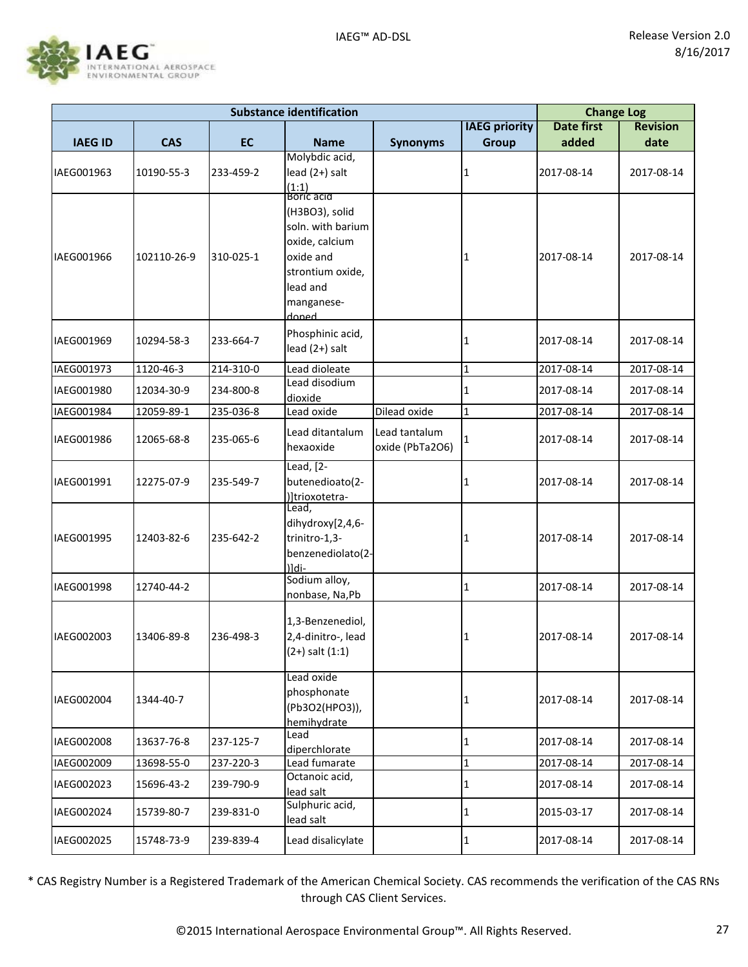![](_page_26_Picture_1.jpeg)

| <b>Substance identification</b> |             |           |                                                                                                                           |                                  | <b>Change Log</b>    |                   |                 |
|---------------------------------|-------------|-----------|---------------------------------------------------------------------------------------------------------------------------|----------------------------------|----------------------|-------------------|-----------------|
|                                 |             |           |                                                                                                                           |                                  | <b>IAEG priority</b> | <b>Date first</b> | <b>Revision</b> |
| <b>IAEG ID</b>                  | <b>CAS</b>  | <b>EC</b> | <b>Name</b>                                                                                                               | <b>Synonyms</b>                  | Group                | added             | date            |
| IAEG001963                      | 10190-55-3  | 233-459-2 | Molybdic acid,<br>$lead(2+)$ salt<br>(1:1)<br>Boric acid                                                                  |                                  | 1                    | 2017-08-14        | 2017-08-14      |
| IAEG001966                      | 102110-26-9 | 310-025-1 | (H3BO3), solid<br>soln. with barium<br>oxide, calcium<br>oxide and<br>strontium oxide,<br>lead and<br>manganese-<br>doned |                                  | 1                    | 2017-08-14        | 2017-08-14      |
| IAEG001969                      | 10294-58-3  | 233-664-7 | Phosphinic acid,<br>lead (2+) salt                                                                                        |                                  | 1                    | 2017-08-14        | 2017-08-14      |
| IAEG001973                      | 1120-46-3   | 214-310-0 | Lead dioleate                                                                                                             |                                  | $\mathbf{1}$         | 2017-08-14        | 2017-08-14      |
| IAEG001980                      | 12034-30-9  | 234-800-8 | Lead disodium<br>dioxide                                                                                                  |                                  | 1                    | 2017-08-14        | 2017-08-14      |
| IAEG001984                      | 12059-89-1  | 235-036-8 | Lead oxide                                                                                                                | Dilead oxide                     | $\mathbf{1}$         | 2017-08-14        | 2017-08-14      |
| IAEG001986                      | 12065-68-8  | 235-065-6 | Lead ditantalum<br>hexaoxide                                                                                              | Lead tantalum<br>oxide (PbTa2O6) | 1                    | 2017-08-14        | 2017-08-14      |
| IAEG001991                      | 12275-07-9  | 235-549-7 | Lead, $\overline{2}$ -<br>butenedioato(2-<br>)]trioxotetra-                                                               |                                  | 1                    | 2017-08-14        | 2017-08-14      |
| IAEG001995                      | 12403-82-6  | 235-642-2 | Lead,<br>dihydroxy[2,4,6-<br>trinitro-1,3-<br>benzenediolato(2-<br>)ldi-                                                  |                                  | 1                    | 2017-08-14        | 2017-08-14      |
| IAEG001998                      | 12740-44-2  |           | Sodium alloy,<br>nonbase, Na, Pb                                                                                          |                                  | 1                    | 2017-08-14        | 2017-08-14      |
| IAEG002003                      | 13406-89-8  | 236-498-3 | 1,3-Benzenediol,<br>2,4-dinitro-, lead<br>$(2+)$ salt $(1:1)$                                                             |                                  | 1                    | 2017-08-14        | 2017-08-14      |
| IAEG002004                      | 1344-40-7   |           | Lead oxide<br>phosphonate<br>(Pb3O2(HPO3)),<br>hemihydrate                                                                |                                  | 1                    | 2017-08-14        | 2017-08-14      |
| IAEG002008                      | 13637-76-8  | 237-125-7 | Lead<br>diperchlorate                                                                                                     |                                  | 1                    | 2017-08-14        | 2017-08-14      |
| IAEG002009                      | 13698-55-0  | 237-220-3 | Lead fumarate                                                                                                             |                                  | $\mathbf{1}$         | 2017-08-14        | 2017-08-14      |
| IAEG002023                      | 15696-43-2  | 239-790-9 | Octanoic acid,<br>lead salt                                                                                               |                                  | 1                    | 2017-08-14        | 2017-08-14      |
| IAEG002024                      | 15739-80-7  | 239-831-0 | Sulphuric acid,<br>lead salt                                                                                              |                                  | 1                    | 2015-03-17        | 2017-08-14      |
| IAEG002025                      | 15748-73-9  | 239-839-4 | Lead disalicylate                                                                                                         |                                  | 1                    | 2017-08-14        | 2017-08-14      |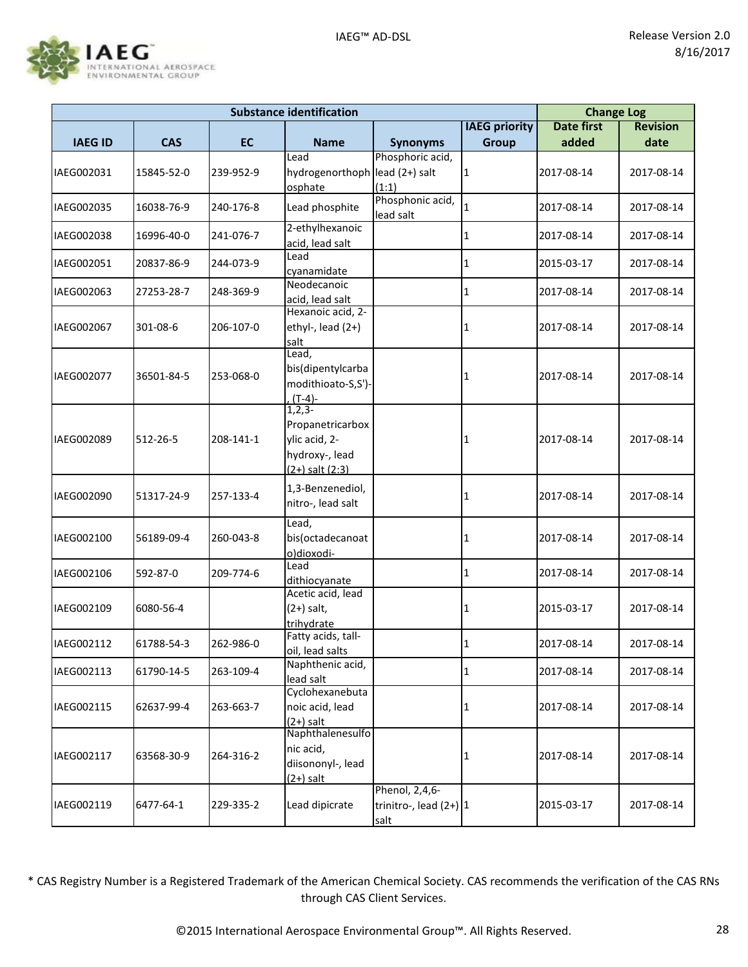![](_page_27_Picture_1.jpeg)

| <b>Substance identification</b> |            |           |                                       |                          |                      | <b>Change Log</b> |                 |
|---------------------------------|------------|-----------|---------------------------------------|--------------------------|----------------------|-------------------|-----------------|
|                                 |            |           |                                       |                          | <b>IAEG priority</b> | <b>Date first</b> | <b>Revision</b> |
| <b>IAEG ID</b>                  | <b>CAS</b> | <b>EC</b> | <b>Name</b>                           | <b>Synonyms</b>          | <b>Group</b>         | added             | date            |
|                                 |            |           | Lead                                  | Phosphoric acid,         |                      |                   |                 |
| IAEG002031                      | 15845-52-0 | 239-952-9 | hydrogenorthoph lead (2+) salt        |                          | $\mathbf{1}$         | 2017-08-14        | 2017-08-14      |
|                                 |            |           | osphate                               | (1:1)                    |                      |                   |                 |
| IAEG002035                      | 16038-76-9 | 240-176-8 | Lead phosphite                        | Phosphonic acid,         | $\mathbf{1}$         | 2017-08-14        | 2017-08-14      |
|                                 |            |           |                                       | lead salt                |                      |                   |                 |
| IAEG002038                      | 16996-40-0 | 241-076-7 | 2-ethylhexanoic                       |                          | 1                    | 2017-08-14        | 2017-08-14      |
|                                 |            |           | acid, lead salt                       |                          |                      |                   |                 |
| IAEG002051                      | 20837-86-9 | 244-073-9 | Lead                                  |                          | 1                    | 2015-03-17        | 2017-08-14      |
|                                 |            |           | cyanamidate<br>Neodecanoic            |                          |                      |                   |                 |
| IAEG002063                      | 27253-28-7 | 248-369-9 | acid, lead salt                       |                          | 1                    | 2017-08-14        | 2017-08-14      |
|                                 |            |           | Hexanoic acid, 2-                     |                          |                      |                   |                 |
| IAEG002067                      | 301-08-6   | 206-107-0 | ethyl-, lead (2+)                     |                          | 1                    | 2017-08-14        | 2017-08-14      |
|                                 |            |           | salt                                  |                          |                      |                   |                 |
|                                 |            |           | Lead,                                 |                          |                      |                   |                 |
| IAEG002077                      | 36501-84-5 | 253-068-0 | bis(dipentylcarba                     |                          | 1                    | 2017-08-14        | 2017-08-14      |
|                                 |            |           | modithioato-S,S')-                    |                          |                      |                   |                 |
|                                 |            |           | $(T-4)$ -                             |                          |                      |                   |                 |
|                                 |            |           | $1, 2, 3-$                            |                          |                      |                   |                 |
|                                 |            |           | Propanetricarbox                      |                          |                      |                   |                 |
| IAEG002089                      | 512-26-5   | 208-141-1 | ylic acid, 2-                         |                          | 1                    | 2017-08-14        | 2017-08-14      |
|                                 |            |           | hydroxy-, lead                        |                          |                      |                   |                 |
|                                 |            |           | $(2+)$ salt $(2:3)$                   |                          |                      |                   |                 |
| IAEG002090                      | 51317-24-9 | 257-133-4 | 1,3-Benzenediol,                      |                          | 1                    | 2017-08-14        | 2017-08-14      |
|                                 |            |           | nitro-, lead salt                     |                          |                      |                   |                 |
|                                 |            |           | Lead,                                 |                          |                      |                   |                 |
| IAEG002100                      | 56189-09-4 | 260-043-8 | bis(octadecanoat                      |                          | 1                    | 2017-08-14        | 2017-08-14      |
|                                 |            |           | o)dioxodi-                            |                          |                      |                   |                 |
| IAEG002106                      | 592-87-0   | 209-774-6 | Lead                                  |                          | 1                    | 2017-08-14        | 2017-08-14      |
|                                 |            |           | dithiocyanate                         |                          |                      |                   |                 |
|                                 |            |           | Acetic acid, lead                     |                          |                      |                   |                 |
| IAEG002109                      | 6080-56-4  |           | $(2+)$ salt,                          |                          | 1                    | 2015-03-17        | 2017-08-14      |
|                                 |            |           | trihydrate                            |                          |                      |                   |                 |
| IAEG002112                      | 61788-54-3 | 262-986-0 | Fatty acids, tall-<br>oil, lead salts |                          | $\mathbf{1}$         | 2017-08-14        | 2017-08-14      |
|                                 |            |           | Naphthenic acid,                      |                          |                      |                   |                 |
| IAEG002113                      | 61790-14-5 | 263-109-4 | lead salt                             |                          | $\mathbf{1}$         | 2017-08-14        | 2017-08-14      |
|                                 |            |           | Cyclohexanebuta                       |                          |                      |                   |                 |
| IAEG002115                      | 62637-99-4 | 263-663-7 | noic acid, lead                       |                          | 1                    | 2017-08-14        | 2017-08-14      |
|                                 |            |           | $(2+)$ salt                           |                          |                      |                   |                 |
|                                 |            |           | Naphthalenesulfo                      |                          |                      |                   |                 |
| IAEG002117                      | 63568-30-9 | 264-316-2 | nic acid,                             |                          | 1                    | 2017-08-14        | 2017-08-14      |
|                                 |            |           | diisononyl-, lead                     |                          |                      |                   |                 |
|                                 |            |           | $(2+)$ salt                           |                          |                      |                   |                 |
|                                 |            |           |                                       | Phenol, 2,4,6-           |                      |                   |                 |
| IAEG002119                      | 6477-64-1  | 229-335-2 | Lead dipicrate                        | trinitro-, lead $(2+)$ 1 |                      | 2015-03-17        | 2017-08-14      |
|                                 |            |           |                                       | salt                     |                      |                   |                 |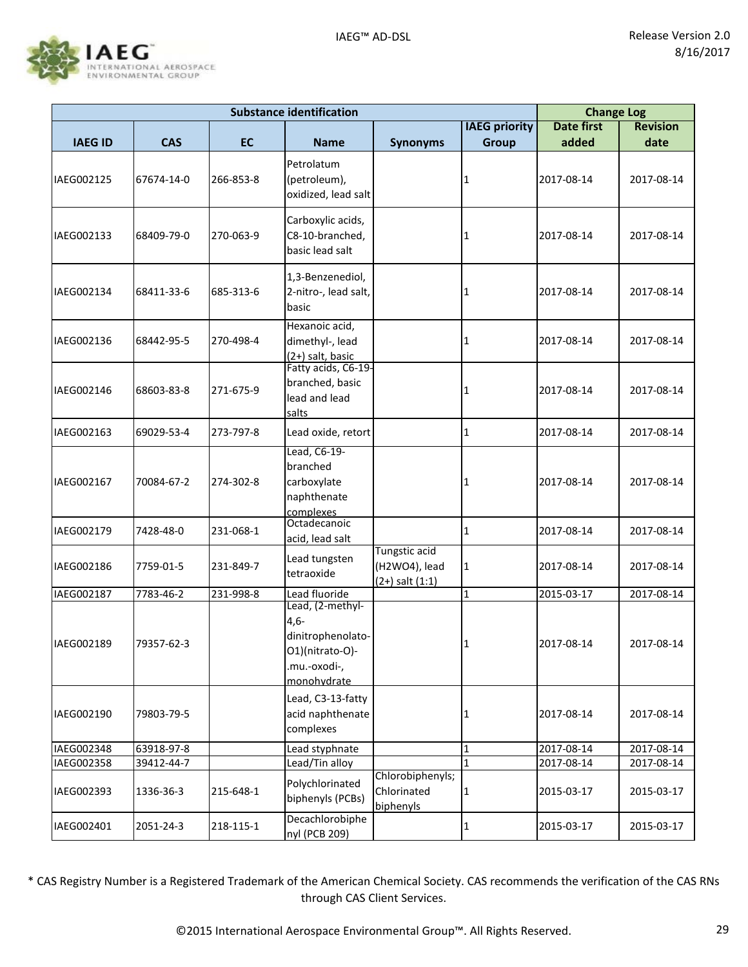![](_page_28_Picture_1.jpeg)

| <b>Substance identification</b> |            |           |                                                                                                   |                                                       |                      | <b>Change Log</b> |                 |
|---------------------------------|------------|-----------|---------------------------------------------------------------------------------------------------|-------------------------------------------------------|----------------------|-------------------|-----------------|
|                                 |            |           |                                                                                                   |                                                       | <b>IAEG priority</b> | <b>Date first</b> | <b>Revision</b> |
| <b>IAEG ID</b>                  | <b>CAS</b> | <b>EC</b> | <b>Name</b>                                                                                       | <b>Synonyms</b>                                       | <b>Group</b>         | added             | date            |
| IAEG002125                      | 67674-14-0 | 266-853-8 | Petrolatum<br>(petroleum),<br>oxidized, lead salt                                                 |                                                       | 1                    | 2017-08-14        | 2017-08-14      |
| IAEG002133                      | 68409-79-0 | 270-063-9 | Carboxylic acids,<br>C8-10-branched,<br>basic lead salt                                           |                                                       | 1                    | 2017-08-14        | 2017-08-14      |
| IAEG002134                      | 68411-33-6 | 685-313-6 | 1,3-Benzenediol,<br>2-nitro-, lead salt,<br>basic                                                 |                                                       | 1                    | 2017-08-14        | 2017-08-14      |
| IAEG002136                      | 68442-95-5 | 270-498-4 | Hexanoic acid,<br>dimethyl-, lead<br>(2+) salt, basic                                             |                                                       | 1                    | 2017-08-14        | 2017-08-14      |
| IAEG002146                      | 68603-83-8 | 271-675-9 | Fatty acids, C6-19-<br>branched, basic<br>lead and lead<br>salts                                  |                                                       | 1                    | 2017-08-14        | 2017-08-14      |
| IAEG002163                      | 69029-53-4 | 273-797-8 | Lead oxide, retort                                                                                |                                                       | 1                    | 2017-08-14        | 2017-08-14      |
| IAEG002167                      | 70084-67-2 | 274-302-8 | Lead, C6-19-<br>branched<br>carboxylate<br>naphthenate<br>complexes                               |                                                       | 1                    | 2017-08-14        | 2017-08-14      |
| IAEG002179                      | 7428-48-0  | 231-068-1 | Octadecanoic<br>acid, lead salt                                                                   |                                                       | 1                    | 2017-08-14        | 2017-08-14      |
| IAEG002186                      | 7759-01-5  | 231-849-7 | Lead tungsten<br>tetraoxide                                                                       | Tungstic acid<br>(H2WO4), lead<br>$(2+)$ salt $(1:1)$ | 1                    | 2017-08-14        | 2017-08-14      |
| IAEG002187                      | 7783-46-2  | 231-998-8 | Lead fluoride                                                                                     |                                                       | $\mathbf{1}$         | 2015-03-17        | 2017-08-14      |
| IAEG002189                      | 79357-62-3 |           | Lead, (2-methyl-<br>$4,6-$<br>dinitrophenolato-<br>O1)(nitrato-O)-<br>.mu.-oxodi-,<br>monohvdrate |                                                       | 1                    | 2017-08-14        | 2017-08-14      |
| IAEG002190                      | 79803-79-5 |           | Lead, C3-13-fatty<br>acid naphthenate<br>complexes                                                |                                                       | 1                    | 2017-08-14        | 2017-08-14      |
| IAEG002348                      | 63918-97-8 |           | Lead styphnate                                                                                    |                                                       | $\mathbf 1$          | 2017-08-14        | 2017-08-14      |
| IAEG002358                      | 39412-44-7 |           | Lead/Tin alloy                                                                                    |                                                       | $\mathbf{1}$         | 2017-08-14        | 2017-08-14      |
| IAEG002393                      | 1336-36-3  | 215-648-1 | Polychlorinated<br>biphenyls (PCBs)                                                               | Chlorobiphenyls;<br>Chlorinated<br>biphenyls          | 1                    | 2015-03-17        | 2015-03-17      |
| IAEG002401                      | 2051-24-3  | 218-115-1 | Decachlorobiphe<br>nyl (PCB 209)                                                                  |                                                       | 1                    | 2015-03-17        | 2015-03-17      |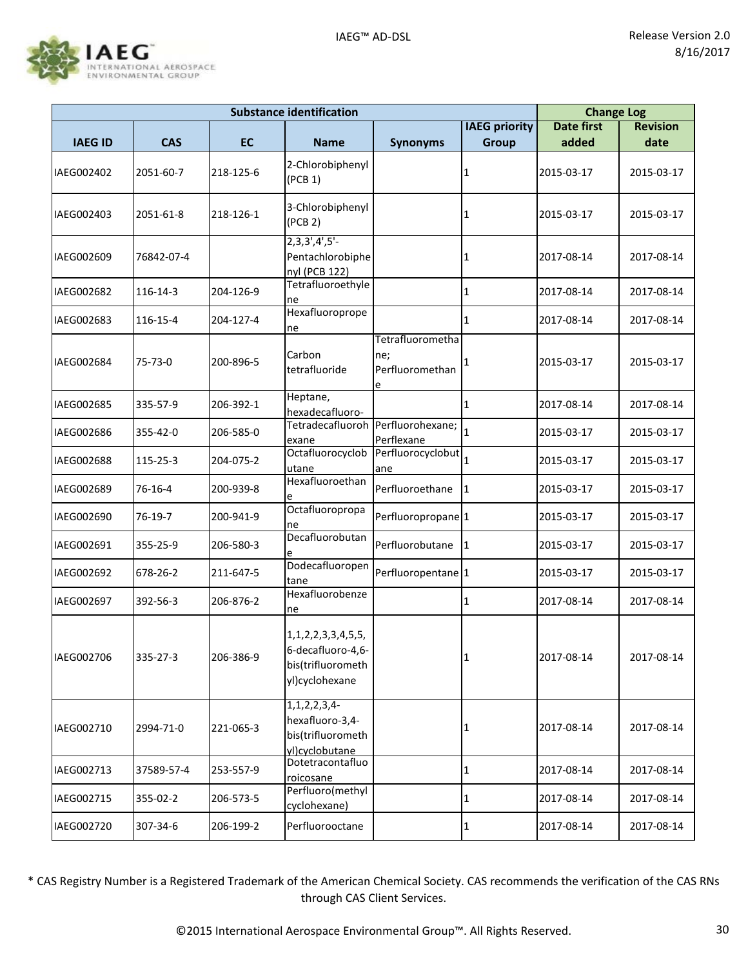![](_page_29_Picture_1.jpeg)

|                | <b>Substance identification</b> |           |                                                                                        |                                                 |                      |                   |                 |
|----------------|---------------------------------|-----------|----------------------------------------------------------------------------------------|-------------------------------------------------|----------------------|-------------------|-----------------|
|                |                                 |           |                                                                                        |                                                 | <b>IAEG</b> priority | <b>Date first</b> | <b>Revision</b> |
| <b>IAEG ID</b> | <b>CAS</b>                      | <b>EC</b> | <b>Name</b>                                                                            | <b>Synonyms</b>                                 | Group                | added             | date            |
| IAEG002402     | 2051-60-7                       | 218-125-6 | 2-Chlorobiphenyl<br>(PCB 1)                                                            |                                                 | 1                    | 2015-03-17        | 2015-03-17      |
| IAEG002403     | 2051-61-8                       | 218-126-1 | 3-Chlorobiphenyl<br>(PCB 2)                                                            |                                                 | 1                    | 2015-03-17        | 2015-03-17      |
| IAEG002609     | 76842-07-4                      |           | $2,3,3',4',5'-$<br>Pentachlorobiphe<br>nyl (PCB 122)                                   |                                                 | 1                    | 2017-08-14        | 2017-08-14      |
| IAEG002682     | 116-14-3                        | 204-126-9 | Tetrafluoroethyle<br>ne                                                                |                                                 | 1                    | 2017-08-14        | 2017-08-14      |
| IAEG002683     | 116-15-4                        | 204-127-4 | Hexafluoroprope<br>ne                                                                  |                                                 | 1                    | 2017-08-14        | 2017-08-14      |
| IAEG002684     | 75-73-0                         | 200-896-5 | Carbon<br>tetrafluoride                                                                | Tetrafluorometha<br>ne;<br>Perfluoromethan<br>e | 1                    | 2015-03-17        | 2015-03-17      |
| IAEG002685     | 335-57-9                        | 206-392-1 | Heptane,<br>hexadecafluoro-                                                            |                                                 | $\mathbf{1}$         | 2017-08-14        | 2017-08-14      |
| IAEG002686     | 355-42-0                        | 206-585-0 | Tetradecafluoroh<br>exane                                                              | Perfluorohexane;<br>Perflexane                  | $\mathbf{1}$         | 2015-03-17        | 2015-03-17      |
| IAEG002688     | 115-25-3                        | 204-075-2 | Octafluorocyclob<br>utane                                                              | Perfluorocyclobut<br>ane                        |                      | 2015-03-17        | 2015-03-17      |
| IAEG002689     | 76-16-4                         | 200-939-8 | Hexafluoroethan<br>e                                                                   | Perfluoroethane                                 | 1                    | 2015-03-17        | 2015-03-17      |
| IAEG002690     | 76-19-7                         | 200-941-9 | Octafluoropropa<br>ne                                                                  | Perfluoropropane <sup>1</sup>                   |                      | 2015-03-17        | 2015-03-17      |
| IAEG002691     | 355-25-9                        | 206-580-3 | Decafluorobutan<br>е                                                                   | Perfluorobutane                                 | 11                   | 2015-03-17        | 2015-03-17      |
| IAEG002692     | 678-26-2                        | 211-647-5 | Dodecafluoropen<br>tane                                                                | Perfluoropentane <sup>1</sup>                   |                      | 2015-03-17        | 2015-03-17      |
| IAEG002697     | 392-56-3                        | 206-876-2 | Hexafluorobenze<br>ne                                                                  |                                                 | 1                    | 2017-08-14        | 2017-08-14      |
| IAEG002706     | 335-27-3                        | 206-386-9 | 1, 1, 2, 2, 3, 3, 4, 5, 5,<br>6-decafluoro-4,6-<br>bis(trifluorometh<br>yl)cyclohexane |                                                 | 1                    | 2017-08-14        | 2017-08-14      |
| IAEG002710     | 2994-71-0                       | 221-065-3 | 1, 1, 2, 2, 3, 4<br>hexafluoro-3,4-<br>bis(trifluorometh<br>yl)cyclobutane             |                                                 | 1                    | 2017-08-14        | 2017-08-14      |
| IAEG002713     | 37589-57-4                      | 253-557-9 | Dotetracontafluo<br>roicosane                                                          |                                                 | 1                    | 2017-08-14        | 2017-08-14      |
| IAEG002715     | 355-02-2                        | 206-573-5 | Perfluoro(methyl<br>cyclohexane)                                                       |                                                 | 1                    | 2017-08-14        | 2017-08-14      |
| IAEG002720     | 307-34-6                        | 206-199-2 | Perfluorooctane                                                                        |                                                 | 1                    | 2017-08-14        | 2017-08-14      |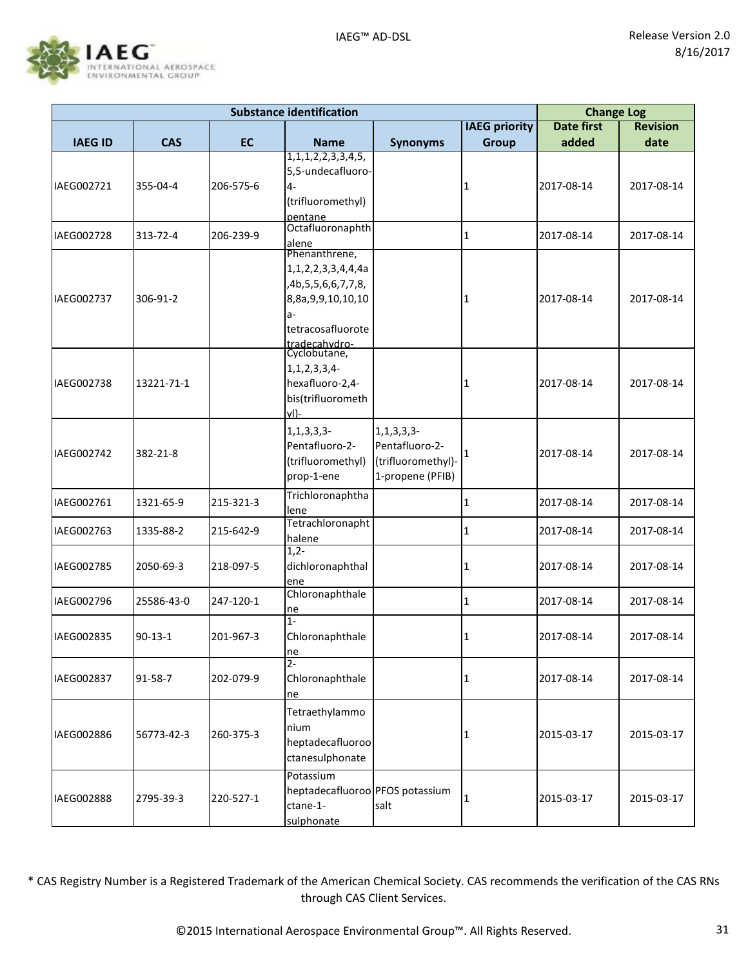![](_page_30_Picture_1.jpeg)

|                |               |           | <b>Substance identification</b>                                                                                                      |                                                                           |                      | <b>Change Log</b> |                 |
|----------------|---------------|-----------|--------------------------------------------------------------------------------------------------------------------------------------|---------------------------------------------------------------------------|----------------------|-------------------|-----------------|
|                |               |           |                                                                                                                                      |                                                                           | <b>IAEG priority</b> | <b>Date first</b> | <b>Revision</b> |
| <b>IAEG ID</b> | <b>CAS</b>    | <b>EC</b> | <b>Name</b>                                                                                                                          | <b>Synonyms</b>                                                           | <b>Group</b>         | added             | date            |
| IAEG002721     | 355-04-4      | 206-575-6 | 1, 1, 1, 2, 2, 3, 3, 4, 5,<br>5,5-undecafluoro-<br>$4-$<br>(trifluoromethyl)<br>pentane                                              |                                                                           | 1                    | 2017-08-14        | 2017-08-14      |
| IAEG002728     | 313-72-4      | 206-239-9 | Octafluoronaphth<br>alene                                                                                                            |                                                                           | 1                    | 2017-08-14        | 2017-08-14      |
| IAEG002737     | 306-91-2      |           | Phenanthrene,<br>1, 1, 2, 2, 3, 3, 4, 4, 4a<br>,4b,5,5,6,6,7,7,8,<br>8,8a,9,9,10,10,10<br>$a-$<br>tetracosafluorote<br>tradecahvdro- |                                                                           | $\vert$ 1            | 2017-08-14        | 2017-08-14      |
| IAEG002738     | 13221-71-1    |           | Cyclobutane,<br>1, 1, 2, 3, 3, 4<br>hexafluoro-2,4-<br>bis(trifluorometh<br>$vI$ -                                                   |                                                                           | 1                    | 2017-08-14        | 2017-08-14      |
| IAEG002742     | 382-21-8      |           | 1, 1, 3, 3, 3<br>Pentafluoro-2-<br>(trifluoromethyl)<br>prop-1-ene                                                                   | 1, 1, 3, 3, 3<br>Pentafluoro-2-<br>(trifluoromethyl)-<br>1-propene (PFIB) | $\vert$ 1            | 2017-08-14        | 2017-08-14      |
| IAEG002761     | 1321-65-9     | 215-321-3 | Trichloronaphtha<br>lene                                                                                                             |                                                                           | $\mathbf{1}$         | 2017-08-14        | 2017-08-14      |
| IAEG002763     | 1335-88-2     | 215-642-9 | Tetrachloronapht<br>halene                                                                                                           |                                                                           | $\mathbf{1}$         | 2017-08-14        | 2017-08-14      |
| IAEG002785     | 2050-69-3     | 218-097-5 | $1,2-$<br>dichloronaphthal<br>ene                                                                                                    |                                                                           | 1                    | 2017-08-14        | 2017-08-14      |
| IAEG002796     | 25586-43-0    | 247-120-1 | Chloronaphthale<br>ne                                                                                                                |                                                                           | 1                    | 2017-08-14        | 2017-08-14      |
| IAEG002835     | $90 - 13 - 1$ | 201-967-3 | $1 -$<br>Chloronaphthale<br>ne                                                                                                       |                                                                           | $\mathbf{1}$         | 2017-08-14        | 2017-08-14      |
| IAEG002837     | 91-58-7       | 202-079-9 | $2 -$<br>Chloronaphthale<br>ne                                                                                                       |                                                                           | 1                    | 2017-08-14        | 2017-08-14      |
| IAEG002886     | 56773-42-3    | 260-375-3 | Tetraethylammo<br>nium<br>heptadecafluoroo<br>ctanesulphonate                                                                        |                                                                           | $\mathbf{1}$         | 2015-03-17        | 2015-03-17      |
| IAEG002888     | 2795-39-3     | 220-527-1 | Potassium<br>heptadecafluoroo PFOS potassium<br>ctane-1-<br>sulphonate                                                               | salt                                                                      | $\mathbf{1}$         | 2015-03-17        | 2015-03-17      |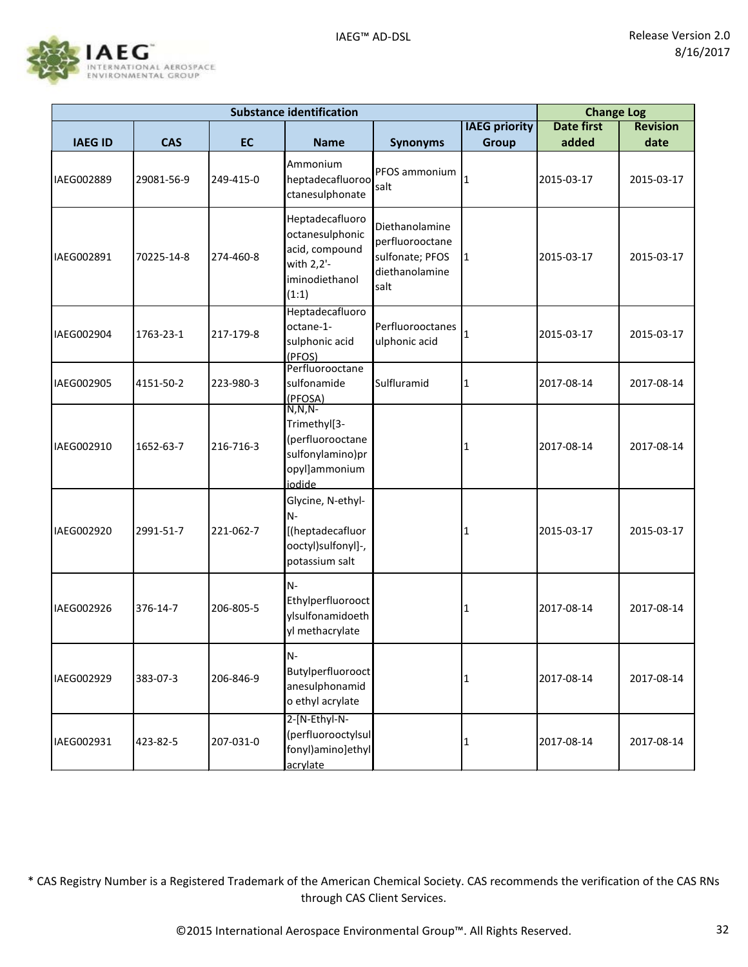![](_page_31_Picture_1.jpeg)

| <b>Substance identification</b> |            |           |                                                                                               |                                                                                |                      | <b>Change Log</b> |                 |
|---------------------------------|------------|-----------|-----------------------------------------------------------------------------------------------|--------------------------------------------------------------------------------|----------------------|-------------------|-----------------|
|                                 |            |           |                                                                                               |                                                                                | <b>IAEG</b> priority | <b>Date first</b> | <b>Revision</b> |
| <b>IAEG ID</b>                  | <b>CAS</b> | <b>EC</b> | <b>Name</b>                                                                                   | <b>Synonyms</b>                                                                | <b>Group</b>         | added             | date            |
| IAEG002889                      | 29081-56-9 | 249-415-0 | Ammonium<br>heptadecafluoroo<br>ctanesulphonate                                               | PFOS ammonium<br>salt                                                          | 1                    | 2015-03-17        | 2015-03-17      |
| IAEG002891                      | 70225-14-8 | 274-460-8 | Heptadecafluoro<br>octanesulphonic<br>acid, compound<br>with 2,2'-<br>iminodiethanol<br>(1:1) | Diethanolamine<br>perfluorooctane<br>sulfonate; PFOS<br>diethanolamine<br>salt | 1                    | 2015-03-17        | 2015-03-17      |
| IAEG002904                      | 1763-23-1  | 217-179-8 | Heptadecafluoro<br>octane-1-<br>sulphonic acid<br>(PFOS)                                      | Perfluorooctanes<br>ulphonic acid                                              | 1                    | 2015-03-17        | 2015-03-17      |
| IAEG002905                      | 4151-50-2  | 223-980-3 | Perfluorooctane<br>sulfonamide<br>(PFOSA)                                                     | Sulfluramid                                                                    | 1                    | 2017-08-14        | 2017-08-14      |
| IAEG002910                      | 1652-63-7  | 216-716-3 | N,N,N-<br>Trimethyl[3-<br>(perfluorooctane<br>sulfonylamino)pr<br>opyl]ammonium<br>iodide     |                                                                                | 1                    | 2017-08-14        | 2017-08-14      |
| IAEG002920                      | 2991-51-7  | 221-062-7 | Glycine, N-ethyl-<br>$N-$<br>[(heptadecafluor<br>ooctyl)sulfonyl]-,<br>potassium salt         |                                                                                | 1                    | 2015-03-17        | 2015-03-17      |
| IAEG002926                      | 376-14-7   | 206-805-5 | $N-$<br>Ethylperfluorooct<br>ylsulfonamidoeth<br>yl methacrylate                              |                                                                                | 1                    | 2017-08-14        | 2017-08-14      |
| IAEG002929                      | 383-07-3   | 206-846-9 | $N -$<br><b>Butylperfluorooct</b><br>anesulphonamid<br>o ethyl acrylate                       |                                                                                | 1                    | 2017-08-14        | 2017-08-14      |
| IAEG002931                      | 423-82-5   | 207-031-0 | 2-[N-Ethyl-N-<br>(perfluorooctylsul<br>fonyl)amino]ethyl<br>acrylate                          |                                                                                | $\mathbf 1$          | 2017-08-14        | 2017-08-14      |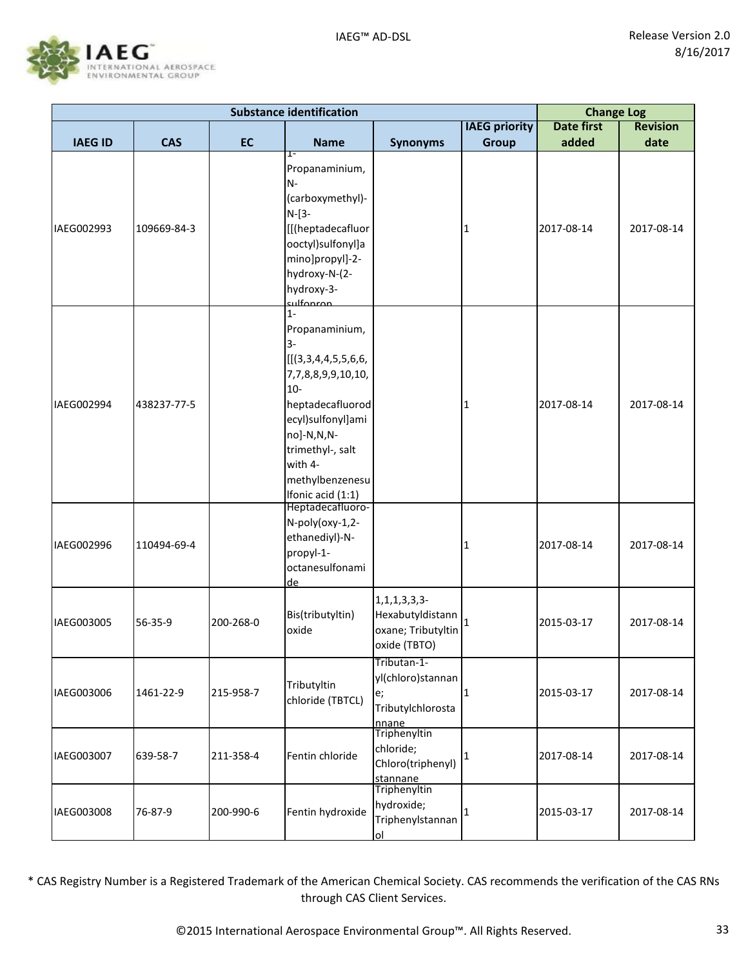![](_page_32_Picture_1.jpeg)

| <b>Substance identification</b> |             |           |                                                                                                                                                                                                                     |                                                                                | <b>Change Log</b>    |                   |                 |
|---------------------------------|-------------|-----------|---------------------------------------------------------------------------------------------------------------------------------------------------------------------------------------------------------------------|--------------------------------------------------------------------------------|----------------------|-------------------|-----------------|
|                                 |             |           |                                                                                                                                                                                                                     |                                                                                | <b>IAEG priority</b> | <b>Date first</b> | <b>Revision</b> |
| <b>IAEG ID</b>                  | <b>CAS</b>  | <b>EC</b> | <b>Name</b>                                                                                                                                                                                                         | <b>Synonyms</b>                                                                | <b>Group</b>         | added             | date            |
| IAEG002993                      | 109669-84-3 |           | F<br>Propanaminium,<br>$N -$<br>(carboxymethyl)-<br>$N-[3-$<br>[[(heptadecafluor<br>ooctyl)sulfonyl]a<br>mino]propyl]-2-<br>hydroxy-N-(2-<br>hydroxy-3-<br>culfonron                                                |                                                                                | 1                    | 2017-08-14        | 2017-08-14      |
| IAEG002994                      | 438237-77-5 |           | $1 -$<br>Propanaminium,<br>$3-$<br>[[(3,3,4,4,5,5,6,6,<br>7,7,8,8,9,9,10,10,<br>$10-$<br>heptadecafluorod<br>ecyl)sulfonyl]ami<br>no]-N,N,N-<br>trimethyl-, salt<br>with 4-<br>methylbenzenesu<br>Ifonic acid (1:1) |                                                                                | 1                    | 2017-08-14        | 2017-08-14      |
| IAEG002996                      | 110494-69-4 |           | Heptadecafluoro-<br>N-poly(oxy-1,2-<br>ethanediyl)-N-<br>propyl-1-<br>octanesulfonami<br>de                                                                                                                         |                                                                                | 1                    | 2017-08-14        | 2017-08-14      |
| IAFG003005                      | 56-35-9     | 200-268-0 | Bis(tributyltin)<br>oxide                                                                                                                                                                                           | $1, 1, 1, 3, 3, 3$ -<br>Hexabutyldistann<br>oxane; Tributyltin<br>oxide (TBTO) | $\mathbf{1}$         | 2015-03-17        | 2017-08-14      |
| IAEG003006                      | 1461-22-9   | 215-958-7 | Tributyltin<br>chloride (TBTCL)                                                                                                                                                                                     | Tributan-1-<br>yl(chloro)stannan<br>e;<br>Tributylchlorosta<br>nnane           |                      | 2015-03-17        | 2017-08-14      |
| IAEG003007                      | 639-58-7    | 211-358-4 | Fentin chloride                                                                                                                                                                                                     | Triphenyltin<br>chloride;<br>Chloro(triphenyl)<br>stannane                     | 1                    | 2017-08-14        | 2017-08-14      |
| IAEG003008                      | 76-87-9     | 200-990-6 | Fentin hydroxide                                                                                                                                                                                                    | Triphenyltin<br>hydroxide;<br>Triphenylstannan<br>$\overline{0}$               |                      | 2015-03-17        | 2017-08-14      |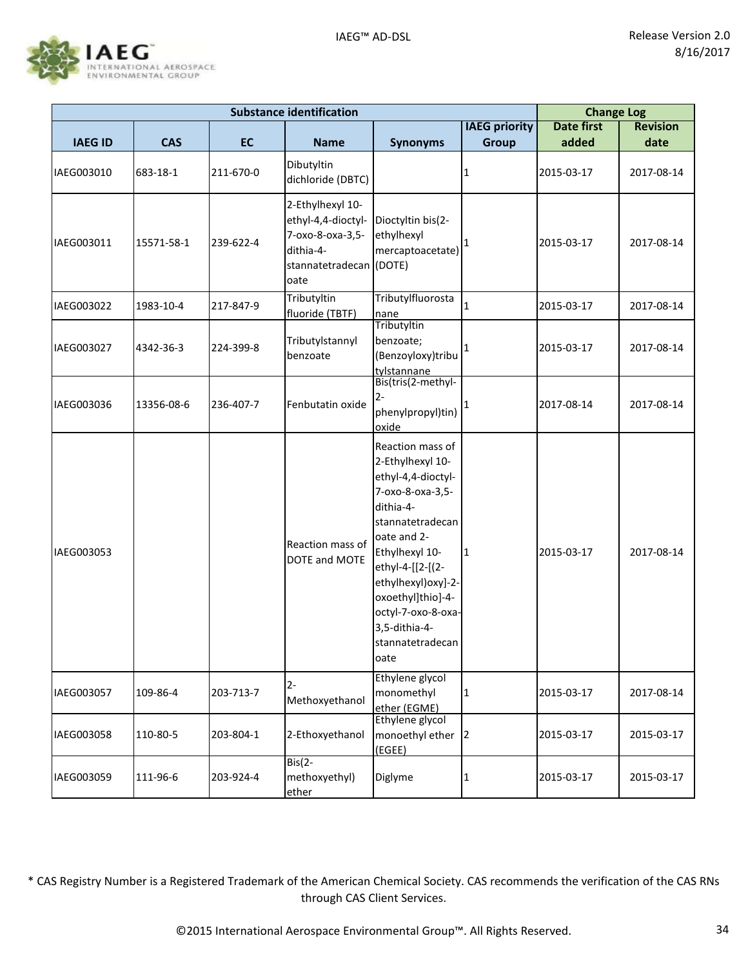![](_page_33_Picture_1.jpeg)

|                | <b>Substance identification</b> |           |                                                                                                            |                                                                                                                                                                                                                                                                                     |                      |                   |                 |
|----------------|---------------------------------|-----------|------------------------------------------------------------------------------------------------------------|-------------------------------------------------------------------------------------------------------------------------------------------------------------------------------------------------------------------------------------------------------------------------------------|----------------------|-------------------|-----------------|
|                |                                 |           |                                                                                                            |                                                                                                                                                                                                                                                                                     | <b>IAEG priority</b> | <b>Date first</b> | <b>Revision</b> |
| <b>IAEG ID</b> | <b>CAS</b>                      | <b>EC</b> | <b>Name</b>                                                                                                | <b>Synonyms</b>                                                                                                                                                                                                                                                                     | <b>Group</b>         | added             | date            |
| IAEG003010     | 683-18-1                        | 211-670-0 | Dibutyltin<br>dichloride (DBTC)                                                                            |                                                                                                                                                                                                                                                                                     | 1                    | 2015-03-17        | 2017-08-14      |
| IAEG003011     | 15571-58-1                      | 239-622-4 | 2-Ethylhexyl 10-<br>ethyl-4,4-dioctyl-<br>7-oxo-8-oxa-3,5-<br>dithia-4-<br>stannatetradecan (DOTE)<br>oate | Dioctyltin bis(2-<br>ethylhexyl<br>mercaptoacetate)                                                                                                                                                                                                                                 |                      | 2015-03-17        | 2017-08-14      |
| IAEG003022     | 1983-10-4                       | 217-847-9 | Tributyltin                                                                                                | Tributylfluorosta<br>nane                                                                                                                                                                                                                                                           | 1                    | 2015-03-17        | 2017-08-14      |
| IAEG003027     | 4342-36-3                       | 224-399-8 | fluoride (TBTF)<br>Tributylstannyl<br>benzoate                                                             | Tributyltin<br>benzoate;<br>(Benzoyloxy)tribu<br>tylstannane                                                                                                                                                                                                                        |                      | 2015-03-17        | 2017-08-14      |
| IAEG003036     | 13356-08-6                      | 236-407-7 | Fenbutatin oxide                                                                                           | Bis(tris(2-methyl-<br>$2 -$<br>phenylpropyl)tin)<br>oxide                                                                                                                                                                                                                           |                      | 2017-08-14        | 2017-08-14      |
| IAEG003053     |                                 |           | Reaction mass of<br>DOTE and MOTE                                                                          | Reaction mass of<br>2-Ethylhexyl 10-<br>ethyl-4,4-dioctyl-<br>7-oxo-8-oxa-3,5-<br>dithia-4-<br>stannatetradecan<br>oate and 2-<br>Ethylhexyl 10-<br>ethyl-4-[[2-[(2-<br>ethylhexyl) oxy]-2-<br>oxoethyl]thio]-4-<br>octyl-7-oxo-8-oxa-<br>3,5-dithia-4-<br>stannatetradecan<br>oate | 1                    | 2015-03-17        | 2017-08-14      |
| IAEG003057     | 109-86-4                        | 203-713-7 | $2 -$<br>Methoxyethanol                                                                                    | Ethylene glycol<br>monomethyl<br>ether (EGME)                                                                                                                                                                                                                                       | 1                    | 2015-03-17        | 2017-08-14      |
| IAEG003058     | 110-80-5                        | 203-804-1 | 2-Ethoxyethanol                                                                                            | Ethylene glycol<br>monoethyl ether<br>(EGEE)                                                                                                                                                                                                                                        | $ 2\rangle$          | 2015-03-17        | 2015-03-17      |
| IAEG003059     | 111-96-6                        | 203-924-4 | $Bis(2-)$<br>methoxyethyl)<br>ether                                                                        | Diglyme                                                                                                                                                                                                                                                                             | 1                    | 2015-03-17        | 2015-03-17      |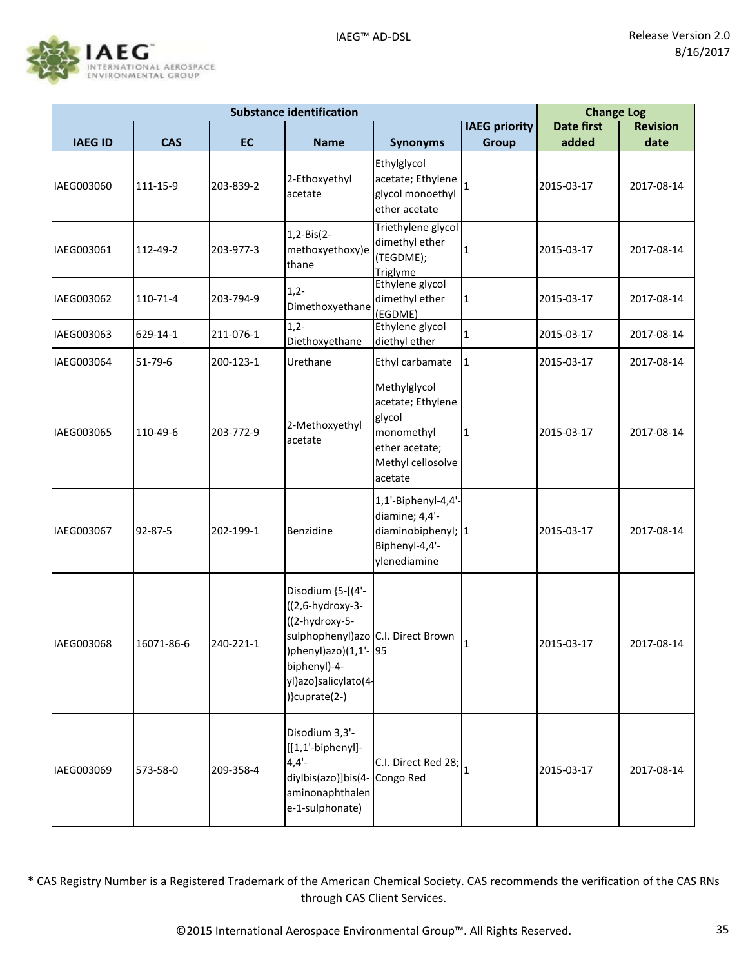![](_page_34_Picture_1.jpeg)

| <b>Substance identification</b> |            |           |                                                                                                                                                                                 |                                                                                                             |                      | <b>Change Log</b> |                 |
|---------------------------------|------------|-----------|---------------------------------------------------------------------------------------------------------------------------------------------------------------------------------|-------------------------------------------------------------------------------------------------------------|----------------------|-------------------|-----------------|
|                                 |            |           |                                                                                                                                                                                 |                                                                                                             | <b>IAEG priority</b> | <b>Date first</b> | <b>Revision</b> |
| <b>IAEG ID</b>                  | <b>CAS</b> | <b>EC</b> | <b>Name</b>                                                                                                                                                                     | <b>Synonyms</b>                                                                                             | <b>Group</b>         | added             | date            |
| IAEG003060                      | 111-15-9   | 203-839-2 | 2-Ethoxyethyl<br>acetate                                                                                                                                                        | Ethylglycol<br>acetate; Ethylene<br>glycol monoethyl<br>ether acetate                                       | 1                    | 2015-03-17        | 2017-08-14      |
| IAEG003061                      | 112-49-2   | 203-977-3 | $1, 2 - Bis(2 - )$<br>methoxyethoxy)e<br>thane                                                                                                                                  | Triethylene glycol<br>dimethyl ether<br>(TEGDME);<br>Triglyme                                               | 1                    | 2015-03-17        | 2017-08-14      |
| IAEG003062                      | 110-71-4   | 203-794-9 | $1,2-$<br>Dimethoxyethane                                                                                                                                                       | Ethylene glycol<br>dimethyl ether<br>(EGDME)                                                                | 1                    | 2015-03-17        | 2017-08-14      |
| IAEG003063                      | 629-14-1   | 211-076-1 | $1,2-$<br>Diethoxyethane                                                                                                                                                        | Ethylene glycol<br>diethyl ether                                                                            | $\mathbf 1$          | 2015-03-17        | 2017-08-14      |
| IAEG003064                      | $51-79-6$  | 200-123-1 | Urethane                                                                                                                                                                        | Ethyl carbamate                                                                                             | 1                    | 2015-03-17        | 2017-08-14      |
| IAEG003065                      | 110-49-6   | 203-772-9 | 2-Methoxyethyl<br>acetate                                                                                                                                                       | Methylglycol<br>acetate; Ethylene<br>glycol<br>monomethyl<br>ether acetate;<br>Methyl cellosolve<br>acetate | 1                    | 2015-03-17        | 2017-08-14      |
| IAEG003067                      | 92-87-5    | 202-199-1 | Benzidine                                                                                                                                                                       | 1,1'-Biphenyl-4,4'-<br>diamine; 4,4'-<br>diaminobiphenyl; 1<br>Biphenyl-4,4'-<br>ylenediamine               |                      | 2015-03-17        | 2017-08-14      |
| IAEG003068                      | 16071-86-6 | 240-221-1 | Disodium {5-[(4'-<br>((2,6-hydroxy-3-<br>((2-hydroxy-5-<br>sulphophenyl)azo C.I. Direct Brown<br>)phenyl)azo)(1,1'- 95<br>biphenyl)-4-<br>yl)azo]salicylato(4-<br>)}cuprate(2-) |                                                                                                             |                      | 2015-03-17        | 2017-08-14      |
| IAEG003069                      | 573-58-0   | 209-358-4 | Disodium 3,3'-<br>[[1,1'-biphenyl]-<br>$4,4'$ -<br>diylbis(azo)]bis(4-<br>aminonaphthalen<br>e-1-sulphonate)                                                                    | C.I. Direct Red 28;<br>Congo Red                                                                            | $\mathbf{1}$         | 2015-03-17        | 2017-08-14      |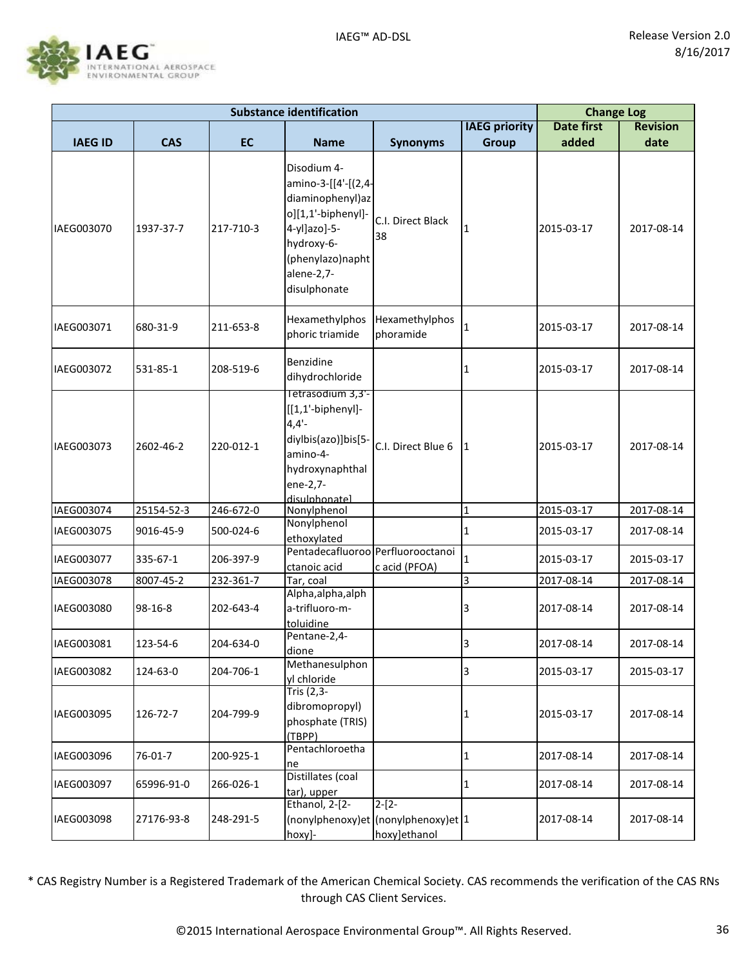![](_page_35_Picture_1.jpeg)

| <b>Substance identification</b> |            |           |                                                                                                                                                              | <b>Change Log</b>                                              |                      |                   |                 |
|---------------------------------|------------|-----------|--------------------------------------------------------------------------------------------------------------------------------------------------------------|----------------------------------------------------------------|----------------------|-------------------|-----------------|
|                                 |            |           |                                                                                                                                                              |                                                                | <b>IAEG priority</b> | <b>Date first</b> | <b>Revision</b> |
| <b>IAEG ID</b>                  | <b>CAS</b> | <b>EC</b> | <b>Name</b>                                                                                                                                                  | <b>Synonyms</b>                                                | <b>Group</b>         | added             | date            |
| IAEG003070                      | 1937-37-7  | 217-710-3 | Disodium 4-<br>amino-3-[[4'-[(2,4-<br>diaminophenyl)az<br>o][1,1'-biphenyl]-<br>4-yl]azo]-5-<br>hydroxy-6-<br>(phenylazo)napht<br>alene-2,7-<br>disulphonate | C.I. Direct Black<br>38                                        | 1                    | 2015-03-17        | 2017-08-14      |
| IAEG003071                      | 680-31-9   | 211-653-8 | Hexamethylphos<br>phoric triamide                                                                                                                            | Hexamethylphos<br>phoramide                                    | 1                    | 2015-03-17        | 2017-08-14      |
| IAEG003072                      | 531-85-1   | 208-519-6 | Benzidine<br>dihydrochloride                                                                                                                                 |                                                                | 1                    | 2015-03-17        | 2017-08-14      |
| IAEG003073                      | 2602-46-2  | 220-012-1 | Tetrasodium 3,3'-<br>$[[1,1'-biphenyl]$ -<br>$4,4'$ -<br>diylbis(azo)]bis[5-<br>amino-4-<br>hydroxynaphthal<br>ene-2,7-<br>disulphonatel                     | C.I. Direct Blue 6                                             | 1                    | 2015-03-17        | 2017-08-14      |
| IAEG003074                      | 25154-52-3 | 246-672-0 | Nonylphenol                                                                                                                                                  |                                                                | $\mathbf 1$          | 2015-03-17        | 2017-08-14      |
| IAEG003075                      | 9016-45-9  | 500-024-6 | Nonylphenol<br>ethoxylated                                                                                                                                   |                                                                | 1                    | 2015-03-17        | 2017-08-14      |
| IAEG003077                      | 335-67-1   | 206-397-9 | Pentadecafluoroo Perfluorooctanoi<br>ctanoic acid                                                                                                            | c acid (PFOA)                                                  | $\mathbf 1$          | 2015-03-17        | 2015-03-17      |
| IAEG003078                      | 8007-45-2  | 232-361-7 | Tar, coal                                                                                                                                                    |                                                                | 3                    | 2017-08-14        | 2017-08-14      |
| IAEG003080                      | 98-16-8    | 202-643-4 | Alpha, alpha, alph<br>a-trifluoro-m-<br>toluidine                                                                                                            |                                                                | 3                    | 2017-08-14        | 2017-08-14      |
| IAEG003081                      | 123-54-6   | 204-634-0 | Pentane-2,4-<br>dione                                                                                                                                        |                                                                | 3                    | 2017-08-14        | 2017-08-14      |
| IAEG003082                      | 124-63-0   | 204-706-1 | Methanesulphon<br>yl chloride                                                                                                                                |                                                                | 3                    | 2015-03-17        | 2015-03-17      |
| IAEG003095                      | 126-72-7   | 204-799-9 | Tris (2,3-<br>dibromopropyl)<br>phosphate (TRIS)<br>(TBPP)                                                                                                   |                                                                | 1                    | 2015-03-17        | 2017-08-14      |
| IAEG003096                      | 76-01-7    | 200-925-1 | Pentachloroetha<br>ne                                                                                                                                        |                                                                | 1                    | 2017-08-14        | 2017-08-14      |
| IAEG003097                      | 65996-91-0 | 266-026-1 | Distillates (coal<br>tar), upper                                                                                                                             |                                                                | 1                    | 2017-08-14        | 2017-08-14      |
| IAEG003098                      | 27176-93-8 | 248-291-5 | Ethanol, 2-[2-<br>hoxy]-                                                                                                                                     | $2-[2-$<br>(nonylphenoxy)et (nonylphenoxy)et 1<br>hoxy]ethanol |                      | 2017-08-14        | 2017-08-14      |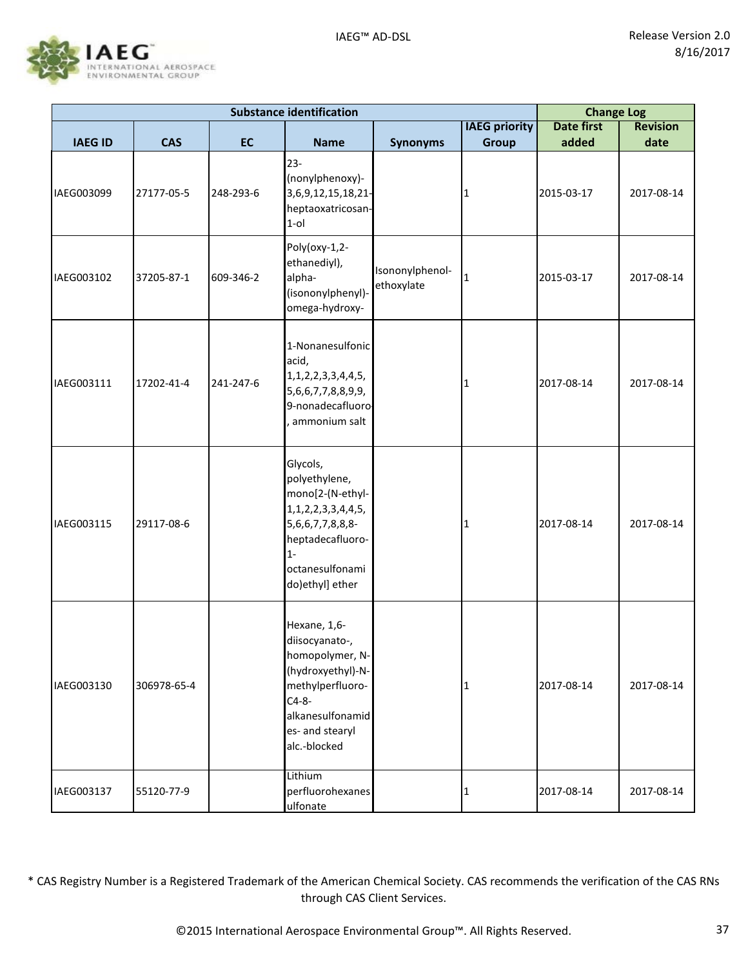

| <b>Substance identification</b> |             |           |                                                                                                                                                                    |                               |                      | <b>Change Log</b> |                 |
|---------------------------------|-------------|-----------|--------------------------------------------------------------------------------------------------------------------------------------------------------------------|-------------------------------|----------------------|-------------------|-----------------|
|                                 |             |           |                                                                                                                                                                    |                               | <b>IAEG priority</b> | <b>Date first</b> | <b>Revision</b> |
| <b>IAEG ID</b>                  | <b>CAS</b>  | <b>EC</b> | <b>Name</b>                                                                                                                                                        | <b>Synonyms</b>               | <b>Group</b>         | added             | date            |
| IAEG003099                      | 27177-05-5  | 248-293-6 | $23 -$<br>(nonylphenoxy)-<br>3,6,9,12,15,18,21-<br>heptaoxatricosan-<br>$1$ -ol                                                                                    |                               | 1                    | 2015-03-17        | 2017-08-14      |
| IAEG003102                      | 37205-87-1  | 609-346-2 | Poly(oxy-1,2-<br>ethanediyl),<br>alpha-<br>(isononylphenyl)-<br>omega-hydroxy-                                                                                     | Isononylphenol-<br>ethoxylate | 1                    | 2015-03-17        | 2017-08-14      |
| IAEG003111                      | 17202-41-4  | 241-247-6 | 1-Nonanesulfonic<br>acid,<br>1, 1, 2, 2, 3, 3, 4, 4, 5,<br>5,6,6,7,7,8,8,9,9,<br>9-nonadecafluoro-<br>ammonium salt                                                |                               | 1                    | 2017-08-14        | 2017-08-14      |
| IAEG003115                      | 29117-08-6  |           | Glycols,<br>polyethylene,<br>mono[2-(N-ethyl-<br>1, 1, 2, 2, 3, 3, 4, 4, 5,<br>5,6,6,7,7,8,8,8-<br>heptadecafluoro-<br>$1 -$<br>octanesulfonami<br>do)ethyl] ether |                               | 1                    | 2017-08-14        | 2017-08-14      |
| IAEG003130                      | 306978-65-4 |           | Hexane, 1,6-<br>diisocyanato-,<br>homopolymer, N-<br>(hydroxyethyl)-N-<br>methylperfluoro-<br>$C4 - 8 -$<br>alkanesulfonamid<br>es- and stearyl<br>alc.-blocked    |                               | 1                    | 2017-08-14        | 2017-08-14      |
| IAEG003137                      | 55120-77-9  |           | Lithium<br>perfluorohexanes<br>ulfonate                                                                                                                            |                               | 1                    | 2017-08-14        | 2017-08-14      |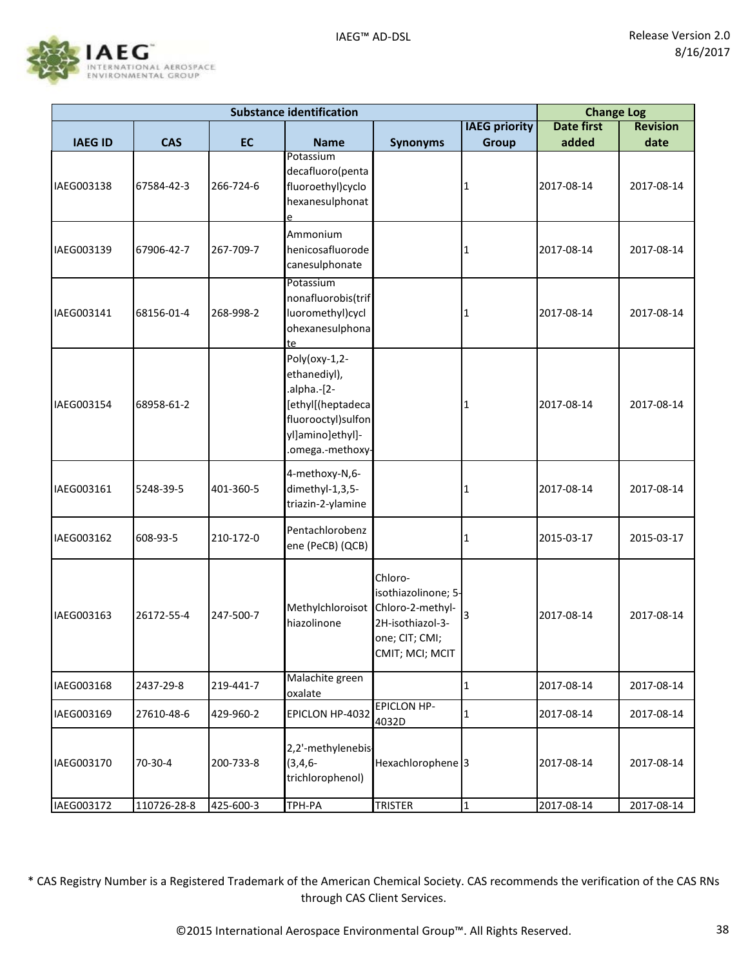

| <b>Substance identification</b> |             |           |                                                                                                                                 |                                                                                                             |                      |                   | <b>Change Log</b> |  |
|---------------------------------|-------------|-----------|---------------------------------------------------------------------------------------------------------------------------------|-------------------------------------------------------------------------------------------------------------|----------------------|-------------------|-------------------|--|
|                                 |             |           |                                                                                                                                 |                                                                                                             | <b>IAEG priority</b> | <b>Date first</b> | <b>Revision</b>   |  |
| <b>IAEG ID</b>                  | <b>CAS</b>  | <b>EC</b> | <b>Name</b>                                                                                                                     | <b>Synonyms</b>                                                                                             | <b>Group</b>         | added             | date              |  |
| IAEG003138                      | 67584-42-3  | 266-724-6 | Potassium<br>decafluoro(penta<br>fluoroethyl)cyclo<br>hexanesulphonat                                                           |                                                                                                             | 1                    | 2017-08-14        | 2017-08-14        |  |
| IAEG003139                      | 67906-42-7  | 267-709-7 | Ammonium<br>henicosafluorode<br>canesulphonate                                                                                  |                                                                                                             | 1                    | 2017-08-14        | 2017-08-14        |  |
| IAEG003141                      | 68156-01-4  | 268-998-2 | Potassium<br>nonafluorobis(trif<br>luoromethyl)cycl<br>ohexanesulphona<br>te                                                    |                                                                                                             | 1                    | 2017-08-14        | 2017-08-14        |  |
| IAEG003154                      | 68958-61-2  |           | Poly(oxy-1,2-<br>ethanediyl),<br>.alpha.-[2-<br>[ethyl[(heptadeca<br>fluorooctyl)sulfon<br>yl]amino]ethyl]-<br>.omega.-methoxy- |                                                                                                             | 1                    | 2017-08-14        | 2017-08-14        |  |
| IAEG003161                      | 5248-39-5   | 401-360-5 | 4-methoxy-N,6-<br>dimethyl-1,3,5-<br>triazin-2-ylamine                                                                          |                                                                                                             | 1                    | 2017-08-14        | 2017-08-14        |  |
| IAEG003162                      | 608-93-5    | 210-172-0 | Pentachlorobenz<br>ene (PeCB) (QCB)                                                                                             |                                                                                                             | 1                    | 2015-03-17        | 2015-03-17        |  |
| IAEG003163                      | 26172-55-4  | 247-500-7 | Methylchloroisot<br>hiazolinone                                                                                                 | Chloro-<br>isothiazolinone; 5-<br>Chloro-2-methyl-<br>2H-isothiazol-3-<br>one; CIT; CMI;<br>CMIT; MCI; MCIT | 3                    | 2017-08-14        | 2017-08-14        |  |
| IAEG003168                      | 2437-29-8   | 219-441-7 | Malachite green<br>oxalate                                                                                                      |                                                                                                             | $\mathbf 1$          | 2017-08-14        | 2017-08-14        |  |
| IAEG003169                      | 27610-48-6  | 429-960-2 | EPICLON HP-4032                                                                                                                 | <b>EPICLON HP-</b><br>4032D                                                                                 | 1                    | 2017-08-14        | 2017-08-14        |  |
| IAEG003170                      | 70-30-4     | 200-733-8 | 2,2'-methylenebis-<br>$(3, 4, 6 -$<br>trichlorophenol)                                                                          | Hexachlorophene <sup>3</sup>                                                                                |                      | 2017-08-14        | 2017-08-14        |  |
| IAEG003172                      | 110726-28-8 | 425-600-3 | TPH-PA                                                                                                                          | <b>TRISTER</b>                                                                                              | $\mathbf 1$          | 2017-08-14        | 2017-08-14        |  |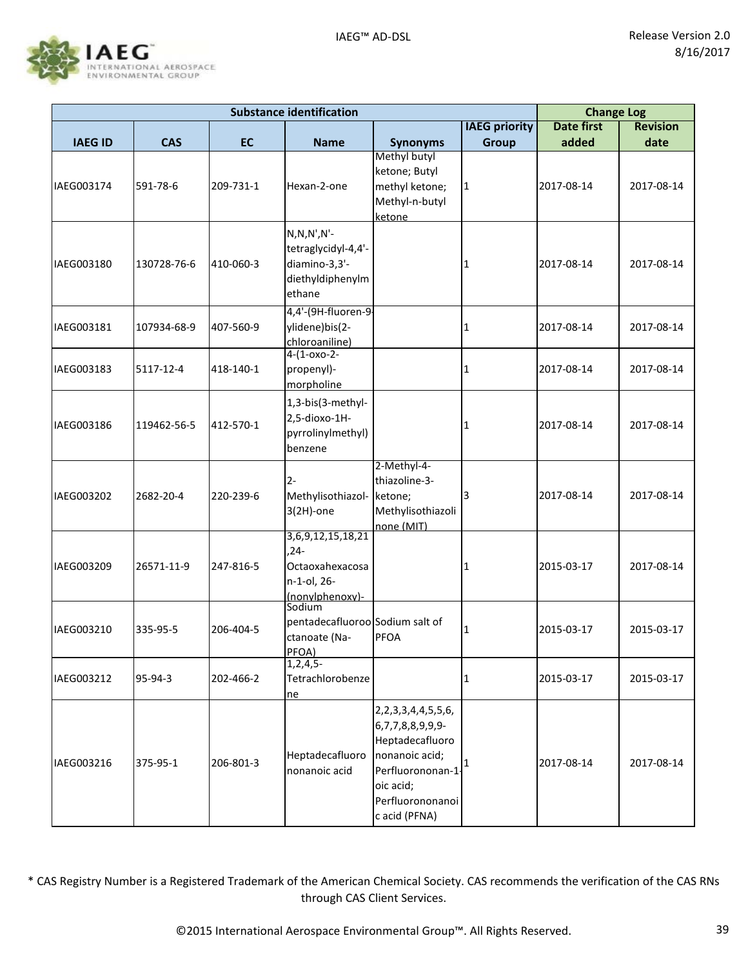

| <b>Substance identification</b> |             |           |                                                                                        |                                                                                                                                                            |                      | <b>Change Log</b> |                 |
|---------------------------------|-------------|-----------|----------------------------------------------------------------------------------------|------------------------------------------------------------------------------------------------------------------------------------------------------------|----------------------|-------------------|-----------------|
|                                 |             |           |                                                                                        |                                                                                                                                                            | <b>IAEG priority</b> | <b>Date first</b> | <b>Revision</b> |
| <b>IAEG ID</b>                  | <b>CAS</b>  | <b>EC</b> | <b>Name</b>                                                                            | <b>Synonyms</b>                                                                                                                                            | <b>Group</b>         | added             | date            |
| IAEG003174                      | 591-78-6    | 209-731-1 | Hexan-2-one                                                                            | Methyl butyl<br>ketone; Butyl<br>methyl ketone;<br>Methyl-n-butyl<br>ketone                                                                                | 1                    | 2017-08-14        | 2017-08-14      |
| IAEG003180                      | 130728-76-6 | 410-060-3 | $N, N, N', N'$ -<br>tetraglycidyl-4,4'-<br>diamino-3,3'-<br>diethyldiphenylm<br>ethane |                                                                                                                                                            | 1                    | 2017-08-14        | 2017-08-14      |
| IAEG003181                      | 107934-68-9 | 407-560-9 | 4,4'-(9H-fluoren-9-<br>ylidene)bis(2-<br>chloroaniline)                                |                                                                                                                                                            | 1                    | 2017-08-14        | 2017-08-14      |
| IAEG003183                      | 5117-12-4   | 418-140-1 | $4-(1-0x0-2-$<br>propenyl)-<br>morpholine                                              |                                                                                                                                                            | 1                    | 2017-08-14        | 2017-08-14      |
| IAEG003186                      | 119462-56-5 | 412-570-1 | 1,3-bis(3-methyl-<br>2,5-dioxo-1H-<br>pyrrolinylmethyl)<br>benzene                     |                                                                                                                                                            | 1                    | 2017-08-14        | 2017-08-14      |
| IAEG003202                      | 2682-20-4   | 220-239-6 | $2 -$<br>Methylisothiazol-<br>$3(2H)$ -one                                             | 2-Methyl-4-<br>thiazoline-3-<br>ketone;<br>Methylisothiazoli<br>none (MIT)                                                                                 | 3                    | 2017-08-14        | 2017-08-14      |
| IAEG003209                      | 26571-11-9  | 247-816-5 | 3,6,9,12,15,18,21<br>$, 24 -$<br>Octaoxahexacosa<br>n-1-ol, 26-<br>(nonvlphenoxy)-     |                                                                                                                                                            | 1                    | 2015-03-17        | 2017-08-14      |
| IAEG003210                      | 335-95-5    | 206-404-5 | Sodium<br>pentadecafluoroo Sodium salt of<br>ctanoate (Na-<br>PFOA)                    | <b>PFOA</b>                                                                                                                                                | 1                    | 2015-03-17        | 2015-03-17      |
| IAEG003212                      | 95-94-3     | 202-466-2 | 1, 2, 4, 5<br>Tetrachlorobenze<br>ne                                                   |                                                                                                                                                            | 1                    | 2015-03-17        | 2015-03-17      |
| IAEG003216                      | 375-95-1    | 206-801-3 | Heptadecafluoro<br>nonanoic acid                                                       | 2, 2, 3, 3, 4, 4, 5, 5, 6,<br>6,7,7,8,8,9,9,9-<br>Heptadecafluoro<br>nonanoic acid;<br>Perfluorononan-1-<br>oic acid;<br>Perfluorononanoi<br>c acid (PFNA) | 1                    | 2017-08-14        | 2017-08-14      |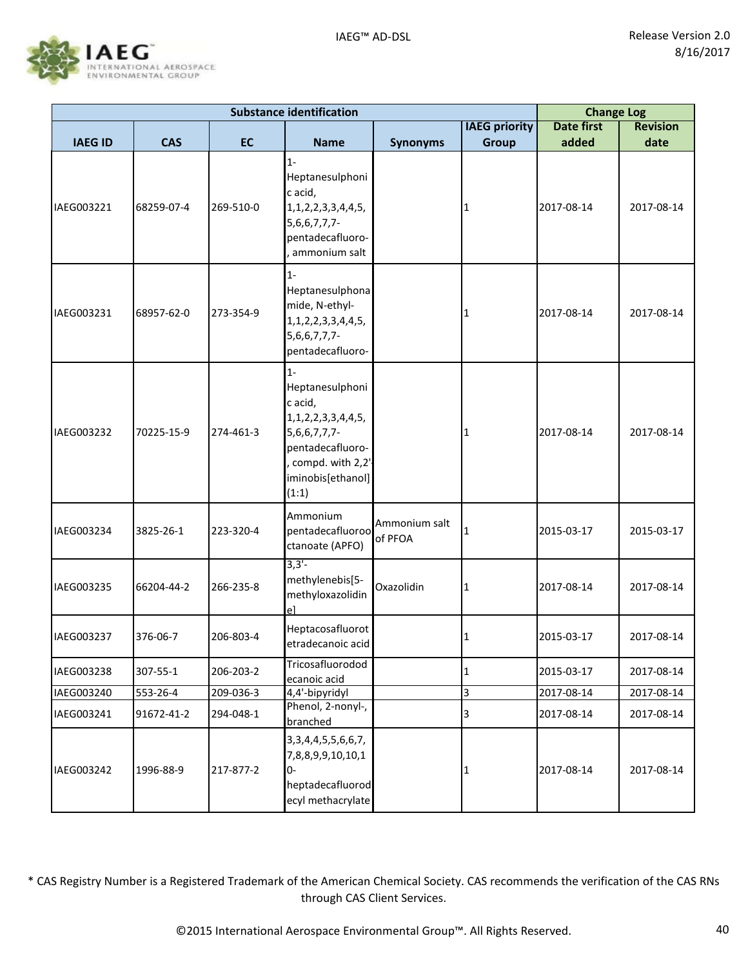

|                |            |           | <b>Substance identification</b>                                                                                                                         |                          |                      | <b>Change Log</b> |                 |
|----------------|------------|-----------|---------------------------------------------------------------------------------------------------------------------------------------------------------|--------------------------|----------------------|-------------------|-----------------|
|                |            |           |                                                                                                                                                         |                          | <b>IAEG priority</b> | <b>Date first</b> | <b>Revision</b> |
| <b>IAEG ID</b> | <b>CAS</b> | <b>EC</b> | <b>Name</b>                                                                                                                                             | <b>Synonyms</b>          | <b>Group</b>         | added             | date            |
| IAEG003221     | 68259-07-4 | 269-510-0 | $1 -$<br>Heptanesulphoni<br>c acid,<br>1, 1, 2, 2, 3, 3, 4, 4, 5,<br>5,6,6,7,7,7-<br>pentadecafluoro-<br>ammonium salt                                  |                          | 1                    | 2017-08-14        | 2017-08-14      |
| IAEG003231     | 68957-62-0 | 273-354-9 | $1 -$<br>Heptanesulphona<br>mide, N-ethyl-<br>1, 1, 2, 2, 3, 3, 4, 4, 5,<br>5,6,6,7,7,7-<br>pentadecafluoro-                                            |                          | 1                    | 2017-08-14        | 2017-08-14      |
| IAEG003232     | 70225-15-9 | 274-461-3 | $1 -$<br>Heptanesulphoni<br>c acid,<br>1, 1, 2, 2, 3, 3, 4, 4, 5,<br>5,6,6,7,7,7-<br>pentadecafluoro-<br>compd. with 2,2'<br>iminobis[ethanol]<br>(1:1) |                          | 1                    | 2017-08-14        | 2017-08-14      |
| IAEG003234     | 3825-26-1  | 223-320-4 | Ammonium<br>pentadecafluoroo<br>ctanoate (APFO)                                                                                                         | Ammonium salt<br>of PFOA | $\mathbf{1}$         | 2015-03-17        | 2015-03-17      |
| IAEG003235     | 66204-44-2 | 266-235-8 | $3,3'$ -<br>methylenebis[5-<br>methyloxazolidin<br>$e$ ]                                                                                                | Oxazolidin               | 1                    | 2017-08-14        | 2017-08-14      |
| IAEG003237     | 376-06-7   | 206-803-4 | Heptacosafluorot<br>etradecanoic acid                                                                                                                   |                          | 1                    | 2015-03-17        | 2017-08-14      |
| IAEG003238     | 307-55-1   | 206-203-2 | Tricosafluorodod<br>ecanoic acid                                                                                                                        |                          | $\mathbf 1$          | 2015-03-17        | 2017-08-14      |
| IAEG003240     | 553-26-4   | 209-036-3 | 4,4'-bipyridyl                                                                                                                                          |                          | 3                    | 2017-08-14        | 2017-08-14      |
| IAEG003241     | 91672-41-2 | 294-048-1 | Phenol, 2-nonyl-,<br>branched                                                                                                                           |                          | 3                    | 2017-08-14        | 2017-08-14      |
| IAEG003242     | 1996-88-9  | 217-877-2 | 3, 3, 4, 4, 5, 5, 6, 6, 7,<br>7,8,8,9,9,10,10,1<br>$0 -$<br>heptadecafluorod<br>ecyl methacrylate                                                       |                          | 1                    | 2017-08-14        | 2017-08-14      |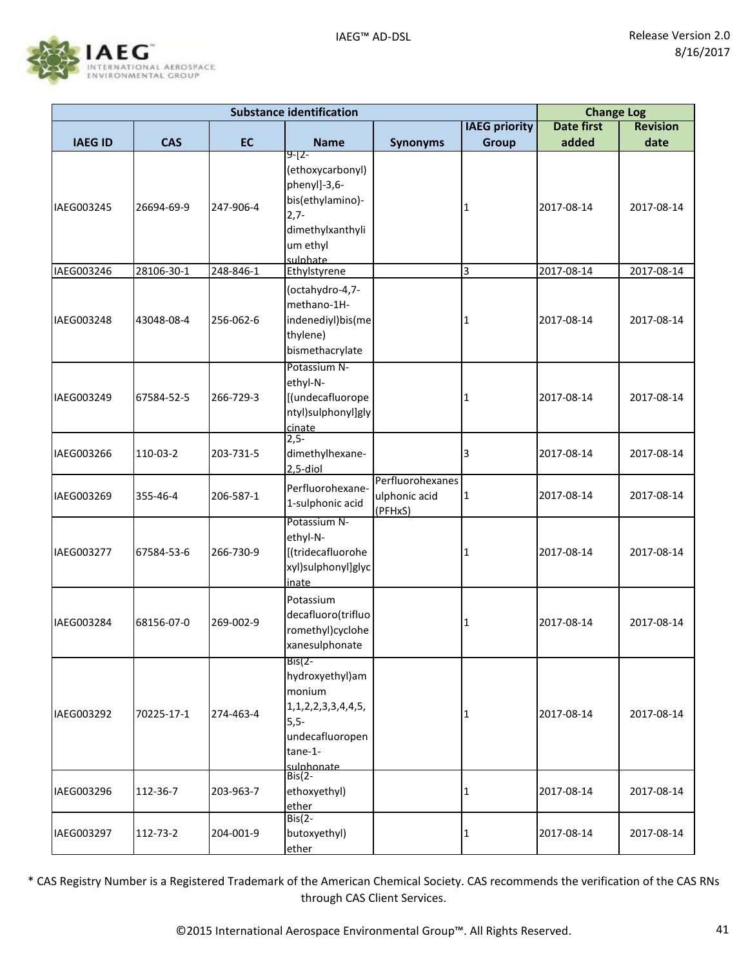

| <b>Substance identification</b> |            |           |                                                                                                                            |                                              |                      | <b>Change Log</b> |                 |
|---------------------------------|------------|-----------|----------------------------------------------------------------------------------------------------------------------------|----------------------------------------------|----------------------|-------------------|-----------------|
|                                 |            |           |                                                                                                                            |                                              | <b>IAEG</b> priority | <b>Date first</b> | <b>Revision</b> |
| <b>IAEG ID</b>                  | <b>CAS</b> | <b>EC</b> | <b>Name</b>                                                                                                                | <b>Synonyms</b>                              | <b>Group</b>         | added             | date            |
| IAEG003245                      | 26694-69-9 | 247-906-4 | $9 - 2 -$<br>(ethoxycarbonyl)<br>phenyl]-3,6-<br>bis(ethylamino)-<br>$2,7-$<br>dimethylxanthyli<br>um ethyl<br>sulphate    |                                              | 1                    | 2017-08-14        | 2017-08-14      |
| IAEG003246                      | 28106-30-1 | 248-846-1 | Ethylstyrene                                                                                                               |                                              | 3                    | 2017-08-14        | 2017-08-14      |
| IAEG003248                      | 43048-08-4 | 256-062-6 | (octahydro-4,7-<br>methano-1H-<br>indenediyl)bis(me<br>thylene)<br>bismethacrylate                                         |                                              | 1                    | 2017-08-14        | 2017-08-14      |
| IAEG003249                      | 67584-52-5 | 266-729-3 | Potassium N-<br>ethyl-N-<br>[(undecafluorope<br>ntyl)sulphonyl]gly<br>cinate                                               |                                              | 1                    | 2017-08-14        | 2017-08-14      |
| IAEG003266                      | 110-03-2   | 203-731-5 | $2,5-$<br>dimethylhexane-<br>2,5-diol                                                                                      |                                              | 3                    | 2017-08-14        | 2017-08-14      |
| IAEG003269                      | 355-46-4   | 206-587-1 | Perfluorohexane-<br>1-sulphonic acid                                                                                       | Perfluorohexanes<br>ulphonic acid<br>(PFHxS) | 1                    | 2017-08-14        | 2017-08-14      |
| IAEG003277                      | 67584-53-6 | 266-730-9 | Potassium N-<br>ethyl-N-<br>[(tridecafluorohe<br>xyl)sulphonyl]glyc<br>inate                                               |                                              | 1                    | 2017-08-14        | 2017-08-14      |
| IAEG003284                      | 68156-07-0 | 269-002-9 | Potassium<br>decafluoro(trifluo<br>romethyl)cyclohe<br>xanesulphonate                                                      |                                              | 1                    | 2017-08-14        | 2017-08-14      |
| IAEG003292                      | 70225-17-1 | 274-463-4 | $Bis(2-)$<br>hydroxyethyl)am<br>monium<br>1, 1, 2, 2, 3, 3, 4, 4, 5,<br>$5,5-$<br>undecafluoropen<br>tane-1-<br>sulphonate |                                              | 1                    | 2017-08-14        | 2017-08-14      |
| IAEG003296                      | 112-36-7   | 203-963-7 | $Bis(2-$<br>ethoxyethyl)<br>ether                                                                                          |                                              | 1                    | 2017-08-14        | 2017-08-14      |
| IAEG003297                      | 112-73-2   | 204-001-9 | $Bis(2-)$<br>butoxyethyl)<br>ether                                                                                         |                                              | 1                    | 2017-08-14        | 2017-08-14      |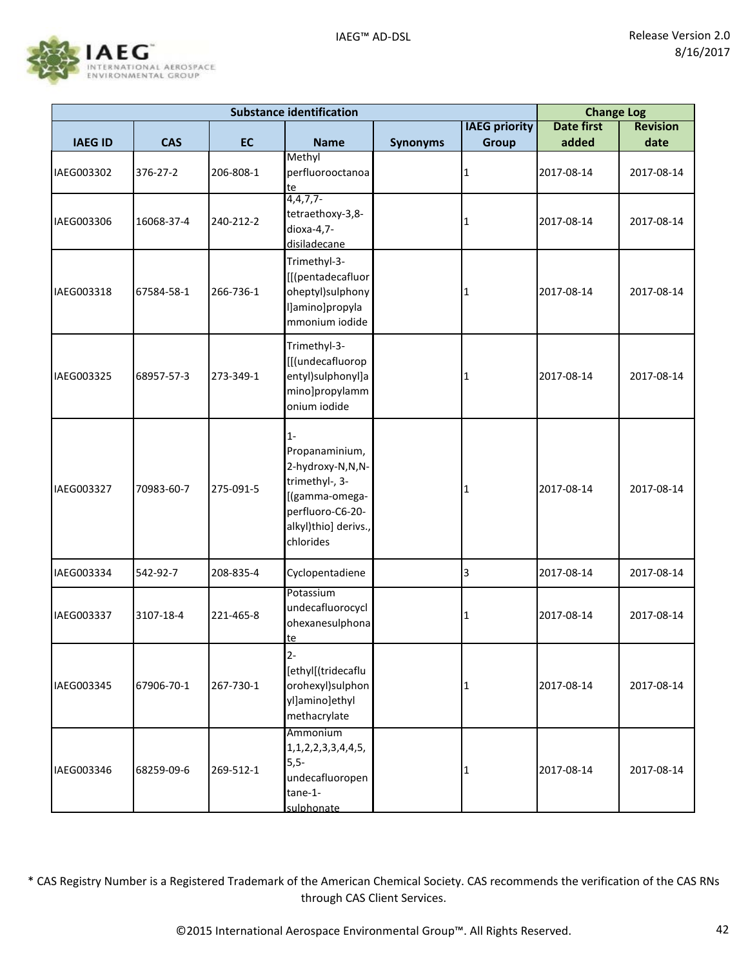

|                |            |           | <b>Substance identification</b>                                                                                                          |                 |                      | <b>Change Log</b> |                 |
|----------------|------------|-----------|------------------------------------------------------------------------------------------------------------------------------------------|-----------------|----------------------|-------------------|-----------------|
|                |            |           |                                                                                                                                          |                 | <b>IAEG priority</b> | <b>Date first</b> | <b>Revision</b> |
| <b>IAEG ID</b> | <b>CAS</b> | <b>EC</b> | <b>Name</b>                                                                                                                              | <b>Synonyms</b> | <b>Group</b>         | added             | date            |
| IAEG003302     | 376-27-2   | 206-808-1 | Methyl<br>perfluorooctanoa<br><u>te</u>                                                                                                  |                 | 1                    | 2017-08-14        | 2017-08-14      |
| IAEG003306     | 16068-37-4 | 240-212-2 | $4,4,7,7$ -<br>tetraethoxy-3,8-<br>dioxa-4,7-<br>disiladecane                                                                            |                 | 1                    | 2017-08-14        | 2017-08-14      |
| IAEG003318     | 67584-58-1 | 266-736-1 | Trimethyl-3-<br>[[(pentadecafluor<br>oheptyl)sulphony<br>I]amino]propyla<br>mmonium iodide                                               |                 | 1                    | 2017-08-14        | 2017-08-14      |
| IAEG003325     | 68957-57-3 | 273-349-1 | Trimethyl-3-<br>[[(undecafluorop<br>entyl)sulphonyl]a<br>mino]propylamm<br>onium iodide                                                  |                 | 1                    | 2017-08-14        | 2017-08-14      |
| IAEG003327     | 70983-60-7 | 275-091-5 | $1 -$<br>Propanaminium,<br>2-hydroxy-N,N,N-<br>trimethyl-, 3-<br>[(gamma-omega-<br>perfluoro-C6-20-<br>alkyl)thio] derivs.,<br>chlorides |                 | 1                    | 2017-08-14        | 2017-08-14      |
| IAEG003334     | 542-92-7   | 208-835-4 | Cyclopentadiene                                                                                                                          |                 | 3                    | 2017-08-14        | 2017-08-14      |
| IAEG003337     | 3107-18-4  | 221-465-8 | Potassium<br>undecafluorocycl<br>ohexanesulphona<br>te                                                                                   |                 | 1                    | 2017-08-14        | 2017-08-14      |
| IAEG003345     | 67906-70-1 | 267-730-1 | $2 -$<br>[ethyl[(tridecaflu<br>orohexyl)sulphon<br>yl]amino]ethyl<br>methacrylate                                                        |                 | 1                    | 2017-08-14        | 2017-08-14      |
| IAEG003346     | 68259-09-6 | 269-512-1 | Ammonium<br>1, 1, 2, 2, 3, 3, 4, 4, 5,<br>$5,5-$<br>undecafluoropen<br>tane-1-<br>sulphonate                                             |                 | 1                    | 2017-08-14        | 2017-08-14      |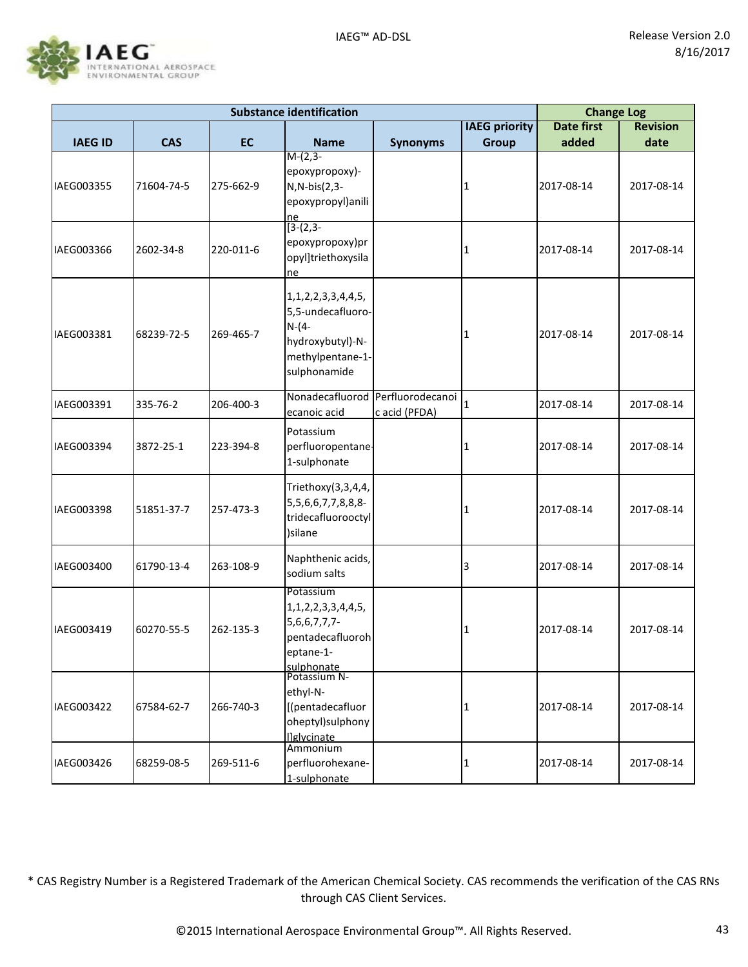

|                |            |           | <b>Substance identification</b>                                                                                    |                                                   |                      | <b>Change Log</b> |                 |
|----------------|------------|-----------|--------------------------------------------------------------------------------------------------------------------|---------------------------------------------------|----------------------|-------------------|-----------------|
|                |            |           |                                                                                                                    |                                                   | <b>IAEG priority</b> | <b>Date first</b> | <b>Revision</b> |
| <b>IAEG ID</b> | <b>CAS</b> | <b>EC</b> | <b>Name</b>                                                                                                        | <b>Synonyms</b>                                   | <b>Group</b>         | added             | date            |
| IAEG003355     | 71604-74-5 | 275-662-9 | $M-(2,3-$<br>epoxypropoxy)-<br>N, N-bis(2, 3-<br>epoxypropyl)anili<br><u>ne</u>                                    |                                                   | 1                    | 2017-08-14        | 2017-08-14      |
| IAEG003366     | 2602-34-8  | 220-011-6 | $\overline{[3-(2,3-1)]}$<br>epoxypropoxy)pr<br>opyl]triethoxysila<br>ne                                            |                                                   | 1                    | 2017-08-14        | 2017-08-14      |
| IAEG003381     | 68239-72-5 | 269-465-7 | 1, 1, 2, 2, 3, 3, 4, 4, 5,<br>5,5-undecafluoro-<br>$N-(4-$<br>hydroxybutyl)-N-<br>methylpentane-1-<br>sulphonamide |                                                   | 1                    | 2017-08-14        | 2017-08-14      |
| IAEG003391     | 335-76-2   | 206-400-3 | ecanoic acid                                                                                                       | Nonadecafluorod Perfluorodecanoi<br>c acid (PFDA) | $\mathbf 1$          | 2017-08-14        | 2017-08-14      |
| IAEG003394     | 3872-25-1  | 223-394-8 | Potassium<br>perfluoropentane-<br>1-sulphonate                                                                     |                                                   | 1                    | 2017-08-14        | 2017-08-14      |
| IAEG003398     | 51851-37-7 | 257-473-3 | Triethoxy(3,3,4,4,<br>5,5,6,6,7,7,8,8,8-<br>tridecafluorooctyl<br>)silane                                          |                                                   | 1                    | 2017-08-14        | 2017-08-14      |
| IAEG003400     | 61790-13-4 | 263-108-9 | Naphthenic acids,<br>sodium salts                                                                                  |                                                   | 3                    | 2017-08-14        | 2017-08-14      |
| IAEG003419     | 60270-55-5 | 262-135-3 | Potassium<br>1, 1, 2, 2, 3, 3, 4, 4, 5,<br>5,6,6,7,7,7-<br>pentadecafluoroh<br>eptane-1-<br>sulphonate             |                                                   | 1                    | 2017-08-14        | 2017-08-14      |
| IAEG003422     | 67584-62-7 | 266-740-3 | Potassium N-<br>ethyl-N-<br>[(pentadecafluor<br>oheptyl)sulphony<br>llglycinate                                    |                                                   | 1                    | 2017-08-14        | 2017-08-14      |
| IAEG003426     | 68259-08-5 | 269-511-6 | Ammonium<br>perfluorohexane-<br>1-sulphonate                                                                       |                                                   | 1                    | 2017-08-14        | 2017-08-14      |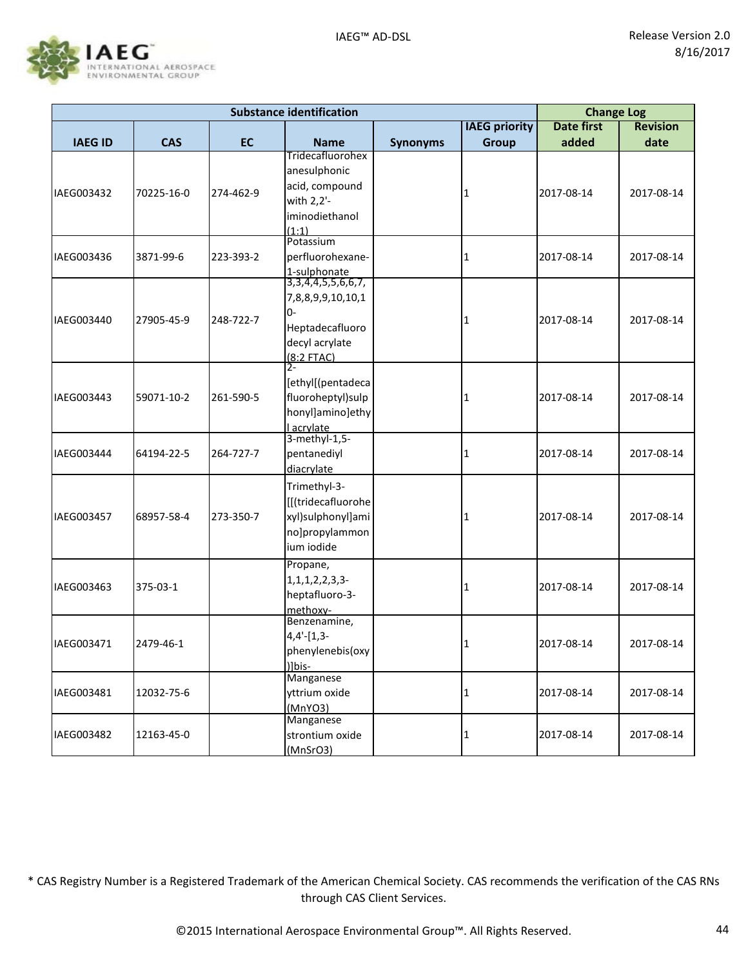

| <b>Substance identification</b> |            |           |                                           |                 |                      |                   | <b>Change Log</b> |  |
|---------------------------------|------------|-----------|-------------------------------------------|-----------------|----------------------|-------------------|-------------------|--|
|                                 |            |           |                                           |                 | <b>IAEG priority</b> | <b>Date first</b> | <b>Revision</b>   |  |
| <b>IAEG ID</b>                  | <b>CAS</b> | <b>EC</b> | <b>Name</b>                               | <b>Synonyms</b> | <b>Group</b>         | added             | date              |  |
|                                 |            |           | Tridecafluorohex                          |                 |                      |                   |                   |  |
|                                 |            |           | anesulphonic                              |                 |                      |                   |                   |  |
| IAEG003432                      | 70225-16-0 | 274-462-9 | acid, compound                            |                 | 1                    | 2017-08-14        | 2017-08-14        |  |
|                                 |            |           | with 2,2'-                                |                 |                      |                   |                   |  |
|                                 |            |           | iminodiethanol                            |                 |                      |                   |                   |  |
|                                 |            |           | (1:1)                                     |                 |                      |                   |                   |  |
|                                 |            |           | Potassium                                 |                 |                      |                   |                   |  |
| IAEG003436                      | 3871-99-6  | 223-393-2 | perfluorohexane-                          |                 | 1                    | 2017-08-14        | 2017-08-14        |  |
|                                 |            |           | 1-sulphonate<br>3,3,4,4,5,5,6,6,7,        |                 |                      |                   |                   |  |
|                                 |            |           |                                           |                 |                      |                   |                   |  |
|                                 |            |           | 7,8,8,9,9,10,10,1                         |                 |                      |                   |                   |  |
| IAEG003440                      | 27905-45-9 | 248-722-7 | $0 -$                                     |                 | 1                    | 2017-08-14        | 2017-08-14        |  |
|                                 |            |           | Heptadecafluoro                           |                 |                      |                   |                   |  |
|                                 |            |           | decyl acrylate                            |                 |                      |                   |                   |  |
|                                 |            |           | $(8:2$ FTAC)<br>$2 -$                     |                 |                      |                   |                   |  |
|                                 |            |           | [ethyl[(pentadeca                         |                 |                      |                   |                   |  |
| IAEG003443                      | 59071-10-2 | 261-590-5 | fluoroheptyl)sulp                         |                 | 1                    | 2017-08-14        | 2017-08-14        |  |
|                                 |            |           | honyllaminolethy                          |                 |                      |                   |                   |  |
|                                 |            |           | l acrylate                                |                 |                      |                   |                   |  |
|                                 |            |           | $3$ -methyl-1,5-                          |                 |                      |                   |                   |  |
| IAEG003444                      | 64194-22-5 | 264-727-7 | pentanediyl                               |                 | 1                    | 2017-08-14        | 2017-08-14        |  |
|                                 |            |           | diacrylate                                |                 |                      |                   |                   |  |
|                                 |            |           | Trimethyl-3-                              |                 |                      |                   |                   |  |
|                                 |            |           | [[(tridecafluorohe                        |                 |                      |                   |                   |  |
| IAEG003457                      | 68957-58-4 | 273-350-7 | xyl)sulphonyl]ami                         |                 | 1                    | 2017-08-14        | 2017-08-14        |  |
|                                 |            |           | no]propylammon                            |                 |                      |                   |                   |  |
|                                 |            |           | ium iodide                                |                 |                      |                   |                   |  |
|                                 |            |           | Propane,                                  |                 |                      |                   |                   |  |
|                                 |            |           |                                           |                 |                      |                   |                   |  |
| IAEG003463                      | 375-03-1   |           | $1, 1, 1, 2, 2, 3, 3$ -<br>heptafluoro-3- |                 | 1                    | 2017-08-14        | 2017-08-14        |  |
|                                 |            |           |                                           |                 |                      |                   |                   |  |
|                                 |            |           | methoxy-<br>Benzenamine,                  |                 |                      |                   |                   |  |
|                                 |            |           | $4,4'$ -[1,3-                             |                 |                      |                   |                   |  |
| IAEG003471                      | 2479-46-1  |           | phenylenebis(oxy                          |                 | 1                    | 2017-08-14        | 2017-08-14        |  |
|                                 |            |           | )lbis-                                    |                 |                      |                   |                   |  |
|                                 |            |           | Manganese                                 |                 |                      |                   |                   |  |
| IAEG003481                      | 12032-75-6 |           | yttrium oxide                             |                 | 1                    | 2017-08-14        | 2017-08-14        |  |
|                                 |            |           | (MnYO3)                                   |                 |                      |                   |                   |  |
|                                 |            |           | Manganese                                 |                 |                      |                   |                   |  |
| IAEG003482                      | 12163-45-0 |           | strontium oxide                           |                 | 1                    | 2017-08-14        | 2017-08-14        |  |
|                                 |            |           | (MnSrO3)                                  |                 |                      |                   |                   |  |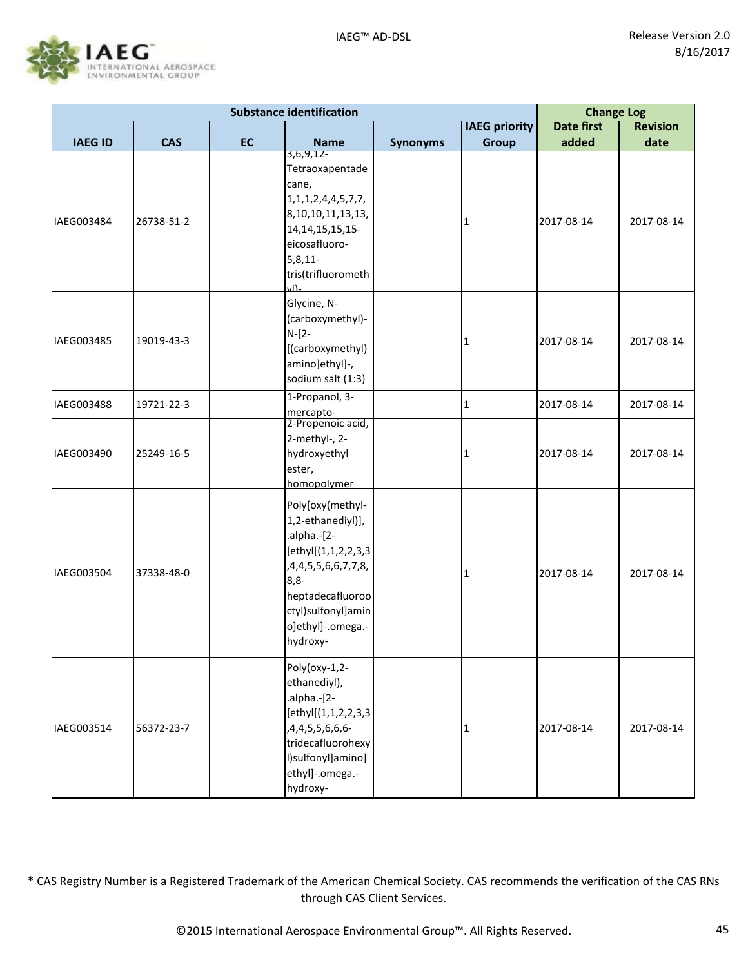

|                |            |    | <b>Substance identification</b>                                                                                                                                                          | <b>Change Log</b> |                      |                   |                 |
|----------------|------------|----|------------------------------------------------------------------------------------------------------------------------------------------------------------------------------------------|-------------------|----------------------|-------------------|-----------------|
|                |            |    |                                                                                                                                                                                          |                   | <b>IAEG priority</b> | <b>Date first</b> | <b>Revision</b> |
| <b>IAEG ID</b> | <b>CAS</b> | EC | <b>Name</b><br>$3,6,9,12-$                                                                                                                                                               | <b>Synonyms</b>   | <b>Group</b>         | added             | date            |
| IAEG003484     | 26738-51-2 |    | Tetraoxapentade<br>cane,<br>1, 1, 1, 2, 4, 4, 5, 7, 7,<br>8, 10, 10, 11, 13, 13,<br>14, 14, 15, 15, 15-<br>eicosafluoro-<br>$5,8,11-$<br>tris(trifluorometh<br>uΠ-                       |                   | 1                    | 2017-08-14        | 2017-08-14      |
| IAEG003485     | 19019-43-3 |    | Glycine, N-<br>(carboxymethyl)-<br>$N - 2 -$<br>[(carboxymethyl)<br>amino]ethyl]-,<br>sodium salt (1:3)                                                                                  |                   | 1                    | 2017-08-14        | 2017-08-14      |
| IAEG003488     | 19721-22-3 |    | 1-Propanol, 3-<br>mercapto-                                                                                                                                                              |                   | 1                    | 2017-08-14        | 2017-08-14      |
| IAEG003490     | 25249-16-5 |    | 2-Propenoic acid,<br>2-methyl-, 2-<br>hydroxyethyl<br>ester,<br>homopolymer                                                                                                              |                   | 1                    | 2017-08-14        | 2017-08-14      |
| IAEG003504     | 37338-48-0 |    | Poly[oxy(methyl-<br>1,2-ethanediyl)],<br>.alpha.-[2-<br>[ethyl[(1,1,2,2,3,3]<br>,4,4,5,5,6,6,7,7,8,<br>$8,8-$<br>heptadecafluoroo<br>ctyl)sulfonyl]amin<br>o]ethyl]-.omega.-<br>hydroxy- |                   | 1                    | 2017-08-14        | 2017-08-14      |
| IAEG003514     | 56372-23-7 |    | Poly(oxy-1,2-<br>ethanediyl),<br>-alpha.-[2-<br>[ethyl[(1,1,2,2,3,3]<br>,4,4,5,5,6,6,6-<br>tridecafluorohexy<br>I)sulfonyl]amino]<br>ethyl]-.omega.-<br>hydroxy-                         |                   | 1                    | 2017-08-14        | 2017-08-14      |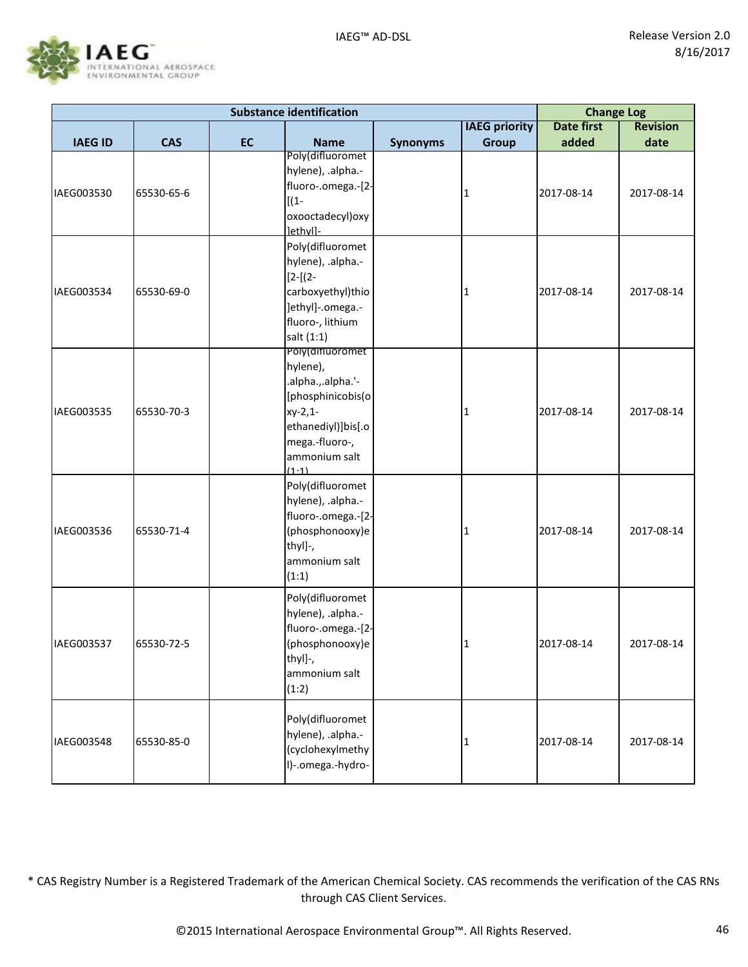

| <b>Substance identification</b> |            |    |                                                                                                                                                        |                 |                      | <b>Change Log</b> |                 |
|---------------------------------|------------|----|--------------------------------------------------------------------------------------------------------------------------------------------------------|-----------------|----------------------|-------------------|-----------------|
|                                 |            |    |                                                                                                                                                        |                 | <b>IAEG priority</b> | <b>Date first</b> | <b>Revision</b> |
| <b>IAEG ID</b>                  | <b>CAS</b> | EC | <b>Name</b>                                                                                                                                            | <b>Synonyms</b> | <b>Group</b>         | added             | date            |
| IAEG003530                      | 65530-65-6 |    | Poly(difluoromet<br>hylene), .alpha.-<br>fluoro-.omega.-[2-<br>$[(1 -$<br>oxooctadecyl) oxy<br>lethvll-                                                |                 | 1                    | 2017-08-14        | 2017-08-14      |
| IAEG003534                      | 65530-69-0 |    | Poly(difluoromet<br>hylene), .alpha.-<br>$[2-[2-]$<br>carboxyethyl)thio<br>]ethyl]-.omega.-<br>fluoro-, lithium<br>salt (1:1)                          |                 | 1                    | 2017-08-14        | 2017-08-14      |
| IAEG003535                      | 65530-70-3 |    | Poly(difluoromet<br>hylene),<br>.alpha.,.alpha.'-<br>[phosphinicobis(o]<br>$xy-2,1-$<br>ethanediyl)]bis[.o<br>mega.-fluoro-,<br>ammonium salt<br>(1.1) |                 | 1                    | 2017-08-14        | 2017-08-14      |
| IAEG003536                      | 65530-71-4 |    | Poly(difluoromet<br>hylene), .alpha.-<br>fluoro-.omega.-[2-<br>(phosphonooxy)e<br>thyl]-,<br>ammonium salt<br>(1:1)                                    |                 | 1                    | 2017-08-14        | 2017-08-14      |
| IAEG003537                      | 65530-72-5 |    | Poly(difluoromet<br>hylene), .alpha.-<br>fluoro-.omega.-[2-<br>(phosphonooxy)e<br>thyl]-,<br>ammonium salt<br>(1:2)                                    |                 | 1                    | 2017-08-14        | 2017-08-14      |
| IAEG003548                      | 65530-85-0 |    | Poly(difluoromet<br>hylene), .alpha.-<br>(cyclohexylmethy<br>I)-.omega.-hydro-                                                                         |                 | 1                    | 2017-08-14        | 2017-08-14      |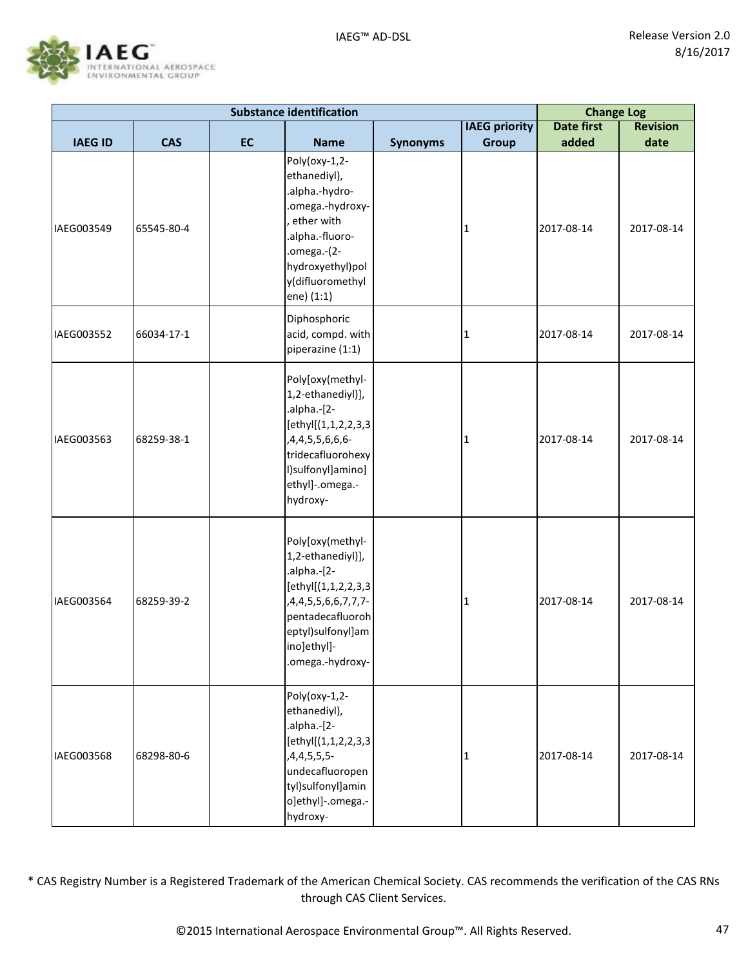

| <b>Substance identification</b> |            |           |                                                                                                                                                                                 |                 |                      |                   | <b>Change Log</b> |  |
|---------------------------------|------------|-----------|---------------------------------------------------------------------------------------------------------------------------------------------------------------------------------|-----------------|----------------------|-------------------|-------------------|--|
|                                 |            |           |                                                                                                                                                                                 |                 | <b>IAEG priority</b> | <b>Date first</b> | <b>Revision</b>   |  |
| <b>IAEG ID</b>                  | <b>CAS</b> | <b>EC</b> | <b>Name</b>                                                                                                                                                                     | <b>Synonyms</b> | <b>Group</b>         | added             | date              |  |
| IAEG003549                      | 65545-80-4 |           | Poly(oxy-1,2-<br>ethanediyl),<br>.alpha.-hydro-<br>.omega.-hydroxy-<br>ether with<br>.alpha.-fluoro-<br>.omega.-(2-<br>hydroxyethyl)pol<br>y(difluoromethyl<br>ene) (1:1)       |                 | 1                    | 2017-08-14        | 2017-08-14        |  |
| IAEG003552                      | 66034-17-1 |           | Diphosphoric<br>acid, compd. with<br>piperazine (1:1)                                                                                                                           |                 | 1                    | 2017-08-14        | 2017-08-14        |  |
| IAEG003563                      | 68259-38-1 |           | Poly[oxy(methyl-<br>1,2-ethanediyl)],<br>$a$ lpha.- $[2-$<br>[ethyl[(1,1,2,2,3,3]<br>,4,4,5,5,6,6,6-<br>tridecafluorohexy<br>l)sulfonyl]amino]<br>ethyl]-.omega.-<br>hydroxy-   |                 | 1                    | 2017-08-14        | 2017-08-14        |  |
| IAEG003564                      | 68259-39-2 |           | Poly[oxy(methyl-<br>1,2-ethanediyl)],<br>.alpha.-[2-<br>[ethyl[(1,1,2,2,3,3]<br>,4,4,5,5,6,6,7,7,7-<br>pentadecafluoroh<br>eptyl)sulfonyl]am<br>ino]ethyl]-<br>.omega.-hydroxy- |                 | 1                    | 2017-08-14        | 2017-08-14        |  |
| IAEG003568                      | 68298-80-6 |           | Poly(oxy-1,2-<br>ethanediyl),<br>.alpha.-[2-<br>[ethyl[(1,1,2,2,3,3]<br>,4,4,5,5,5-<br>undecafluoropen<br>tyl)sulfonyl]amin<br>o]ethyl]-.omega.-<br>hydroxy-                    |                 | 1                    | 2017-08-14        | 2017-08-14        |  |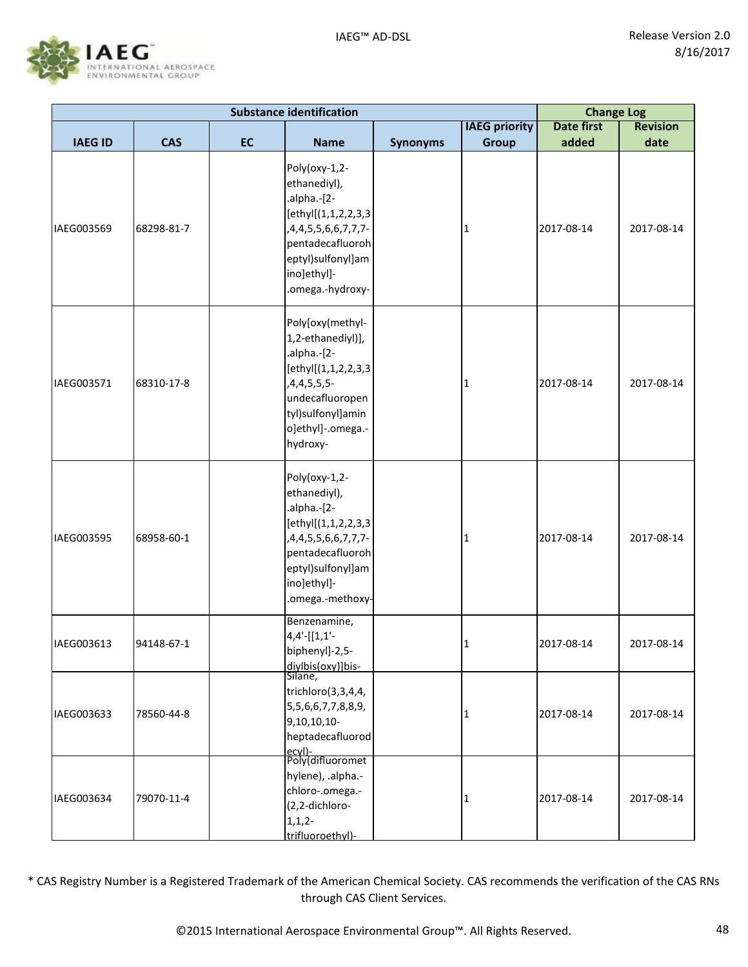

|                |            |           | <b>Substance identification</b>                                                                                                                                           | <b>Change Log</b> |                      |                   |                 |
|----------------|------------|-----------|---------------------------------------------------------------------------------------------------------------------------------------------------------------------------|-------------------|----------------------|-------------------|-----------------|
|                |            |           |                                                                                                                                                                           |                   | <b>IAEG priority</b> | <b>Date first</b> | <b>Revision</b> |
| <b>IAEG ID</b> | <b>CAS</b> | <b>EC</b> | <b>Name</b>                                                                                                                                                               | <b>Synonyms</b>   | <b>Group</b>         | added             | date            |
| IAEG003569     | 68298-81-7 |           | Poly(oxy-1,2-<br>ethanediyl),<br>.alpha.-[2-<br>[ethyl[(1,1,2,2,3,3)<br>,4,4,5,5,6,6,7,7,7-<br>pentadecafluoroh<br>eptyl)sulfonyl]am<br>ino]ethyl]-<br>.omega.-hydroxy-   |                   | 1                    | 2017-08-14        | 2017-08-14      |
| IAEG003571     | 68310-17-8 |           | Poly[oxy(methyl-<br>1,2-ethanediyl)],<br>$a$ lpha.- $[2-$<br>[ethyl[(1,1,2,2,3,3]<br>,4,4,5,5,5-<br>undecafluoropen<br>tyl)sulfonyl]amin<br>o]ethyl]-.omega.-<br>hydroxy- |                   | 1                    | 2017-08-14        | 2017-08-14      |
| IAEG003595     | 68958-60-1 |           | Poly(oxy-1,2-<br>ethanediyl),<br>.alpha.-[2-<br>[ethyl[(1,1,2,2,3,3]<br>,4,4,5,5,6,6,7,7,7-<br>pentadecafluoroh<br>eptyl)sulfonyl]am<br>ino]ethyl]-<br>.omega.-methoxy-   |                   | 1                    | 2017-08-14        | 2017-08-14      |
| IAEG003613     | 94148-67-1 |           | Benzenamine,<br>$4,4'$ -[[1,1'-<br>biphenyl]-2,5-<br>diylbis(oxy)]bis-<br>Silane,                                                                                         |                   | 1                    | 2017-08-14        | 2017-08-14      |
| IAEG003633     | 78560-44-8 |           | trichloro(3,3,4,4,<br>5, 5, 6, 6, 7, 7, 8, 8, 9,<br>9,10,10,10-<br>heptadecafluorod<br>lecyl)-<br> Poly(difluoromet                                                       |                   | 1                    | 2017-08-14        | 2017-08-14      |
| IAEG003634     | 79070-11-4 |           | hylene), .alpha.-<br>chloro-.omega.-<br>(2,2-dichloro-<br>$1, 1, 2-$<br>trifluoroethyl)-                                                                                  |                   | 1                    | 2017-08-14        | 2017-08-14      |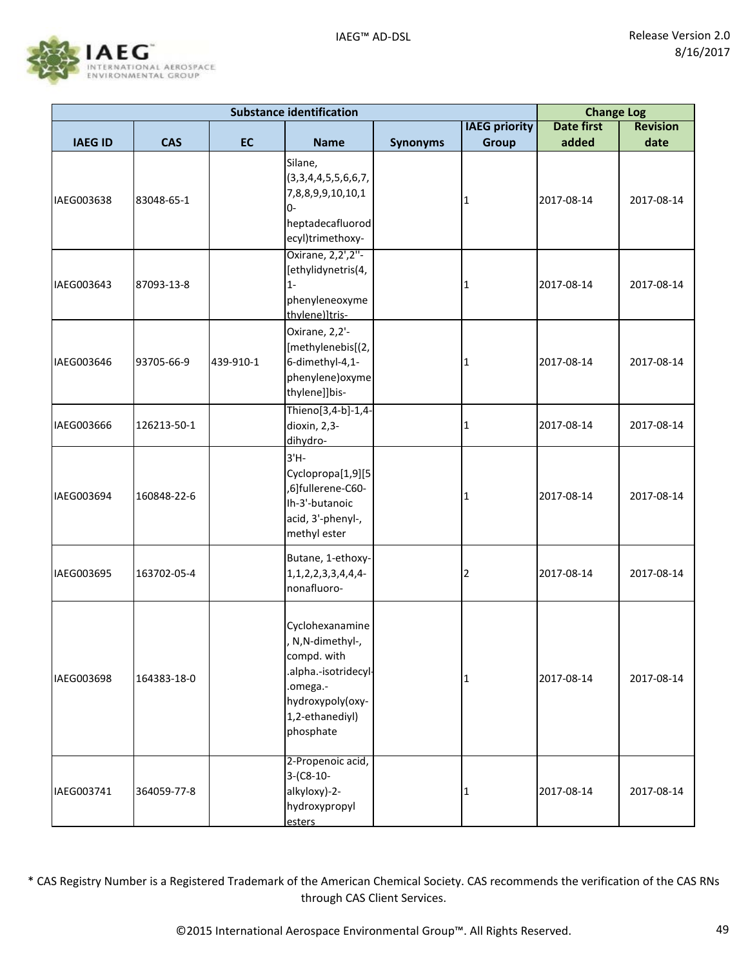

| <b>Substance identification</b> |             |           |                                                                                                                                           |                 |                      | <b>Change Log</b> |                 |
|---------------------------------|-------------|-----------|-------------------------------------------------------------------------------------------------------------------------------------------|-----------------|----------------------|-------------------|-----------------|
|                                 |             |           |                                                                                                                                           |                 | <b>IAEG priority</b> | <b>Date first</b> | <b>Revision</b> |
| <b>IAEG ID</b>                  | <b>CAS</b>  | <b>EC</b> | <b>Name</b>                                                                                                                               | <b>Synonyms</b> | <b>Group</b>         | added             | date            |
| IAEG003638                      | 83048-65-1  |           | Silane,<br>(3,3,4,4,5,5,6,6,7,<br>7,8,8,9,9,10,10,1<br>-0<br>heptadecafluorod<br>ecyl)trimethoxy-                                         |                 | 1                    | 2017-08-14        | 2017-08-14      |
| IAEG003643                      | 87093-13-8  |           | Oxirane, 2,2',2"-<br>[ethylidynetris(4,<br>$1 -$<br>phenyleneoxyme<br>thylene) ltris-                                                     |                 | 1                    | 2017-08-14        | 2017-08-14      |
| IAEG003646                      | 93705-66-9  | 439-910-1 | Oxirane, 2,2'-<br>[methylenebis[(2,<br>6-dimethyl-4,1-<br>phenylene) oxyme<br>thylene]]bis-                                               |                 | 1                    | 2017-08-14        | 2017-08-14      |
| IAEG003666                      | 126213-50-1 |           | Thieno[3,4-b]-1,4-<br>dioxin, 2,3-<br>dihydro-                                                                                            |                 | 1                    | 2017-08-14        | 2017-08-14      |
| IAEG003694                      | 160848-22-6 |           | $3'H -$<br>Cyclopropa[1,9][5]<br>,6]fullerene-C60-<br>Ih-3'-butanoic<br>acid, 3'-phenyl-,<br>methyl ester                                 |                 | 1                    | 2017-08-14        | 2017-08-14      |
| IAEG003695                      | 163702-05-4 |           | Butane, 1-ethoxy-<br>1, 1, 2, 2, 3, 3, 4, 4, 4-<br>nonafluoro-                                                                            |                 | 2                    | 2017-08-14        | 2017-08-14      |
| IAEG003698                      | 164383-18-0 |           | Cyclohexanamine<br>N, N-dimethyl-,<br>compd. with<br>.alpha.-isotridecyl-<br>.omega.-<br>hydroxypoly(oxy-<br>1,2-ethanediyl)<br>phosphate |                 | 1                    | 2017-08-14        | 2017-08-14      |
| IAEG003741                      | 364059-77-8 |           | 2-Propenoic acid,<br>$3-(C8-10-$<br>alkyloxy)-2-<br>hydroxypropyl<br>esters                                                               |                 | 1                    | 2017-08-14        | 2017-08-14      |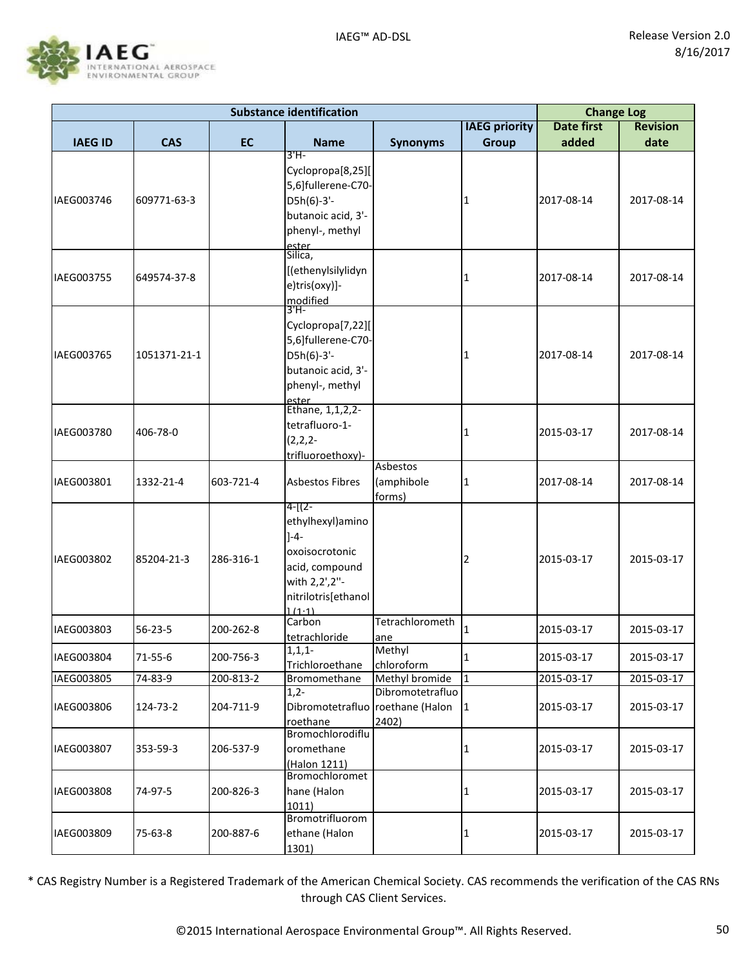

| <b>Substance identification</b> |               |           |                                                                                                                                 |                                         | <b>Change Log</b>    |                   |                 |
|---------------------------------|---------------|-----------|---------------------------------------------------------------------------------------------------------------------------------|-----------------------------------------|----------------------|-------------------|-----------------|
|                                 |               |           |                                                                                                                                 |                                         | <b>IAEG</b> priority | <b>Date first</b> | <b>Revision</b> |
| <b>IAEG ID</b>                  | <b>CAS</b>    | <b>EC</b> | <b>Name</b>                                                                                                                     | <b>Synonyms</b>                         | <b>Group</b>         | added             | date            |
| IAEG003746                      | 609771-63-3   |           | $3H -$<br>Cyclopropa[8,25][<br>5,6]fullerene-C70-<br>$D5h(6)-3'$ -<br>butanoic acid, 3'-<br>phenyl-, methyl<br>ester<br>Silica, |                                         | 1                    | 2017-08-14        | 2017-08-14      |
| IAEG003755                      | 649574-37-8   |           | [(ethenylsilylidyn<br>e)tris(oxy)]-<br>modified<br>3'H-                                                                         |                                         | 1                    | 2017-08-14        | 2017-08-14      |
| IAEG003765                      | 1051371-21-1  |           | Cyclopropa[7,22][<br>5,6]fullerene-C70-<br>$D5h(6)-3'$ -<br>butanoic acid, 3'-<br>phenyl-, methyl<br>ester                      |                                         | 1                    | 2017-08-14        | 2017-08-14      |
| IAEG003780                      | 406-78-0      |           | Ethane, 1,1,2,2-<br>tetrafluoro-1-<br>$(2, 2, 2-$<br>trifluoroethoxy)-                                                          |                                         | 1                    | 2015-03-17        | 2017-08-14      |
| IAEG003801                      | 1332-21-4     | 603-721-4 | <b>Asbestos Fibres</b>                                                                                                          | <b>Asbestos</b><br>(amphibole<br>forms) | 1                    | 2017-08-14        | 2017-08-14      |
| IAEG003802                      | 85204-21-3    | 286-316-1 | 4-[(2-<br>ethylhexyl)amino<br>$1 - 4 -$<br>oxoisocrotonic<br>acid, compound<br>with 2,2',2"-<br>nitrilotris[ethanol<br>1(1:1)   |                                         | 2                    | 2015-03-17        | 2015-03-17      |
| IAEG003803                      | 56-23-5       | 200-262-8 | Carbon                                                                                                                          | Tetrachlorometh                         | $\mathbf{1}$         | 2015-03-17        | 2015-03-17      |
| IAEG003804                      | $71 - 55 - 6$ | 200-756-3 | tetrachloride<br>1, 1, 1<br>Trichloroethane                                                                                     | ane<br>Methyl<br>chloroform             | 1                    | 2015-03-17        | 2015-03-17      |
| IAEG003805                      | 74-83-9       | 200-813-2 | Bromomethane                                                                                                                    | Methyl bromide                          | $\mathbf{1}$         | 2015-03-17        | 2015-03-17      |
| IAEG003806                      | 124-73-2      | 204-711-9 | $1,2-$<br>Dibromotetrafluo roethane (Halon<br>roethane                                                                          | Dibromotetrafluo<br>2402)               | 1                    | 2015-03-17        | 2015-03-17      |
| IAEG003807                      | 353-59-3      | 206-537-9 | Bromochlorodiflu<br>oromethane<br>(Halon 1211)                                                                                  |                                         | 1                    | 2015-03-17        | 2015-03-17      |
| IAEG003808                      | 74-97-5       | 200-826-3 | Bromochloromet<br>hane (Halon<br>1011)                                                                                          |                                         | 1                    | 2015-03-17        | 2015-03-17      |
| IAEG003809                      | 75-63-8       | 200-887-6 | Bromotrifluorom<br>ethane (Halon<br>1301)                                                                                       |                                         | 1                    | 2015-03-17        | 2015-03-17      |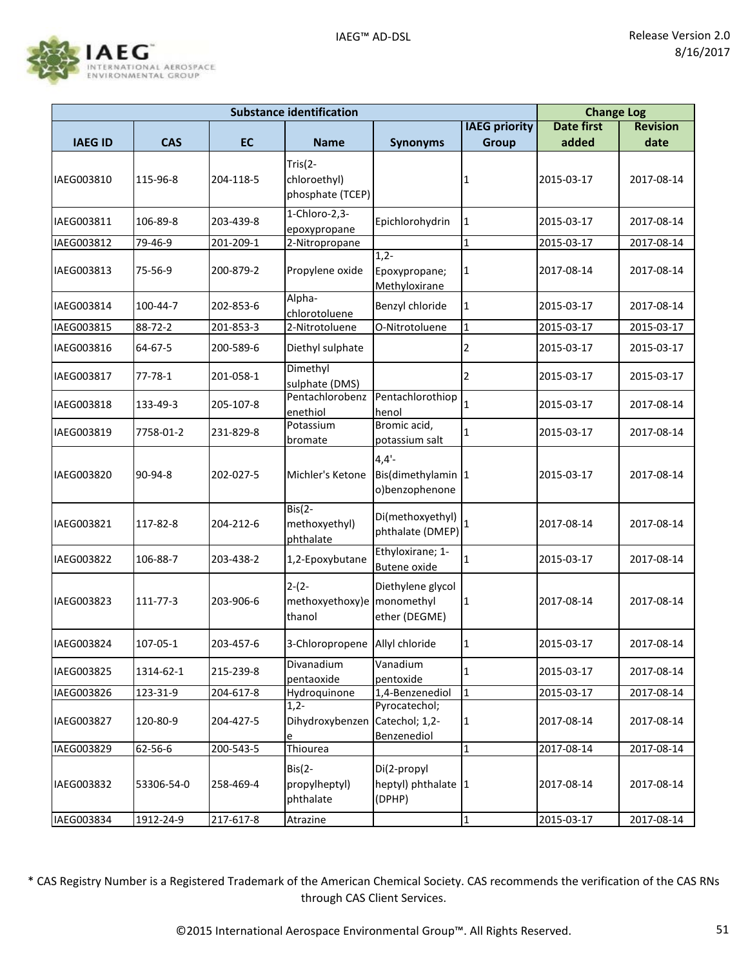

|                |            |           | <b>Substance identification</b>                 |                                                  |                      | <b>Change Log</b> |                 |
|----------------|------------|-----------|-------------------------------------------------|--------------------------------------------------|----------------------|-------------------|-----------------|
|                |            |           |                                                 |                                                  | <b>IAEG priority</b> | <b>Date first</b> | <b>Revision</b> |
| <b>IAEG ID</b> | <b>CAS</b> | <b>EC</b> | <b>Name</b>                                     | <b>Synonyms</b>                                  | Group                | added             | date            |
| IAEG003810     | 115-96-8   | 204-118-5 | $Tris(2-$<br>chloroethyl)<br>phosphate (TCEP)   |                                                  | 1                    | 2015-03-17        | 2017-08-14      |
| IAEG003811     | 106-89-8   | 203-439-8 | 1-Chloro-2,3-<br>epoxypropane                   | Epichlorohydrin                                  | 1                    | 2015-03-17        | 2017-08-14      |
| IAEG003812     | 79-46-9    | 201-209-1 | 2-Nitropropane                                  |                                                  | $\mathbf{1}$         | 2015-03-17        | 2017-08-14      |
| IAEG003813     | 75-56-9    | 200-879-2 | Propylene oxide                                 | $1,2-$<br>Epoxypropane;<br>Methyloxirane         | 1                    | 2017-08-14        | 2017-08-14      |
| IAEG003814     | 100-44-7   | 202-853-6 | Alpha-<br>chlorotoluene                         | Benzyl chloride                                  | 1                    | 2015-03-17        | 2017-08-14      |
| IAEG003815     | 88-72-2    | 201-853-3 | 2-Nitrotoluene                                  | O-Nitrotoluene                                   | $\mathbf{1}$         | 2015-03-17        | 2015-03-17      |
| IAEG003816     | 64-67-5    | 200-589-6 | Diethyl sulphate                                |                                                  | 2                    | 2015-03-17        | 2015-03-17      |
| IAEG003817     | 77-78-1    | 201-058-1 | Dimethyl<br>sulphate (DMS)                      |                                                  | 2                    | 2015-03-17        | 2015-03-17      |
| IAEG003818     | 133-49-3   | 205-107-8 | Pentachlorobenz<br>enethiol                     | Pentachlorothiop<br>henol                        | $\mathbf{1}$         | 2015-03-17        | 2017-08-14      |
| IAEG003819     | 7758-01-2  | 231-829-8 | Potassium<br>bromate                            | Bromic acid,<br>potassium salt                   | 1                    | 2015-03-17        | 2017-08-14      |
| IAEG003820     | 90-94-8    | 202-027-5 | Michler's Ketone                                | $4,4'$ -<br>Bis(dimethylamin 1<br>o)benzophenone |                      | 2015-03-17        | 2017-08-14      |
| IAEG003821     | 117-82-8   | 204-212-6 | $Bis(2-$<br>methoxyethyl)<br>phthalate          | Di(methoxyethyl)<br>phthalate (DMEP)             | 1                    | 2017-08-14        | 2017-08-14      |
| IAEG003822     | 106-88-7   | 203-438-2 | 1,2-Epoxybutane                                 | Ethyloxirane; 1-<br><b>Butene oxide</b>          | 1                    | 2015-03-17        | 2017-08-14      |
| IAEG003823     | 111-77-3   | 203-906-6 | $2-(2-$<br>methoxyethoxy)e monomethyl<br>thanol | Diethylene glycol<br>ether (DEGME)               | 1                    | 2017-08-14        | 2017-08-14      |
| IAEG003824     | 107-05-1   | 203-457-6 | 3-Chloropropene                                 | Allyl chloride                                   | $\mathbf 1$          | 2015-03-17        | 2017-08-14      |
| IAEG003825     | 1314-62-1  | 215-239-8 | Divanadium<br>pentaoxide                        | Vanadium<br>pentoxide                            | 1                    | 2015-03-17        | 2017-08-14      |
| IAEG003826     | 123-31-9   | 204-617-8 | Hydroquinone                                    | 1,4-Benzenediol                                  | $\mathbf{1}$         | 2015-03-17        | 2017-08-14      |
| IAEG003827     | 120-80-9   | 204-427-5 | $1,2-$<br>Dihydroxybenzen<br>e                  | Pyrocatechol;<br>Catechol; 1,2-<br>Benzenediol   | 1                    | 2017-08-14        | 2017-08-14      |
| IAEG003829     | 62-56-6    | 200-543-5 | Thiourea                                        |                                                  | $\mathbf{1}$         | 2017-08-14        | 2017-08-14      |
| IAEG003832     | 53306-54-0 | 258-469-4 | $Bis(2-$<br>propylheptyl)<br>phthalate          | Di(2-propyl<br>heptyl) phthalate 1<br>(DPHP)     |                      | 2017-08-14        | 2017-08-14      |
| IAEG003834     | 1912-24-9  | 217-617-8 | Atrazine                                        |                                                  | $\mathbf{1}$         | 2015-03-17        | 2017-08-14      |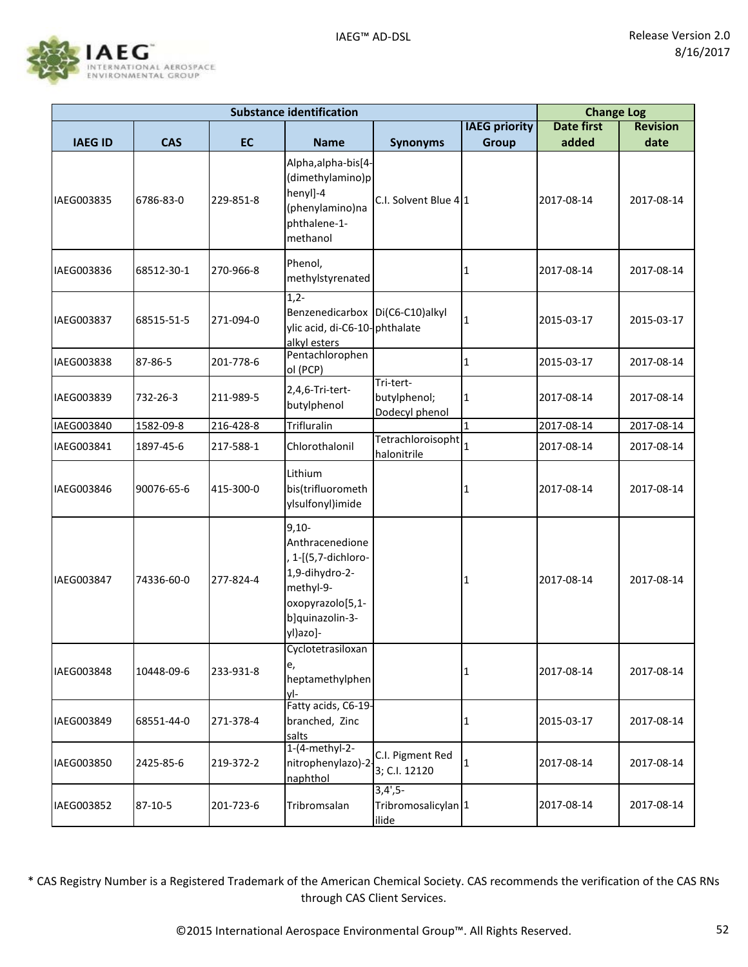

| <b>Substance identification</b> |            |           |                                                                                                                                   |                                             | <b>Change Log</b>    |                   |                 |
|---------------------------------|------------|-----------|-----------------------------------------------------------------------------------------------------------------------------------|---------------------------------------------|----------------------|-------------------|-----------------|
|                                 |            |           |                                                                                                                                   |                                             | <b>IAEG priority</b> | <b>Date first</b> | <b>Revision</b> |
| <b>IAEG ID</b>                  | <b>CAS</b> | <b>EC</b> | <b>Name</b>                                                                                                                       | <b>Synonyms</b>                             | <b>Group</b>         | added             | date            |
| IAEG003835                      | 6786-83-0  | 229-851-8 | Alpha, alpha-bis[4-<br>(dimethylamino)p<br>henyl]-4<br>(phenylamino)na<br>phthalene-1-<br>methanol                                | C.I. Solvent Blue 41                        |                      | 2017-08-14        | 2017-08-14      |
| IAEG003836                      | 68512-30-1 | 270-966-8 | Phenol,<br>methylstyrenated                                                                                                       |                                             | 1                    | 2017-08-14        | 2017-08-14      |
| IAEG003837                      | 68515-51-5 | 271-094-0 | $1,2-$<br>Benzenedicarbox Di(C6-C10)alkyl<br>ylic acid, di-C6-10-phthalate<br>alkyl esters                                        |                                             | $\mathbf{1}$         | 2015-03-17        | 2015-03-17      |
| IAEG003838                      | 87-86-5    | 201-778-6 | Pentachlorophen<br>ol (PCP)                                                                                                       |                                             | 1                    | 2015-03-17        | 2017-08-14      |
| IAEG003839                      | 732-26-3   | 211-989-5 | 2,4,6-Tri-tert-<br>butylphenol                                                                                                    | Tri-tert-<br>butylphenol;<br>Dodecyl phenol | $\vert$ 1            | 2017-08-14        | 2017-08-14      |
| IAEG003840                      | 1582-09-8  | 216-428-8 | Trifluralin                                                                                                                       |                                             | $\mathbf{1}$         | 2017-08-14        | 2017-08-14      |
| IAEG003841                      | 1897-45-6  | 217-588-1 | Chlorothalonil                                                                                                                    | Tetrachloroisopht<br>halonitrile            | 1                    | 2017-08-14        | 2017-08-14      |
| IAEG003846                      | 90076-65-6 | 415-300-0 | Lithium<br>bis(trifluorometh<br>ylsulfonyl)imide                                                                                  |                                             | 1                    | 2017-08-14        | 2017-08-14      |
| IAEG003847                      | 74336-60-0 | 277-824-4 | $9,10-$<br>Anthracenedione<br>1-[(5,7-dichloro-<br>1,9-dihydro-2-<br>methyl-9-<br>oxopyrazolo[5,1-<br>b]quinazolin-3-<br>yl)azo]- |                                             | 1                    | 2017-08-14        | 2017-08-14      |
| IAEG003848                      | 10448-09-6 | 233-931-8 | Cyclotetrasiloxan<br>e,<br>heptamethylphen<br>vl-                                                                                 |                                             | 1                    | 2017-08-14        | 2017-08-14      |
| IAEG003849                      | 68551-44-0 | 271-378-4 | Fatty acids, C6-19-<br>branched, Zinc<br>salts                                                                                    |                                             | 1                    | 2015-03-17        | 2017-08-14      |
| IAEG003850                      | 2425-85-6  | 219-372-2 | 1-(4-methyl-2-<br>nitrophenylazo)-2<br>naphthol                                                                                   | C.I. Pigment Red<br>3; C.I. 12120           |                      | 2017-08-14        | 2017-08-14      |
| IAEG003852                      | 87-10-5    | 201-723-6 | Tribromsalan                                                                                                                      | $3,4',5-$<br>Tribromosalicylan 1<br>ilide   |                      | 2017-08-14        | 2017-08-14      |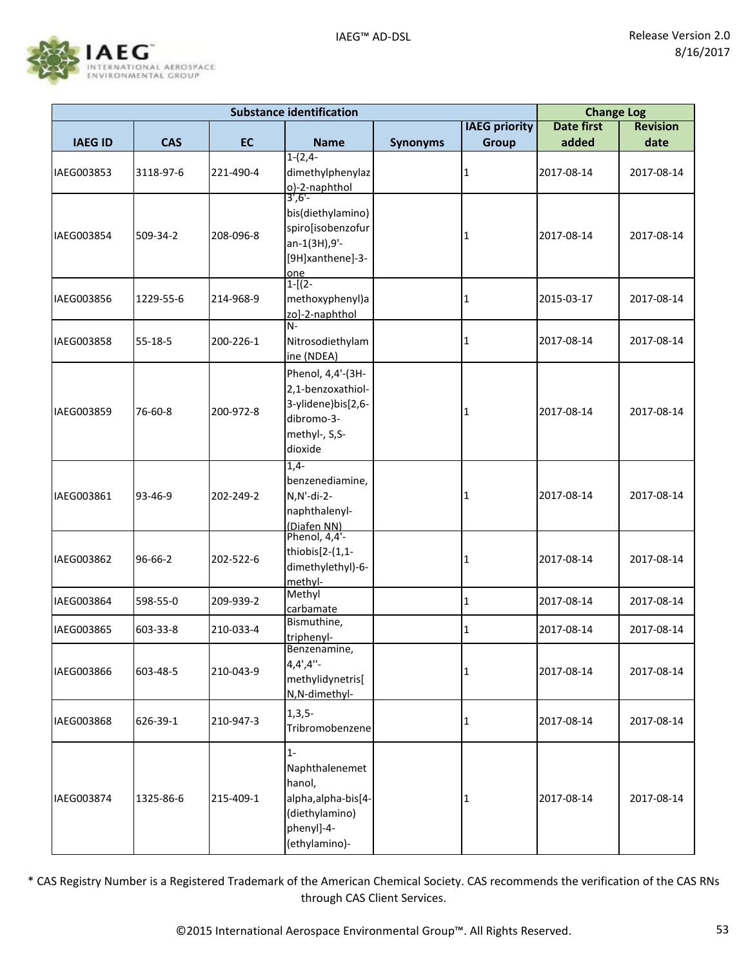

| <b>Substance identification</b> |               |           |                                                                                                           |                 | <b>Change Log</b>    |                   |                 |
|---------------------------------|---------------|-----------|-----------------------------------------------------------------------------------------------------------|-----------------|----------------------|-------------------|-----------------|
|                                 |               |           |                                                                                                           |                 | <b>IAEG priority</b> | <b>Date first</b> | <b>Revision</b> |
| <b>IAEG ID</b>                  | <b>CAS</b>    | <b>EC</b> | <b>Name</b>                                                                                               | <b>Synonyms</b> | <b>Group</b>         | added             | date            |
| IAEG003853                      | 3118-97-6     | 221-490-4 | $1-(2,4-$<br>dimethylphenylaz<br>$o$ )-2-naphthol                                                         |                 | 1                    | 2017-08-14        | 2017-08-14      |
| IAEG003854                      | 509-34-2      | 208-096-8 | bis(diethylamino)<br>spiro[isobenzofur<br>an-1(3H), 9'-<br>[9H]xanthene]-3-<br>one                        |                 | 1                    | 2017-08-14        | 2017-08-14      |
| IAEG003856                      | 1229-55-6     | 214-968-9 | $1 - [(2 -$<br>methoxyphenyl)a<br>zo]-2-naphthol                                                          |                 | 1                    | 2015-03-17        | 2017-08-14      |
| IAEG003858                      | $55 - 18 - 5$ | 200-226-1 | $N-$<br>Nitrosodiethylam<br>ine (NDEA)                                                                    |                 | 1                    | 2017-08-14        | 2017-08-14      |
| IAEG003859                      | 76-60-8       | 200-972-8 | Phenol, 4,4'-(3H-<br>2,1-benzoxathiol-<br>3-ylidene)bis[2,6-<br>dibromo-3-<br>methyl-, S,S-<br>dioxide    |                 | 1                    | 2017-08-14        | 2017-08-14      |
| IAEG003861                      | 93-46-9       | 202-249-2 | $1,4-$<br>benzenediamine,<br>$N, N'-di-2-$<br>naphthalenyl-<br>(Diafen NN)                                |                 | 1                    | 2017-08-14        | 2017-08-14      |
| IAEG003862                      | $96 - 66 - 2$ | 202-522-6 | Phenol, 4,4 <sup>1</sup> -<br>thiobis[2-(1,1-<br>dimethylethyl)-6-<br>methyl-                             |                 | 1                    | 2017-08-14        | 2017-08-14      |
| IAEG003864                      | 598-55-0      | 209-939-2 | Methyl<br>carbamate                                                                                       |                 | 1                    | 2017-08-14        | 2017-08-14      |
| IAEG003865                      | 603-33-8      | 210-033-4 | Bismuthine,<br>triphenyl-                                                                                 |                 | 1                    | 2017-08-14        | 2017-08-14      |
| IAEG003866                      | 603-48-5      | 210-043-9 | Benzenamine,<br>$4,4',4"$ -<br>methylidynetris[<br>N, N-dimethyl-                                         |                 | 1                    | 2017-08-14        | 2017-08-14      |
| IAEG003868                      | 626-39-1      | 210-947-3 | $1,3,5-$<br>Tribromobenzene                                                                               |                 | 1                    | 2017-08-14        | 2017-08-14      |
| IAEG003874                      | 1325-86-6     | 215-409-1 | $1 -$<br>Naphthalenemet<br>hanol,<br>alpha, alpha-bis[4-<br>(diethylamino)<br>phenyl]-4-<br>(ethylamino)- |                 | 1                    | 2017-08-14        | 2017-08-14      |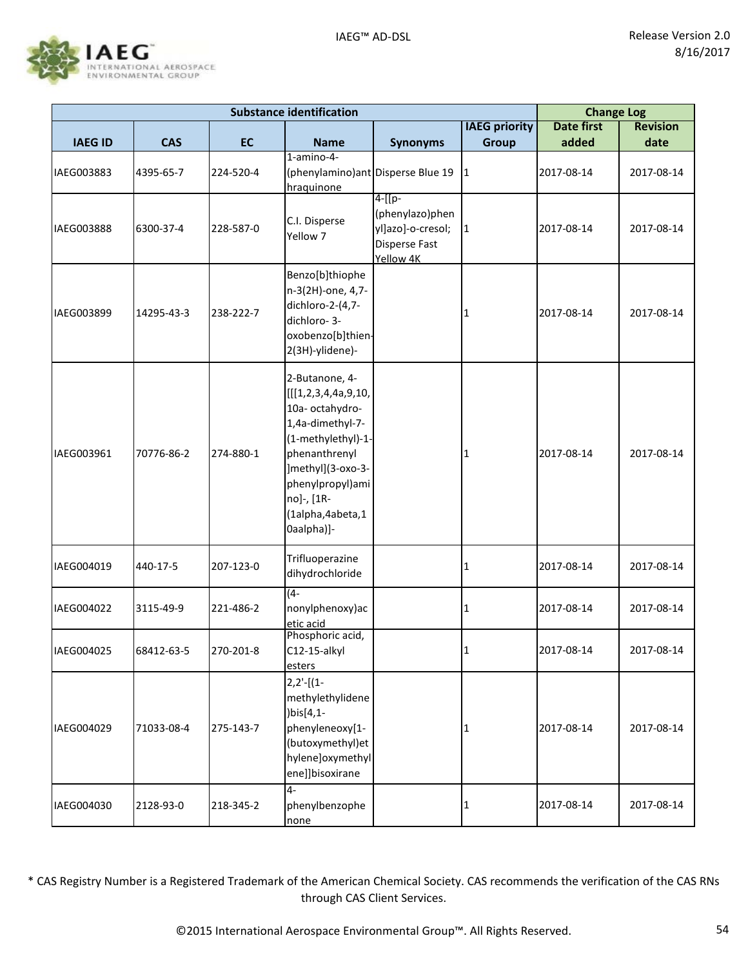

|                |            |           | <b>Substance identification</b>                                                                                                                                                                              |                                                                              |                      | <b>Change Log</b> |                 |
|----------------|------------|-----------|--------------------------------------------------------------------------------------------------------------------------------------------------------------------------------------------------------------|------------------------------------------------------------------------------|----------------------|-------------------|-----------------|
|                |            |           |                                                                                                                                                                                                              |                                                                              | <b>IAEG priority</b> | <b>Date first</b> | <b>Revision</b> |
| <b>IAEG ID</b> | <b>CAS</b> | <b>EC</b> | <b>Name</b>                                                                                                                                                                                                  | <b>Synonyms</b>                                                              | <b>Group</b>         | added             | date            |
| IAEG003883     | 4395-65-7  | 224-520-4 | 1-amino-4-<br>(phenylamino) ant Disperse Blue 19<br>hraquinone                                                                                                                                               |                                                                              | 1                    | 2017-08-14        | 2017-08-14      |
| IAEG003888     | 6300-37-4  | 228-587-0 | C.I. Disperse<br>Yellow 7                                                                                                                                                                                    | 4-[[p-<br>(phenylazo)phen<br>yl]azo]-o-cresol;<br>Disperse Fast<br>Yellow 4K | $\mathbf{1}$         | 2017-08-14        | 2017-08-14      |
| IAEG003899     | 14295-43-3 | 238-222-7 | Benzo[b]thiophe<br>n-3(2H)-one, 4,7-<br>dichloro-2-(4,7-<br>dichloro-3-<br>oxobenzo[b]thien-<br>2(3H)-ylidene)-                                                                                              |                                                                              | 1                    | 2017-08-14        | 2017-08-14      |
| IAEG003961     | 70776-86-2 | 274-880-1 | 2-Butanone, 4-<br>[[[1,2,3,4,4a,9,10,<br>10a- octahydro-<br>1,4a-dimethyl-7-<br>(1-methylethyl)-1-<br>phenanthrenyl<br>]methyl](3-oxo-3-<br>phenylpropyl)ami<br>no]-, [1R-<br>(1alpha,4abeta,1<br>Oaalpha)]- |                                                                              | 1                    | 2017-08-14        | 2017-08-14      |
| IAEG004019     | 440-17-5   | 207-123-0 | Trifluoperazine<br>dihydrochloride                                                                                                                                                                           |                                                                              | 1                    | 2017-08-14        | 2017-08-14      |
| IAEG004022     | 3115-49-9  | 221-486-2 | $(4-$<br>nonylphenoxy)ac<br>etic acid                                                                                                                                                                        |                                                                              | 1                    | 2017-08-14        | 2017-08-14      |
| IAEG004025     | 68412-63-5 | 270-201-8 | Phosphoric acid,<br>C12-15-alkyl<br>esters                                                                                                                                                                   |                                                                              | 1                    | 2017-08-14        | 2017-08-14      |
| IAEG004029     | 71033-08-4 | 275-143-7 | $2,2'$ -[(1-<br>methylethylidene<br>)bis[4,1-<br>phenyleneoxy[1-<br>(butoxymethyl)et<br>hylene]oxymethyl<br>ene]]bisoxirane                                                                                  |                                                                              | 1                    | 2017-08-14        | 2017-08-14      |
| IAEG004030     | 2128-93-0  | 218-345-2 | $4-$<br>phenylbenzophe<br>none                                                                                                                                                                               |                                                                              | 1                    | 2017-08-14        | 2017-08-14      |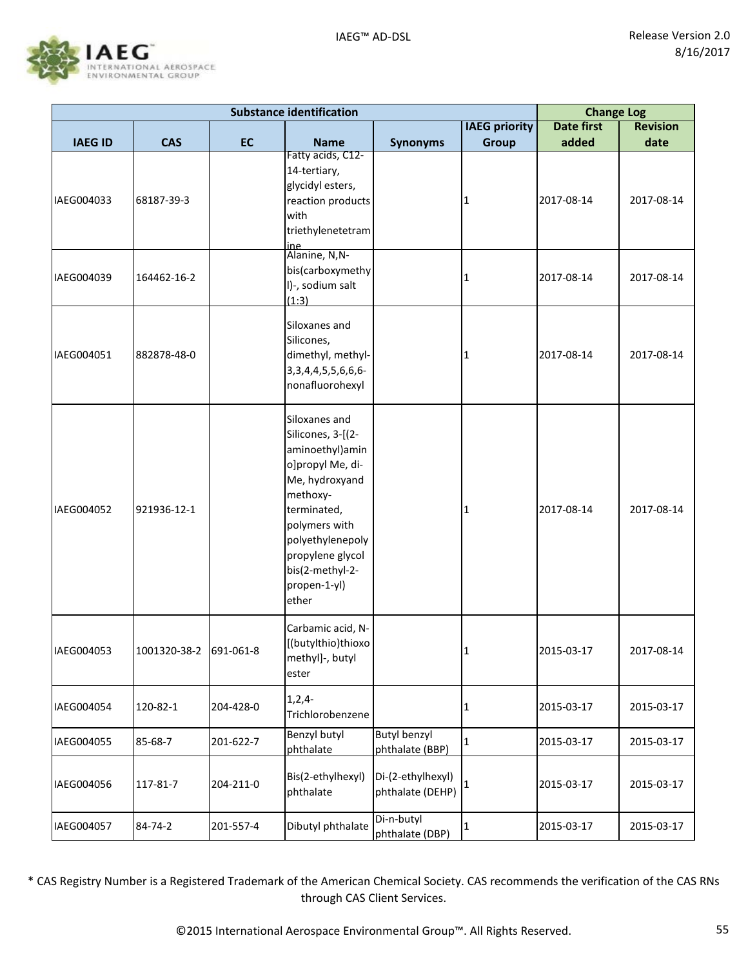

|                |              |           | <b>Substance identification</b>                                                                                                                                                                                              |                                        | <b>Change Log</b>    |                   |                 |
|----------------|--------------|-----------|------------------------------------------------------------------------------------------------------------------------------------------------------------------------------------------------------------------------------|----------------------------------------|----------------------|-------------------|-----------------|
|                |              |           |                                                                                                                                                                                                                              |                                        | <b>IAEG priority</b> | <b>Date first</b> | <b>Revision</b> |
| <b>IAEG ID</b> | <b>CAS</b>   | <b>EC</b> | <b>Name</b>                                                                                                                                                                                                                  | <b>Synonyms</b>                        | <b>Group</b>         | added             | date            |
| IAEG004033     | 68187-39-3   |           | Fatty acids, C12-<br>14-tertiary,<br>glycidyl esters,<br>reaction products<br>with<br>triethylenetetram                                                                                                                      |                                        | 1                    | 2017-08-14        | 2017-08-14      |
| IAEG004039     | 164462-16-2  |           | ine<br>Alanine, N,N-<br>bis(carboxymethy<br>I)-, sodium salt<br>(1:3)                                                                                                                                                        |                                        | 1                    | 2017-08-14        | 2017-08-14      |
| IAEG004051     | 882878-48-0  |           | Siloxanes and<br>Silicones,<br>dimethyl, methyl-<br>3, 3, 4, 4, 5, 5, 6, 6, 6-<br>nonafluorohexyl                                                                                                                            |                                        | 1                    | 2017-08-14        | 2017-08-14      |
| IAEG004052     | 921936-12-1  |           | Siloxanes and<br>Silicones, 3-[(2-<br>aminoethyl) amin<br>o]propyl Me, di-<br>Me, hydroxyand<br>methoxy-<br>terminated,<br>polymers with<br>polyethylenepoly<br>propylene glycol<br>bis(2-methyl-2-<br>propen-1-yl)<br>ether |                                        | 1                    | 2017-08-14        | 2017-08-14      |
| IAEG004053     | 1001320-38-2 | 691-061-8 | Carbamic acid, N-<br>[(butylthio)thioxo<br>methyl]-, butyl<br>ester                                                                                                                                                          |                                        | 1                    | 2015-03-17        | 2017-08-14      |
| IAEG004054     | 120-82-1     | 204-428-0 | $1,2,4-$<br>Trichlorobenzene                                                                                                                                                                                                 |                                        | 1                    | 2015-03-17        | 2015-03-17      |
| IAEG004055     | 85-68-7      | 201-622-7 | Benzyl butyl<br>phthalate                                                                                                                                                                                                    | <b>Butyl benzyl</b><br>phthalate (BBP) | $\mathbf{1}$         | 2015-03-17        | 2015-03-17      |
| IAEG004056     | 117-81-7     | 204-211-0 | Bis(2-ethylhexyl)<br>phthalate                                                                                                                                                                                               | Di-(2-ethylhexyl)<br>phthalate (DEHP)  |                      | 2015-03-17        | 2015-03-17      |
| IAEG004057     | 84-74-2      | 201-557-4 | Dibutyl phthalate                                                                                                                                                                                                            | Di-n-butyl<br>phthalate (DBP)          | 1                    | 2015-03-17        | 2015-03-17      |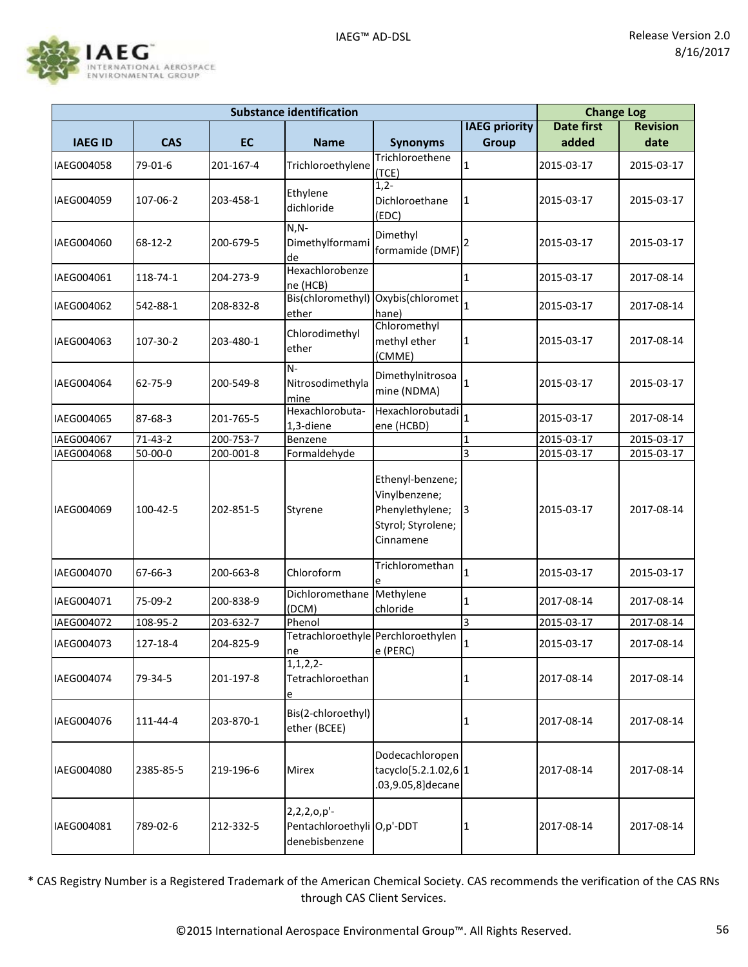

|                |            | <b>Substance identification</b> |                                                                | <b>Change Log</b>                                                                       |                      |                   |                 |
|----------------|------------|---------------------------------|----------------------------------------------------------------|-----------------------------------------------------------------------------------------|----------------------|-------------------|-----------------|
|                |            |                                 |                                                                |                                                                                         | <b>IAEG priority</b> | <b>Date first</b> | <b>Revision</b> |
| <b>IAEG ID</b> | <b>CAS</b> | <b>EC</b>                       | <b>Name</b>                                                    | <b>Synonyms</b>                                                                         | <b>Group</b>         | added             | date            |
| IAEG004058     | 79-01-6    | 201-167-4                       | Trichloroethylene                                              | Trichloroethene<br>(TCE)                                                                | $\mathbf{1}$         | 2015-03-17        | 2015-03-17      |
| IAEG004059     | 107-06-2   | 203-458-1                       | Ethylene<br>dichloride                                         | $1,2-$<br>Dichloroethane<br>(EDC)                                                       | 1                    | 2015-03-17        | 2015-03-17      |
| IAEG004060     | 68-12-2    | 200-679-5                       | $N, N-$<br>Dimethylformami<br>de                               | Dimethyl<br>formamide $(DMF)2$                                                          |                      | 2015-03-17        | 2015-03-17      |
| IAEG004061     | 118-74-1   | 204-273-9                       | Hexachlorobenze<br>ne (HCB)                                    |                                                                                         | 1                    | 2015-03-17        | 2017-08-14      |
| IAEG004062     | 542-88-1   | 208-832-8                       | Bis(chloromethyl)<br>ether                                     | Oxybis(chloromet<br>hane)                                                               | 1                    | 2015-03-17        | 2017-08-14      |
| IAEG004063     | 107-30-2   | 203-480-1                       | Chlorodimethyl<br>ether                                        | Chloromethyl<br>methyl ether<br>(CMME)                                                  | 1                    | 2015-03-17        | 2017-08-14      |
| IAEG004064     | 62-75-9    | 200-549-8                       | $\overline{N}$<br>Nitrosodimethyla<br>mine                     | Dimethylnitrosoa<br>mine (NDMA)                                                         | 1                    | 2015-03-17        | 2015-03-17      |
| IAEG004065     | 87-68-3    | 201-765-5                       | Hexachlorobuta-<br>1,3-diene                                   | Hexachlorobutadi<br>ene (HCBD)                                                          | $\mathbf{1}$         | 2015-03-17        | 2017-08-14      |
| IAEG004067     | $71-43-2$  | 200-753-7                       | Benzene                                                        |                                                                                         | 1                    | 2015-03-17        | 2015-03-17      |
| IAEG004068     | 50-00-0    | 200-001-8                       | Formaldehyde                                                   |                                                                                         | 3                    | 2015-03-17        | 2015-03-17      |
| IAEG004069     | 100-42-5   | 202-851-5                       | Styrene                                                        | Ethenyl-benzene;<br>Vinylbenzene;<br>Phenylethylene;<br>Styrol; Styrolene;<br>Cinnamene | 13                   | 2015-03-17        | 2017-08-14      |
| IAEG004070     | 67-66-3    | 200-663-8                       | Chloroform                                                     | Trichloromethan<br>e                                                                    | 1                    | 2015-03-17        | 2015-03-17      |
| IAEG004071     | 75-09-2    | 200-838-9                       | Dichloromethane Methylene<br>(DCM)                             | chloride                                                                                | 1                    | 2017-08-14        | 2017-08-14      |
| IAEG004072     | 108-95-2   | 203-632-7                       | Phenol                                                         |                                                                                         | 3                    | 2015-03-17        | 2017-08-14      |
| IAEG004073     | 127-18-4   | 204-825-9                       | Tetrachloroethyle Perchloroethylen<br>ne                       | e (PERC)                                                                                |                      | 2015-03-17        | 2017-08-14      |
| IAEG004074     | 79-34-5    | 201-197-8                       | 1, 1, 2, 2<br>Tetrachloroethan<br>е                            |                                                                                         | 1                    | 2017-08-14        | 2017-08-14      |
| IAEG004076     | 111-44-4   | 203-870-1                       | Bis(2-chloroethyl)<br>ether (BCEE)                             |                                                                                         |                      | 2017-08-14        | 2017-08-14      |
| IAEG004080     | 2385-85-5  | 219-196-6                       | Mirex                                                          | Dodecachloropen<br>tacyclo[5.2.1.02,6 <sup>1</sup> 1<br>.03,9.05,8]decane               |                      | 2017-08-14        | 2017-08-14      |
| IAEG004081     | 789-02-6   | 212-332-5                       | $2,2,2,0,p'$ -<br>Pentachloroethyli O,p'-DDT<br>denebisbenzene |                                                                                         | 1                    | 2017-08-14        | 2017-08-14      |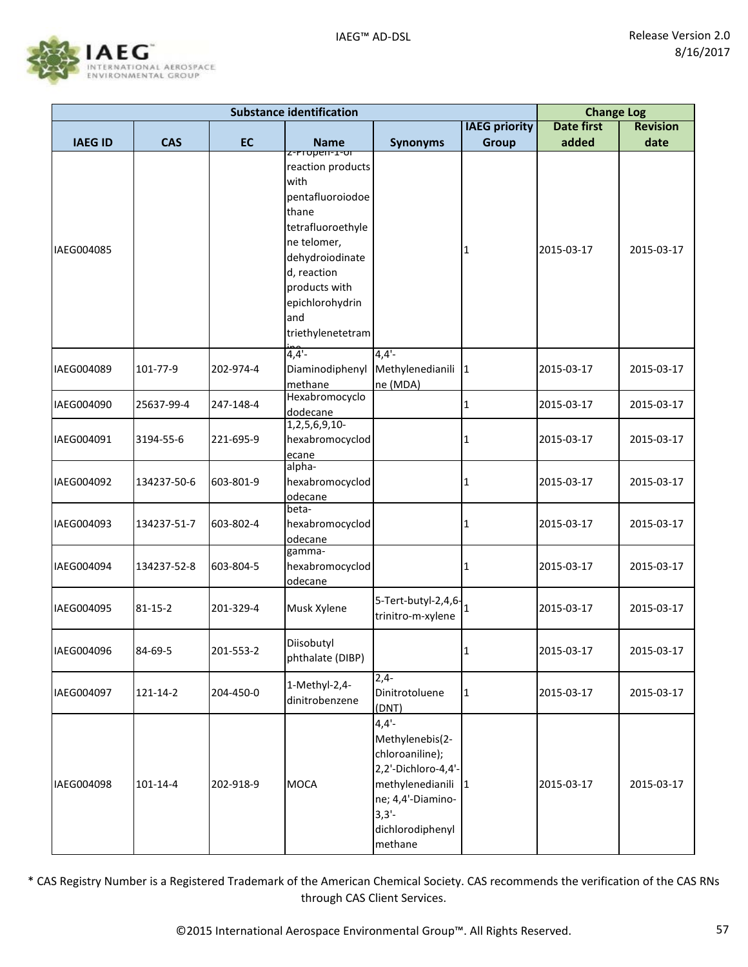

| <b>Substance identification</b> |               |           |                                                                                                                                                          |                                                                                                                                                          |                      | <b>Change Log</b> |                 |
|---------------------------------|---------------|-----------|----------------------------------------------------------------------------------------------------------------------------------------------------------|----------------------------------------------------------------------------------------------------------------------------------------------------------|----------------------|-------------------|-----------------|
|                                 |               |           |                                                                                                                                                          |                                                                                                                                                          | <b>IAEG priority</b> | <b>Date first</b> | <b>Revision</b> |
| <b>IAEG ID</b>                  | <b>CAS</b>    | <b>EC</b> | <b>Name</b>                                                                                                                                              | <b>Synonyms</b>                                                                                                                                          | <b>Group</b>         | added             | date            |
| IAEG004085                      |               |           | <del>z-Propen-1-or</del><br>reaction products<br>with<br>pentafluoroiodoe<br>thane<br>tetrafluoroethyle<br>ne telomer,<br>dehydroiodinate<br>d, reaction |                                                                                                                                                          | 1                    | 2015-03-17        | 2015-03-17      |
|                                 |               |           | products with<br>epichlorohydrin<br>and<br>triethylenetetram                                                                                             |                                                                                                                                                          |                      |                   |                 |
| IAEG004089                      | 101-77-9      | 202-974-4 | $4,4'-$<br>Diaminodiphenyl<br>methane                                                                                                                    | $4,4'-$<br>Methylenedianili<br>ne (MDA)                                                                                                                  | $ 1\rangle$          | 2015-03-17        | 2015-03-17      |
| IAEG004090                      | 25637-99-4    | 247-148-4 | Hexabromocyclo<br>dodecane                                                                                                                               |                                                                                                                                                          | 1                    | 2015-03-17        | 2015-03-17      |
| IAEG004091                      | 3194-55-6     | 221-695-9 | 1, 2, 5, 6, 9, 10<br>hexabromocyclod<br>ecane                                                                                                            |                                                                                                                                                          | 1                    | 2015-03-17        | 2015-03-17      |
| IAEG004092                      | 134237-50-6   | 603-801-9 | alpha-<br>hexabromocyclod<br>odecane                                                                                                                     |                                                                                                                                                          | 1                    | 2015-03-17        | 2015-03-17      |
| IAEG004093                      | 134237-51-7   | 603-802-4 | beta-<br>hexabromocyclod<br>odecane                                                                                                                      |                                                                                                                                                          | 1                    | 2015-03-17        | 2015-03-17      |
| IAEG004094                      | 134237-52-8   | 603-804-5 | gamma-<br>hexabromocyclod<br>odecane                                                                                                                     |                                                                                                                                                          | 1                    | 2015-03-17        | 2015-03-17      |
| IAEG004095                      | $81 - 15 - 2$ | 201-329-4 | Musk Xylene                                                                                                                                              | 5-Tert-butyl-2,4,6-<br>trinitro-m-xylene                                                                                                                 | 1                    | 2015-03-17        | 2015-03-17      |
| IAEG004096                      | 84-69-5       | 201-553-2 | Diisobutyl<br>phthalate (DIBP)                                                                                                                           |                                                                                                                                                          | 1                    | 2015-03-17        | 2015-03-17      |
| IAEG004097                      | 121-14-2      | 204-450-0 | 1-Methyl-2,4-<br>dinitrobenzene                                                                                                                          | $2,4-$<br>Dinitrotoluene<br>(DNT)                                                                                                                        | 1                    | 2015-03-17        | 2015-03-17      |
| IAEG004098                      | 101-14-4      | 202-918-9 | <b>MOCA</b>                                                                                                                                              | $4,4'$ -<br>Methylenebis(2-<br>chloroaniline);<br>2,2'-Dichloro-4,4'-<br>methylenedianili<br>ne; 4,4'-Diamino-<br>$3,3'-$<br>dichlorodiphenyl<br>methane | $\vert$ 1            | 2015-03-17        | 2015-03-17      |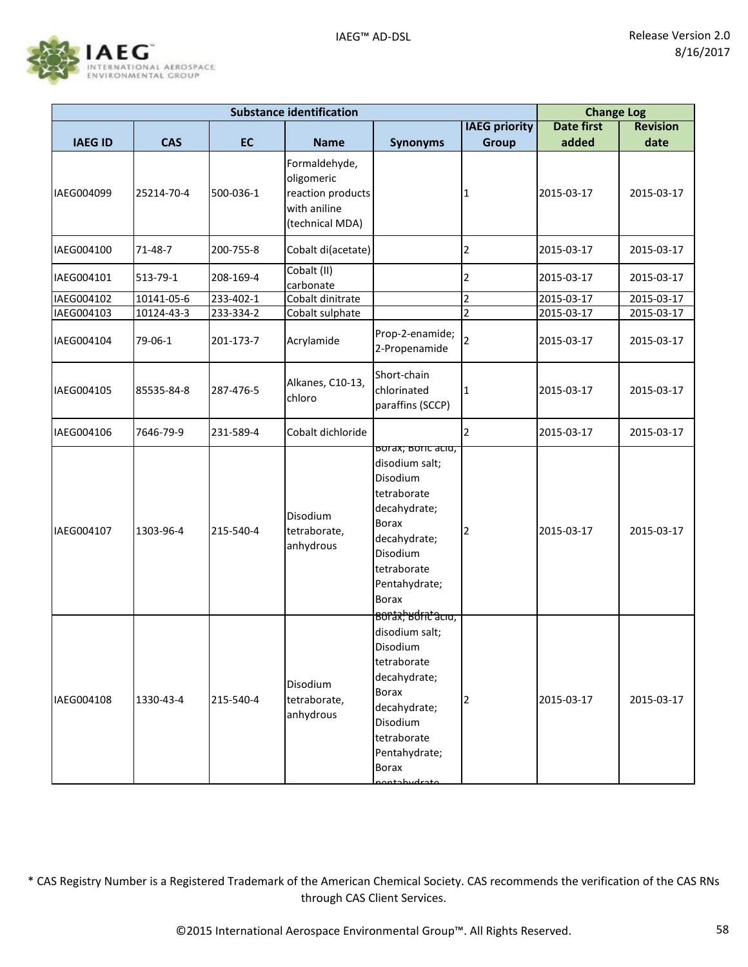

| <b>Substance identification</b> |            |           |                                                                                     |                                                                                                                                                                                         | <b>Change Log</b>    |                   |                 |
|---------------------------------|------------|-----------|-------------------------------------------------------------------------------------|-----------------------------------------------------------------------------------------------------------------------------------------------------------------------------------------|----------------------|-------------------|-----------------|
|                                 |            |           |                                                                                     |                                                                                                                                                                                         | <b>IAEG priority</b> | <b>Date first</b> | <b>Revision</b> |
| <b>IAEG ID</b>                  | <b>CAS</b> | <b>EC</b> | <b>Name</b>                                                                         | <b>Synonyms</b>                                                                                                                                                                         | <b>Group</b>         | added             | date            |
| IAEG004099                      | 25214-70-4 | 500-036-1 | Formaldehyde,<br>oligomeric<br>reaction products<br>with aniline<br>(technical MDA) |                                                                                                                                                                                         | 1                    | 2015-03-17        | 2015-03-17      |
| IAEG004100                      | 71-48-7    | 200-755-8 | Cobalt di(acetate)                                                                  |                                                                                                                                                                                         | 2                    | 2015-03-17        | 2015-03-17      |
| IAEG004101                      | 513-79-1   | 208-169-4 | Cobalt (II)<br>carbonate                                                            |                                                                                                                                                                                         | 2                    | 2015-03-17        | 2015-03-17      |
| IAEG004102                      | 10141-05-6 | 233-402-1 | Cobalt dinitrate                                                                    |                                                                                                                                                                                         | $\overline{c}$       | 2015-03-17        | 2015-03-17      |
| IAEG004103                      | 10124-43-3 | 233-334-2 | Cobalt sulphate                                                                     |                                                                                                                                                                                         | $\overline{c}$       | 2015-03-17        | 2015-03-17      |
| IAEG004104                      | 79-06-1    | 201-173-7 | Acrylamide                                                                          | Prop-2-enamide;<br>2-Propenamide                                                                                                                                                        | 2                    | 2015-03-17        | 2015-03-17      |
| IAEG004105                      | 85535-84-8 | 287-476-5 | Alkanes, C10-13,<br>chloro                                                          | Short-chain<br>chlorinated<br>paraffins (SCCP)                                                                                                                                          | 1                    | 2015-03-17        | 2015-03-17      |
| IAEG004106                      | 7646-79-9  | 231-589-4 | Cobalt dichloride                                                                   |                                                                                                                                                                                         | 2                    | 2015-03-17        | 2015-03-17      |
| IAEG004107                      | 1303-96-4  | 215-540-4 | Disodium<br>tetraborate,<br>anhydrous                                               | Borax; Boric acid,<br>disodium salt;<br>Disodium<br>tetraborate<br>decahydrate;<br><b>Borax</b><br>decahydrate;<br>Disodium<br>tetraborate<br>Pentahydrate;<br><b>Borax</b>             | 2                    | 2015-03-17        | 2015-03-17      |
| IAEG004108                      | 1330-43-4  | 215-540-4 | Disodium<br>tetraborate,<br>anhydrous                                               | Bortz, Bortano,<br>disodium salt;<br>Disodium<br>tetraborate<br>decahydrate;<br><b>Borax</b><br>decahydrate;<br>Disodium<br>tetraborate<br>Pentahydrate;<br><b>Borax</b><br>atcabydrato | 2                    | 2015-03-17        | 2015-03-17      |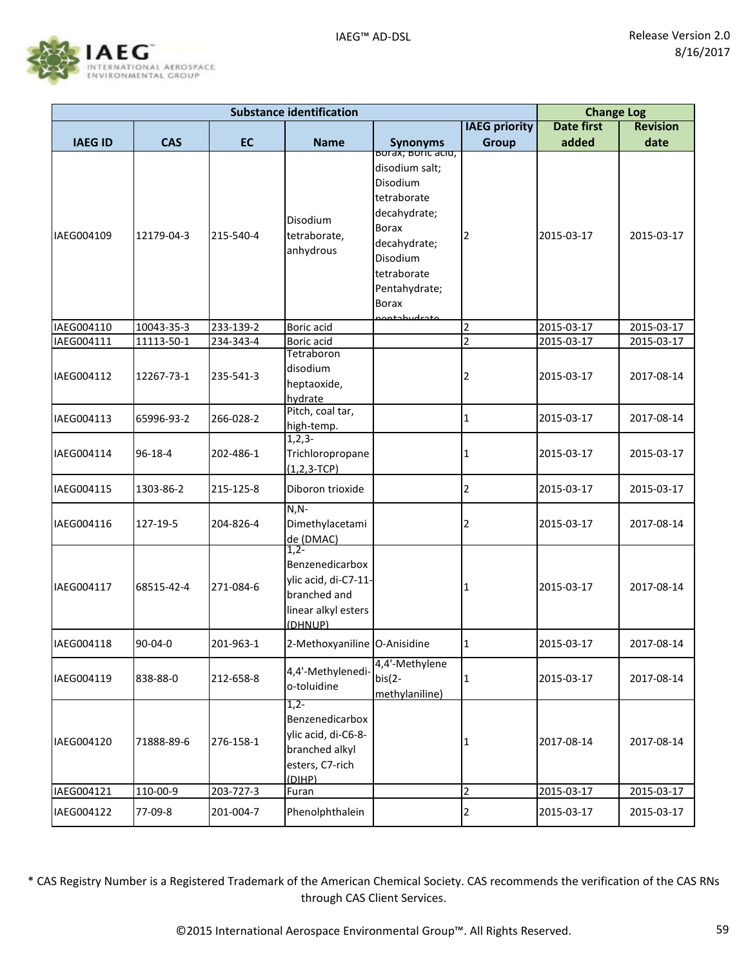

| <b>Substance identification</b> |               |           |                                                                                                     |                                                                                                                                                               |                      | <b>Change Log</b> |                 |
|---------------------------------|---------------|-----------|-----------------------------------------------------------------------------------------------------|---------------------------------------------------------------------------------------------------------------------------------------------------------------|----------------------|-------------------|-----------------|
|                                 |               |           |                                                                                                     |                                                                                                                                                               | <b>IAEG priority</b> | <b>Date first</b> | <b>Revision</b> |
| <b>IAEG ID</b>                  | <b>CAS</b>    | <b>EC</b> | <b>Name</b>                                                                                         | Synonyms<br><u>Borax; Boric acid,</u>                                                                                                                         | <b>Group</b>         | added             | date            |
| IAEG004109                      | 12179-04-3    | 215-540-4 | Disodium<br>tetraborate,<br>anhydrous                                                               | disodium salt;<br>Disodium<br>tetraborate<br>decahydrate;<br>Borax<br>decahydrate;<br>Disodium<br>tetraborate<br>Pentahydrate;<br><b>Borax</b><br>ontabudrato | 2                    | 2015-03-17        | 2015-03-17      |
| IAEG004110                      | 10043-35-3    | 233-139-2 | Boric acid                                                                                          |                                                                                                                                                               | 2                    | 2015-03-17        | 2015-03-17      |
| IAEG004111                      | 11113-50-1    | 234-343-4 | Boric acid                                                                                          |                                                                                                                                                               | $\overline{c}$       | 2015-03-17        | 2015-03-17      |
| IAEG004112                      | 12267-73-1    | 235-541-3 | Tetraboron<br>disodium<br>heptaoxide,<br>hydrate                                                    |                                                                                                                                                               | 2                    | 2015-03-17        | 2017-08-14      |
| IAEG004113                      | 65996-93-2    | 266-028-2 | Pitch, coal tar,<br>high-temp.                                                                      |                                                                                                                                                               | 1                    | 2015-03-17        | 2017-08-14      |
| IAEG004114                      | $96 - 18 - 4$ | 202-486-1 | $1, 2, 3-$<br>Trichloropropane<br>$(1,2,3-TCP)$                                                     |                                                                                                                                                               | 1                    | 2015-03-17        | 2015-03-17      |
| IAEG004115                      | 1303-86-2     | 215-125-8 | Diboron trioxide                                                                                    |                                                                                                                                                               | 2                    | 2015-03-17        | 2015-03-17      |
| IAEG004116                      | 127-19-5      | 204-826-4 | $N, N-$<br>Dimethylacetami<br>de (DMAC)                                                             |                                                                                                                                                               | 2                    | 2015-03-17        | 2017-08-14      |
| IAEG004117                      | 68515-42-4    | 271-084-6 | $1,2-$<br>Benzenedicarbox<br>ylic acid, di-C7-11-<br>branched and<br>linear alkyl esters<br>(DHNUP) |                                                                                                                                                               | 1                    | 2015-03-17        | 2017-08-14      |
| IAEG004118                      | 90-04-0       | 201-963-1 | 2-Methoxyaniline O-Anisidine                                                                        |                                                                                                                                                               | 1                    | 2015-03-17        | 2017-08-14      |
| IAEG004119                      | 838-88-0      | 212-658-8 | 4,4'-Methylenedi-<br>o-toluidine                                                                    | 4,4'-Methylene<br>$bis(2 -$<br>methylaniline)                                                                                                                 | 1                    | 2015-03-17        | 2017-08-14      |
| IAEG004120                      | 71888-89-6    | 276-158-1 | $1,2-$<br>Benzenedicarbox<br>ylic acid, di-C6-8-<br>branched alkyl<br>esters, C7-rich<br>(DIHP)     |                                                                                                                                                               | 1                    | 2017-08-14        | 2017-08-14      |
| IAEG004121                      | 110-00-9      | 203-727-3 | Furan                                                                                               |                                                                                                                                                               | $\overline{2}$       | 2015-03-17        | 2015-03-17      |
| IAEG004122                      | 77-09-8       | 201-004-7 | Phenolphthalein                                                                                     |                                                                                                                                                               | 2                    | 2015-03-17        | 2015-03-17      |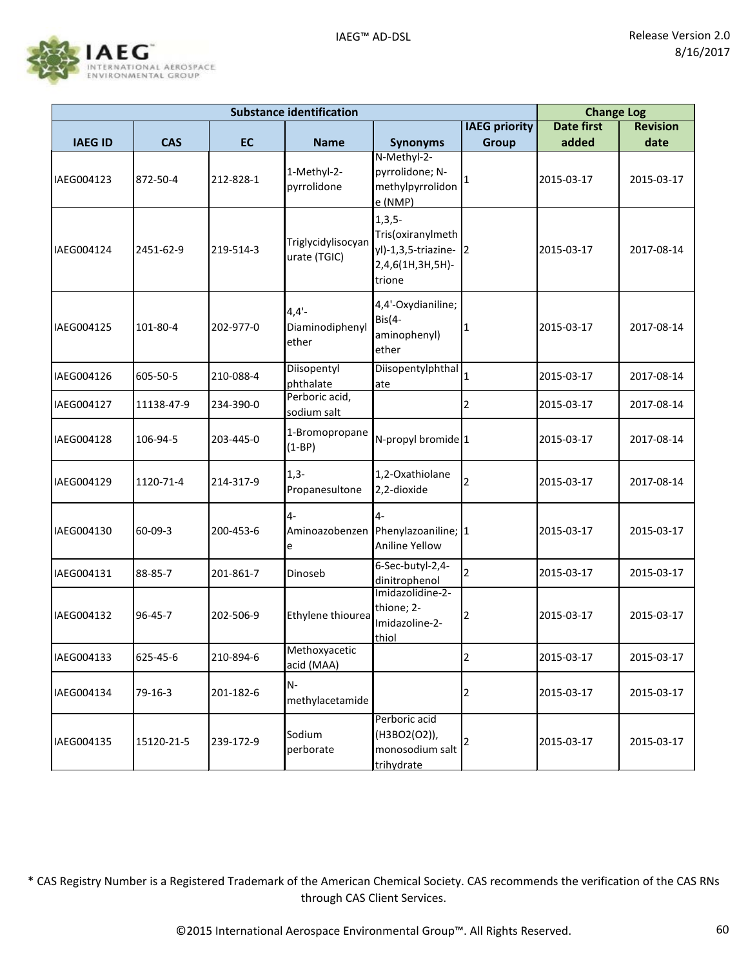

| <b>Substance identification</b> |               |           |                                     |                                                                                      |                      |                   | <b>Change Log</b> |  |
|---------------------------------|---------------|-----------|-------------------------------------|--------------------------------------------------------------------------------------|----------------------|-------------------|-------------------|--|
|                                 |               |           |                                     |                                                                                      | <b>IAEG priority</b> | <b>Date first</b> | <b>Revision</b>   |  |
| <b>IAEG ID</b>                  | <b>CAS</b>    | <b>EC</b> | <b>Name</b>                         | <b>Synonyms</b>                                                                      | <b>Group</b>         | added             | date              |  |
| IAEG004123                      | 872-50-4      | 212-828-1 | 1-Methyl-2-<br>pyrrolidone          | N-Methyl-2-<br>pyrrolidone; N-<br>methylpyrrolidon<br>e (NMP)                        | $\mathbf{1}$         | 2015-03-17        | 2015-03-17        |  |
| IAEG004124                      | 2451-62-9     | 219-514-3 | Triglycidylisocyan<br>urate (TGIC)  | $1,3,5-$<br>Tris(oxiranylmeth<br>yl)-1,3,5-triazine- 2<br>2,4,6(1H,3H,5H)-<br>trione |                      | 2015-03-17        | 2017-08-14        |  |
| IAEG004125                      | 101-80-4      | 202-977-0 | $4,4'-$<br>Diaminodiphenyl<br>ether | 4,4'-Oxydianiline;<br>$Bis(4-$<br>aminophenyl)<br>ether                              | 1                    | 2015-03-17        | 2017-08-14        |  |
| IAEG004126                      | 605-50-5      | 210-088-4 | Diisopentyl<br>phthalate            | Diisopentylphthal<br>ate                                                             | $\mathbf{1}$         | 2015-03-17        | 2017-08-14        |  |
| IAEG004127                      | 11138-47-9    | 234-390-0 | Perboric acid,<br>sodium salt       |                                                                                      | 2                    | 2015-03-17        | 2017-08-14        |  |
| IAEG004128                      | 106-94-5      | 203-445-0 | 1-Bromopropane<br>$(1-BP)$          | N-propyl bromide 1                                                                   |                      | 2015-03-17        | 2017-08-14        |  |
| IAEG004129                      | 1120-71-4     | 214-317-9 | $1,3-$<br>Propanesultone            | 1,2-Oxathiolane<br>2,2-dioxide                                                       | 2                    | 2015-03-17        | 2017-08-14        |  |
| IAEG004130                      | $60 - 09 - 3$ | 200-453-6 | $4-$<br>Aminoazobenzen<br>е         | $4-$<br>Phenylazoaniline; 1<br>Aniline Yellow                                        |                      | 2015-03-17        | 2015-03-17        |  |
| IAEG004131                      | 88-85-7       | 201-861-7 | Dinoseb                             | 6-Sec-butyl-2,4-<br>dinitrophenol                                                    | $\overline{2}$       | 2015-03-17        | 2015-03-17        |  |
| IAEG004132                      | 96-45-7       | 202-506-9 | Ethylene thiourea                   | Imidazolidine-2-<br>thione; 2-<br>Imidazoline-2-<br>thiol                            | 2                    | 2015-03-17        | 2015-03-17        |  |
| IAEG004133                      | 625-45-6      | 210-894-6 | Methoxyacetic<br>acid (MAA)         |                                                                                      | 2                    | 2015-03-17        | 2015-03-17        |  |
| IAEG004134                      | 79-16-3       | 201-182-6 | $N-$<br>methylacetamide             |                                                                                      | 2                    | 2015-03-17        | 2015-03-17        |  |
| IAEG004135                      | 15120-21-5    | 239-172-9 | Sodium<br>perborate                 | Perboric acid<br>(H3BO2(O2)),<br>monosodium salt<br>trihydrate                       | 2                    | 2015-03-17        | 2015-03-17        |  |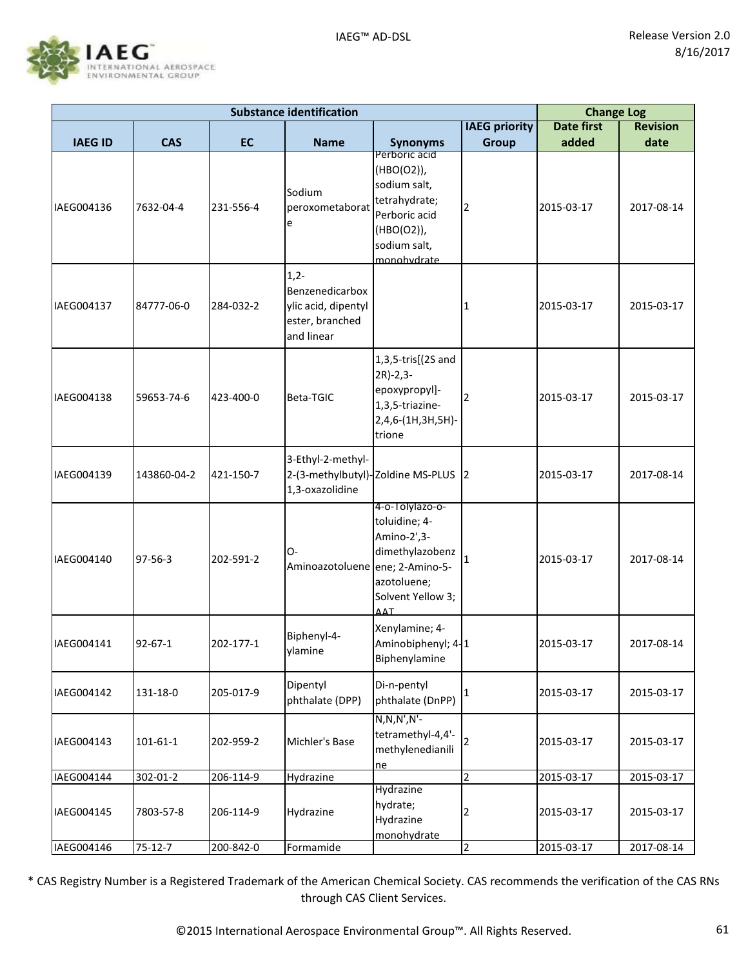

| <b>Substance identification</b> |                |           |                                                                                   |                                                                                                                                          |                      | <b>Change Log</b> |                 |
|---------------------------------|----------------|-----------|-----------------------------------------------------------------------------------|------------------------------------------------------------------------------------------------------------------------------------------|----------------------|-------------------|-----------------|
|                                 |                |           |                                                                                   |                                                                                                                                          | <b>IAEG priority</b> | <b>Date first</b> | <b>Revision</b> |
| <b>IAEG ID</b>                  | <b>CAS</b>     | <b>EC</b> | <b>Name</b>                                                                       | <b>Synonyms</b>                                                                                                                          | <b>Group</b>         | added             | date            |
| IAEG004136                      | 7632-04-4      | 231-556-4 | Sodium<br>peroxometaborat<br>e                                                    | Perboric acid<br>(HBO(O2)),<br>sodium salt,<br>tetrahydrate;<br>Perboric acid<br>(HBO(O2)),<br>sodium salt,<br>monohydrate               | 2                    | 2015-03-17        | 2017-08-14      |
| IAEG004137                      | 84777-06-0     | 284-032-2 | $1,2-$<br>Benzenedicarbox<br>ylic acid, dipentyl<br>ester, branched<br>and linear |                                                                                                                                          |                      | 2015-03-17        | 2015-03-17      |
| IAEG004138                      | 59653-74-6     | 423-400-0 | Beta-TGIC                                                                         | 1,3,5-tris[(2S and<br>$2R$ -2,3-<br>epoxypropyl]-<br>1,3,5-triazine-<br>2,4,6-(1H,3H,5H)-<br>trione                                      | $\overline{2}$       | 2015-03-17        | 2015-03-17      |
| IAEG004139                      | 143860-04-2    | 421-150-7 | 3-Ethyl-2-methyl-<br>1,3-oxazolidine                                              | 2-(3-methylbutyl)-Zoldine MS-PLUS 2                                                                                                      |                      | 2015-03-17        | 2017-08-14      |
| IAEG004140                      | 97-56-3        | 202-591-2 | О-<br>Aminoazotoluene                                                             | 4-o-Tolylazo-o-<br>toluidine; 4-<br>Amino-2', 3-<br>dimethylazobenz<br>ene; 2-Amino-5-<br>azotoluene;<br>Solvent Yellow 3;<br><b>AAT</b> | 1                    | 2015-03-17        | 2017-08-14      |
| IAEG004141                      | 92-67-1        | 202-177-1 | Biphenyl-4-<br>ylamine                                                            | Xenylamine; 4-<br>Aminobiphenyl; 4-1<br>Biphenylamine                                                                                    |                      | 2015-03-17        | 2017-08-14      |
| IAEG004142                      | 131-18-0       | 205-017-9 | Dipentyl<br>phthalate (DPP)                                                       | Di-n-pentyl<br>phthalate (DnPP)                                                                                                          | 1                    | 2015-03-17        | 2015-03-17      |
| IAEG004143                      | $101 - 61 - 1$ | 202-959-2 | Michler's Base                                                                    | $N, N, N', N'$ -<br>tetramethyl-4,4'-<br>methylenedianili<br><sub>ne</sub>                                                               | 2                    | 2015-03-17        | 2015-03-17      |
| IAEG004144                      | 302-01-2       | 206-114-9 | Hydrazine                                                                         |                                                                                                                                          | $\overline{2}$       | 2015-03-17        | 2015-03-17      |
| IAEG004145                      | 7803-57-8      | 206-114-9 | Hydrazine                                                                         | Hydrazine<br>hydrate;<br>Hydrazine<br>monohydrate                                                                                        | 2                    | 2015-03-17        | 2015-03-17      |
| IAEG004146                      | $75-12-7$      | 200-842-0 | Formamide                                                                         |                                                                                                                                          | $\overline{2}$       | 2015-03-17        | 2017-08-14      |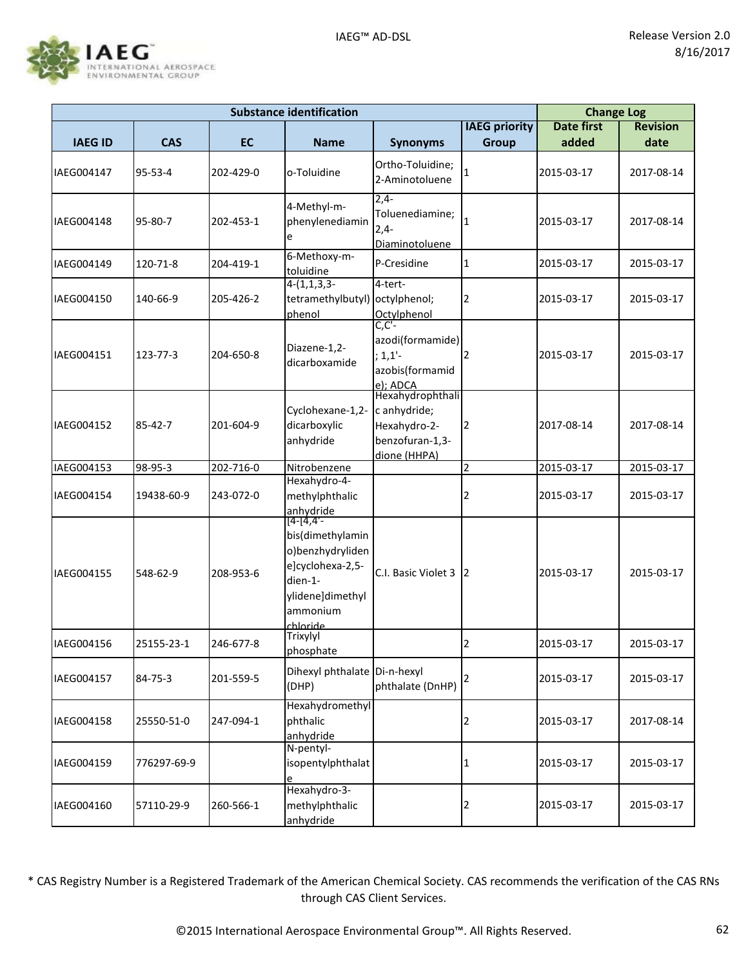

| <b>Substance identification</b> |             |           |                                                                                                                                      |                                                                                                 |                      | <b>Change Log</b> |                 |
|---------------------------------|-------------|-----------|--------------------------------------------------------------------------------------------------------------------------------------|-------------------------------------------------------------------------------------------------|----------------------|-------------------|-----------------|
|                                 |             |           |                                                                                                                                      |                                                                                                 | <b>IAEG priority</b> | <b>Date first</b> | <b>Revision</b> |
| <b>IAEG ID</b>                  | <b>CAS</b>  | <b>EC</b> | <b>Name</b>                                                                                                                          | <b>Synonyms</b>                                                                                 | <b>Group</b>         | added             | date            |
| IAEG004147                      | 95-53-4     | 202-429-0 | o-Toluidine                                                                                                                          | Ortho-Toluidine;<br>2-Aminotoluene                                                              | 1                    | 2015-03-17        | 2017-08-14      |
| IAEG004148                      | 95-80-7     | 202-453-1 | 4-Methyl-m-<br>phenylenediamin<br>e                                                                                                  | $2,4-$<br>Toluenediamine;<br>$2,4-$<br>Diaminotoluene                                           | 1                    | 2015-03-17        | 2017-08-14      |
| IAEG004149                      | 120-71-8    | 204-419-1 | 6-Methoxy-m-<br>toluidine                                                                                                            | P-Cresidine                                                                                     | $\mathbf{1}$         | 2015-03-17        | 2015-03-17      |
| IAEG004150                      | 140-66-9    | 205-426-2 | $4-(1,1,3,3-$<br>tetramethylbutyl)<br>phenol                                                                                         | 4-tert-<br>octylphenol;<br><b>Octylphenol</b>                                                   | 2                    | 2015-03-17        | 2015-03-17      |
| IAEG004151                      | 123-77-3    | 204-650-8 | Diazene-1,2-<br>dicarboxamide                                                                                                        | $C, C'$ -<br>azodi(formamide)<br>$; 1, 1'$ -<br>azobis(formamid<br>e); ADCA<br>Hexahydrophthali | $\overline{2}$       | 2015-03-17        | 2015-03-17      |
| IAEG004152                      | 85-42-7     | 201-604-9 | Cyclohexane-1,2-<br>dicarboxylic<br>anhydride                                                                                        | c anhydride;<br>Hexahydro-2-<br>benzofuran-1,3-<br>dione (HHPA)                                 | 2                    | 2017-08-14        | 2017-08-14      |
| IAEG004153                      | 98-95-3     | 202-716-0 | Nitrobenzene                                                                                                                         |                                                                                                 | $\overline{2}$       | 2015-03-17        | 2015-03-17      |
| IAEG004154                      | 19438-60-9  | 243-072-0 | Hexahydro-4-<br>methylphthalic<br>anhydride                                                                                          |                                                                                                 | 2                    | 2015-03-17        | 2015-03-17      |
| IAEG004155                      | 548-62-9    | 208-953-6 | <u> 14-14,4'-</u><br>bis(dimethylamin<br>o)benzhydryliden<br>e]cyclohexa-2,5-<br>dien-1-<br>ylidene]dimethyl<br>ammonium<br>chloride | C.I. Basic Violet 3                                                                             | $\overline{2}$       | 2015-03-17        | 2015-03-17      |
| IAEG004156                      | 25155-23-1  | 246-677-8 | Trixylyl<br>phosphate                                                                                                                |                                                                                                 | 2                    | 2015-03-17        | 2015-03-17      |
| IAEG004157                      | 84-75-3     | 201-559-5 | Dihexyl phthalate Di-n-hexyl<br>(DHP)                                                                                                | phthalate (DnHP)                                                                                |                      | 2015-03-17        | 2015-03-17      |
| IAEG004158                      | 25550-51-0  | 247-094-1 | Hexahydromethyl<br>phthalic<br>anhydride                                                                                             |                                                                                                 | 2                    | 2015-03-17        | 2017-08-14      |
| IAEG004159                      | 776297-69-9 |           | N-pentyl-<br>isopentylphthalat<br>е                                                                                                  |                                                                                                 | 1                    | 2015-03-17        | 2015-03-17      |
| IAEG004160                      | 57110-29-9  | 260-566-1 | Hexahydro-3-<br>methylphthalic<br>anhydride                                                                                          |                                                                                                 | 2                    | 2015-03-17        | 2015-03-17      |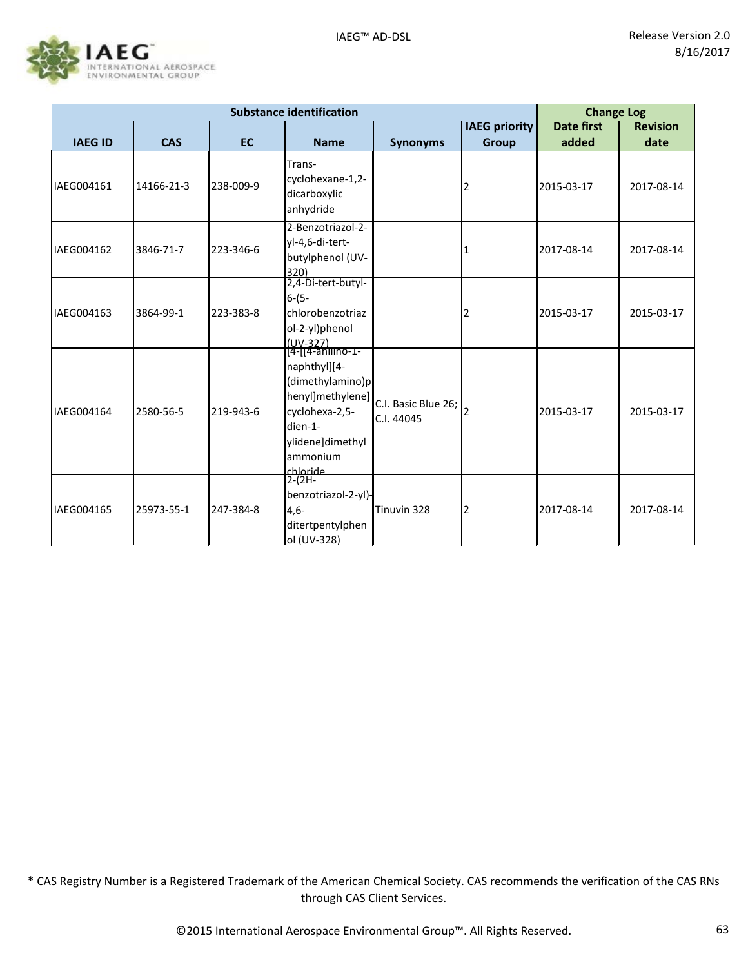

|                | <b>Substance identification</b> |           |                                                                                                                   |                                   |                      |                   |                 |
|----------------|---------------------------------|-----------|-------------------------------------------------------------------------------------------------------------------|-----------------------------------|----------------------|-------------------|-----------------|
|                |                                 |           |                                                                                                                   |                                   | <b>IAEG priority</b> | <b>Date first</b> | <b>Revision</b> |
| <b>IAEG ID</b> | <b>CAS</b>                      | <b>EC</b> | <b>Name</b>                                                                                                       | <b>Synonyms</b>                   | <b>Group</b>         | added             | date            |
| IAEG004161     | 14166-21-3                      | 238-009-9 | Trans-<br>cyclohexane-1,2-<br>dicarboxylic<br>anhydride                                                           |                                   | 2                    | 2015-03-17        | 2017-08-14      |
| IAEG004162     | 3846-71-7                       | 223-346-6 | 2-Benzotriazol-2-<br>yl-4,6-di-tert-<br>butylphenol (UV-<br>320)                                                  |                                   | 1                    | 2017-08-14        | 2017-08-14      |
| IAEG004163     | 3864-99-1                       | 223-383-8 | 2,4-Di-tert-butyl-<br>$6 - (5 -$<br>chlorobenzotriaz<br>ol-2-yl)phenol<br>(UV-327)<br>[4-[[4-anilino-1-           |                                   | 2                    | 2015-03-17        | 2015-03-17      |
| IAEG004164     | 2580-56-5                       | 219-943-6 | naphthyl][4-<br>(dimethylamino)p<br>henyl]methylene]<br>cyclohexa-2,5-<br>dien-1-<br>ylidene]dimethyl<br>ammonium | C.I. Basic Blue 26;<br>C.I. 44045 | $\overline{2}$       | 2015-03-17        | 2015-03-17      |
| IAEG004165     | 25973-55-1                      | 247-384-8 | chloride<br>2-(2H-<br>benzotriazol-2-yl)-<br>$4,6-$<br>ditertpentylphen<br>ol (UV-328)                            | Tinuvin 328                       | 2                    | 2017-08-14        | 2017-08-14      |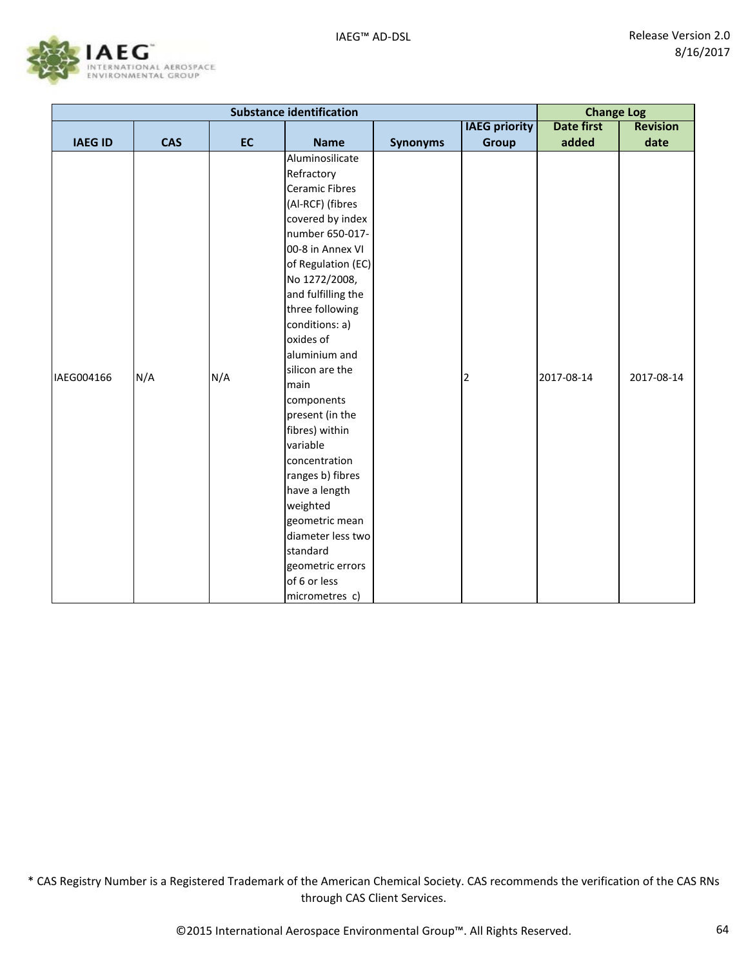

| <b>Substance identification</b> |           |             |                                                                                                                                                                                                                                                                                                                                                                                                                                                                                                               |                    |                      |                                                      |
|---------------------------------|-----------|-------------|---------------------------------------------------------------------------------------------------------------------------------------------------------------------------------------------------------------------------------------------------------------------------------------------------------------------------------------------------------------------------------------------------------------------------------------------------------------------------------------------------------------|--------------------|----------------------|------------------------------------------------------|
|                                 |           |             |                                                                                                                                                                                                                                                                                                                                                                                                                                                                                                               |                    |                      | <b>Revision</b>                                      |
| <b>CAS</b>                      | <b>EC</b> | <b>Name</b> | <b>Synonyms</b>                                                                                                                                                                                                                                                                                                                                                                                                                                                                                               | <b>Group</b>       | added                | date                                                 |
| N/A                             |           |             |                                                                                                                                                                                                                                                                                                                                                                                                                                                                                                               | $\overline{c}$     |                      | 2017-08-14                                           |
|                                 |           | N/A         | Aluminosilicate<br>Refractory<br>Ceramic Fibres<br>(Al-RCF) (fibres<br>covered by index<br>number 650-017-<br>00-8 in Annex VI<br>No 1272/2008,<br>and fulfilling the<br>three following<br>conditions: a)<br>oxides of<br>aluminium and<br>silicon are the<br>main<br>components<br>present (in the<br>fibres) within<br>variable<br>concentration<br>ranges b) fibres<br>have a length<br>weighted<br>geometric mean<br>diameter less two<br>standard<br>geometric errors<br>of 6 or less<br>micrometres c) | of Regulation (EC) | <b>IAEG priority</b> | <b>Change Log</b><br><b>Date first</b><br>2017-08-14 |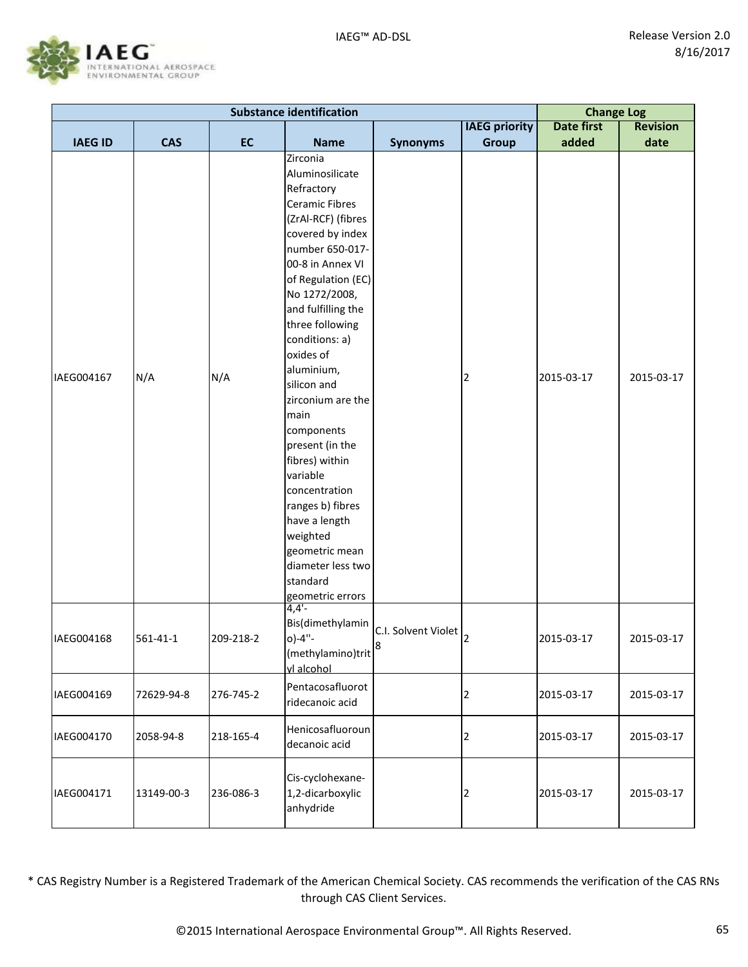

| <b>Substance identification</b> |                |           |                                                                                                                                                                                                                                                                                                                                                                                                                                                                                                                                      |                            |                      |                   | <b>Change Log</b> |  |
|---------------------------------|----------------|-----------|--------------------------------------------------------------------------------------------------------------------------------------------------------------------------------------------------------------------------------------------------------------------------------------------------------------------------------------------------------------------------------------------------------------------------------------------------------------------------------------------------------------------------------------|----------------------------|----------------------|-------------------|-------------------|--|
|                                 |                |           |                                                                                                                                                                                                                                                                                                                                                                                                                                                                                                                                      |                            | <b>IAEG priority</b> | <b>Date first</b> | <b>Revision</b>   |  |
| <b>IAEG ID</b>                  | <b>CAS</b>     | <b>EC</b> | <b>Name</b>                                                                                                                                                                                                                                                                                                                                                                                                                                                                                                                          | <b>Synonyms</b>            | <b>Group</b>         | added             | date              |  |
| IAEG004167                      | N/A            | N/A       | Zirconia<br>Aluminosilicate<br>Refractory<br><b>Ceramic Fibres</b><br>(ZrAI-RCF) (fibres<br>covered by index<br>number 650-017-<br>00-8 in Annex VI<br>of Regulation (EC)<br>No 1272/2008,<br>and fulfilling the<br>three following<br>conditions: a)<br>oxides of<br>aluminium,<br>silicon and<br>zirconium are the<br>main<br>components<br>present (in the<br>fibres) within<br>variable<br>concentration<br>ranges b) fibres<br>have a length<br>weighted<br>geometric mean<br>diameter less two<br>standard<br>geometric errors |                            | 2                    | 2015-03-17        | 2015-03-17        |  |
| IAEG004168                      | $561 - 41 - 1$ | 209-218-2 | $4,4'$ -<br>Bis(dimethylamin<br>$o$ )-4"-<br>(methylamino)trit<br>vl alcohol                                                                                                                                                                                                                                                                                                                                                                                                                                                         | C.I. Solvent Violet 2<br>8 |                      | 2015-03-17        | 2015-03-17        |  |
| IAEG004169                      | 72629-94-8     | 276-745-2 | Pentacosafluorot<br>ridecanoic acid                                                                                                                                                                                                                                                                                                                                                                                                                                                                                                  |                            | 2                    | 2015-03-17        | 2015-03-17        |  |
| IAEG004170                      | 2058-94-8      | 218-165-4 | Henicosafluoroun<br>decanoic acid                                                                                                                                                                                                                                                                                                                                                                                                                                                                                                    |                            | 2                    | 2015-03-17        | 2015-03-17        |  |
| IAEG004171                      | 13149-00-3     | 236-086-3 | Cis-cyclohexane-<br>1,2-dicarboxylic<br>anhydride                                                                                                                                                                                                                                                                                                                                                                                                                                                                                    |                            | 2                    | 2015-03-17        | 2015-03-17        |  |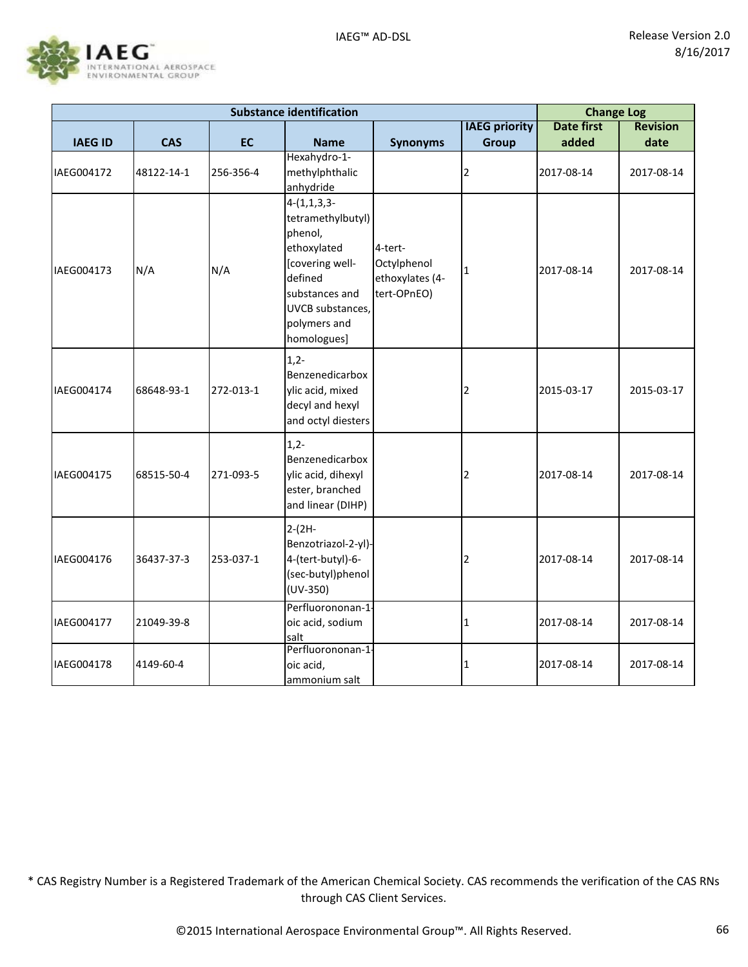

|                |            |           | <b>Substance identification</b>                                                                                                                                 |                                                          |                      | <b>Change Log</b> |                 |
|----------------|------------|-----------|-----------------------------------------------------------------------------------------------------------------------------------------------------------------|----------------------------------------------------------|----------------------|-------------------|-----------------|
|                |            |           |                                                                                                                                                                 |                                                          | <b>IAEG priority</b> | <b>Date first</b> | <b>Revision</b> |
| <b>IAEG ID</b> | <b>CAS</b> | <b>EC</b> | <b>Name</b>                                                                                                                                                     | <b>Synonyms</b>                                          | <b>Group</b>         | added             | date            |
| IAEG004172     | 48122-14-1 | 256-356-4 | Hexahydro-1-<br>methylphthalic<br>anhydride                                                                                                                     |                                                          | 2                    | 2017-08-14        | 2017-08-14      |
| IAEG004173     | N/A        | N/A       | $4-(1,1,3,3-$<br>tetramethylbutyl)<br>phenol,<br>ethoxylated<br>[covering well-<br>defined<br>substances and<br>UVCB substances,<br>polymers and<br>homologues] | 4-tert-<br>Octylphenol<br>ethoxylates (4-<br>tert-OPnEO) | 1                    | 2017-08-14        | 2017-08-14      |
| IAEG004174     | 68648-93-1 | 272-013-1 | $1,2-$<br>Benzenedicarbox<br>ylic acid, mixed<br>decyl and hexyl<br>and octyl diesters                                                                          |                                                          | 2                    | 2015-03-17        | 2015-03-17      |
| IAEG004175     | 68515-50-4 | 271-093-5 | $1,2-$<br>Benzenedicarbox<br>ylic acid, dihexyl<br>ester, branched<br>and linear (DIHP)                                                                         |                                                          | 2                    | 2017-08-14        | 2017-08-14      |
| IAEG004176     | 36437-37-3 | 253-037-1 | $2-(2H -$<br>Benzotriazol-2-yl)-<br>4-(tert-butyl)-6-<br>(sec-butyl)phenol<br>$(UV-350)$                                                                        |                                                          | $\overline{2}$       | 2017-08-14        | 2017-08-14      |
| IAEG004177     | 21049-39-8 |           | Perfluorononan-1<br>oic acid, sodium<br>salt                                                                                                                    |                                                          | 1                    | 2017-08-14        | 2017-08-14      |
| IAEG004178     | 4149-60-4  |           | Perfluorononan-1-<br>oic acid,<br>ammonium salt                                                                                                                 |                                                          | 1                    | 2017-08-14        | 2017-08-14      |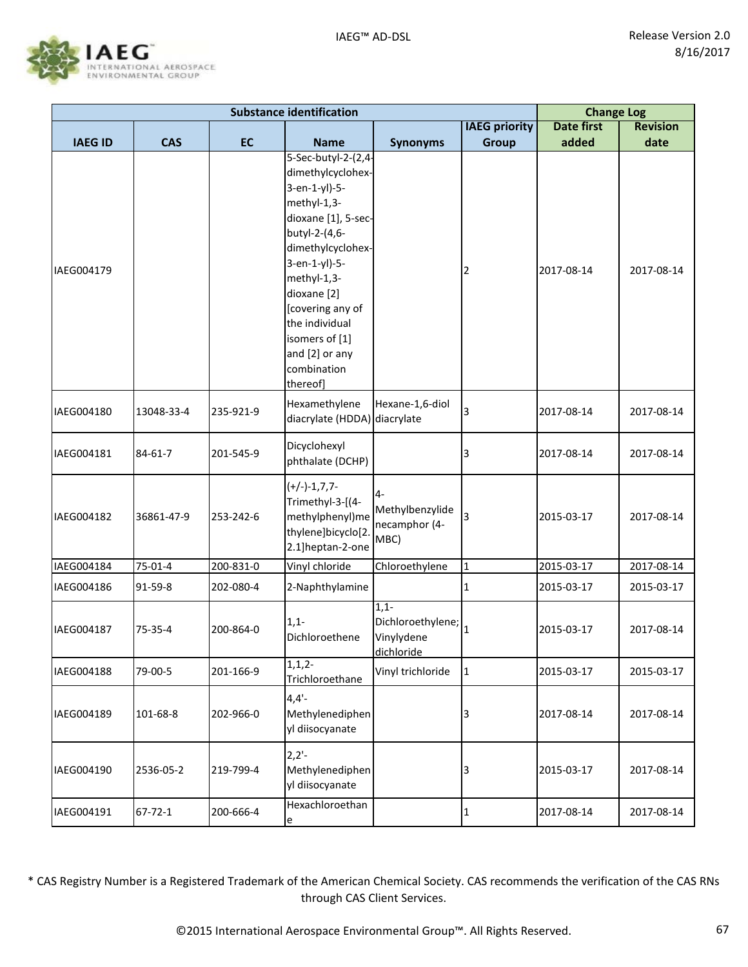

| <b>Substance identification</b> |               |           |                                                                                                                                                                                                                                                                                           |                                                         |                      |                   | <b>Change Log</b> |  |
|---------------------------------|---------------|-----------|-------------------------------------------------------------------------------------------------------------------------------------------------------------------------------------------------------------------------------------------------------------------------------------------|---------------------------------------------------------|----------------------|-------------------|-------------------|--|
|                                 |               |           |                                                                                                                                                                                                                                                                                           |                                                         | <b>IAEG priority</b> | <b>Date first</b> | <b>Revision</b>   |  |
| <b>IAEG ID</b>                  | <b>CAS</b>    | <b>EC</b> | <b>Name</b>                                                                                                                                                                                                                                                                               | <b>Synonyms</b>                                         | <b>Group</b>         | added             | date              |  |
| IAEG004179                      |               |           | 5-Sec-butyl-2-(2,4-<br>dimethylcyclohex-<br>3-en-1-yl)-5-<br>methyl-1,3-<br>dioxane [1], 5-sec-<br>butyl-2-(4,6-<br>dimethylcyclohex-<br>3-en-1-yl)-5-<br>methyl-1,3-<br>dioxane [2]<br>[covering any of<br>the individual<br>isomers of [1]<br>and [2] or any<br>combination<br>thereof] |                                                         | 2                    | 2017-08-14        | 2017-08-14        |  |
| IAEG004180                      | 13048-33-4    | 235-921-9 | Hexamethylene<br>diacrylate (HDDA) diacrylate                                                                                                                                                                                                                                             | Hexane-1,6-diol                                         | 3                    | 2017-08-14        | 2017-08-14        |  |
| IAEG004181                      | 84-61-7       | 201-545-9 | Dicyclohexyl<br>phthalate (DCHP)                                                                                                                                                                                                                                                          |                                                         | 3                    | 2017-08-14        | 2017-08-14        |  |
| IAEG004182                      | 36861-47-9    | 253-242-6 | $(+/-)-1,7,7-$<br>Trimethyl-3-[(4-<br>methylphenyl)me<br>thylene]bicyclo[2.<br>2.1]heptan-2-one                                                                                                                                                                                           | 4-<br>Methylbenzylide<br>necamphor (4-<br>MBC)          | 3                    | 2015-03-17        | 2017-08-14        |  |
| IAEG004184                      | 75-01-4       | 200-831-0 | Vinyl chloride                                                                                                                                                                                                                                                                            | Chloroethylene                                          | $\mathbf 1$          | 2015-03-17        | 2017-08-14        |  |
| IAEG004186                      | 91-59-8       | 202-080-4 | 2-Naphthylamine                                                                                                                                                                                                                                                                           |                                                         | 1                    | 2015-03-17        | 2015-03-17        |  |
| IAEG004187                      | 75-35-4       | 200-864-0 | $1,1-$<br>Dichloroethene                                                                                                                                                                                                                                                                  | $1,1-$<br>Dichloroethylene;<br>Vinylydene<br>dichloride | 1                    | 2015-03-17        | 2017-08-14        |  |
| IAEG004188                      | 79-00-5       | 201-166-9 | $1, 1, 2-$<br>Trichloroethane                                                                                                                                                                                                                                                             | Vinyl trichloride                                       | 1                    | 2015-03-17        | 2015-03-17        |  |
| IAEG004189                      | 101-68-8      | 202-966-0 | $4,4'-$<br>Methylenediphen<br>yl diisocyanate                                                                                                                                                                                                                                             |                                                         | 3                    | 2017-08-14        | 2017-08-14        |  |
| IAEG004190                      | 2536-05-2     | 219-799-4 | $2,2'$ -<br>Methylenediphen<br>yl diisocyanate                                                                                                                                                                                                                                            |                                                         | 3                    | 2015-03-17        | 2017-08-14        |  |
| IAEG004191                      | $67 - 72 - 1$ | 200-666-4 | Hexachloroethan<br>e                                                                                                                                                                                                                                                                      |                                                         | 1                    | 2017-08-14        | 2017-08-14        |  |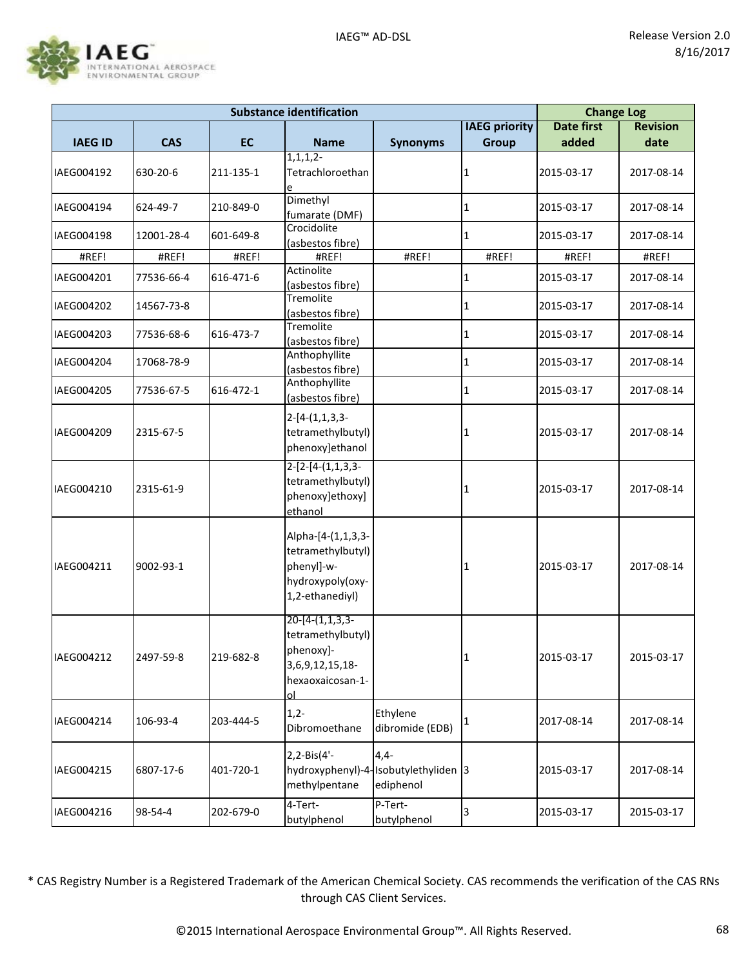

| <b>Substance identification</b> |            |           |                                                                                                  |                                                             |                      | <b>Change Log</b> |                 |
|---------------------------------|------------|-----------|--------------------------------------------------------------------------------------------------|-------------------------------------------------------------|----------------------|-------------------|-----------------|
|                                 |            |           |                                                                                                  |                                                             | <b>IAEG priority</b> | <b>Date first</b> | <b>Revision</b> |
| <b>IAEG ID</b>                  | <b>CAS</b> | <b>EC</b> | <b>Name</b>                                                                                      | <b>Synonyms</b>                                             | <b>Group</b>         | added             | date            |
| IAEG004192                      | 630-20-6   | 211-135-1 | $1, 1, 1, 2-$<br>Tetrachloroethan<br>e                                                           |                                                             | 1                    | 2015-03-17        | 2017-08-14      |
| IAEG004194                      | 624-49-7   | 210-849-0 | Dimethyl<br>fumarate (DMF)                                                                       |                                                             | 1                    | 2015-03-17        | 2017-08-14      |
| IAEG004198                      | 12001-28-4 | 601-649-8 | Crocidolite<br>(asbestos fibre)                                                                  |                                                             | 1                    | 2015-03-17        | 2017-08-14      |
| #REF!                           | #REF!      | #REF!     | #REF!                                                                                            | #REF!                                                       | #REF!                | #REF!             | #REF!           |
| IAEG004201                      | 77536-66-4 | 616-471-6 | Actinolite<br>(asbestos fibre)                                                                   |                                                             | 1                    | 2015-03-17        | 2017-08-14      |
| IAEG004202                      | 14567-73-8 |           | Tremolite<br>(asbestos fibre)                                                                    |                                                             | 1                    | 2015-03-17        | 2017-08-14      |
| IAEG004203                      | 77536-68-6 | 616-473-7 | Tremolite<br>(asbestos fibre)                                                                    |                                                             | 1                    | 2015-03-17        | 2017-08-14      |
| IAEG004204                      | 17068-78-9 |           | Anthophyllite<br>(asbestos fibre)                                                                |                                                             | 1                    | 2015-03-17        | 2017-08-14      |
| IAEG004205                      | 77536-67-5 | 616-472-1 | Anthophyllite<br>(asbestos fibre)                                                                |                                                             | 1                    | 2015-03-17        | 2017-08-14      |
| IAEG004209                      | 2315-67-5  |           | $2-[4-(1,1,3,3-$<br>tetramethylbutyl)<br>phenoxy]ethanol                                         |                                                             | 1                    | 2015-03-17        | 2017-08-14      |
| IAEG004210                      | 2315-61-9  |           | $2-[2-[4-(1,1,3,3-$<br>tetramethylbutyl)<br>phenoxy]ethoxy]<br>ethanol                           |                                                             | 1                    | 2015-03-17        | 2017-08-14      |
| IAEG004211                      | 9002-93-1  |           | Alpha-[4-(1,1,3,3-<br>tetramethylbutyl)<br>phenyl]-w-<br>hydroxypoly(oxy-<br>1,2-ethanediyl)     |                                                             | 1                    | 2015-03-17        | 2017-08-14      |
| IAEG004212                      | 2497-59-8  | 219-682-8 | $20-[4-(1,1,3,3-$<br>tetramethylbutyl)<br>phenoxy]-<br>3,6,9,12,15,18-<br>hexaoxaicosan-1-<br>οl |                                                             | 1                    | 2015-03-17        | 2015-03-17      |
| IAEG004214                      | 106-93-4   | 203-444-5 | $1,2-$<br>Dibromoethane                                                                          | Ethylene<br>dibromide (EDB)                                 |                      | 2017-08-14        | 2017-08-14      |
| IAEG004215                      | 6807-17-6  | 401-720-1 | 2,2-Bis(4'-<br>methylpentane                                                                     | $4,4-$<br>hydroxyphenyl)-4-Isobutylethyliden 3<br>ediphenol |                      | 2015-03-17        | 2017-08-14      |
| IAEG004216                      | 98-54-4    | 202-679-0 | 4-Tert-<br>butylphenol                                                                           | P-Tert-<br>butylphenol                                      | 3                    | 2015-03-17        | 2015-03-17      |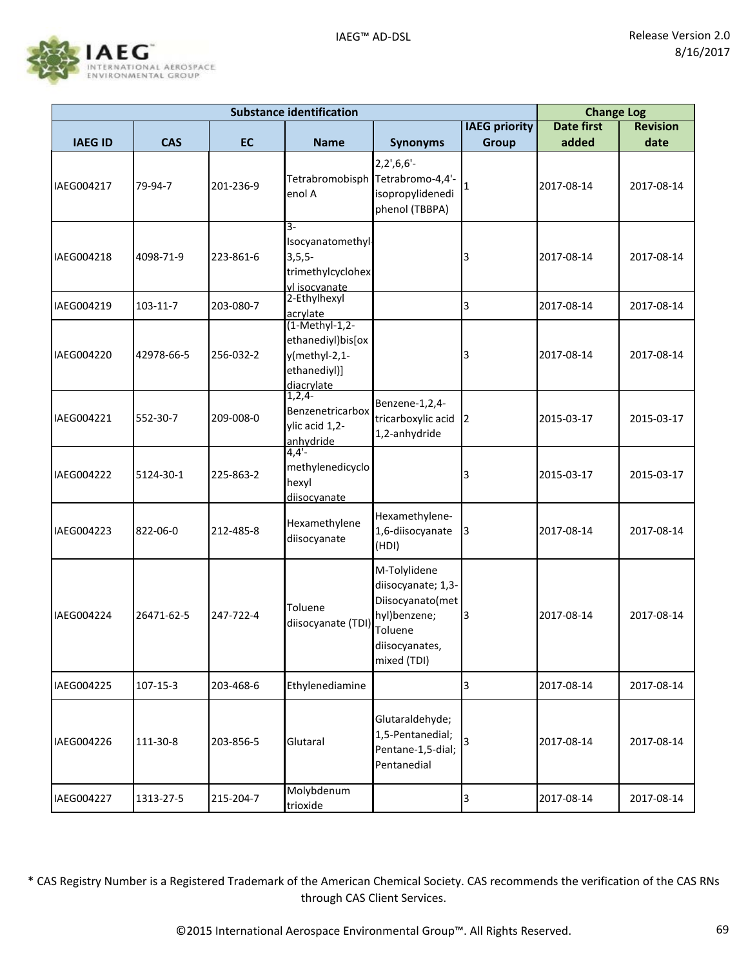

|                |                |           | <b>Substance identification</b>                                                    |                                                                                                         |                      | <b>Change Log</b> |                 |
|----------------|----------------|-----------|------------------------------------------------------------------------------------|---------------------------------------------------------------------------------------------------------|----------------------|-------------------|-----------------|
|                |                |           |                                                                                    |                                                                                                         | <b>IAEG priority</b> | <b>Date first</b> | <b>Revision</b> |
| <b>IAEG ID</b> | <b>CAS</b>     | <b>EC</b> | <b>Name</b>                                                                        | <b>Synonyms</b>                                                                                         | <b>Group</b>         | added             | date            |
| IAEG004217     | 79-94-7        | 201-236-9 | Tetrabromobisph Tetrabromo-4,4'-<br>enol A                                         | $2,2',6,6'$ -<br>isopropylidenedi<br>phenol (TBBPA)                                                     |                      | 2017-08-14        | 2017-08-14      |
| IAEG004218     | 4098-71-9      | 223-861-6 | 3-<br>Isocyanatomethyl-<br>$3, 5, 5 -$<br>trimethylcyclohex<br>vl isocvanate       |                                                                                                         | 3                    | 2017-08-14        | 2017-08-14      |
| IAEG004219     | 103-11-7       | 203-080-7 | 2-Ethylhexyl<br>acrylate                                                           |                                                                                                         | 3                    | 2017-08-14        | 2017-08-14      |
| IAEG004220     | 42978-66-5     | 256-032-2 | (1-Methyl-1,2-<br>ethanediyl)bis[ox<br>y(methyl-2,1-<br>ethanediyl)]<br>diacrylate |                                                                                                         | 3                    | 2017-08-14        | 2017-08-14      |
| IAEG004221     | 552-30-7       | 209-008-0 | $1,2,4-$<br>Benzenetricarbox<br>ylic acid 1,2-<br>anhydride                        | Benzene-1,2,4-<br>tricarboxylic acid<br>1,2-anhydride                                                   | 2                    | 2015-03-17        | 2015-03-17      |
| IAEG004222     | 5124-30-1      | 225-863-2 | $4,4'-$<br>methylenedicyclo<br>hexyl<br>diisocyanate                               |                                                                                                         | 3                    | 2015-03-17        | 2015-03-17      |
| IAEG004223     | 822-06-0       | 212-485-8 | Hexamethylene<br>diisocyanate                                                      | Hexamethylene-<br>1,6-diisocyanate<br>(HDI)                                                             | 3                    | 2017-08-14        | 2017-08-14      |
| IAEG004224     | 26471-62-5     | 247-722-4 | Toluene<br>diisocyanate (TDI) Toluene                                              | M-Tolylidene<br>diisocyanate; 1,3-<br>Diisocyanato(met<br>hyl)benzene;<br>diisocyanates,<br>mixed (TDI) | 3                    | 2017-08-14        | 2017-08-14      |
| IAEG004225     | $107 - 15 - 3$ | 203-468-6 | Ethylenediamine                                                                    |                                                                                                         | 3                    | 2017-08-14        | 2017-08-14      |
| IAEG004226     | 111-30-8       | 203-856-5 | Glutaral                                                                           | Glutaraldehyde;<br>1,5-Pentanedial;<br>Pentane-1,5-dial;<br>Pentanedial                                 | 3                    | 2017-08-14        | 2017-08-14      |
| IAEG004227     | 1313-27-5      | 215-204-7 | Molybdenum<br>trioxide                                                             |                                                                                                         | 3                    | 2017-08-14        | 2017-08-14      |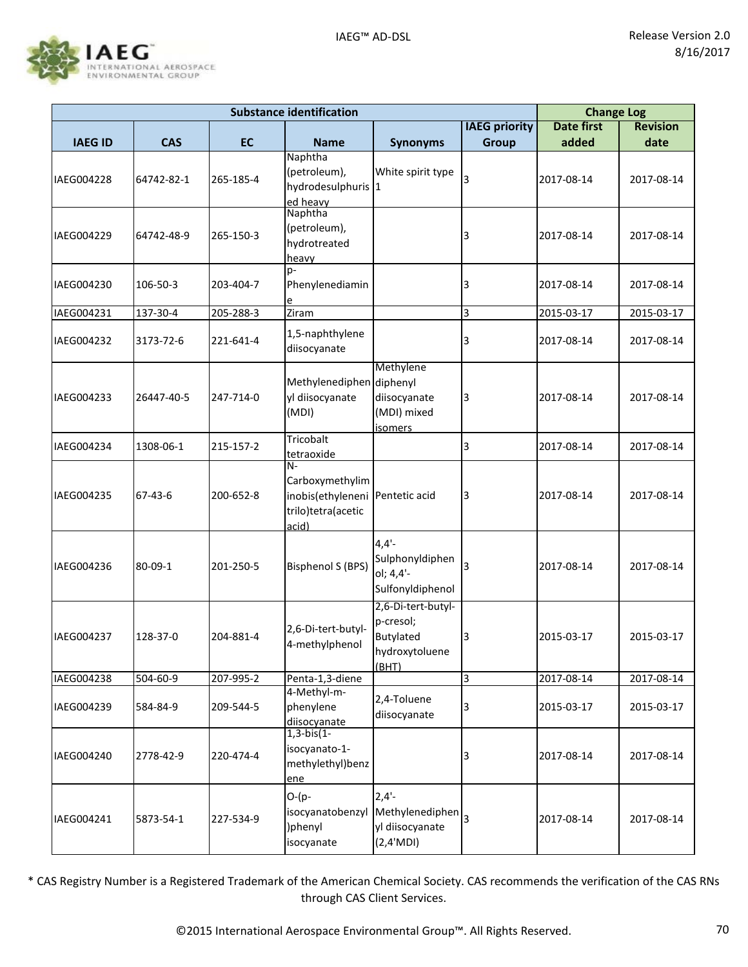

|                |            | <b>Substance identification</b> |                                                                             |                                                                                  |                      | <b>Change Log</b> |                 |
|----------------|------------|---------------------------------|-----------------------------------------------------------------------------|----------------------------------------------------------------------------------|----------------------|-------------------|-----------------|
|                |            |                                 |                                                                             |                                                                                  | <b>IAEG priority</b> | <b>Date first</b> | <b>Revision</b> |
| <b>IAEG ID</b> | <b>CAS</b> | <b>EC</b>                       | <b>Name</b>                                                                 | <b>Synonyms</b>                                                                  | <b>Group</b>         | added             | date            |
| IAEG004228     | 64742-82-1 | 265-185-4                       | Naphtha<br>(petroleum),<br>hydrodesulphuris 1<br>ed heavy                   | White spirit type                                                                | 3                    | 2017-08-14        | 2017-08-14      |
| IAEG004229     | 64742-48-9 | 265-150-3                       | Naphtha<br>(petroleum),<br>hydrotreated<br>heavy                            |                                                                                  | 3                    | 2017-08-14        | 2017-08-14      |
| IAEG004230     | 106-50-3   | 203-404-7                       | p-<br>Phenylenediamin<br>e                                                  |                                                                                  | 3                    | 2017-08-14        | 2017-08-14      |
| IAEG004231     | 137-30-4   | 205-288-3                       | Ziram                                                                       |                                                                                  | 3                    | 2015-03-17        | 2015-03-17      |
| IAEG004232     | 3173-72-6  | 221-641-4                       | 1,5-naphthylene<br>diisocyanate                                             |                                                                                  | 3                    | 2017-08-14        | 2017-08-14      |
| IAEG004233     | 26447-40-5 | 247-714-0                       | Methylenediphen<br>yl diisocyanate<br>(MDI)                                 | Methylene<br>diphenyl<br>diisocyanate<br>(MDI) mixed<br>isomers                  | 3                    | 2017-08-14        | 2017-08-14      |
| IAEG004234     | 1308-06-1  | 215-157-2                       | Tricobalt<br>tetraoxide                                                     |                                                                                  | 3                    | 2017-08-14        | 2017-08-14      |
| IAEG004235     | 67-43-6    | 200-652-8                       | $N-$<br>Carboxymethylim<br>inobis(ethyleneni<br>trilo)tetra(acetic<br>acid) | Pentetic acid                                                                    | 3                    | 2017-08-14        | 2017-08-14      |
| IAEG004236     | 80-09-1    | 201-250-5                       | <b>Bisphenol S (BPS)</b>                                                    | $4,4'$ -<br>Sulphonyldiphen<br>ol; 4,4'-<br>Sulfonyldiphenol                     | 3                    | 2017-08-14        | 2017-08-14      |
| IAEG004237     | 128-37-0   | 204-881-4                       | 2,6-Di-tert-butyl-<br>4-methylphenol                                        | 2,6-Di-tert-butyl-<br>p-cresol;<br>Butylated<br>hydroxytoluene<br>(BHT)          | 3                    | 2015-03-17        | 2015-03-17      |
| IAEG004238     | 504-60-9   | 207-995-2                       | Penta-1,3-diene                                                             |                                                                                  | 3                    | 2017-08-14        | 2017-08-14      |
| IAEG004239     | 584-84-9   | 209-544-5                       | 4-Methyl-m-<br>phenylene<br>diisocyanate                                    | 2,4-Toluene<br>diisocyanate                                                      | 3                    | 2015-03-17        | 2015-03-17      |
| IAEG004240     | 2778-42-9  | 220-474-4                       | $1,3-bis(1-$<br>isocyanato-1-<br>methylethyl)benz<br>ene                    |                                                                                  | 3                    | 2017-08-14        | 2017-08-14      |
| IAEG004241     | 5873-54-1  | 227-534-9                       | $O-(p-$<br>isocyanatobenzyl<br>)phenyl<br>isocyanate                        | $2,4'$ -<br>Methylenediphen $\vert$ <sub>3</sub><br>yl diisocyanate<br>(2,4'MDI) |                      | 2017-08-14        | 2017-08-14      |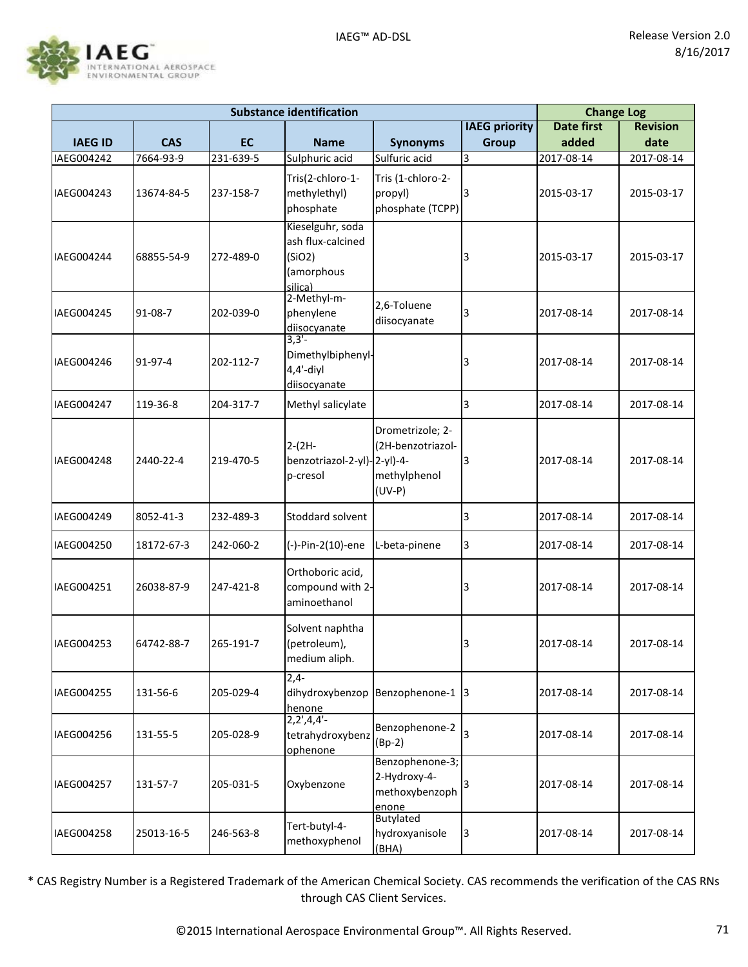

|                |            |           | <b>Change Log</b>                                                        |                                                                   |                      |                   |                 |
|----------------|------------|-----------|--------------------------------------------------------------------------|-------------------------------------------------------------------|----------------------|-------------------|-----------------|
|                |            |           |                                                                          |                                                                   | <b>IAEG priority</b> | <b>Date first</b> | <b>Revision</b> |
| <b>IAEG ID</b> | <b>CAS</b> | <b>EC</b> | <b>Name</b>                                                              | <b>Synonyms</b>                                                   | <b>Group</b>         | added             | date            |
| IAEG004242     | 7664-93-9  | 231-639-5 | Sulphuric acid                                                           | Sulfuric acid                                                     | 3                    | 2017-08-14        | 2017-08-14      |
| IAEG004243     | 13674-84-5 | 237-158-7 | Tris(2-chloro-1-<br>methylethyl)<br>phosphate                            | Tris (1-chloro-2-<br>propyl)<br>phosphate (TCPP)                  | 3                    | 2015-03-17        | 2015-03-17      |
| IAEG004244     | 68855-54-9 | 272-489-0 | Kieselguhr, soda<br>ash flux-calcined<br>(SiO2)<br>(amorphous<br>silica) |                                                                   | 3                    | 2015-03-17        | 2015-03-17      |
| IAEG004245     | 91-08-7    | 202-039-0 | 2-Methyl-m-<br>phenylene<br>diisocyanate                                 | 2,6-Toluene<br>diisocyanate                                       | 3                    | 2017-08-14        | 2017-08-14      |
| IAEG004246     | 91-97-4    | 202-112-7 | $3,3'$ -<br>Dimethylbiphenyl-<br>$4,4'-divl$<br>diisocyanate             |                                                                   | 3                    | 2017-08-14        | 2017-08-14      |
| IAEG004247     | 119-36-8   | 204-317-7 | Methyl salicylate                                                        |                                                                   | 3                    | 2017-08-14        | 2017-08-14      |
| IAEG004248     | 2440-22-4  | 219-470-5 | $2-(2H -$<br>benzotriazol-2-yl)-2-yl)-4-<br>p-cresol                     | Drometrizole; 2-<br>(2H-benzotriazol-<br>methylphenol<br>$(UV-P)$ | 3                    | 2017-08-14        | 2017-08-14      |
| IAEG004249     | 8052-41-3  | 232-489-3 | Stoddard solvent                                                         |                                                                   | 3                    | 2017-08-14        | 2017-08-14      |
| IAEG004250     | 18172-67-3 | 242-060-2 | (-)-Pin-2(10)-ene                                                        | L-beta-pinene                                                     | 3                    | 2017-08-14        | 2017-08-14      |
| IAEG004251     | 26038-87-9 | 247-421-8 | Orthoboric acid,<br>compound with 2-<br>aminoethanol                     |                                                                   | 3                    | 2017-08-14        | 2017-08-14      |
| IAEG004253     | 64742-88-7 | 265-191-7 | Solvent naphtha<br>(petroleum),<br>medium aliph.                         |                                                                   | 3                    | 2017-08-14        | 2017-08-14      |
| IAEG004255     | 131-56-6   | 205-029-4 | $2,4-$<br>henone                                                         | dihydroxybenzop Benzophenone-1 3                                  |                      | 2017-08-14        | 2017-08-14      |
| IAEG004256     | 131-55-5   | 205-028-9 | $2,2',4,4'-$<br>tetrahydroxybenz<br>ophenone                             | Benzophenone-2<br>$(Bp-2)$                                        | 3                    | 2017-08-14        | 2017-08-14      |
| IAEG004257     | 131-57-7   | 205-031-5 | Oxybenzone                                                               | Benzophenone-3;<br>2-Hydroxy-4-<br>methoxybenzoph<br>enone        | 3                    | 2017-08-14        | 2017-08-14      |
| IAEG004258     | 25013-16-5 | 246-563-8 | Tert-butyl-4-<br>methoxyphenol                                           | <b>Butylated</b><br>hydroxyanisole<br>(BHA)                       | 3                    | 2017-08-14        | 2017-08-14      |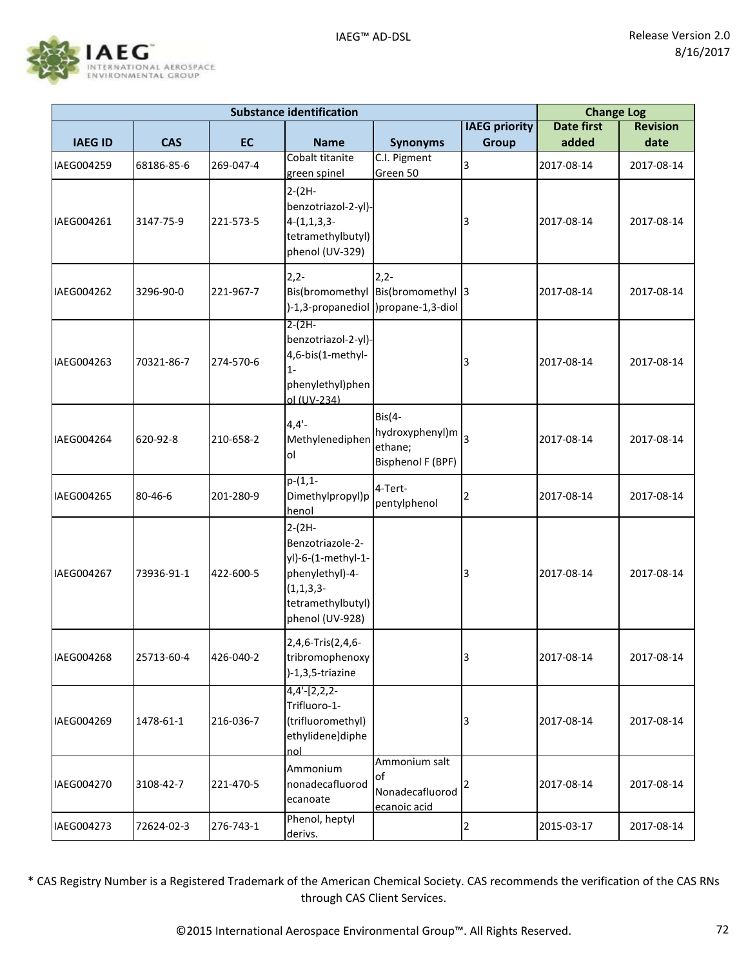

|                |            |           | <b>Substance identification</b>                                                                                               |                                                                                    |                      | <b>Change Log</b> |                 |
|----------------|------------|-----------|-------------------------------------------------------------------------------------------------------------------------------|------------------------------------------------------------------------------------|----------------------|-------------------|-----------------|
|                |            |           |                                                                                                                               |                                                                                    | <b>IAEG priority</b> | <b>Date first</b> | <b>Revision</b> |
| <b>IAEG ID</b> | <b>CAS</b> | <b>EC</b> | <b>Name</b>                                                                                                                   | <b>Synonyms</b>                                                                    | Group                | added             | date            |
| IAEG004259     | 68186-85-6 | 269-047-4 | Cobalt titanite<br>green spinel                                                                                               | C.I. Pigment<br>Green 50                                                           | 3                    | 2017-08-14        | 2017-08-14      |
| IAEG004261     | 3147-75-9  | 221-573-5 | $2-(2H -$<br>benzotriazol-2-yl)-<br>$4-(1,1,3,3-$<br>tetramethylbutyl)<br>phenol (UV-329)                                     |                                                                                    | 3                    | 2017-08-14        | 2017-08-14      |
| IAEG004262     | 3296-90-0  | 221-967-7 | $2,2-$                                                                                                                        | $2,2-$<br>Bis(bromomethyl Bis(bromomethyl 3<br>)-1,3-propanediol )propane-1,3-diol |                      | 2017-08-14        | 2017-08-14      |
| IAEG004263     | 70321-86-7 | 274-570-6 | $2-(2H -$<br>benzotriazol-2-yl)-<br>4,6-bis(1-methyl-<br>$1 -$<br>phenylethyl)phen<br>ol (UV-234)                             |                                                                                    | 3                    | 2017-08-14        | 2017-08-14      |
| IAEG004264     | 620-92-8   | 210-658-2 | $4,4'$ -<br>Methylenediphen<br>οl                                                                                             | $Bis(4-$<br>hydroxyphenyl)m<br>ethane;<br><b>Bisphenol F (BPF)</b>                 | $\overline{3}$       | 2017-08-14        | 2017-08-14      |
| IAEG004265     | 80-46-6    | 201-280-9 | $p-(1,1-$<br>Dimethylpropyl)p<br>henol                                                                                        | 4-Tert-<br>pentylphenol                                                            | 2                    | 2017-08-14        | 2017-08-14      |
| IAEG004267     | 73936-91-1 | 422-600-5 | $2-(2H -$<br>Benzotriazole-2-<br>yl)-6-(1-methyl-1-<br>phenylethyl)-4-<br>$(1,1,3,3-$<br>tetramethylbutyl)<br>phenol (UV-928) |                                                                                    | 3                    | 2017-08-14        | 2017-08-14      |
| IAEG004268     | 25713-60-4 | 426-040-2 | 2,4,6-Tris(2,4,6-<br>tribromophenoxy<br>$)-1,3,5$ -triazine                                                                   |                                                                                    | 3                    | 2017-08-14        | 2017-08-14      |
| IAEG004269     | 1478-61-1  | 216-036-7 | $4,4 - [2,2,2-$<br>Trifluoro-1-<br>(trifluoromethyl)<br>ethylidene]diphe<br><u>nol</u>                                        |                                                                                    | 3                    | 2017-08-14        | 2017-08-14      |
| IAEG004270     | 3108-42-7  | 221-470-5 | Ammonium<br>nonadecafluorod<br>ecanoate                                                                                       | Ammonium salt<br>of<br>Nonadecafluorod<br>ecanoic acid                             |                      | 2017-08-14        | 2017-08-14      |
| IAEG004273     | 72624-02-3 | 276-743-1 | Phenol, heptyl<br>derivs.                                                                                                     |                                                                                    | 2                    | 2015-03-17        | 2017-08-14      |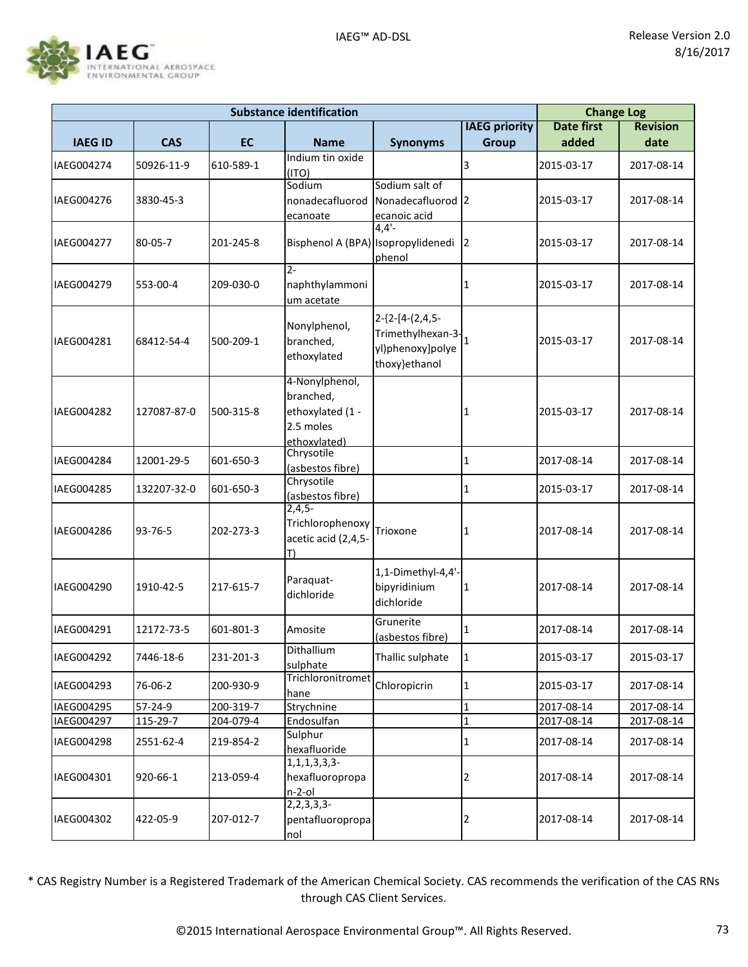

| <b>Substance identification</b> |             |           |                                                                              |                                                                                      |                      |                   | <b>Change Log</b> |  |
|---------------------------------|-------------|-----------|------------------------------------------------------------------------------|--------------------------------------------------------------------------------------|----------------------|-------------------|-------------------|--|
|                                 |             |           |                                                                              |                                                                                      | <b>IAEG priority</b> | <b>Date first</b> | <b>Revision</b>   |  |
| <b>IAEG ID</b>                  | <b>CAS</b>  | <b>EC</b> | <b>Name</b>                                                                  | <b>Synonyms</b>                                                                      | Group                | added             | date              |  |
| IAEG004274                      | 50926-11-9  | 610-589-1 | Indium tin oxide<br>(ITO)                                                    |                                                                                      | 3                    | 2015-03-17        | 2017-08-14        |  |
|                                 |             |           | Sodium                                                                       | Sodium salt of                                                                       |                      |                   |                   |  |
| IAEG004276                      | 3830-45-3   |           | nonadecafluorod                                                              | Nonadecafluorod 2                                                                    |                      | 2015-03-17        | 2017-08-14        |  |
|                                 |             |           | ecanoate                                                                     | ecanoic acid<br>$4,4'-$                                                              |                      |                   |                   |  |
| IAEG004277                      | 80-05-7     | 201-245-8 | Bisphenol A (BPA) Isopropylidenedi                                           |                                                                                      | 12                   | 2015-03-17        | 2017-08-14        |  |
|                                 |             |           |                                                                              | phenol                                                                               |                      |                   |                   |  |
| IAEG004279                      | 553-00-4    | 209-030-0 | $2 -$<br>naphthylammoni<br>um acetate                                        |                                                                                      | 1                    | 2015-03-17        | 2017-08-14        |  |
| IAEG004281                      | 68412-54-4  | 500-209-1 | Nonylphenol,<br>branched,<br>ethoxylated                                     | $2 - {2 - [4 - (2, 4, 5 -$<br>Trimethylhexan-3-<br>yl)phenoxy]polye<br>thoxy}ethanol | $\mathbf{1}$         | 2015-03-17        | 2017-08-14        |  |
|                                 |             |           |                                                                              |                                                                                      |                      |                   |                   |  |
| IAEG004282                      | 127087-87-0 | 500-315-8 | 4-Nonylphenol,<br>branched,<br>ethoxylated (1 -<br>2.5 moles<br>ethoxylated) |                                                                                      | 1                    | 2015-03-17        | 2017-08-14        |  |
| IAEG004284                      | 12001-29-5  | 601-650-3 | Chrysotile<br>(asbestos fibre)                                               |                                                                                      | 1                    | 2017-08-14        | 2017-08-14        |  |
| IAEG004285                      | 132207-32-0 | 601-650-3 | Chrysotile<br>(asbestos fibre)                                               |                                                                                      | 1                    | 2015-03-17        | 2017-08-14        |  |
| IAEG004286                      | 93-76-5     | 202-273-3 | $2,4,5-$<br>Trichlorophenoxy<br>acetic acid (2,4,5-<br>T)                    | Trioxone                                                                             | 1                    | 2017-08-14        | 2017-08-14        |  |
| IAEG004290                      | 1910-42-5   | 217-615-7 | Paraquat-<br>dichloride                                                      | 1,1-Dimethyl-4,4'-<br>bipyridinium<br>dichloride                                     | 1                    | 2017-08-14        | 2017-08-14        |  |
| IAEG004291                      | 12172-73-5  | 601-801-3 | Amosite                                                                      | Grunerite<br>(asbestos fibre)                                                        | $\mathbf 1$          | 2017-08-14        | 2017-08-14        |  |
| IAEG004292                      | 7446-18-6   | 231-201-3 | Dithallium<br>sulphate                                                       | Thallic sulphate                                                                     | $\mathbf{1}$         | 2015-03-17        | 2015-03-17        |  |
| IAEG004293                      | 76-06-2     | 200-930-9 | Trichloronitromet<br>hane                                                    | Chloropicrin                                                                         | 1                    | 2015-03-17        | 2017-08-14        |  |
| IAEG004295                      | 57-24-9     | 200-319-7 | Strychnine                                                                   |                                                                                      | $\mathbf{1}$         | 2017-08-14        | 2017-08-14        |  |
| IAEG004297                      | 115-29-7    | 204-079-4 | Endosulfan                                                                   |                                                                                      | $\mathbf{1}$         | 2017-08-14        | 2017-08-14        |  |
| IAEG004298                      | 2551-62-4   | 219-854-2 | Sulphur<br>hexafluoride                                                      |                                                                                      | 1                    | 2017-08-14        | 2017-08-14        |  |
| IAEG004301                      | 920-66-1    | 213-059-4 | $1, 1, 1, 3, 3, 3$ -<br>hexafluoropropa<br>$n-2-ol$                          |                                                                                      | 2                    | 2017-08-14        | 2017-08-14        |  |
| IAEG004302                      | 422-05-9    | 207-012-7 | 2, 2, 3, 3, 3<br>pentafluoropropa<br>nol                                     |                                                                                      | 2                    | 2017-08-14        | 2017-08-14        |  |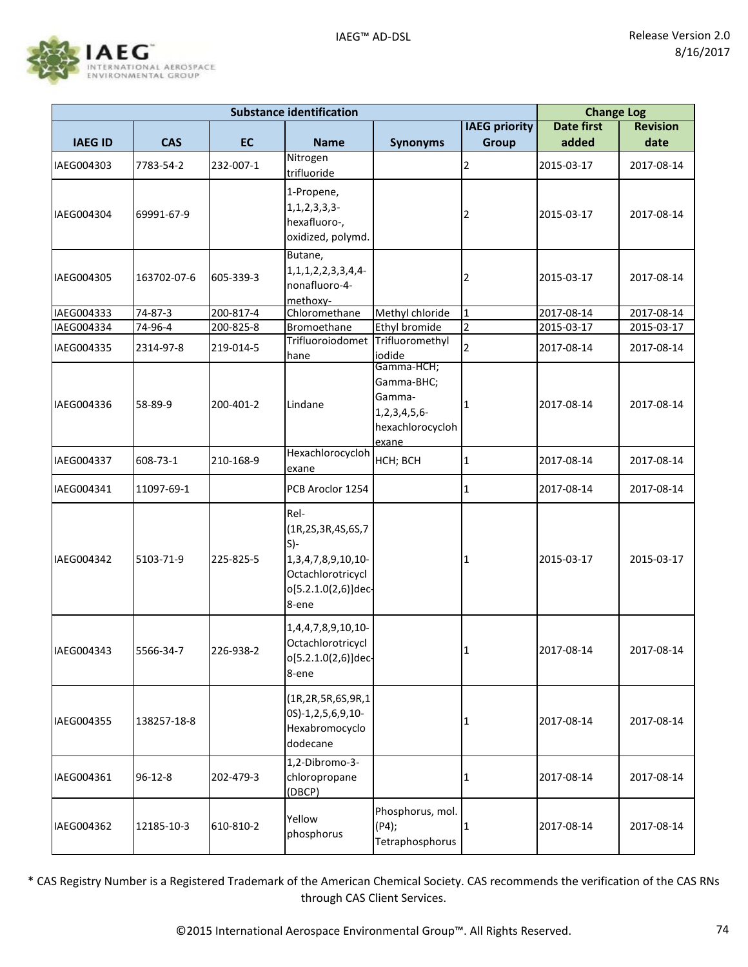

|                |             |           | <b>Substance identification</b>                                                                                     |                                                                                      |                      | <b>Change Log</b> |                 |
|----------------|-------------|-----------|---------------------------------------------------------------------------------------------------------------------|--------------------------------------------------------------------------------------|----------------------|-------------------|-----------------|
|                |             |           |                                                                                                                     |                                                                                      | <b>IAEG priority</b> | <b>Date first</b> | <b>Revision</b> |
| <b>IAEG ID</b> | <b>CAS</b>  | <b>EC</b> | <b>Name</b>                                                                                                         | <b>Synonyms</b>                                                                      | <b>Group</b>         | added             | date            |
| IAEG004303     | 7783-54-2   | 232-007-1 | Nitrogen<br>trifluoride                                                                                             |                                                                                      | $\overline{2}$       | 2015-03-17        | 2017-08-14      |
| IAEG004304     | 69991-67-9  |           | 1-Propene,<br>1, 1, 2, 3, 3, 3<br>hexafluoro-,<br>oxidized, polymd.                                                 |                                                                                      | 2                    | 2015-03-17        | 2017-08-14      |
| IAEG004305     | 163702-07-6 | 605-339-3 | Butane,<br>1, 1, 1, 2, 2, 3, 3, 4, 4-<br>nonafluoro-4-<br>methoxy-                                                  |                                                                                      | 2                    | 2015-03-17        | 2017-08-14      |
| IAEG004333     | 74-87-3     | 200-817-4 | Chloromethane                                                                                                       | Methyl chloride                                                                      | $\mathbf 1$          | 2017-08-14        | 2017-08-14      |
| IAEG004334     | 74-96-4     | 200-825-8 | Bromoethane                                                                                                         | Ethyl bromide                                                                        | $\overline{2}$       | 2015-03-17        | 2015-03-17      |
| IAEG004335     | 2314-97-8   | 219-014-5 | Trifluoroiodomet<br>hane                                                                                            | Trifluoromethyl<br>iodide                                                            | $\overline{c}$       | 2017-08-14        | 2017-08-14      |
| IAEG004336     | 58-89-9     | 200-401-2 | Lindane                                                                                                             | Gamma-HCH;<br>Gamma-BHC;<br>Gamma-<br>1, 2, 3, 4, 5, 6-<br>hexachlorocycloh<br>exane | 1                    | 2017-08-14        | 2017-08-14      |
| IAEG004337     | 608-73-1    | 210-168-9 | Hexachlorocycloh<br>exane                                                                                           | HCH; BCH                                                                             | $\mathbf{1}$         | 2017-08-14        | 2017-08-14      |
| IAEG004341     | 11097-69-1  |           | PCB Aroclor 1254                                                                                                    |                                                                                      | 1                    | 2017-08-14        | 2017-08-14      |
| IAEG004342     | 5103-71-9   | 225-825-5 | Rel-<br>(1R, 2S, 3R, 4S, 6S, 7<br>$S$ )-<br>1,3,4,7,8,9,10,10-<br>Octachlorotricycl<br>o[5.2.1.0(2,6)]dec-<br>8-ene |                                                                                      | 1                    | 2015-03-17        | 2015-03-17      |
| IAEG004343     | 5566-34-7   | 226-938-2 | 1,4,4,7,8,9,10,10-<br>Octachlorotricycl<br>o[5.2.1.0(2,6)]dec-<br>8-ene                                             |                                                                                      | 1                    | 2017-08-14        | 2017-08-14      |
| IAEG004355     | 138257-18-8 |           | (1R, 2R, 5R, 6S, 9R, 1<br>0S)-1,2,5,6,9,10-<br>Hexabromocyclo<br>dodecane                                           |                                                                                      | 1                    | 2017-08-14        | 2017-08-14      |
| IAEG004361     | 96-12-8     | 202-479-3 | 1,2-Dibromo-3-<br>chloropropane<br>(DBCP)                                                                           |                                                                                      | 1                    | 2017-08-14        | 2017-08-14      |
| IAEG004362     | 12185-10-3  | 610-810-2 | Yellow<br>phosphorus                                                                                                | Phosphorus, mol.<br>(P4);<br>Tetraphosphorus                                         | $\mathbf{1}$         | 2017-08-14        | 2017-08-14      |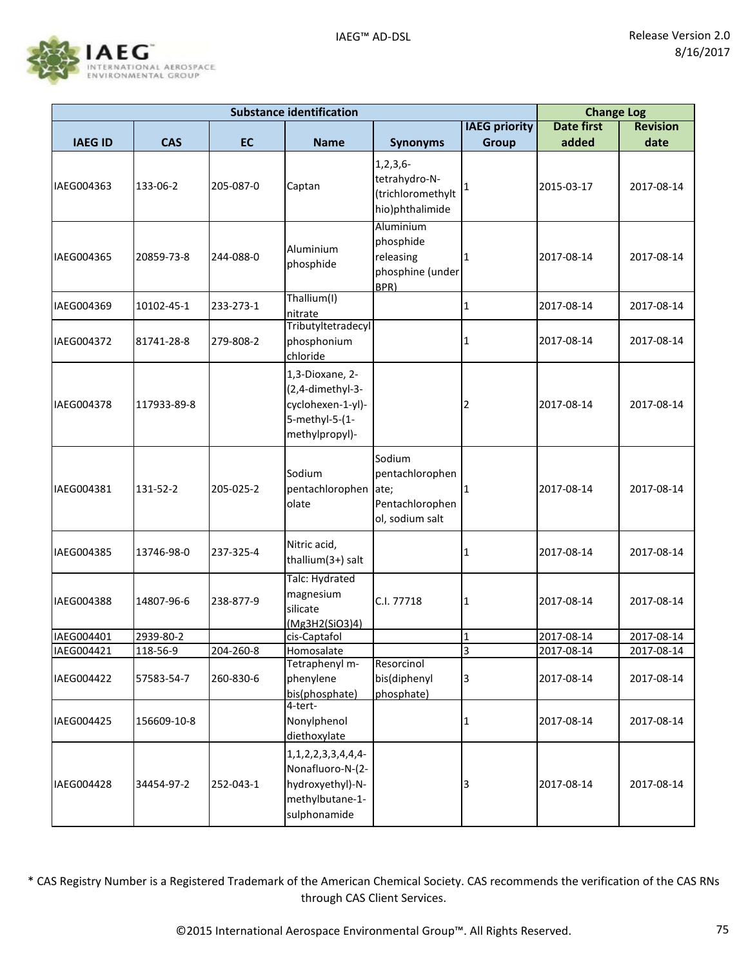

| <b>Substance identification</b> |             |           |                                                                                                       |                                                                         |                      |                   | <b>Change Log</b> |  |
|---------------------------------|-------------|-----------|-------------------------------------------------------------------------------------------------------|-------------------------------------------------------------------------|----------------------|-------------------|-------------------|--|
|                                 |             |           |                                                                                                       |                                                                         | <b>IAEG priority</b> | <b>Date first</b> | <b>Revision</b>   |  |
| <b>IAEG ID</b>                  | <b>CAS</b>  | <b>EC</b> | <b>Name</b>                                                                                           | <b>Synonyms</b>                                                         | <b>Group</b>         | added             | date              |  |
| IAEG004363                      | 133-06-2    | 205-087-0 | Captan                                                                                                | $1, 2, 3, 6 -$<br>tetrahydro-N-<br>(trichloromethylt<br>hio)phthalimide | 1                    | 2015-03-17        | 2017-08-14        |  |
| IAEG004365                      | 20859-73-8  | 244-088-0 | Aluminium<br>phosphide                                                                                | Aluminium<br>phosphide<br>releasing<br>phosphine (under<br>BPR)         | 1                    | 2017-08-14        | 2017-08-14        |  |
| IAEG004369                      | 10102-45-1  | 233-273-1 | Thallium(I)<br>nitrate                                                                                |                                                                         | 1                    | 2017-08-14        | 2017-08-14        |  |
| IAEG004372                      | 81741-28-8  | 279-808-2 | Tributyltetradecyl<br>phosphonium<br>chloride                                                         |                                                                         | 1                    | 2017-08-14        | 2017-08-14        |  |
| IAEG004378                      | 117933-89-8 |           | 1,3-Dioxane, 2-<br>(2,4-dimethyl-3-<br>cyclohexen-1-yl)-<br>5-methyl-5-(1-<br>methylpropyl)-          |                                                                         | 2                    | 2017-08-14        | 2017-08-14        |  |
| IAEG004381                      | 131-52-2    | 205-025-2 | Sodium<br>pentachlorophen<br>olate                                                                    | Sodium<br>pentachlorophen<br>ate;<br>Pentachlorophen<br>ol, sodium salt | 1                    | 2017-08-14        | 2017-08-14        |  |
| IAEG004385                      | 13746-98-0  | 237-325-4 | Nitric acid,<br>thallium(3+) salt                                                                     |                                                                         | 1                    | 2017-08-14        | 2017-08-14        |  |
| IAEG004388                      | 14807-96-6  | 238-877-9 | Talc: Hydrated<br>magnesium<br>silicate<br>(Mg3H2(SiO3)4)                                             | C.I. 77718                                                              | 1                    | 2017-08-14        | 2017-08-14        |  |
| IAEG004401                      | 2939-80-2   |           | cis-Captafol                                                                                          |                                                                         | $\mathbf{1}$         | 2017-08-14        | 2017-08-14        |  |
| IAEG004421                      | 118-56-9    | 204-260-8 | Homosalate                                                                                            |                                                                         | 3                    | 2017-08-14        | 2017-08-14        |  |
| IAEG004422                      | 57583-54-7  | 260-830-6 | Tetraphenyl m-<br>phenylene<br>bis(phosphate)                                                         | Resorcinol<br>bis(diphenyl<br>phosphate)                                | 3                    | 2017-08-14        | 2017-08-14        |  |
| IAEG004425                      | 156609-10-8 |           | 4-tert-<br>Nonylphenol<br>diethoxylate                                                                |                                                                         | 1                    | 2017-08-14        | 2017-08-14        |  |
| IAEG004428                      | 34454-97-2  | 252-043-1 | 1, 1, 2, 2, 3, 3, 4, 4, 4-<br>Nonafluoro-N-(2-<br>hydroxyethyl)-N-<br>methylbutane-1-<br>sulphonamide |                                                                         | 3                    | 2017-08-14        | 2017-08-14        |  |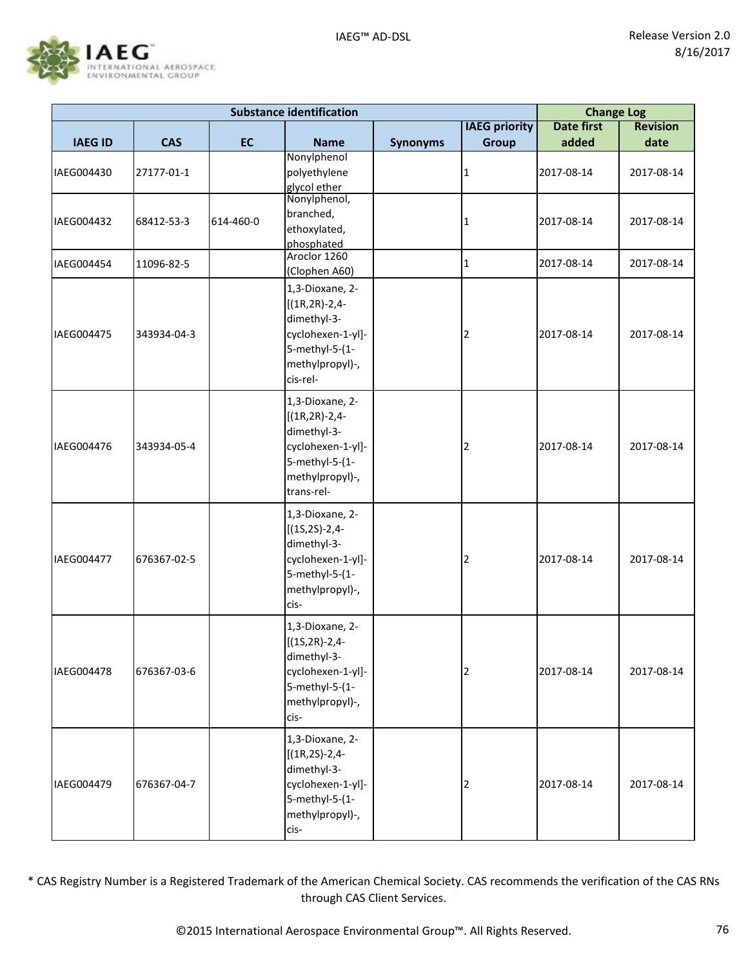

| <b>Substance identification</b> |             |           |                                                                                                                                |                 |                      | <b>Change Log</b> |                 |
|---------------------------------|-------------|-----------|--------------------------------------------------------------------------------------------------------------------------------|-----------------|----------------------|-------------------|-----------------|
|                                 |             |           |                                                                                                                                |                 | <b>IAEG</b> priority | <b>Date first</b> | <b>Revision</b> |
| <b>IAEG ID</b>                  | <b>CAS</b>  | <b>EC</b> | <b>Name</b>                                                                                                                    | <b>Synonyms</b> | <b>Group</b>         | added             | date            |
| IAEG004430                      | 27177-01-1  |           | Nonylphenol<br>polyethylene<br>glycol ether                                                                                    |                 | 1                    | 2017-08-14        | 2017-08-14      |
| IAEG004432                      | 68412-53-3  | 614-460-0 | Nonylphenol,<br>branched,<br>ethoxylated,<br>phosphated                                                                        |                 | 1                    | 2017-08-14        | 2017-08-14      |
| IAEG004454                      | 11096-82-5  |           | Aroclor 1260<br>(Clophen A60)                                                                                                  |                 | 1                    | 2017-08-14        | 2017-08-14      |
| IAEG004475                      | 343934-04-3 |           | 1,3-Dioxane, 2-<br>$[(1R, 2R) - 2, 4 -$<br>dimethyl-3-<br>cyclohexen-1-yl]-<br>5-methyl-5-(1-<br>methylpropyl)-,<br>cis-rel-   |                 | 2                    | 2017-08-14        | 2017-08-14      |
| IAEG004476                      | 343934-05-4 |           | 1,3-Dioxane, 2-<br>$[(1R, 2R) - 2, 4 -$<br>dimethyl-3-<br>cyclohexen-1-yl]-<br>5-methyl-5-(1-<br>methylpropyl)-,<br>trans-rel- |                 | 2                    | 2017-08-14        | 2017-08-14      |
| IAEG004477                      | 676367-02-5 |           | 1,3-Dioxane, 2-<br>$[(1S, 2S)-2, 4-$<br>dimethyl-3-<br>cyclohexen-1-yl]-<br>5-methyl-5-(1-<br>methylpropyl)-,<br>cis-          |                 | 2                    | 2017-08-14        | 2017-08-14      |
| IAEG004478                      | 676367-03-6 |           | 1,3-Dioxane, 2-<br>$[(1S, 2R) - 2, 4 -$<br>dimethyl-3-<br>cyclohexen-1-yl]-<br>5-methyl-5-(1-<br>methylpropyl)-,<br>cis-       |                 | 2                    | 2017-08-14        | 2017-08-14      |
| IAEG004479                      | 676367-04-7 |           | 1,3-Dioxane, 2-<br>$[(1R,2S)-2,4-$<br>dimethyl-3-<br>cyclohexen-1-yl]-<br>5-methyl-5-(1-<br>methylpropyl)-,<br>cis-            |                 | 2                    | 2017-08-14        | 2017-08-14      |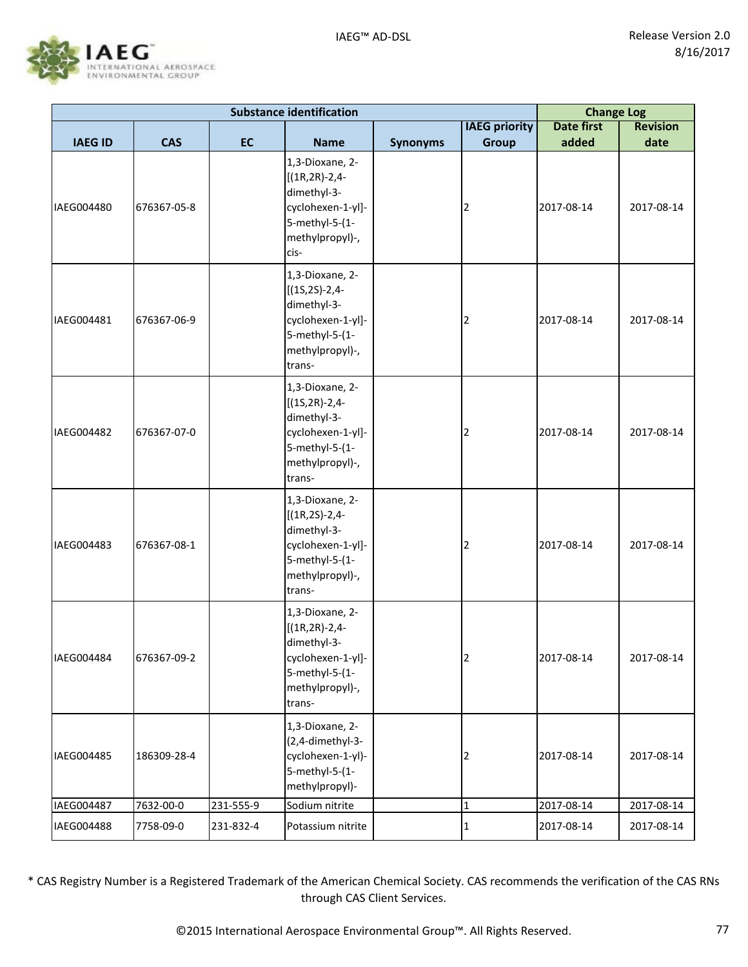

|                |             |           | <b>Substance identification</b>                                                                                            |                 | <b>Change Log</b>    |                   |                 |
|----------------|-------------|-----------|----------------------------------------------------------------------------------------------------------------------------|-----------------|----------------------|-------------------|-----------------|
|                |             |           |                                                                                                                            |                 | <b>IAEG priority</b> | <b>Date first</b> | <b>Revision</b> |
| <b>IAEG ID</b> | <b>CAS</b>  | <b>EC</b> | <b>Name</b>                                                                                                                | <b>Synonyms</b> | <b>Group</b>         | added             | date            |
| IAEG004480     | 676367-05-8 |           | 1,3-Dioxane, 2-<br>$[(1R, 2R) - 2, 4 -$<br>dimethyl-3-<br>cyclohexen-1-yl]-<br>5-methyl-5-(1-<br>methylpropyl)-,<br>cis-   |                 | 2                    | 2017-08-14        | 2017-08-14      |
| IAEG004481     | 676367-06-9 |           | 1,3-Dioxane, 2-<br>$[(1S, 2S)-2, 4-$<br>dimethyl-3-<br>cyclohexen-1-yl]-<br>5-methyl-5-(1-<br>methylpropyl)-,<br>trans-    |                 | 2                    | 2017-08-14        | 2017-08-14      |
| IAEG004482     | 676367-07-0 |           | 1,3-Dioxane, 2-<br>$[(1S, 2R) - 2, 4 -$<br>dimethyl-3-<br>cyclohexen-1-yl]-<br>5-methyl-5-(1-<br>methylpropyl)-,<br>trans- |                 | 2                    | 2017-08-14        | 2017-08-14      |
| IAEG004483     | 676367-08-1 |           | 1,3-Dioxane, 2-<br>$[(1R,2S)-2,4-$<br>dimethyl-3-<br>cyclohexen-1-yl]-<br>5-methyl-5-(1-<br>methylpropyl)-,<br>trans-      |                 | 2                    | 2017-08-14        | 2017-08-14      |
| IAEG004484     | 676367-09-2 |           | 1,3-Dioxane, 2-<br>$[(1R, 2R) - 2, 4 -$<br>dimethyl-3-<br>cyclohexen-1-yl]-<br>5-methyl-5-(1-<br>methylpropyl)-,<br>trans- |                 | 2                    | 2017-08-14        | 2017-08-14      |
| IAEG004485     | 186309-28-4 |           | 1,3-Dioxane, 2-<br>(2,4-dimethyl-3-<br>cyclohexen-1-yl)-<br>5-methyl-5-(1-<br>methylpropyl)-                               |                 | 2                    | 2017-08-14        | 2017-08-14      |
| IAEG004487     | 7632-00-0   | 231-555-9 | Sodium nitrite                                                                                                             |                 | $\mathbf 1$          | 2017-08-14        | 2017-08-14      |
| IAEG004488     | 7758-09-0   | 231-832-4 | Potassium nitrite                                                                                                          |                 | 1                    | 2017-08-14        | 2017-08-14      |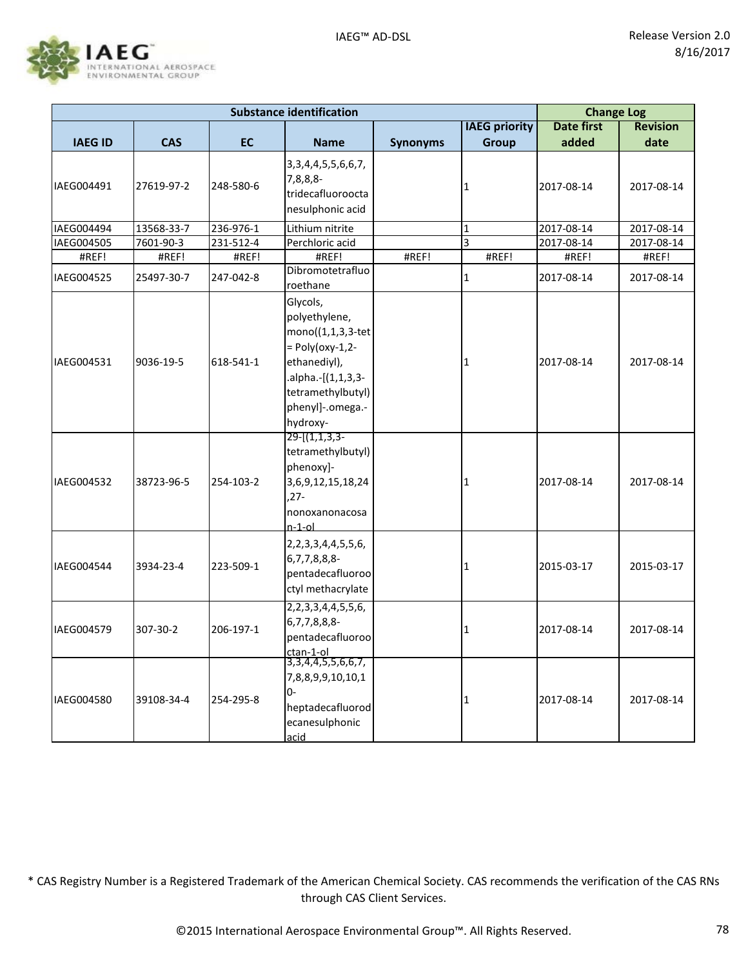

|                |            |           | <b>Substance identification</b>                                                                                                                                 |                 |                         | <b>Change Log</b> |                 |
|----------------|------------|-----------|-----------------------------------------------------------------------------------------------------------------------------------------------------------------|-----------------|-------------------------|-------------------|-----------------|
|                |            |           |                                                                                                                                                                 |                 | <b>IAEG priority</b>    | <b>Date first</b> | <b>Revision</b> |
| <b>IAEG ID</b> | <b>CAS</b> | <b>EC</b> | <b>Name</b>                                                                                                                                                     | <b>Synonyms</b> | <b>Group</b>            | added             | date            |
| IAEG004491     | 27619-97-2 | 248-580-6 | 3, 3, 4, 4, 5, 5, 6, 6, 7,<br>$7,8,8,8$ -<br>tridecafluoroocta<br>nesulphonic acid                                                                              |                 | 1                       | 2017-08-14        | 2017-08-14      |
| IAEG004494     | 13568-33-7 | 236-976-1 | Lithium nitrite                                                                                                                                                 |                 | $\mathbf{1}$            | 2017-08-14        | 2017-08-14      |
| IAEG004505     | 7601-90-3  | 231-512-4 | Perchloric acid                                                                                                                                                 |                 | $\overline{\mathbf{3}}$ | 2017-08-14        | 2017-08-14      |
| #REF!          | #REF!      | #REF!     | #REF!                                                                                                                                                           | #REF!           | #REF!                   | #REF!             | #REF!           |
| IAEG004525     | 25497-30-7 | 247-042-8 | Dibromotetrafluo<br>roethane                                                                                                                                    |                 | $\mathbf 1$             | 2017-08-14        | 2017-08-14      |
| IAEG004531     | 9036-19-5  | 618-541-1 | Glycols,<br>polyethylene,<br>mono((1,1,3,3-tet)<br>$=$ Poly(oxy-1,2-<br>ethanediyl),<br>.alpha.-[(1,1,3,3-<br>tetramethylbutyl)<br>phenyl]-.omega.-<br>hydroxy- |                 | 1                       | 2017-08-14        | 2017-08-14      |
| IAEG004532     | 38723-96-5 | 254-103-2 | $29 - [(1, 1, 3, 3 -$<br>tetramethylbutyl)<br>phenoxy]-<br>3,6,9,12,15,18,24<br>$,27-$<br>nonoxanonacosa<br>$n-1$ -ol                                           |                 | 1                       | 2017-08-14        | 2017-08-14      |
| IAEG004544     | 3934-23-4  | 223-509-1 | 2, 2, 3, 3, 4, 4, 5, 5, 6,<br>6, 7, 7, 8, 8, 8-<br>pentadecafluoroo<br>ctyl methacrylate                                                                        |                 | 1                       | 2015-03-17        | 2015-03-17      |
| IAEG004579     | 307-30-2   | 206-197-1 | 2, 2, 3, 3, 4, 4, 5, 5, 6,<br>6,7,7,8,8,8-<br>pentadecafluoroo<br>ctan-1-ol                                                                                     |                 | $\mathbf{1}$            | 2017-08-14        | 2017-08-14      |
| IAEG004580     | 39108-34-4 | 254-295-8 | 3, 3, 4, 4, 5, 5, 6, 6, 7,<br>7,8,8,9,9,10,10,1<br>$0-$<br>heptadecafluorod<br>ecanesulphonic<br>acid                                                           |                 | $\mathbf{1}$            | 2017-08-14        | 2017-08-14      |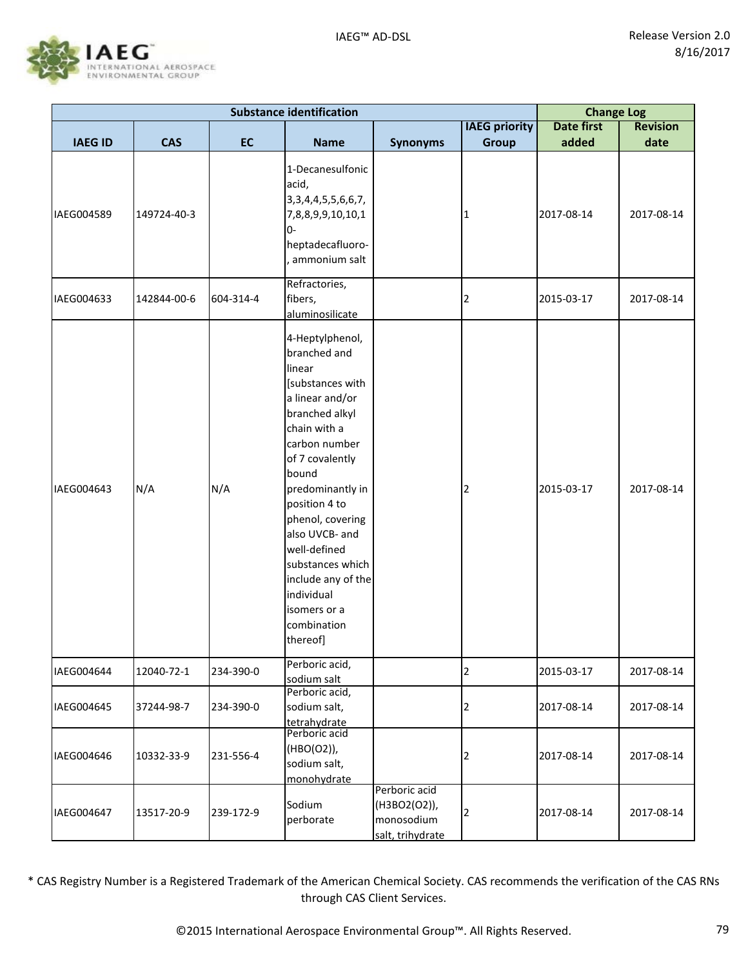

| <b>Substance identification</b> |             |           |                                                                                                                                                                                                                                                                                                                                                               |                                                                 | <b>Change Log</b>    |                   |                 |
|---------------------------------|-------------|-----------|---------------------------------------------------------------------------------------------------------------------------------------------------------------------------------------------------------------------------------------------------------------------------------------------------------------------------------------------------------------|-----------------------------------------------------------------|----------------------|-------------------|-----------------|
|                                 |             |           |                                                                                                                                                                                                                                                                                                                                                               |                                                                 | <b>IAEG priority</b> | <b>Date first</b> | <b>Revision</b> |
| <b>IAEG ID</b>                  | <b>CAS</b>  | EC        | <b>Name</b>                                                                                                                                                                                                                                                                                                                                                   | <b>Synonyms</b>                                                 | Group                | added             | date            |
| IAEG004589                      | 149724-40-3 |           | 1-Decanesulfonic<br>acid,<br>3, 3, 4, 4, 5, 5, 6, 6, 7,<br>7,8,8,9,9,10,10,1<br>0-<br>heptadecafluoro-<br>ammonium salt                                                                                                                                                                                                                                       |                                                                 | 1                    | 2017-08-14        | 2017-08-14      |
| IAEG004633                      | 142844-00-6 | 604-314-4 | Refractories,<br>fibers,<br>aluminosilicate                                                                                                                                                                                                                                                                                                                   |                                                                 | 2                    | 2015-03-17        | 2017-08-14      |
| IAEG004643                      | N/A         | N/A       | 4-Heptylphenol,<br>branched and<br>linear<br>[substances with<br>a linear and/or<br>branched alkyl<br>chain with a<br>carbon number<br>of 7 covalently<br>bound<br>predominantly in<br>position 4 to<br>phenol, covering<br>also UVCB- and<br>well-defined<br>substances which<br>include any of the<br>individual<br>isomers or a<br>combination<br>thereof] |                                                                 | 2                    | 2015-03-17        | 2017-08-14      |
| IAEG004644                      | 12040-72-1  | 234-390-0 | Perboric acid,<br>sodium salt                                                                                                                                                                                                                                                                                                                                 |                                                                 | $\overline{2}$       | 2015-03-17        | 2017-08-14      |
| IAEG004645                      | 37244-98-7  | 234-390-0 | Perboric acid,<br>sodium salt,<br>tetrahydrate                                                                                                                                                                                                                                                                                                                |                                                                 | 2                    | 2017-08-14        | 2017-08-14      |
| IAEG004646                      | 10332-33-9  | 231-556-4 | Perboric acid<br>(HBO(O2)),<br>sodium salt,<br>monohydrate                                                                                                                                                                                                                                                                                                    |                                                                 | 2                    | 2017-08-14        | 2017-08-14      |
| IAEG004647                      | 13517-20-9  | 239-172-9 | Sodium<br>perborate                                                                                                                                                                                                                                                                                                                                           | Perboric acid<br>(H3BO2(O2)),<br>monosodium<br>salt, trihydrate | $\overline{2}$       | 2017-08-14        | 2017-08-14      |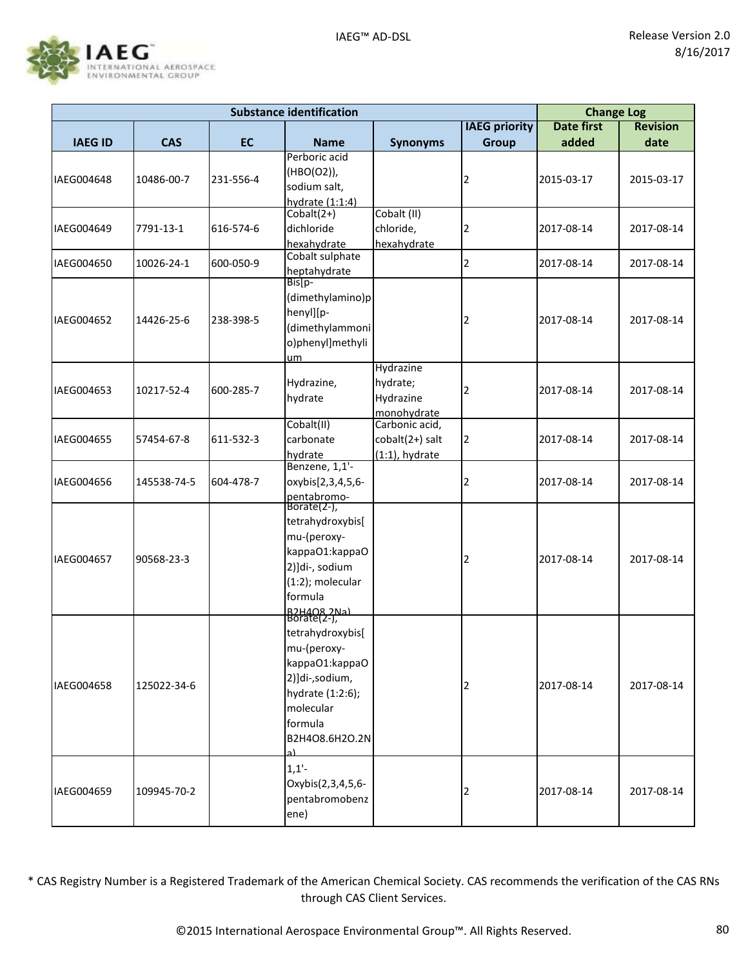

| <b>Substance identification</b> |             |           |                                                                                                                                                          |                                                        |                      |                   | <b>Change Log</b> |  |
|---------------------------------|-------------|-----------|----------------------------------------------------------------------------------------------------------------------------------------------------------|--------------------------------------------------------|----------------------|-------------------|-------------------|--|
|                                 |             |           |                                                                                                                                                          |                                                        | <b>IAEG priority</b> | <b>Date first</b> | <b>Revision</b>   |  |
| <b>IAEG ID</b>                  | <b>CAS</b>  | <b>EC</b> | <b>Name</b>                                                                                                                                              | <b>Synonyms</b>                                        | <b>Group</b>         | added             | date              |  |
| IAEG004648                      | 10486-00-7  | 231-556-4 | Perboric acid<br>(HBO(O2)),<br>sodium salt,<br>hydrate (1:1:4)                                                                                           |                                                        | 2                    | 2015-03-17        | 2015-03-17        |  |
| IAEG004649                      | 7791-13-1   | 616-574-6 | $Cobalt(2+)$<br>dichloride<br>hexahydrate                                                                                                                | Cobalt (II)<br>chloride,<br>hexahydrate                | 2                    | 2017-08-14        | 2017-08-14        |  |
| IAEG004650                      | 10026-24-1  | 600-050-9 | Cobalt sulphate<br>heptahydrate                                                                                                                          |                                                        | 2                    | 2017-08-14        | 2017-08-14        |  |
| IAEG004652                      | 14426-25-6  | 238-398-5 | $Bigp-$<br>(dimethylamino)p<br>henyl][p-<br>(dimethylammoni<br>o)phenyl]methyli<br>um                                                                    |                                                        | 2                    | 2017-08-14        | 2017-08-14        |  |
| IAEG004653                      | 10217-52-4  | 600-285-7 | Hydrazine,<br>hydrate                                                                                                                                    | Hydrazine<br>hydrate;<br>Hydrazine<br>monohydrate      | 2                    | 2017-08-14        | 2017-08-14        |  |
| IAEG004655                      | 57454-67-8  | 611-532-3 | Cobalt(II)<br>carbonate<br>hydrate                                                                                                                       | Carbonic acid,<br>cobalt(2+) salt<br>$(1:1)$ , hydrate | 2                    | 2017-08-14        | 2017-08-14        |  |
| IAEG004656                      | 145538-74-5 | 604-478-7 | Benzene, 1,1'-<br>oxybis[2,3,4,5,6-<br>pentabromo-                                                                                                       |                                                        | 2                    | 2017-08-14        | 2017-08-14        |  |
| IAEG004657                      | 90568-23-3  |           | $Borate(2-),$<br>tetrahydroxybis[<br>mu-(peroxy-<br>kappaO1:kappaO<br>2)]di-, sodium<br>(1:2); molecular<br>formula<br> <br> B2H4O8_2Na)<br> Borate(2-), |                                                        | 2                    | 2017-08-14        | 2017-08-14        |  |
| IAEG004658                      | 125022-34-6 |           | tetrahydroxybis[<br>mu-(peroxy-<br>kappaO1:kappaO<br>2)]di-,sodium,<br>hydrate (1:2:6);<br>molecular<br>formula<br>B2H4O8.6H2O.2N<br>al                  |                                                        | 2                    | 2017-08-14        | 2017-08-14        |  |
| IAEG004659                      | 109945-70-2 |           | $1,1'$ -<br>Oxybis(2,3,4,5,6-<br>pentabromobenz<br>ene)                                                                                                  |                                                        | 2                    | 2017-08-14        | 2017-08-14        |  |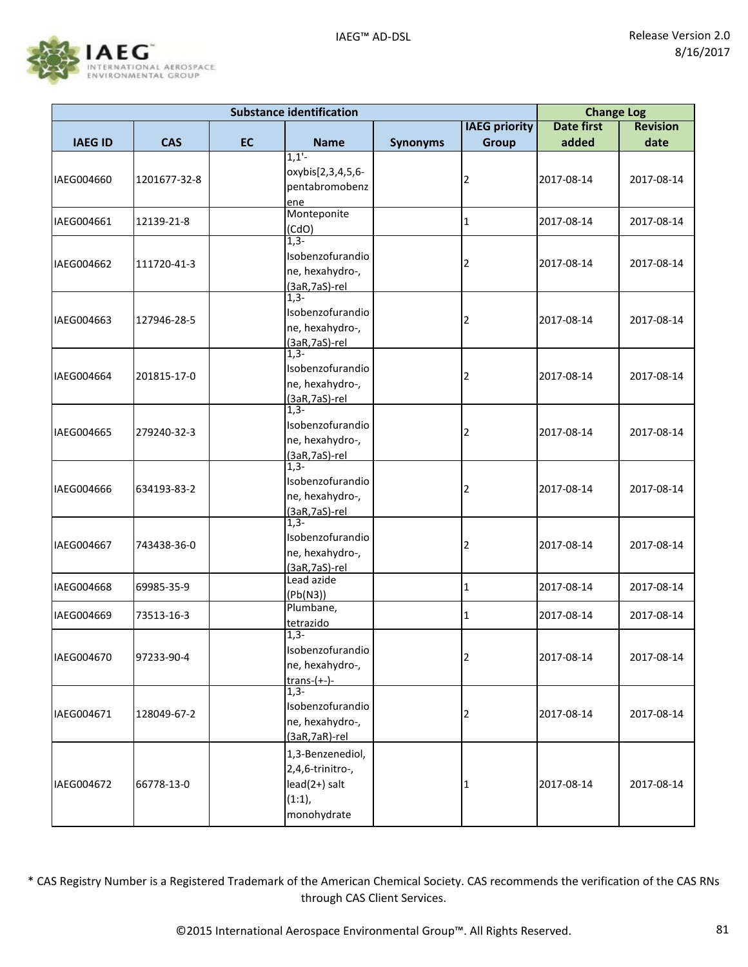

| <b>Substance identification</b> |              |           |                                 |                 |                      |                   | <b>Change Log</b> |  |
|---------------------------------|--------------|-----------|---------------------------------|-----------------|----------------------|-------------------|-------------------|--|
|                                 |              |           |                                 |                 | <b>IAEG priority</b> | <b>Date first</b> | <b>Revision</b>   |  |
| <b>IAEG ID</b>                  | <b>CAS</b>   | <b>EC</b> | <b>Name</b>                     | <b>Synonyms</b> | Group                | added             | date              |  |
|                                 |              |           | $1,1'$ -                        |                 |                      |                   |                   |  |
| IAEG004660                      | 1201677-32-8 |           | oxybis[2,3,4,5,6-               |                 | 2                    | 2017-08-14        | 2017-08-14        |  |
|                                 |              |           | pentabromobenz                  |                 |                      |                   |                   |  |
|                                 |              |           | ene                             |                 |                      |                   |                   |  |
| IAEG004661                      | 12139-21-8   |           | Monteponite                     |                 | 1                    | 2017-08-14        | 2017-08-14        |  |
|                                 |              |           | (CdO)                           |                 |                      |                   |                   |  |
|                                 |              |           | $1,3-$                          |                 |                      |                   |                   |  |
| IAEG004662                      | 111720-41-3  |           | Isobenzofurandio                |                 | 2                    | 2017-08-14        | 2017-08-14        |  |
|                                 |              |           | ne, hexahydro-,                 |                 |                      |                   |                   |  |
|                                 |              |           | (3aR, 7aS)-rel<br>$1,3-$        |                 |                      |                   |                   |  |
|                                 |              |           | Isobenzofurandio                |                 |                      |                   |                   |  |
| IAEG004663                      | 127946-28-5  |           | ne, hexahydro-,                 |                 | 2                    | 2017-08-14        | 2017-08-14        |  |
|                                 |              |           | (3aR, 7aS)-rel                  |                 |                      |                   |                   |  |
|                                 |              |           | $1,3-$                          |                 |                      |                   |                   |  |
|                                 |              |           | Isobenzofurandio                |                 |                      |                   |                   |  |
| IAEG004664                      | 201815-17-0  |           | ne, hexahydro-,                 |                 | 2                    | 2017-08-14        | 2017-08-14        |  |
|                                 |              |           | (3aR, 7aS)-rel                  |                 |                      |                   |                   |  |
|                                 |              |           | $1,3-$                          |                 |                      |                   |                   |  |
|                                 |              |           | Isobenzofurandio                |                 |                      |                   |                   |  |
| IAEG004665                      | 279240-32-3  |           | ne, hexahydro-,                 |                 | 2                    | 2017-08-14        | 2017-08-14        |  |
|                                 |              |           | (3aR, 7aS)-rel                  |                 |                      |                   |                   |  |
|                                 |              |           | $1,3-$                          |                 |                      |                   |                   |  |
| IAEG004666                      | 634193-83-2  |           | Isobenzofurandio                |                 | 2                    | 2017-08-14        | 2017-08-14        |  |
|                                 |              |           | ne, hexahydro-,                 |                 |                      |                   |                   |  |
|                                 |              |           | (3aR, 7aS)-rel                  |                 |                      |                   |                   |  |
|                                 |              |           | $1,3-$                          |                 |                      |                   |                   |  |
| IAEG004667                      | 743438-36-0  |           | Isobenzofurandio                |                 | 2                    | 2017-08-14        | 2017-08-14        |  |
|                                 |              |           | ne, hexahydro-,                 |                 |                      |                   |                   |  |
|                                 |              |           | (3aR, 7aS)-rel<br>Lead azide    |                 |                      |                   |                   |  |
| IAEG004668                      | 69985-35-9   |           | (Pb(N3))                        |                 | 1                    | 2017-08-14        | 2017-08-14        |  |
|                                 |              |           | Plumbane,                       |                 |                      |                   |                   |  |
| IAEG004669                      | 73513-16-3   |           | tetrazido                       |                 | 1                    | 2017-08-14        | 2017-08-14        |  |
|                                 |              |           | $1,3-$                          |                 |                      |                   |                   |  |
|                                 |              |           | Isobenzofurandio                |                 |                      |                   |                   |  |
| IAEG004670                      | 97233-90-4   |           | ne, hexahydro-,                 |                 | $\overline{2}$       | 2017-08-14        | 2017-08-14        |  |
|                                 |              |           | $\frac{\text{trans-}(+-)}{1,3}$ |                 |                      |                   |                   |  |
|                                 |              |           |                                 |                 |                      |                   |                   |  |
| IAEG004671                      | 128049-67-2  |           | Isobenzofurandio                |                 | $\overline{2}$       | 2017-08-14        | 2017-08-14        |  |
|                                 |              |           | ne, hexahydro-,                 |                 |                      |                   |                   |  |
|                                 |              |           | (3aR, 7aR)-rel                  |                 |                      |                   |                   |  |
|                                 |              |           | 1,3-Benzenediol,                |                 |                      |                   |                   |  |
|                                 |              |           | 2,4,6-trinitro-,                |                 |                      |                   |                   |  |
| IAEG004672                      | 66778-13-0   |           | lead(2+) salt                   |                 | 1                    | 2017-08-14        | 2017-08-14        |  |
|                                 |              |           | $(1:1)$ ,                       |                 |                      |                   |                   |  |
|                                 |              |           | monohydrate                     |                 |                      |                   |                   |  |
|                                 |              |           |                                 |                 |                      |                   |                   |  |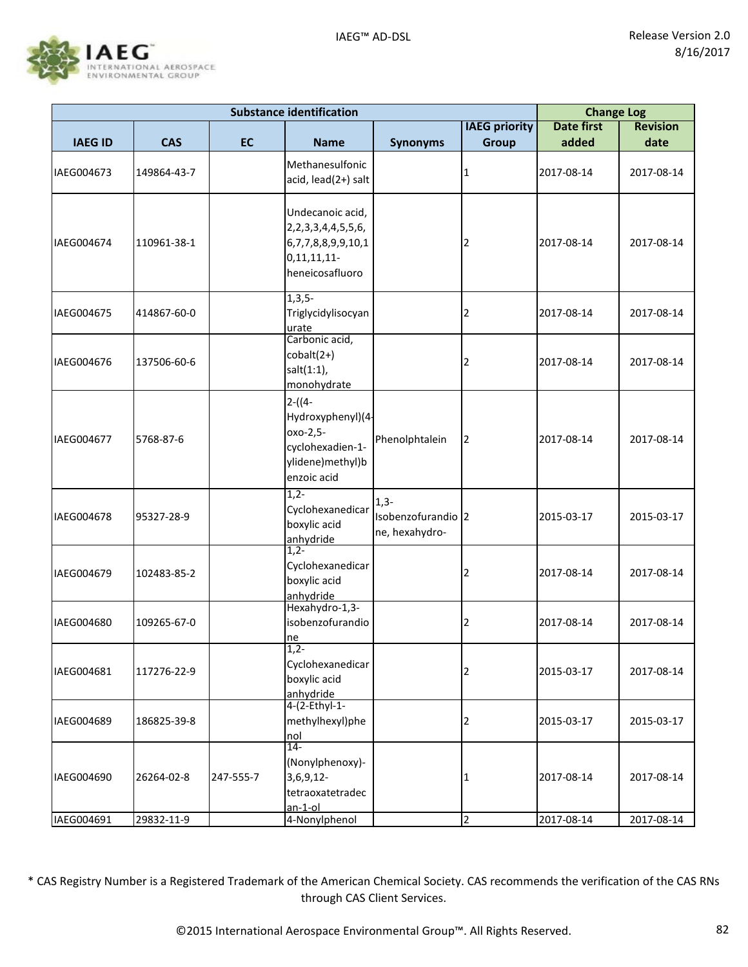

|                |             |           | <b>Substance identification</b>                                                                        |                                                | <b>Change Log</b>    |                   |                 |
|----------------|-------------|-----------|--------------------------------------------------------------------------------------------------------|------------------------------------------------|----------------------|-------------------|-----------------|
|                |             |           |                                                                                                        |                                                | <b>IAEG priority</b> | <b>Date first</b> | <b>Revision</b> |
| <b>IAEG ID</b> | <b>CAS</b>  | <b>EC</b> | <b>Name</b>                                                                                            | <b>Synonyms</b>                                | <b>Group</b>         | added             | date            |
| IAEG004673     | 149864-43-7 |           | Methanesulfonic<br>acid, lead(2+) salt                                                                 |                                                | 1                    | 2017-08-14        | 2017-08-14      |
| IAEG004674     | 110961-38-1 |           | Undecanoic acid,<br>2, 2, 3, 3, 4, 4, 5, 5, 6,<br>6,7,7,8,8,9,9,10,1<br>0,11,11,11-<br>heneicosafluoro |                                                | 2                    | 2017-08-14        | 2017-08-14      |
| IAEG004675     | 414867-60-0 |           | $1,3,5-$<br>Triglycidylisocyan<br>urate                                                                |                                                | 2                    | 2017-08-14        | 2017-08-14      |
| IAEG004676     | 137506-60-6 |           | Carbonic acid,<br>$\text{cobalt}(2+)$<br>salt(1:1),<br>monohydrate                                     |                                                | 2                    | 2017-08-14        | 2017-08-14      |
| IAEG004677     | 5768-87-6   |           | $2-(4-$<br>Hydroxyphenyl)(4-<br>oxo-2,5-<br>cyclohexadien-1-<br>ylidene)methyl)b<br>enzoic acid        | Phenolphtalein                                 | $\overline{2}$       | 2017-08-14        | 2017-08-14      |
| IAEG004678     | 95327-28-9  |           | $1,2-$<br>Cyclohexanedicar<br>boxylic acid<br>anhydride                                                | $1,3-$<br>Isobenzofurandio 2<br>ne, hexahydro- |                      | 2015-03-17        | 2015-03-17      |
| IAEG004679     | 102483-85-2 |           | $1,2-$<br>Cyclohexanedicar<br>boxylic acid<br>anhydride                                                |                                                | 2                    | 2017-08-14        | 2017-08-14      |
| IAEG004680     | 109265-67-0 |           | Hexahydro-1,3-<br>isobenzofurandio<br>ne                                                               |                                                | 2                    | 2017-08-14        | 2017-08-14      |
| IAEG004681     | 117276-22-9 |           | $1,2-$<br>Cyclohexanedicar<br>boxylic acid<br>anhydride                                                |                                                | 2                    | 2015-03-17        | 2017-08-14      |
| IAEG004689     | 186825-39-8 |           | $4-(2-Ethyl-1-$<br>methylhexyl)phe<br>nol                                                              |                                                | 2                    | 2015-03-17        | 2015-03-17      |
| IAEG004690     | 26264-02-8  | 247-555-7 | $14 -$<br>(Nonylphenoxy)-<br>3,6,9,12-<br>tetraoxatetradec<br>$an-1-ol$                                |                                                | 1                    | 2017-08-14        | 2017-08-14      |
| IAEG004691     | 29832-11-9  |           | 4-Nonylphenol                                                                                          |                                                | 2                    | 2017-08-14        | 2017-08-14      |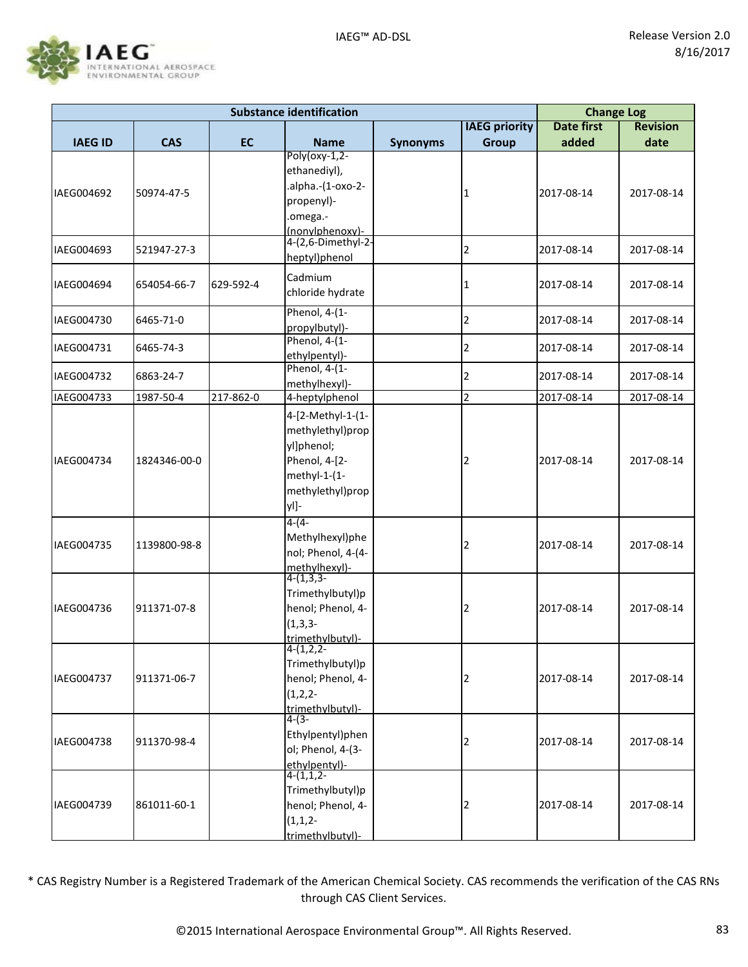

| <b>Substance identification</b> |              |           |                                                                                                                  |                 |                      | <b>Change Log</b> |                 |
|---------------------------------|--------------|-----------|------------------------------------------------------------------------------------------------------------------|-----------------|----------------------|-------------------|-----------------|
|                                 |              |           |                                                                                                                  |                 | <b>IAEG priority</b> | <b>Date first</b> | <b>Revision</b> |
| <b>IAEG ID</b>                  | <b>CAS</b>   | <b>EC</b> | <b>Name</b>                                                                                                      | <b>Synonyms</b> | <b>Group</b>         | added             | date            |
| IAEG004692                      | 50974-47-5   |           | Poly(oxy-1,2-<br>ethanediyl),<br>.alpha.-(1-oxo-2-<br>propenyl)-<br>.omega.-<br>(nonvlphenoxy)-                  |                 | 1                    | 2017-08-14        | 2017-08-14      |
| IAEG004693                      | 521947-27-3  |           | 4-(2,6-Dimethyl-2-<br>heptyl)phenol                                                                              |                 | 2                    | 2017-08-14        | 2017-08-14      |
| IAEG004694                      | 654054-66-7  | 629-592-4 | Cadmium<br>chloride hydrate                                                                                      |                 | 1                    | 2017-08-14        | 2017-08-14      |
| IAEG004730                      | 6465-71-0    |           | Phenol, 4-(1-<br>propylbutyl)-                                                                                   |                 | 2                    | 2017-08-14        | 2017-08-14      |
| IAEG004731                      | 6465-74-3    |           | Phenol, 4-(1-<br>ethylpentyl)-                                                                                   |                 | 2                    | 2017-08-14        | 2017-08-14      |
| IAEG004732                      | 6863-24-7    |           | Phenol, 4-(1-<br>methylhexyl)-                                                                                   |                 | 2                    | 2017-08-14        | 2017-08-14      |
| IAEG004733                      | 1987-50-4    | 217-862-0 | 4-heptylphenol                                                                                                   |                 | $\overline{2}$       | 2017-08-14        | 2017-08-14      |
| IAEG004734                      | 1824346-00-0 |           | 4-[2-Methyl-1-(1-<br>methylethyl)prop<br>yl]phenol;<br>Phenol, 4-[2-<br>methyl-1-(1-<br>methylethyl)prop<br>yl]- |                 | 2                    | 2017-08-14        | 2017-08-14      |
| IAEG004735                      | 1139800-98-8 |           | $4-(4-$<br>Methylhexyl)phe<br>nol; Phenol, 4-(4-<br>methylhexyl)-                                                |                 | 2                    | 2017-08-14        | 2017-08-14      |
| IAEG004736                      | 911371-07-8  |           | $4-(1,3,3-$<br>Trimethylbutyl)p<br>henol; Phenol, 4-<br>$(1,3,3-$<br>trimethylbutyl)-                            |                 | 2                    | 2017-08-14        | 2017-08-14      |
| IAEG004737                      | 911371-06-7  |           | $4-(1,2,2-$<br>Trimethylbutyl)p<br>henol; Phenol, 4-<br>$(1,2,2-$<br>trimethylbutyl)-<br>4-(3-                   |                 | 2                    | 2017-08-14        | 2017-08-14      |
| IAEG004738                      | 911370-98-4  |           | Ethylpentyl)phen<br>ol; Phenol, 4-(3-<br>ethylpentyl)-                                                           |                 | 2                    | 2017-08-14        | 2017-08-14      |
| IAEG004739                      | 861011-60-1  |           | $4-(1,1,2-$<br>Trimethylbutyl)p<br>henol; Phenol, 4-<br>$(1,1,2-$<br>trimethylbutyl)-                            |                 | 2                    | 2017-08-14        | 2017-08-14      |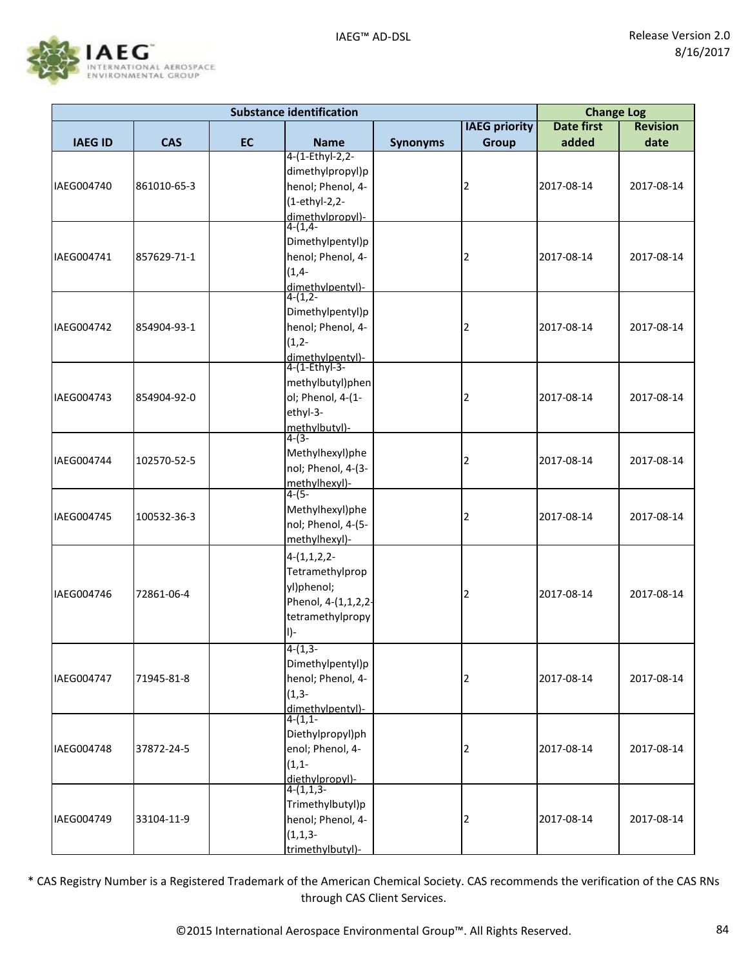

|                | <b>Substance identification</b> |                    |                                       |                 |                      |                   | <b>Change Log</b> |  |
|----------------|---------------------------------|--------------------|---------------------------------------|-----------------|----------------------|-------------------|-------------------|--|
|                |                                 |                    |                                       |                 | <b>IAEG priority</b> | <b>Date first</b> | <b>Revision</b>   |  |
| <b>IAEG ID</b> | <b>CAS</b>                      | EC                 | <b>Name</b>                           | <b>Synonyms</b> | Group                | added             | date              |  |
|                |                                 |                    | 4-(1-Ethyl-2,2-                       |                 |                      |                   |                   |  |
|                |                                 |                    | dimethylpropyl)p                      |                 |                      |                   | 2017-08-14        |  |
| IAEG004740     | 861010-65-3                     |                    | henol; Phenol, 4-                     |                 | 2                    | 2017-08-14        |                   |  |
|                |                                 |                    | (1-ethyl-2,2-                         |                 |                      |                   |                   |  |
|                |                                 |                    | dimethylpropyl)-<br>$4-(1,4-$         |                 |                      |                   |                   |  |
|                |                                 |                    | Dimethylpentyl)p                      |                 |                      |                   |                   |  |
| IAEG004741     | 857629-71-1                     |                    | henol; Phenol, 4-                     |                 | 2                    | 2017-08-14        | 2017-08-14        |  |
|                |                                 |                    | $(1, 4 -$                             |                 |                      |                   |                   |  |
|                |                                 |                    | dimethylpentyl)-                      |                 |                      |                   |                   |  |
|                |                                 |                    | $4-(1,2-$                             |                 |                      |                   |                   |  |
|                |                                 |                    | Dimethylpentyl)p                      |                 |                      |                   |                   |  |
| IAEG004742     | 854904-93-1                     |                    | henol; Phenol, 4-                     |                 | 2                    | 2017-08-14        | 2017-08-14        |  |
|                |                                 |                    | $(1, 2 -$<br>dimethylpentyl)-         |                 |                      |                   |                   |  |
|                |                                 |                    | 4-(1-Ethyl-3-                         |                 |                      |                   |                   |  |
|                |                                 |                    | methylbutyl)phen                      |                 |                      |                   |                   |  |
| IAEG004743     | 854904-92-0                     |                    | ol; Phenol, 4-(1-                     |                 | 2                    | 2017-08-14        | 2017-08-14        |  |
|                |                                 |                    | ethyl-3-                              |                 |                      |                   |                   |  |
|                |                                 |                    | methylbutyl)-                         |                 |                      |                   |                   |  |
|                |                                 |                    | $4-(3-$                               |                 |                      |                   |                   |  |
| IAEG004744     | 102570-52-5                     |                    | Methylhexyl)phe<br>nol; Phenol, 4-(3- |                 | 2                    | 2017-08-14        | 2017-08-14        |  |
|                |                                 |                    | methylhexyl)-                         |                 |                      |                   |                   |  |
|                |                                 |                    | $4-(5-$                               |                 |                      |                   |                   |  |
| IAEG004745     |                                 |                    | Methylhexyl)phe                       |                 | $\overline{2}$       | 2017-08-14        | 2017-08-14        |  |
|                | 100532-36-3                     | nol; Phenol, 4-(5- |                                       |                 |                      |                   |                   |  |
|                |                                 |                    | methylhexyl)-                         |                 |                      |                   |                   |  |
|                |                                 |                    | $4-(1,1,2,2-$                         |                 |                      |                   |                   |  |
|                |                                 |                    | Tetramethylprop                       |                 |                      |                   |                   |  |
| IAEG004746     | 72861-06-4                      |                    | yl)phenol;                            |                 | 2                    | 2017-08-14        | 2017-08-14        |  |
|                |                                 |                    | Phenol, 4-(1,1,2,2-                   |                 |                      |                   |                   |  |
|                |                                 |                    | tetramethylpropy                      |                 |                      |                   |                   |  |
|                |                                 |                    | $  \cdot \rangle$                     |                 |                      |                   |                   |  |
|                |                                 |                    | $4-(1,3-$                             |                 |                      |                   |                   |  |
| IAEG004747     | 71945-81-8                      |                    | Dimethylpentyl)p<br>henol; Phenol, 4- |                 |                      | 2017-08-14        | 2017-08-14        |  |
|                |                                 |                    | $(1,3-$                               |                 | 2                    |                   |                   |  |
|                |                                 |                    | dimethylpentyl)-                      |                 |                      |                   |                   |  |
|                |                                 |                    | $4-(1,1-$                             |                 |                      |                   |                   |  |
|                |                                 |                    | Diethylpropyl)ph                      |                 |                      |                   |                   |  |
| IAEG004748     | 37872-24-5                      |                    | enol; Phenol, 4-                      |                 | 2                    | 2017-08-14        | 2017-08-14        |  |
|                |                                 |                    | $(1,1-$                               |                 |                      |                   |                   |  |
|                |                                 |                    | diethylpropyl)-<br>4-(1,1,3-          |                 |                      |                   |                   |  |
|                |                                 |                    | Trimethylbutyl)p                      |                 |                      |                   | 2017-08-14        |  |
| IAEG004749     | 33104-11-9                      |                    | henol; Phenol, 4-                     |                 | 2                    | 2017-08-14        |                   |  |
|                |                                 |                    | $(1,1,3-$                             |                 |                      |                   |                   |  |
|                |                                 |                    | trimethylbutyl)-                      |                 |                      |                   |                   |  |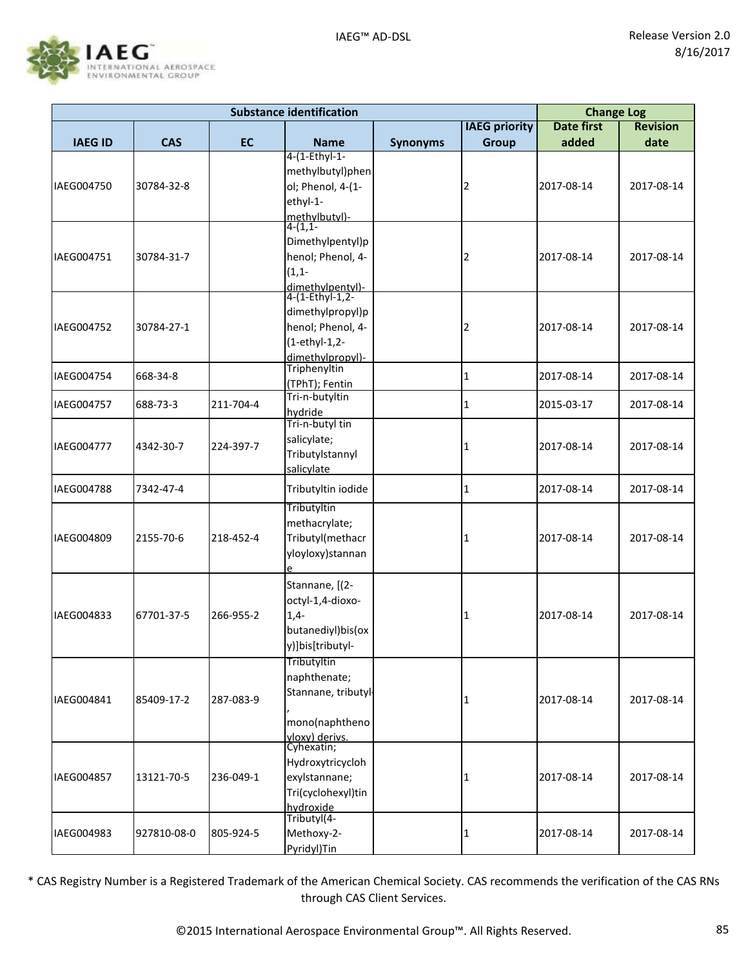

| <b>Substance identification</b> |             |           | <b>Change Log</b>                   |                  |                      |                   |                 |            |
|---------------------------------|-------------|-----------|-------------------------------------|------------------|----------------------|-------------------|-----------------|------------|
|                                 |             |           |                                     |                  | <b>IAEG priority</b> | <b>Date first</b> | <b>Revision</b> |            |
| <b>IAEG ID</b>                  | <b>CAS</b>  | <b>EC</b> | <b>Name</b>                         | <b>Synonyms</b>  | <b>Group</b>         | added             | date            |            |
|                                 |             |           | 4-(1-Ethyl-1-                       |                  |                      |                   |                 |            |
|                                 |             |           | methylbutyl)phen                    |                  |                      |                   |                 |            |
| IAEG004750                      | 30784-32-8  |           | ol; Phenol, 4-(1-                   |                  | 2                    | 2017-08-14        | 2017-08-14      |            |
|                                 |             |           | ethyl-1-<br>methylbutyl)-           |                  |                      |                   |                 |            |
|                                 |             |           | $4-(1,1-$                           |                  |                      |                   |                 |            |
|                                 |             |           | Dimethylpentyl)p                    |                  |                      |                   |                 |            |
| IAEG004751                      | 30784-31-7  |           | henol; Phenol, 4-                   |                  | 2                    | 2017-08-14        | 2017-08-14      |            |
|                                 |             |           | $(1,1-$                             |                  |                      |                   |                 |            |
|                                 |             |           | dimethylpentyl)-<br>4-(1-Ethyl-1,2- |                  |                      |                   |                 |            |
|                                 |             |           | dimethylpropyl)p                    |                  |                      |                   |                 |            |
| IAEG004752                      | 30784-27-1  |           | henol; Phenol, 4-                   |                  | 2                    | 2017-08-14        | 2017-08-14      |            |
|                                 |             |           | (1-ethyl-1,2-                       |                  |                      |                   |                 |            |
|                                 |             |           | dimethylpropyl)-                    |                  |                      |                   |                 |            |
| IAEG004754                      | 668-34-8    |           | Triphenyltin                        |                  | 1                    | 2017-08-14        | 2017-08-14      |            |
|                                 |             |           | (TPhT); Fentin                      |                  |                      |                   |                 |            |
| IAEG004757                      | 688-73-3    | 211-704-4 | Tri-n-butyltin                      |                  | 1                    | 2015-03-17        | 2017-08-14      |            |
|                                 |             |           | hydride<br>Tri-n-butyl tin          |                  |                      |                   |                 |            |
|                                 |             |           | salicylate;                         |                  |                      |                   |                 |            |
| IAEG004777                      | 4342-30-7   | 224-397-7 | Tributylstannyl                     |                  | 1                    | 2017-08-14        | 2017-08-14      |            |
|                                 |             |           | salicylate                          |                  |                      |                   |                 |            |
| IAEG004788                      | 7342-47-4   |           | Tributyltin iodide                  |                  | 1                    | 2017-08-14        | 2017-08-14      |            |
|                                 |             |           |                                     |                  |                      |                   |                 |            |
|                                 | 2155-70-6   |           | Tributyltin<br>methacrylate;        |                  |                      |                   |                 |            |
| IAEG004809                      |             |           | 218-452-4                           | Tributyl(methacr |                      | 1                 | 2017-08-14      | 2017-08-14 |
|                                 |             |           | yloyloxy)stannan                    |                  |                      |                   |                 |            |
|                                 |             |           |                                     |                  |                      |                   |                 |            |
|                                 |             |           | Stannane, [(2-                      |                  |                      |                   |                 |            |
|                                 |             |           | octyl-1,4-dioxo-                    |                  |                      |                   |                 |            |
| IAEG004833                      | 67701-37-5  | 266-955-2 | $1,4-$                              |                  | 1                    | 2017-08-14        | 2017-08-14      |            |
|                                 |             |           | butanediyl)bis(ox                   |                  |                      |                   |                 |            |
|                                 |             |           | y)]bis[tributyl-                    |                  |                      |                   |                 |            |
|                                 |             |           | Tributyltin                         |                  |                      |                   |                 |            |
|                                 |             |           | naphthenate;                        |                  |                      |                   |                 |            |
| IAEG004841                      | 85409-17-2  | 287-083-9 | Stannane, tributyl-                 |                  | 1                    | 2017-08-14        | 2017-08-14      |            |
|                                 |             |           |                                     |                  |                      |                   |                 |            |
|                                 |             |           | mono(naphtheno                      |                  |                      |                   |                 |            |
|                                 |             |           | vloxy) derivs.<br>Cyhexatin;        |                  |                      |                   |                 |            |
|                                 |             |           | Hydroxytricycloh                    |                  |                      |                   |                 |            |
| IAEG004857                      | 13121-70-5  | 236-049-1 | exylstannane;                       |                  | 1                    | 2017-08-14        | 2017-08-14      |            |
|                                 |             |           | Tri(cyclohexyl)tin                  |                  |                      |                   |                 |            |
|                                 |             |           | hvdroxide                           |                  |                      |                   |                 |            |
|                                 |             |           | Tributyl(4-                         |                  |                      |                   |                 |            |
| IAEG004983                      | 927810-08-0 | 805-924-5 | Methoxy-2-                          |                  | 1                    | 2017-08-14        | 2017-08-14      |            |
|                                 |             |           | Pyridyl)Tin                         |                  |                      |                   |                 |            |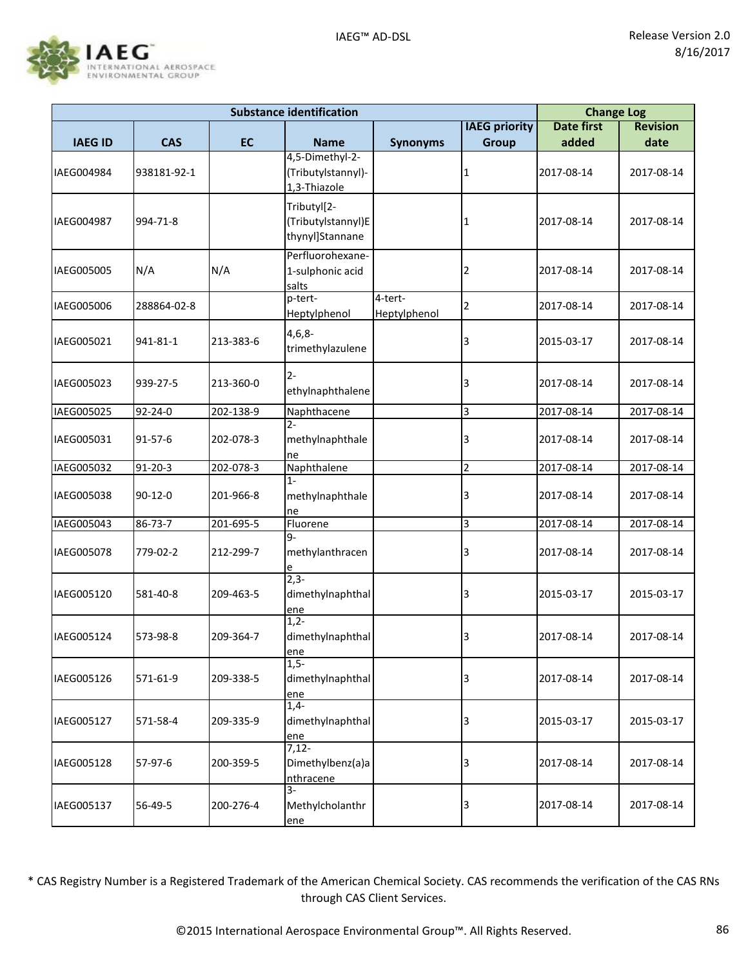

| <b>Substance identification</b> |               |           |                                                       |                         |                      | <b>Change Log</b> |                 |
|---------------------------------|---------------|-----------|-------------------------------------------------------|-------------------------|----------------------|-------------------|-----------------|
|                                 |               |           |                                                       |                         | <b>IAEG priority</b> | <b>Date first</b> | <b>Revision</b> |
| <b>IAEG ID</b>                  | <b>CAS</b>    | <b>EC</b> | <b>Name</b>                                           | <b>Synonyms</b>         | Group                | added             | date            |
| IAEG004984                      | 938181-92-1   |           | 4,5-Dimethyl-2-<br>(Tributylstannyl)-<br>1,3-Thiazole |                         | 1                    | 2017-08-14        | 2017-08-14      |
| IAEG004987                      | 994-71-8      |           | Tributyl[2-<br>(Tributylstannyl)E<br>thynyl]Stannane  |                         | 1                    | 2017-08-14        | 2017-08-14      |
| IAEG005005                      | N/A           | N/A       | Perfluorohexane-<br>1-sulphonic acid<br>salts         |                         | 2                    | 2017-08-14        | 2017-08-14      |
| IAEG005006                      | 288864-02-8   |           | p-tert-<br>Heptylphenol                               | 4-tert-<br>Heptylphenol | 2                    | 2017-08-14        | 2017-08-14      |
| IAEG005021                      | 941-81-1      | 213-383-6 | $4,6,8-$<br>trimethylazulene                          |                         | 3                    | 2015-03-17        | 2017-08-14      |
| IAEG005023                      | 939-27-5      | 213-360-0 | $2 -$<br>ethylnaphthalene                             |                         | 3                    | 2017-08-14        | 2017-08-14      |
| IAEG005025                      | 92-24-0       | 202-138-9 | Naphthacene                                           |                         | 3                    | 2017-08-14        | 2017-08-14      |
| IAEG005031                      | 91-57-6       | 202-078-3 | $2 -$<br>methylnaphthale<br>ne                        |                         | 3                    | 2017-08-14        | 2017-08-14      |
| IAEG005032                      | $91 - 20 - 3$ | 202-078-3 | Naphthalene                                           |                         | $\overline{2}$       | 2017-08-14        | 2017-08-14      |
| IAEG005038                      | $90 - 12 - 0$ | 201-966-8 | $1 -$<br>methylnaphthale<br>ne                        |                         | 3                    | 2017-08-14        | 2017-08-14      |
| IAEG005043                      | 86-73-7       | 201-695-5 | Fluorene                                              |                         | 3                    | 2017-08-14        | 2017-08-14      |
| IAEG005078                      | 779-02-2      | 212-299-7 | $\overline{q}$ .<br>methylanthracen<br>е              |                         | 3                    | 2017-08-14        | 2017-08-14      |
| IAEG005120                      | 581-40-8      | 209-463-5 | $2,3-$<br>dimethylnaphthal<br><u>ene</u>              |                         | 3                    | 2015-03-17        | 2015-03-17      |
| IAEG005124                      | 573-98-8      | 209-364-7 | $1,2-$<br>dimethylnaphthal<br><u>ene</u>              |                         | 3                    | 2017-08-14        | 2017-08-14      |
| IAEG005126                      | 571-61-9      | 209-338-5 | $\overline{1,5}$<br>dimethylnaphthal<br>ene           |                         | 3                    | 2017-08-14        | 2017-08-14      |
| IAEG005127                      | 571-58-4      | 209-335-9 | $1,4-$<br>dimethylnaphthal<br><u>ene</u>              |                         | 3                    | 2015-03-17        | 2015-03-17      |
| IAEG005128                      | 57-97-6       | 200-359-5 | $7,12-$<br>Dimethylbenz(a)a<br>nthracene              |                         | 3                    | 2017-08-14        | 2017-08-14      |
| IAEG005137                      | 56-49-5       | 200-276-4 | $\overline{3}$ -<br>Methylcholanthr<br><u>ene</u>     |                         | 3                    | 2017-08-14        | 2017-08-14      |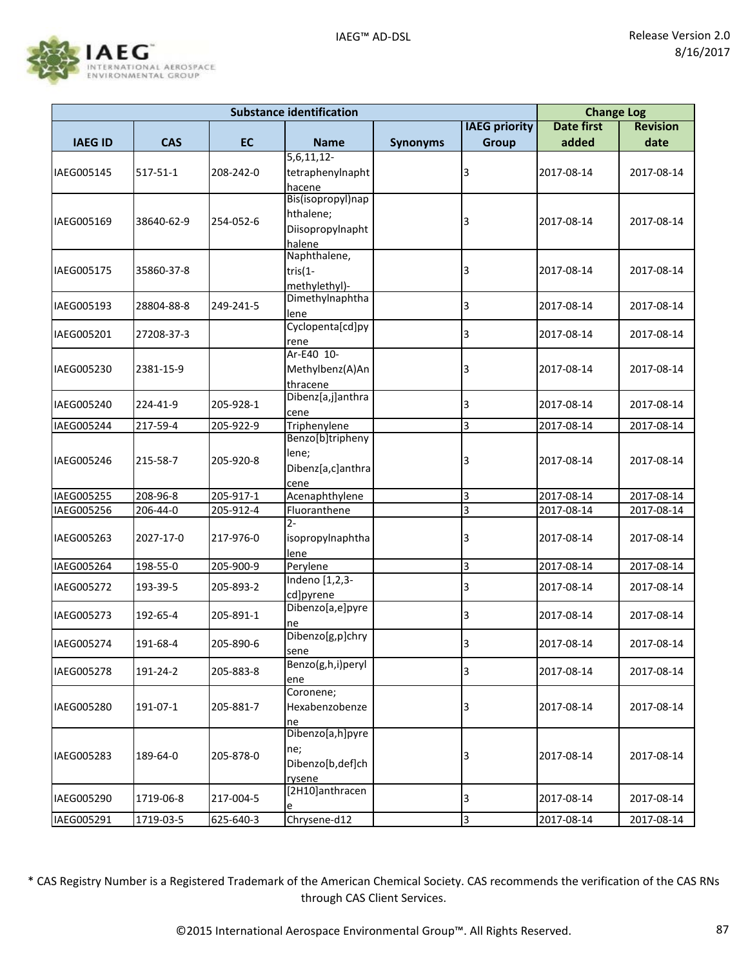

| <b>Substance identification</b> |            |           |                                  | <b>Change Log</b> |                      |                   |                 |
|---------------------------------|------------|-----------|----------------------------------|-------------------|----------------------|-------------------|-----------------|
|                                 |            |           |                                  |                   | <b>IAEG priority</b> | <b>Date first</b> | <b>Revision</b> |
| <b>IAEG ID</b>                  | <b>CAS</b> | <b>EC</b> | <b>Name</b>                      | <b>Synonyms</b>   | <b>Group</b>         | added             | date            |
|                                 |            |           | $5,6,11,12-$                     |                   |                      |                   |                 |
| IAEG005145                      | 517-51-1   | 208-242-0 | tetraphenylnapht                 |                   | 3                    | 2017-08-14        | 2017-08-14      |
|                                 |            |           | hacene                           |                   |                      |                   |                 |
|                                 |            |           | Bis(isopropyl)nap                |                   |                      |                   |                 |
| IAEG005169                      | 38640-62-9 | 254-052-6 | hthalene;                        |                   | 3                    | 2017-08-14        | 2017-08-14      |
|                                 |            |           | Diisopropylnapht                 |                   |                      |                   |                 |
|                                 |            |           | halene                           |                   |                      |                   |                 |
|                                 | 35860-37-8 |           | Naphthalene,                     |                   |                      |                   |                 |
| IAEG005175                      |            |           | $tris(1-$                        |                   | 3                    | 2017-08-14        | 2017-08-14      |
|                                 |            |           | methylethyl)-<br>Dimethylnaphtha |                   |                      |                   |                 |
| IAEG005193                      | 28804-88-8 | 249-241-5 | lene                             |                   | 3                    | 2017-08-14        | 2017-08-14      |
|                                 |            |           | Cyclopenta[cd]py                 |                   |                      |                   |                 |
| IAEG005201                      | 27208-37-3 |           | rene                             |                   | 3                    | 2017-08-14        | 2017-08-14      |
|                                 |            |           | Ar-E40 10-                       |                   |                      |                   |                 |
| IAEG005230                      | 2381-15-9  |           | Methylbenz(A)An                  |                   | 3                    | 2017-08-14        | 2017-08-14      |
|                                 |            |           | thracene                         |                   |                      |                   |                 |
| IAEG005240                      | 224-41-9   | 205-928-1 | Dibenz[a,j]anthra                |                   | 3                    | 2017-08-14        | 2017-08-14      |
|                                 |            |           | cene                             |                   |                      |                   |                 |
| IAEG005244                      | 217-59-4   | 205-922-9 | Triphenylene                     |                   | 3                    | 2017-08-14        | 2017-08-14      |
|                                 |            |           | Benzo[b]tripheny                 |                   |                      |                   |                 |
| IAEG005246                      | 215-58-7   | 205-920-8 | lene;                            |                   | 3                    | 2017-08-14        | 2017-08-14      |
|                                 |            |           | Dibenz[a,c]anthra                |                   |                      |                   |                 |
| IAEG005255                      | 208-96-8   | 205-917-1 | cene<br>Acenaphthylene           |                   | 3                    | 2017-08-14        | 2017-08-14      |
| IAEG005256                      | 206-44-0   | 205-912-4 | Fluoranthene                     |                   | 3                    | 2017-08-14        | 2017-08-14      |
|                                 |            |           | $2 -$                            |                   |                      |                   |                 |
| IAEG005263                      | 2027-17-0  | 217-976-0 | isopropylnaphtha                 |                   | 3                    | 2017-08-14        | 2017-08-14      |
|                                 |            |           | lene                             |                   |                      |                   |                 |
| IAEG005264                      | 198-55-0   | 205-900-9 | Perylene                         |                   | 3                    | 2017-08-14        | 2017-08-14      |
| IAEG005272                      | 193-39-5   | 205-893-2 | Indeno [1,2,3-                   |                   | 3                    | 2017-08-14        | 2017-08-14      |
|                                 |            |           | cd]pyrene                        |                   |                      |                   |                 |
| IAEG005273                      | 192-65-4   | 205-891-1 | Dibenzo[a,e]pyre                 |                   | 3                    | 2017-08-14        | 2017-08-14      |
|                                 |            |           | ne                               |                   |                      |                   |                 |
| IAEG005274                      | 191-68-4   | 205-890-6 | Dibenzo[g,p]chry                 |                   | 3                    | 2017-08-14        | 2017-08-14      |
|                                 |            |           | sene                             |                   |                      |                   |                 |
| IAEG005278                      | 191-24-2   | 205-883-8 | Benzo(g,h,i)peryl                |                   | 3                    | 2017-08-14        | 2017-08-14      |
|                                 |            |           | ene<br>Coronene;                 |                   |                      |                   |                 |
| IAEG005280                      | 191-07-1   | 205-881-7 | Hexabenzobenze                   |                   | 3                    | 2017-08-14        | 2017-08-14      |
|                                 |            |           |                                  |                   |                      |                   |                 |
|                                 |            |           | ne<br>Dibenzo[a,h]pyre           |                   |                      |                   |                 |
|                                 |            |           | ne;                              |                   |                      |                   |                 |
| IAEG005283                      | 189-64-0   | 205-878-0 | Dibenzo[b,def]ch                 |                   | 3                    | 2017-08-14        | 2017-08-14      |
|                                 |            |           | rysene                           |                   |                      |                   |                 |
|                                 |            |           | [2H10]anthracen                  |                   |                      |                   |                 |
| IAEG005290                      | 1719-06-8  | 217-004-5 | e                                |                   | 3                    | 2017-08-14        | 2017-08-14      |
| IAEG005291                      | 1719-03-5  | 625-640-3 | Chrysene-d12                     |                   | 3                    | 2017-08-14        | 2017-08-14      |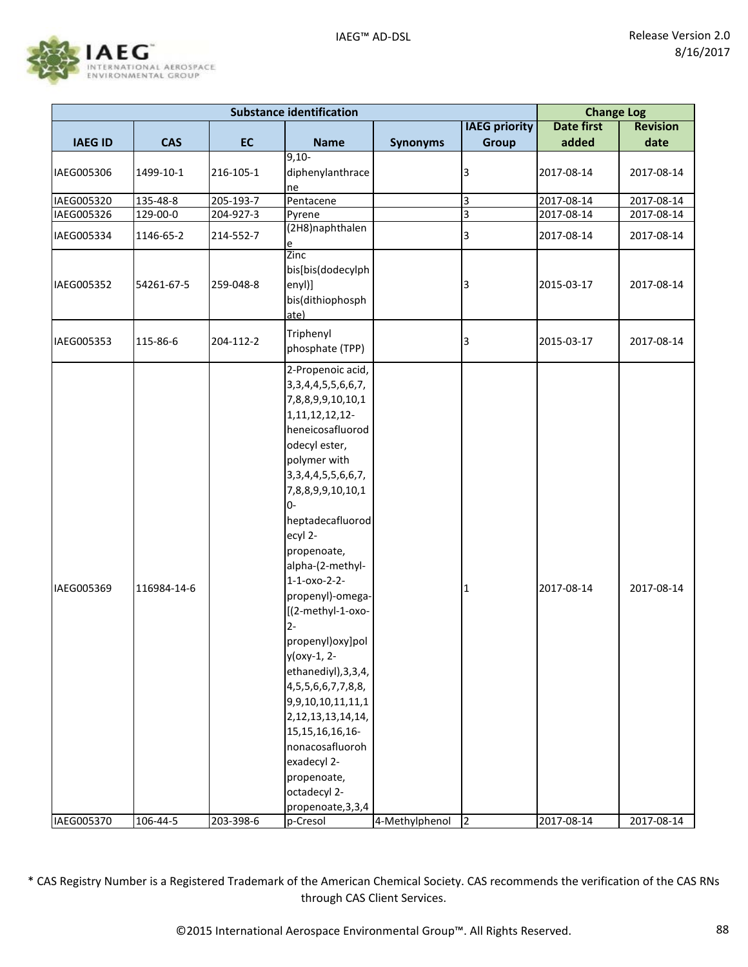

|                |             |           | <b>Substance identification</b>                                                                                                                                                                                                                                                                                                                                                                                                                                                                                                                                                                                  |                 |                      | <b>Change Log</b> |                 |
|----------------|-------------|-----------|------------------------------------------------------------------------------------------------------------------------------------------------------------------------------------------------------------------------------------------------------------------------------------------------------------------------------------------------------------------------------------------------------------------------------------------------------------------------------------------------------------------------------------------------------------------------------------------------------------------|-----------------|----------------------|-------------------|-----------------|
|                |             |           |                                                                                                                                                                                                                                                                                                                                                                                                                                                                                                                                                                                                                  |                 | <b>IAEG priority</b> | <b>Date first</b> | <b>Revision</b> |
| <b>IAEG ID</b> | <b>CAS</b>  | <b>EC</b> | <b>Name</b>                                                                                                                                                                                                                                                                                                                                                                                                                                                                                                                                                                                                      | <b>Synonyms</b> | <b>Group</b>         | added             | date            |
| IAEG005306     | 1499-10-1   | 216-105-1 | $9,10-$<br>diphenylanthrace<br>ne                                                                                                                                                                                                                                                                                                                                                                                                                                                                                                                                                                                |                 | 3                    | 2017-08-14        | 2017-08-14      |
| IAEG005320     | 135-48-8    | 205-193-7 | Pentacene                                                                                                                                                                                                                                                                                                                                                                                                                                                                                                                                                                                                        |                 | 3                    | 2017-08-14        | 2017-08-14      |
| IAEG005326     | 129-00-0    | 204-927-3 | Pyrene                                                                                                                                                                                                                                                                                                                                                                                                                                                                                                                                                                                                           |                 | 3                    | 2017-08-14        | 2017-08-14      |
| IAEG005334     | 1146-65-2   | 214-552-7 | (2H8)naphthalen<br>e                                                                                                                                                                                                                                                                                                                                                                                                                                                                                                                                                                                             |                 | 3                    | 2017-08-14        | 2017-08-14      |
| IAEG005352     | 54261-67-5  | 259-048-8 | Zinc<br>bis[bis(dodecylph<br>enyl)]<br>bis(dithiophosph<br>ate)                                                                                                                                                                                                                                                                                                                                                                                                                                                                                                                                                  |                 | 3                    | 2015-03-17        | 2017-08-14      |
| IAEG005353     | 115-86-6    | 204-112-2 | Triphenyl<br>phosphate (TPP)                                                                                                                                                                                                                                                                                                                                                                                                                                                                                                                                                                                     |                 | 3                    | 2015-03-17        | 2017-08-14      |
| IAEG005369     | 116984-14-6 |           | 2-Propenoic acid,<br>3, 3, 4, 4, 5, 5, 6, 6, 7,<br>7,8,8,9,9,10,10,1<br>1, 11, 12, 12, 12-<br>heneicosafluorod<br>odecyl ester,<br>polymer with<br>3, 3, 4, 4, 5, 5, 6, 6, 7,<br>7,8,8,9,9,10,10,1<br>$0 -$<br>heptadecafluorod<br>ecyl 2-<br>propenoate,<br>alpha-(2-methyl-<br>$1-1-0x0-2-2-$<br>propenyl)-omega-<br>[(2-methyl-1-oxo-<br><u> 2-</u><br>propenyl) oxy] pol<br>y(oxy-1, 2-<br>ethanediyl), 3, 3, 4,<br>4, 5, 5, 6, 6, 7, 7, 8, 8,<br>9,9,10,10,11,11,1<br>2, 12, 13, 13, 14, 14,<br>15, 15, 16, 16, 16-<br>nonacosafluoroh<br>exadecyl 2-<br>propenoate,<br>octadecyl 2-<br>propenoate, 3, 3, 4 |                 | 1                    | 2017-08-14        | 2017-08-14      |
| IAEG005370     | 106-44-5    | 203-398-6 | p-Cresol                                                                                                                                                                                                                                                                                                                                                                                                                                                                                                                                                                                                         | 4-Methylphenol  | $\overline{2}$       | 2017-08-14        | 2017-08-14      |
|                |             |           |                                                                                                                                                                                                                                                                                                                                                                                                                                                                                                                                                                                                                  |                 |                      |                   |                 |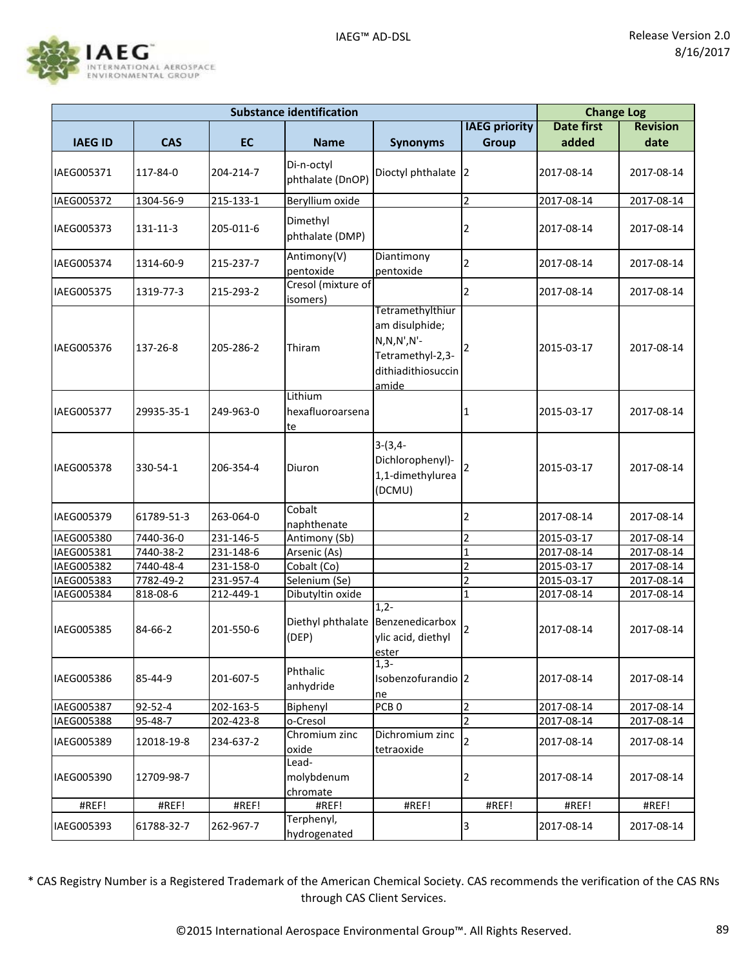

|                |               |           | <b>Substance identification</b>          |                                                                                                           |                         | <b>Change Log</b> |                 |
|----------------|---------------|-----------|------------------------------------------|-----------------------------------------------------------------------------------------------------------|-------------------------|-------------------|-----------------|
|                |               |           |                                          |                                                                                                           | <b>IAEG priority</b>    | <b>Date first</b> | <b>Revision</b> |
| <b>IAEG ID</b> | <b>CAS</b>    | <b>EC</b> | <b>Name</b>                              | <b>Synonyms</b>                                                                                           | Group                   | added             | date            |
| IAEG005371     | 117-84-0      | 204-214-7 | Di-n-octyl<br>phthalate (DnOP)           | Dioctyl phthalate                                                                                         | $\overline{2}$          | 2017-08-14        | 2017-08-14      |
| IAEG005372     | 1304-56-9     | 215-133-1 | Beryllium oxide                          |                                                                                                           | 2                       | 2017-08-14        | 2017-08-14      |
| IAEG005373     | 131-11-3      | 205-011-6 | Dimethyl<br>phthalate (DMP)              |                                                                                                           | 2                       | 2017-08-14        | 2017-08-14      |
| IAEG005374     | 1314-60-9     | 215-237-7 | Antimony(V)<br>pentoxide                 | Diantimony<br>pentoxide                                                                                   | 2                       | 2017-08-14        | 2017-08-14      |
| IAEG005375     | 1319-77-3     | 215-293-2 | Cresol (mixture of<br>isomers)           |                                                                                                           | 2                       | 2017-08-14        | 2017-08-14      |
| IAEG005376     | 137-26-8      | 205-286-2 | Thiram                                   | Tetramethylthiur<br>am disulphide;<br>$N, N, N', N'$ -<br>Tetramethyl-2,3-<br>dithiadithiosuccin<br>amide | 2                       | 2015-03-17        | 2017-08-14      |
| IAEG005377     | 29935-35-1    | 249-963-0 | Lithium<br>hexafluoroarsena<br><u>te</u> |                                                                                                           | 1                       | 2015-03-17        | 2017-08-14      |
| IAEG005378     | 330-54-1      | 206-354-4 | Diuron                                   | $3-(3,4-$<br>Dichlorophenyl)-<br>1,1-dimethylurea<br>(DCMU)                                               | 2                       | 2015-03-17        | 2017-08-14      |
| IAEG005379     | 61789-51-3    | 263-064-0 | Cobalt<br>naphthenate                    |                                                                                                           | 2                       | 2017-08-14        | 2017-08-14      |
| IAEG005380     | 7440-36-0     | 231-146-5 | Antimony (Sb)                            |                                                                                                           | $\overline{c}$          | 2015-03-17        | 2017-08-14      |
| IAEG005381     | 7440-38-2     | 231-148-6 | Arsenic (As)                             |                                                                                                           | 1                       | 2017-08-14        | 2017-08-14      |
| IAEG005382     | 7440-48-4     | 231-158-0 | Cobalt (Co)                              |                                                                                                           | $\overline{\mathbf{c}}$ | 2015-03-17        | 2017-08-14      |
| IAEG005383     | 7782-49-2     | 231-957-4 | Selenium (Se)                            |                                                                                                           | 2                       | 2015-03-17        | 2017-08-14      |
| IAEG005384     | 818-08-6      | 212-449-1 | Dibutyltin oxide                         |                                                                                                           | $\mathbf{1}$            | 2017-08-14        | 2017-08-14      |
| IAEG005385     | 84-66-2       | 201-550-6 | (DEP)                                    | $1,2-$<br>Diethyl phthalate Benzenedicarbox<br>ylic acid, diethyl<br><u>ester</u>                         | 2                       | 2017-08-14        | 2017-08-14      |
| IAEG005386     | 85-44-9       | 201-607-5 | Phthalic<br>anhydride                    | $1,3-$<br>Isobenzofurandio 2<br><u>ne</u>                                                                 |                         | 2017-08-14        | 2017-08-14      |
| IAEG005387     | $92 - 52 - 4$ | 202-163-5 | Biphenyl                                 | PCB <sub>0</sub>                                                                                          | $\overline{2}$          | 2017-08-14        | 2017-08-14      |
| IAEG005388     | 95-48-7       | 202-423-8 | o-Cresol                                 |                                                                                                           | $\overline{2}$          | 2017-08-14        | 2017-08-14      |
| IAEG005389     | 12018-19-8    | 234-637-2 | Chromium zinc<br>oxide                   | Dichromium zinc<br>tetraoxide                                                                             | 2                       | 2017-08-14        | 2017-08-14      |
| IAEG005390     | 12709-98-7    |           | Lead-<br>molybdenum<br>chromate          |                                                                                                           | 2                       | 2017-08-14        | 2017-08-14      |
| #REF!          | #REF!         | #REF!     | #REF!                                    | #REF!                                                                                                     | #REF!                   | #REF!             | #REF!           |
| IAEG005393     | 61788-32-7    | 262-967-7 | Terphenyl,<br>hydrogenated               |                                                                                                           | 3                       | 2017-08-14        | 2017-08-14      |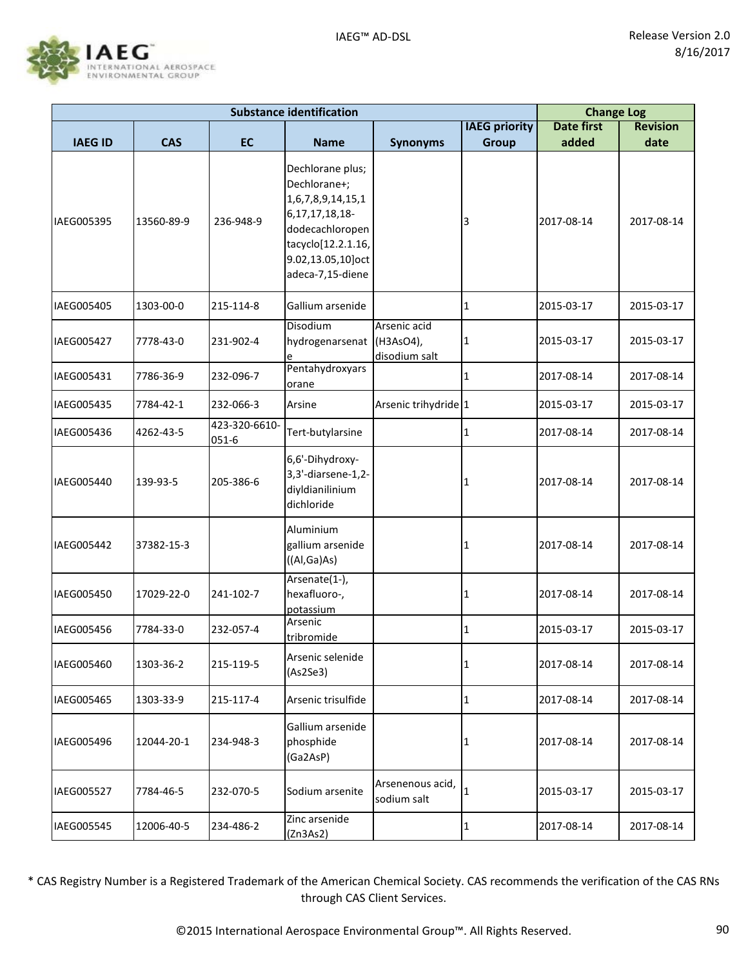

| <b>Substance identification</b> |            |                        |                                                                                                                                                               |                                            |                      | <b>Change Log</b> |                 |
|---------------------------------|------------|------------------------|---------------------------------------------------------------------------------------------------------------------------------------------------------------|--------------------------------------------|----------------------|-------------------|-----------------|
|                                 |            |                        |                                                                                                                                                               |                                            | <b>IAEG priority</b> | <b>Date first</b> | <b>Revision</b> |
| <b>IAEG ID</b>                  | <b>CAS</b> | <b>EC</b>              | <b>Name</b>                                                                                                                                                   | <b>Synonyms</b>                            | <b>Group</b>         | added             | date            |
| IAEG005395                      | 13560-89-9 | 236-948-9              | Dechlorane plus;<br>Dechlorane+;<br>1,6,7,8,9,14,15,1<br>6, 17, 17, 18, 18-<br>dodecachloropen<br>tacyclo[12.2.1.16,<br>9.02,13.05,10]oct<br>adeca-7,15-diene |                                            | 3                    | 2017-08-14        | 2017-08-14      |
| IAEG005405                      | 1303-00-0  | 215-114-8              | Gallium arsenide                                                                                                                                              |                                            | 1                    | 2015-03-17        | 2015-03-17      |
| IAEG005427                      | 7778-43-0  | 231-902-4              | Disodium<br>hydrogenarsenat<br>e                                                                                                                              | Arsenic acid<br>(H3AsO4),<br>disodium salt | 1                    | 2015-03-17        | 2015-03-17      |
| IAEG005431                      | 7786-36-9  | 232-096-7              | Pentahydroxyars<br>orane                                                                                                                                      |                                            | 1                    | 2017-08-14        | 2017-08-14      |
| IAEG005435                      | 7784-42-1  | 232-066-3              | Arsine                                                                                                                                                        | Arsenic trihydride 1                       |                      | 2015-03-17        | 2015-03-17      |
| IAEG005436                      | 4262-43-5  | 423-320-6610-<br>051-6 | Tert-butylarsine                                                                                                                                              |                                            | 1                    | 2017-08-14        | 2017-08-14      |
| IAEG005440                      | 139-93-5   | 205-386-6              | 6,6'-Dihydroxy-<br>3,3'-diarsene-1,2-<br>diyldianilinium<br>dichloride                                                                                        |                                            | 1                    | 2017-08-14        | 2017-08-14      |
| IAEG005442                      | 37382-15-3 |                        | Aluminium<br>gallium arsenide<br>((Al,Ga)As)                                                                                                                  |                                            | 1                    | 2017-08-14        | 2017-08-14      |
| IAEG005450                      | 17029-22-0 | 241-102-7              | Arsenate(1-),<br>hexafluoro-,<br>potassium                                                                                                                    |                                            | 1                    | 2017-08-14        | 2017-08-14      |
| IAEG005456                      | 7784-33-0  | 232-057-4              | Arsenic<br>tribromide                                                                                                                                         |                                            | 1                    | 2015-03-17        | 2015-03-17      |
| IAEG005460                      | 1303-36-2  | 215-119-5              | Arsenic selenide<br>(As2Se3)                                                                                                                                  |                                            | 1                    | 2017-08-14        | 2017-08-14      |
| IAEG005465                      | 1303-33-9  | 215-117-4              | Arsenic trisulfide                                                                                                                                            |                                            | $\mathbf{1}$         | 2017-08-14        | 2017-08-14      |
| IAEG005496                      | 12044-20-1 | 234-948-3              | Gallium arsenide<br>phosphide<br>(Ga2AsP)                                                                                                                     |                                            | 1                    | 2017-08-14        | 2017-08-14      |
| IAEG005527                      | 7784-46-5  | 232-070-5              | Sodium arsenite                                                                                                                                               | Arsenenous acid,<br>sodium salt            | $\mathbf{1}$         | 2015-03-17        | 2015-03-17      |
| IAEG005545                      | 12006-40-5 | 234-486-2              | Zinc arsenide<br>(Zn3As2)                                                                                                                                     |                                            | 1                    | 2017-08-14        | 2017-08-14      |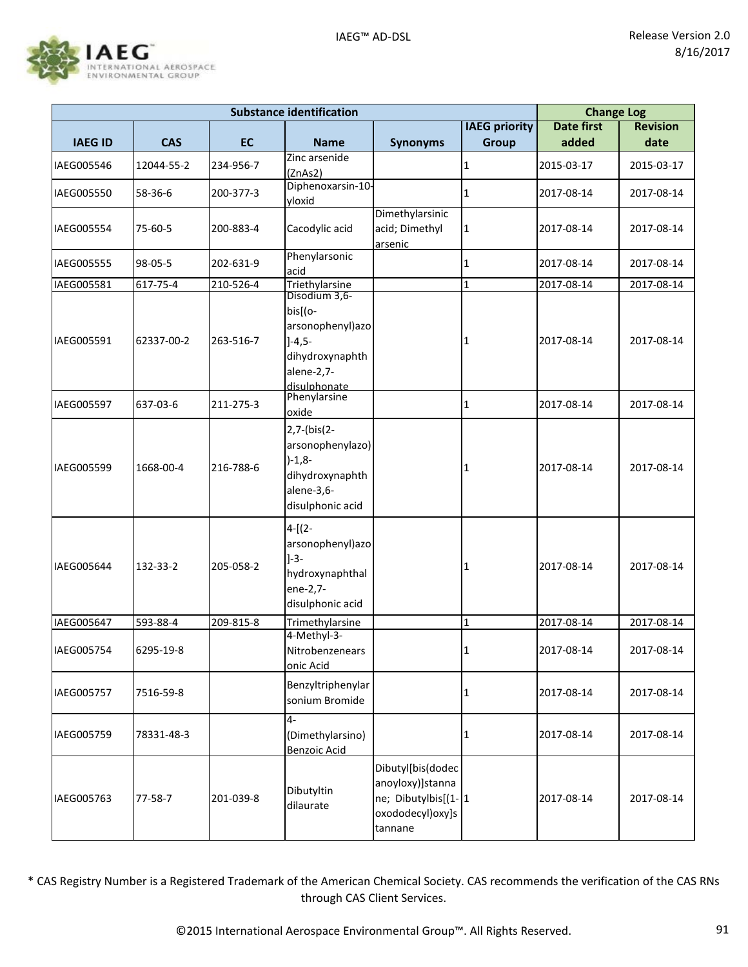

| <b>Substance identification</b> |            |           |                                                                                                           |                                                                                              |                      | <b>Change Log</b> |                 |
|---------------------------------|------------|-----------|-----------------------------------------------------------------------------------------------------------|----------------------------------------------------------------------------------------------|----------------------|-------------------|-----------------|
|                                 |            |           |                                                                                                           |                                                                                              | <b>IAEG priority</b> | <b>Date first</b> | <b>Revision</b> |
| <b>IAEG ID</b>                  | <b>CAS</b> | <b>EC</b> | <b>Name</b>                                                                                               | <b>Synonyms</b>                                                                              | <b>Group</b>         | added             | date            |
| IAEG005546                      | 12044-55-2 | 234-956-7 | Zinc arsenide<br>(ZnAs2)                                                                                  |                                                                                              | 1                    | 2015-03-17        | 2015-03-17      |
| IAEG005550                      | 58-36-6    | 200-377-3 | Diphenoxarsin-10-<br>yloxid                                                                               |                                                                                              | 1                    | 2017-08-14        | 2017-08-14      |
| IAEG005554                      | 75-60-5    | 200-883-4 | Cacodylic acid                                                                                            | Dimethylarsinic<br>acid; Dimethyl<br>arsenic                                                 | 1                    | 2017-08-14        | 2017-08-14      |
| IAEG005555                      | 98-05-5    | 202-631-9 | Phenylarsonic<br>acid                                                                                     |                                                                                              | 1                    | 2017-08-14        | 2017-08-14      |
| IAEG005581                      | 617-75-4   | 210-526-4 | Triethylarsine                                                                                            |                                                                                              | $\mathbf{1}$         | 2017-08-14        | 2017-08-14      |
| IAEG005591                      | 62337-00-2 | 263-516-7 | Disodium 3,6-<br>bis[(o-<br>arsonophenyl)azo<br>$]-4,5-$<br>dihydroxynaphth<br>alene-2,7-<br>disulphonate |                                                                                              | 1                    | 2017-08-14        | 2017-08-14      |
| IAEG005597                      | 637-03-6   | 211-275-3 | Phenylarsine<br>oxide                                                                                     |                                                                                              | $\mathbf{1}$         | 2017-08-14        | 2017-08-14      |
| IAEG005599                      | 1668-00-4  | 216-788-6 | 2,7-(bis(2-<br>arsonophenylazo)<br>$)-1,8-$<br>dihydroxynaphth<br>alene-3,6-<br>disulphonic acid          |                                                                                              | 1                    | 2017-08-14        | 2017-08-14      |
| IAEG005644                      | 132-33-2   | 205-058-2 | $4-[2-$<br>arsonophenyl)azo<br>$] -3 -$<br>hydroxynaphthal<br>ene-2,7-<br>disulphonic acid                |                                                                                              | 1                    | 2017-08-14        | 2017-08-14      |
| IAEG005647                      | 593-88-4   | 209-815-8 | Trimethylarsine                                                                                           |                                                                                              | $\mathbf{1}$         | 2017-08-14        | 2017-08-14      |
| IAEG005754                      | 6295-19-8  |           | 4-Methyl-3-<br>Nitrobenzenears<br>onic Acid                                                               |                                                                                              | 1                    | 2017-08-14        | 2017-08-14      |
| IAEG005757                      | 7516-59-8  |           | Benzyltriphenylar<br>sonium Bromide                                                                       |                                                                                              | 1                    | 2017-08-14        | 2017-08-14      |
| IAEG005759                      | 78331-48-3 |           | $4-$<br>(Dimethylarsino)<br><b>Benzoic Acid</b>                                                           |                                                                                              | 1                    | 2017-08-14        | 2017-08-14      |
| IAEG005763                      | 77-58-7    | 201-039-8 | Dibutyltin<br>dilaurate                                                                                   | Dibutyl[bis(dodec<br>anoyloxy)]stanna<br>ne; Dibutylbis[(1-1<br>oxododecyl) oxy]s<br>tannane |                      | 2017-08-14        | 2017-08-14      |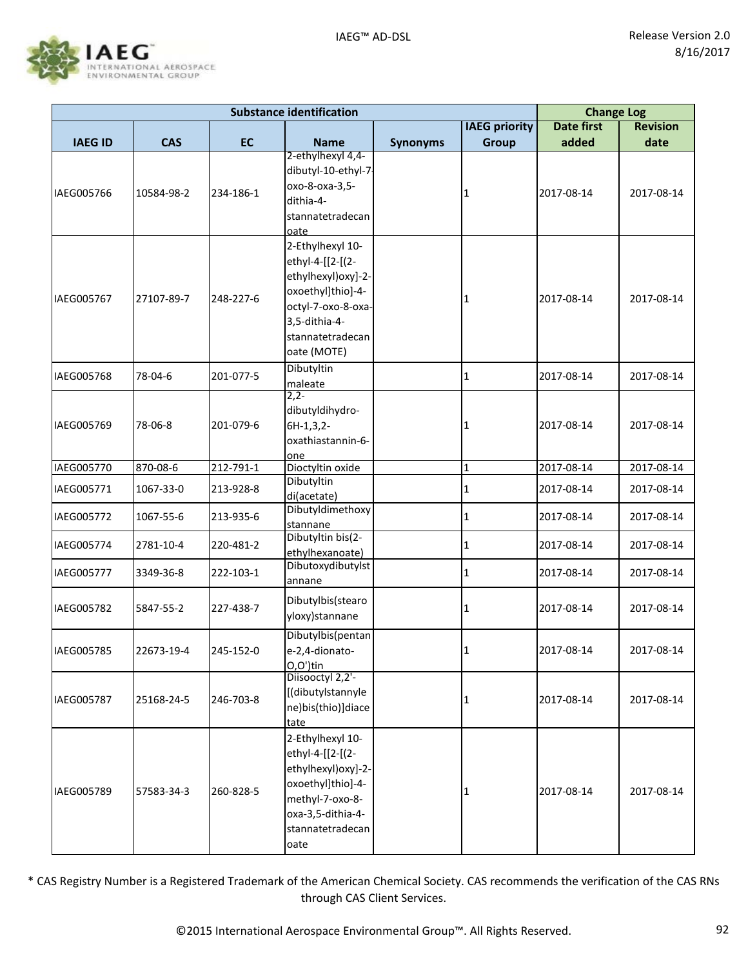

|                |            |           | <b>Substance identification</b> |                 |                      | <b>Change Log</b> |                 |
|----------------|------------|-----------|---------------------------------|-----------------|----------------------|-------------------|-----------------|
|                |            |           |                                 |                 | <b>IAEG priority</b> | <b>Date first</b> | <b>Revision</b> |
| <b>IAEG ID</b> | <b>CAS</b> | <b>EC</b> | <b>Name</b>                     | <b>Synonyms</b> | <b>Group</b>         | added             | date            |
|                |            |           | 2-ethylhexyl 4,4-               |                 |                      |                   |                 |
|                |            |           | dibutyl-10-ethyl-7              |                 |                      |                   |                 |
| IAEG005766     | 10584-98-2 | 234-186-1 | oxo-8-oxa-3,5-                  |                 | 1                    | 2017-08-14        | 2017-08-14      |
|                |            |           | dithia-4-                       |                 |                      |                   |                 |
|                |            |           | stannatetradecan                |                 |                      |                   |                 |
|                |            |           | oate                            |                 |                      |                   |                 |
|                |            |           | 2-Ethylhexyl 10-                |                 |                      |                   |                 |
|                |            |           | ethyl-4-[[2-[(2-                |                 |                      |                   |                 |
|                |            |           | ethylhexyl) oxy]-2-             |                 |                      |                   |                 |
| IAEG005767     | 27107-89-7 | 248-227-6 | oxoethyl]thio]-4-               |                 | 1                    | 2017-08-14        | 2017-08-14      |
|                |            |           | octyl-7-oxo-8-oxa-              |                 |                      |                   |                 |
|                |            |           | 3,5-dithia-4-                   |                 |                      |                   |                 |
|                |            |           | stannatetradecan                |                 |                      |                   |                 |
|                |            |           | oate (MOTE)                     |                 |                      |                   |                 |
| IAEG005768     | 78-04-6    | 201-077-5 | Dibutyltin                      |                 | 1                    | 2017-08-14        | 2017-08-14      |
|                |            |           | maleate                         |                 |                      |                   |                 |
|                |            |           | $2,2-$                          |                 |                      |                   |                 |
|                |            |           | dibutyldihydro-                 |                 |                      |                   |                 |
| IAEG005769     | 78-06-8    | 201-079-6 | $6H-1, 3, 2-$                   |                 | 1                    | 2017-08-14        | 2017-08-14      |
|                |            |           | oxathiastannin-6-               |                 |                      |                   |                 |
| IAEG005770     | 870-08-6   | 212-791-1 | one<br>Dioctyltin oxide         |                 | $\mathbf 1$          | 2017-08-14        | 2017-08-14      |
|                |            |           | Dibutyltin                      |                 |                      |                   |                 |
| IAEG005771     | 1067-33-0  | 213-928-8 | di(acetate)                     |                 | 1                    | 2017-08-14        | 2017-08-14      |
|                |            |           | Dibutyldimethoxy                |                 |                      |                   |                 |
| IAEG005772     | 1067-55-6  | 213-935-6 | stannane                        |                 | 1                    | 2017-08-14        | 2017-08-14      |
| IAEG005774     | 2781-10-4  | 220-481-2 | Dibutyltin bis(2-               |                 | 1                    | 2017-08-14        | 2017-08-14      |
|                |            |           | ethylhexanoate)                 |                 |                      |                   |                 |
| IAEG005777     | 3349-36-8  | 222-103-1 | Dibutoxydibutylst               |                 | 1                    | 2017-08-14        | 2017-08-14      |
|                |            |           | annane                          |                 |                      |                   |                 |
|                |            |           | Dibutylbis(stearo               |                 |                      |                   |                 |
| IAEG005782     | 5847-55-2  | 227-438-7 | yloxy)stannane                  |                 | 1                    | 2017-08-14        | 2017-08-14      |
|                |            |           | Dibutylbis(pentan               |                 |                      |                   |                 |
| IAEG005785     | 22673-19-4 | 245-152-0 | e-2,4-dionato-                  |                 | 1                    | 2017-08-14        | 2017-08-14      |
|                |            |           | O,O')tin                        |                 |                      |                   |                 |
|                |            |           | Diisooctyl 2,2'-                |                 |                      |                   |                 |
| IAEG005787     | 25168-24-5 | 246-703-8 | [(dibutylstannyle               |                 | 1                    | 2017-08-14        | 2017-08-14      |
|                |            |           | ne)bis(thio)]diace              |                 |                      |                   |                 |
|                |            |           | tate                            |                 |                      |                   |                 |
|                |            |           | 2-Ethylhexyl 10-                |                 |                      |                   |                 |
|                |            |           | ethyl-4-[[2-[(2-                |                 |                      |                   |                 |
|                |            |           | ethylhexyl) oxy]-2-             |                 |                      |                   |                 |
| IAEG005789     | 57583-34-3 | 260-828-5 | oxoethyl]thio]-4-               |                 |                      | 2017-08-14        | 2017-08-14      |
|                |            |           | methyl-7-oxo-8-                 |                 | 1                    |                   |                 |
|                |            |           | oxa-3,5-dithia-4-               |                 |                      |                   |                 |
|                |            |           | stannatetradecan                |                 |                      |                   |                 |
|                |            |           | oate                            |                 |                      |                   |                 |
|                |            |           |                                 |                 |                      |                   |                 |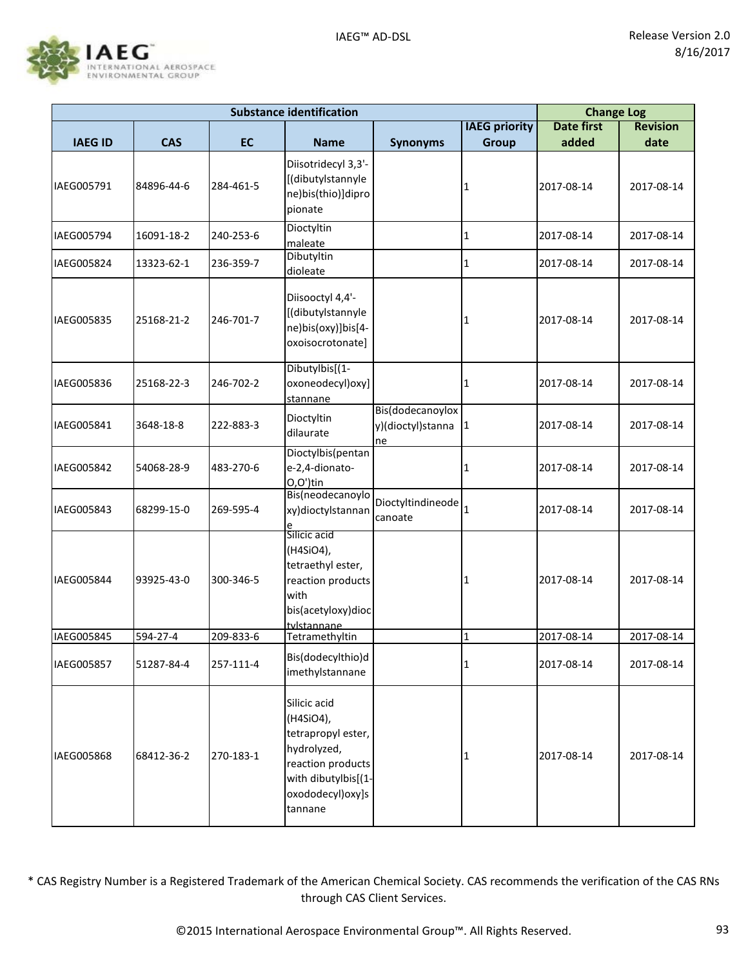

| <b>Substance identification</b> |            |           |                                                                                                                                            |                                             |                      | <b>Change Log</b> |                 |
|---------------------------------|------------|-----------|--------------------------------------------------------------------------------------------------------------------------------------------|---------------------------------------------|----------------------|-------------------|-----------------|
|                                 |            |           |                                                                                                                                            |                                             | <b>IAEG priority</b> | <b>Date first</b> | <b>Revision</b> |
| <b>IAEG ID</b>                  | <b>CAS</b> | <b>EC</b> | <b>Name</b>                                                                                                                                | <b>Synonyms</b>                             | Group                | added             | date            |
| IAEG005791                      | 84896-44-6 | 284-461-5 | Diisotridecyl 3,3'-<br>[(dibutylstannyle<br>ne)bis(thio)]dipro<br>pionate                                                                  |                                             | 1                    | 2017-08-14        | 2017-08-14      |
| IAEG005794                      | 16091-18-2 | 240-253-6 | Dioctyltin<br>maleate                                                                                                                      |                                             | 1                    | 2017-08-14        | 2017-08-14      |
| IAEG005824                      | 13323-62-1 | 236-359-7 | Dibutyltin<br>dioleate                                                                                                                     |                                             | 1                    | 2017-08-14        | 2017-08-14      |
| IAEG005835                      | 25168-21-2 | 246-701-7 | Diisooctyl 4,4'-<br>[(dibutylstannyle<br>ne)bis(oxy)]bis[4-<br>oxoisocrotonate]                                                            |                                             | 1                    | 2017-08-14        | 2017-08-14      |
| IAEG005836                      | 25168-22-3 | 246-702-2 | Dibutylbis[(1-<br>oxoneodecyl) oxy]<br>stannane                                                                                            |                                             | 1                    | 2017-08-14        | 2017-08-14      |
| IAEG005841                      | 3648-18-8  | 222-883-3 | Dioctyltin<br>dilaurate                                                                                                                    | Bis(dodecanoylox<br>y)(dioctyl)stanna<br>ne | 11                   | 2017-08-14        | 2017-08-14      |
| IAEG005842                      | 54068-28-9 | 483-270-6 | Dioctylbis(pentan<br>e-2,4-dionato-<br>O,O')tin                                                                                            |                                             | 1                    | 2017-08-14        | 2017-08-14      |
| IAEG005843                      | 68299-15-0 | 269-595-4 | Bis(neodecanoylo<br>xy)dioctylstannan                                                                                                      | Dioctyltindineode<br>canoate                | $\mathbf{1}$         | 2017-08-14        | 2017-08-14      |
| IAEG005844                      | 93925-43-0 | 300-346-5 | Silicic acid<br>(H4SiO4),<br>tetraethyl ester,<br>reaction products<br>with<br>bis(acetyloxy)dioc<br>tylstannane                           |                                             | 1                    | 2017-08-14        | 2017-08-14      |
| IAEG005845                      | 594-27-4   | 209-833-6 | Tetramethyltin                                                                                                                             |                                             | $\mathbf{1}$         | 2017-08-14        | 2017-08-14      |
| IAEG005857                      | 51287-84-4 | 257-111-4 | Bis(dodecylthio)d<br>imethylstannane                                                                                                       |                                             | 1                    | 2017-08-14        | 2017-08-14      |
| IAEG005868                      | 68412-36-2 | 270-183-1 | Silicic acid<br>(H4SiO4),<br>tetrapropyl ester,<br>hydrolyzed,<br>reaction products<br>with dibutylbis[(1-<br>oxododecyl) oxy]s<br>tannane |                                             | 1                    | 2017-08-14        | 2017-08-14      |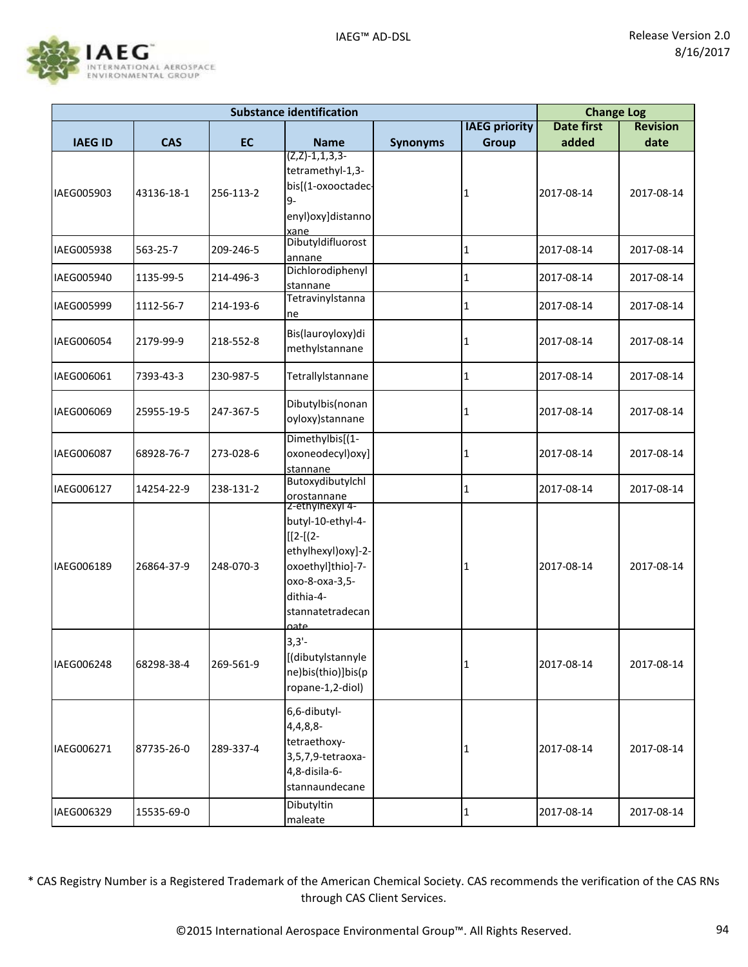

| <b>Substance identification</b> |            |           |                                                                                                                                        |                 | <b>Change Log</b>    |                   |                 |
|---------------------------------|------------|-----------|----------------------------------------------------------------------------------------------------------------------------------------|-----------------|----------------------|-------------------|-----------------|
|                                 |            |           |                                                                                                                                        |                 | <b>IAEG priority</b> | <b>Date first</b> | <b>Revision</b> |
| <b>IAEG ID</b>                  | <b>CAS</b> | <b>EC</b> | <b>Name</b>                                                                                                                            | <b>Synonyms</b> | Group                | added             | date            |
| IAEG005903                      | 43136-18-1 | 256-113-2 | $(Z,Z)-1,1,3,3-$<br>tetramethyl-1,3-<br>bis[(1-oxooctadec-<br>$9-$<br>enyl) oxy] distanno<br>xane                                      |                 | 1                    | 2017-08-14        | 2017-08-14      |
| IAEG005938                      | 563-25-7   | 209-246-5 | Dibutyldifluorost<br>annane                                                                                                            |                 | $\mathbf{1}$         | 2017-08-14        | 2017-08-14      |
| IAEG005940                      | 1135-99-5  | 214-496-3 | Dichlorodiphenyl<br>stannane                                                                                                           |                 | 1                    | 2017-08-14        | 2017-08-14      |
| IAEG005999                      | 1112-56-7  | 214-193-6 | Tetravinylstanna<br>ne                                                                                                                 |                 | 1                    | 2017-08-14        | 2017-08-14      |
| IAEG006054                      | 2179-99-9  | 218-552-8 | Bis(lauroyloxy)di<br>methylstannane                                                                                                    |                 | 1                    | 2017-08-14        | 2017-08-14      |
| IAEG006061                      | 7393-43-3  | 230-987-5 | Tetrallylstannane                                                                                                                      |                 | 1                    | 2017-08-14        | 2017-08-14      |
| IAEG006069                      | 25955-19-5 | 247-367-5 | Dibutylbis(nonan<br>oyloxy)stannane                                                                                                    |                 | 1                    | 2017-08-14        | 2017-08-14      |
| IAEG006087                      | 68928-76-7 | 273-028-6 | Dimethylbis[(1-<br>oxoneodecyl) oxy]<br>stannane                                                                                       |                 | 1                    | 2017-08-14        | 2017-08-14      |
| IAEG006127                      | 14254-22-9 | 238-131-2 | Butoxydibutylchl<br>orostannane<br>2-ethylhexyl 4-                                                                                     |                 | $\mathbf{1}$         | 2017-08-14        | 2017-08-14      |
| IAEG006189                      | 26864-37-9 | 248-070-3 | butyl-10-ethyl-4-<br>$[[2-[(2-$<br>ethylhexyl) oxy]-2-<br>oxoethyl]thio]-7-<br>oxo-8-oxa-3,5-<br>dithia-4-<br>stannatetradecan<br>nate |                 | 1                    | 2017-08-14        | 2017-08-14      |
| IAEG006248                      | 68298-38-4 | 269-561-9 | $3,3'-$<br>[(dibutylstannyle<br>ne)bis(thio)]bis(p<br>ropane-1,2-diol)                                                                 |                 | 1                    | 2017-08-14        | 2017-08-14      |
| IAEG006271                      | 87735-26-0 | 289-337-4 | 6,6-dibutyl-<br>$4,4,8,8-$<br>tetraethoxy-<br>3,5,7,9-tetraoxa-<br>4,8-disila-6-<br>stannaundecane                                     |                 | 1                    | 2017-08-14        | 2017-08-14      |
| IAEG006329                      | 15535-69-0 |           | Dibutyltin<br>maleate                                                                                                                  |                 | $\mathbf{1}$         | 2017-08-14        | 2017-08-14      |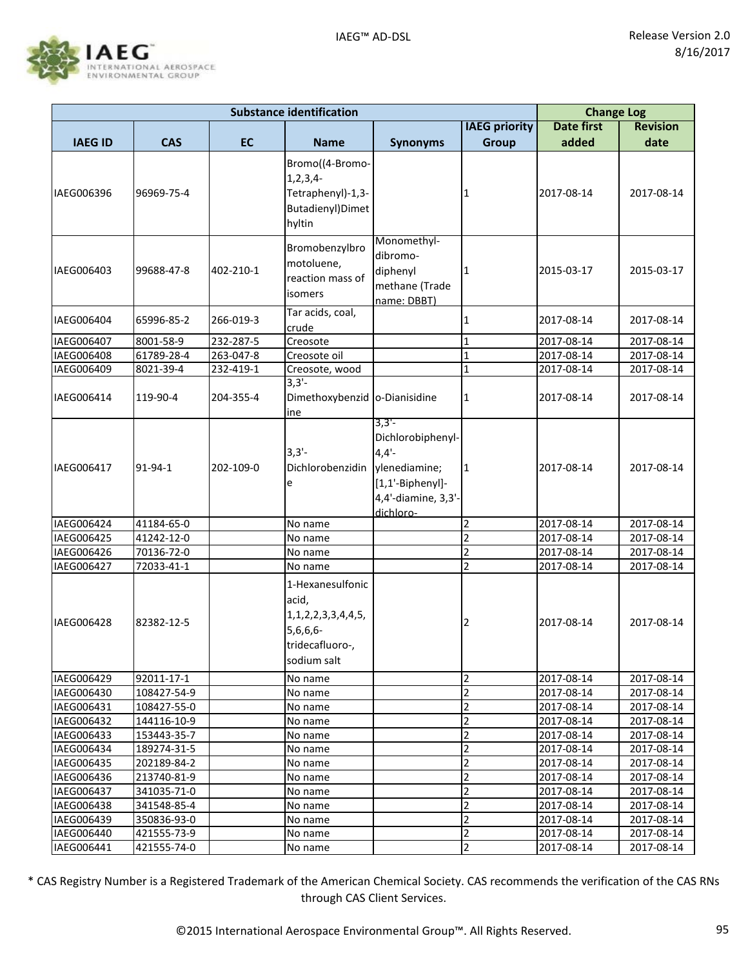

|                |             |           | <b>Substance identification</b>                                                                          |                                                                                                                      |                         | <b>Change Log</b> |                 |
|----------------|-------------|-----------|----------------------------------------------------------------------------------------------------------|----------------------------------------------------------------------------------------------------------------------|-------------------------|-------------------|-----------------|
|                |             |           |                                                                                                          |                                                                                                                      | <b>IAEG priority</b>    | <b>Date first</b> | <b>Revision</b> |
| <b>IAEG ID</b> | <b>CAS</b>  | <b>EC</b> | <b>Name</b>                                                                                              | <b>Synonyms</b>                                                                                                      | <b>Group</b>            | added             | date            |
| IAEG006396     | 96969-75-4  |           | Bromo((4-Bromo-<br>1, 2, 3, 4<br>Tetraphenyl)-1,3-<br>Butadienyl) Dimet<br>hyltin                        |                                                                                                                      | 1                       | 2017-08-14        | 2017-08-14      |
| IAEG006403     | 99688-47-8  | 402-210-1 | Bromobenzylbro<br>motoluene,<br>reaction mass of<br>isomers                                              | Monomethyl-<br>dibromo-<br>diphenyl<br>methane (Trade<br>name: DBBT)                                                 | 1                       | 2015-03-17        | 2015-03-17      |
| IAEG006404     | 65996-85-2  | 266-019-3 | Tar acids, coal,<br>crude                                                                                |                                                                                                                      | 1                       | 2017-08-14        | 2017-08-14      |
| IAEG006407     | 8001-58-9   | 232-287-5 | Creosote                                                                                                 |                                                                                                                      | 1                       | 2017-08-14        | 2017-08-14      |
| IAEG006408     | 61789-28-4  | 263-047-8 | Creosote oil                                                                                             |                                                                                                                      | 1                       | 2017-08-14        | 2017-08-14      |
| IAEG006409     | 8021-39-4   | 232-419-1 | Creosote, wood                                                                                           |                                                                                                                      | $\mathbf{1}$            | 2017-08-14        | 2017-08-14      |
| IAEG006414     | 119-90-4    | 204-355-4 | $3,3'$ -<br>Dimethoxybenzid o-Dianisidine<br>ine                                                         |                                                                                                                      | 1                       | 2017-08-14        | 2017-08-14      |
| IAEG006417     | 91-94-1     | 202-109-0 | $3,3'$ -<br>Dichlorobenzidin<br>e                                                                        | $3,3'$ -<br>Dichlorobiphenyl-<br>$4,4'$ -<br>ylenediamine;<br>$[1,1'-Bipheny]$ -<br>4,4'-diamine, 3,3'-<br>dichloro- | 1                       | 2017-08-14        | 2017-08-14      |
| IAEG006424     | 41184-65-0  |           | No name                                                                                                  |                                                                                                                      | $\overline{\mathbf{c}}$ | 2017-08-14        | 2017-08-14      |
| IAEG006425     | 41242-12-0  |           | No name                                                                                                  |                                                                                                                      | $\overline{2}$          | 2017-08-14        | 2017-08-14      |
| IAEG006426     | 70136-72-0  |           | No name                                                                                                  |                                                                                                                      | $\overline{2}$          | 2017-08-14        | 2017-08-14      |
| IAEG006427     | 72033-41-1  |           | No name                                                                                                  |                                                                                                                      | $\overline{2}$          | 2017-08-14        | 2017-08-14      |
| IAEG006428     | 82382-12-5  |           | 1-Hexanesulfonic<br>acid,<br>1, 1, 2, 2, 3, 3, 4, 4, 5,<br>$5,6,6,6$ -<br>tridecafluoro-,<br>sodium salt |                                                                                                                      | $\mathcal{P}$           | 2017-08-14        | 2017-08-14      |
| IAEG006429     | 92011-17-1  |           | No name                                                                                                  |                                                                                                                      | 2                       | 2017-08-14        | 2017-08-14      |
| IAEG006430     | 108427-54-9 |           | No name                                                                                                  |                                                                                                                      | $\overline{2}$          | 2017-08-14        | 2017-08-14      |
| IAEG006431     | 108427-55-0 |           | No name                                                                                                  |                                                                                                                      | $\overline{2}$          | 2017-08-14        | 2017-08-14      |
| IAEG006432     | 144116-10-9 |           | No name                                                                                                  |                                                                                                                      | $\overline{2}$          | 2017-08-14        | 2017-08-14      |
| IAEG006433     | 153443-35-7 |           | No name                                                                                                  |                                                                                                                      | $\overline{2}$          | 2017-08-14        | 2017-08-14      |
| IAEG006434     | 189274-31-5 |           | No name                                                                                                  |                                                                                                                      | $\overline{c}$          | 2017-08-14        | 2017-08-14      |
| IAEG006435     | 202189-84-2 |           | No name                                                                                                  |                                                                                                                      | $\overline{c}$          | 2017-08-14        | 2017-08-14      |
| IAEG006436     | 213740-81-9 |           | No name                                                                                                  |                                                                                                                      | $\overline{c}$          | 2017-08-14        | 2017-08-14      |
| IAEG006437     | 341035-71-0 |           | No name                                                                                                  |                                                                                                                      | $\overline{\mathbf{c}}$ | 2017-08-14        | 2017-08-14      |
| IAEG006438     | 341548-85-4 |           | No name                                                                                                  |                                                                                                                      | $\overline{c}$          | 2017-08-14        | 2017-08-14      |
| IAEG006439     | 350836-93-0 |           | No name                                                                                                  |                                                                                                                      | $\overline{c}$          | 2017-08-14        | 2017-08-14      |
| IAEG006440     | 421555-73-9 |           | No name                                                                                                  |                                                                                                                      | $\overline{\mathbf{c}}$ | 2017-08-14        | 2017-08-14      |
| IAEG006441     | 421555-74-0 |           | No name                                                                                                  |                                                                                                                      | $\overline{\mathbf{c}}$ | 2017-08-14        | 2017-08-14      |